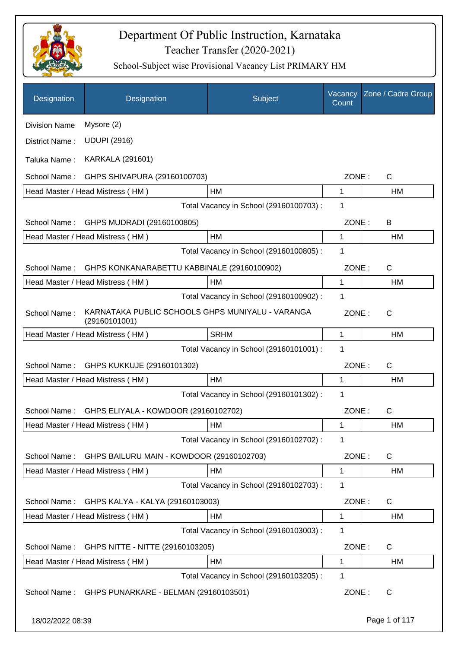

| Designation          | Designation                                                       | Subject                                 | Vacancy<br>Count | Zone / Cadre Group |
|----------------------|-------------------------------------------------------------------|-----------------------------------------|------------------|--------------------|
| <b>Division Name</b> | Mysore (2)                                                        |                                         |                  |                    |
| District Name:       | <b>UDUPI (2916)</b>                                               |                                         |                  |                    |
| Taluka Name:         | <b>KARKALA (291601)</b>                                           |                                         |                  |                    |
| School Name:         | GHPS SHIVAPURA (29160100703)                                      |                                         | ZONE:            | $\mathsf{C}$       |
|                      | Head Master / Head Mistress (HM)                                  | HM                                      | 1                | HM                 |
|                      |                                                                   | Total Vacancy in School (29160100703) : | 1                |                    |
| School Name:         | GHPS MUDRADI (29160100805)                                        |                                         | ZONE:            | B                  |
|                      | Head Master / Head Mistress (HM)                                  | HM                                      | 1                | HM                 |
|                      |                                                                   | Total Vacancy in School (29160100805) : | 1                |                    |
| School Name:         | GHPS KONKANARABETTU KABBINALE (29160100902)                       | ZONE:                                   | C                |                    |
|                      | Head Master / Head Mistress (HM)                                  | HM                                      | 1                | <b>HM</b>          |
|                      |                                                                   | Total Vacancy in School (29160100902) : | 1                |                    |
| School Name:         | KARNATAKA PUBLIC SCHOOLS GHPS MUNIYALU - VARANGA<br>(29160101001) |                                         | ZONE:            | $\mathsf{C}$       |
|                      | Head Master / Head Mistress (HM)                                  | <b>SRHM</b>                             | 1                | HM                 |
|                      |                                                                   | Total Vacancy in School (29160101001) : | 1                |                    |
| School Name:         | GHPS KUKKUJE (29160101302)                                        |                                         | ZONE:            | $\mathsf{C}$       |
|                      | Head Master / Head Mistress (HM)                                  | HM                                      | 1                | HM                 |
|                      |                                                                   | Total Vacancy in School (29160101302):  | 1                |                    |
| School Name:         | GHPS ELIYALA - KOWDOOR (29160102702)                              |                                         | ZONE:            | $\mathsf{C}$       |
|                      | Head Master / Head Mistress (HM)                                  | <b>HM</b>                               | 1                | HM                 |
|                      |                                                                   | Total Vacancy in School (29160102702) : | 1                |                    |
| School Name:         | GHPS BAILURU MAIN - KOWDOOR (29160102703)                         |                                         | ZONE:            | C                  |
|                      | Head Master / Head Mistress (HM)                                  | НM                                      | 1                | HM                 |
|                      |                                                                   | Total Vacancy in School (29160102703) : | 1                |                    |
| School Name:         | GHPS KALYA - KALYA (29160103003)                                  |                                         | ZONE:            | C                  |
|                      | Head Master / Head Mistress (HM)                                  | HM                                      | 1                | HM                 |
|                      |                                                                   | Total Vacancy in School (29160103003) : | 1                |                    |
| School Name:         | GHPS NITTE - NITTE (29160103205)                                  |                                         | ZONE:            | C                  |
|                      | Head Master / Head Mistress (HM)                                  | HM                                      | 1                | HM                 |
|                      |                                                                   | Total Vacancy in School (29160103205) : | 1                |                    |
| School Name:         | GHPS PUNARKARE - BELMAN (29160103501)                             |                                         | ZONE:            | C                  |
| 18/02/2022 08:39     |                                                                   |                                         |                  | Page 1 of 117      |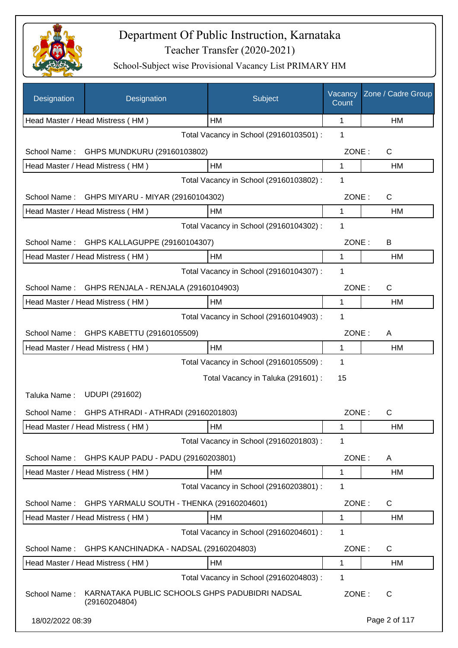

| Designation                                | Designation                                                     | Subject                                 | Vacancy<br>Count | Zone / Cadre Group |
|--------------------------------------------|-----------------------------------------------------------------|-----------------------------------------|------------------|--------------------|
|                                            | Head Master / Head Mistress (HM)                                | HM                                      | 1                | HM                 |
|                                            |                                                                 | Total Vacancy in School (29160103501) : | 1                |                    |
| School Name:                               | GHPS MUNDKURU (29160103802)                                     |                                         | ZONE:            | C                  |
|                                            | Head Master / Head Mistress (HM)                                | HM                                      | 1                | HM                 |
|                                            |                                                                 | Total Vacancy in School (29160103802) : | 1                |                    |
| School Name:                               | GHPS MIYARU - MIYAR (29160104302)                               |                                         | ZONE:            | C                  |
|                                            | Head Master / Head Mistress (HM)                                | HM                                      | 1                | HM                 |
|                                            |                                                                 | Total Vacancy in School (29160104302) : | 1                |                    |
| School Name:                               | GHPS KALLAGUPPE (29160104307)                                   |                                         | ZONE:            | B                  |
|                                            | Head Master / Head Mistress (HM)                                | HM                                      | 1                | HM                 |
|                                            |                                                                 | Total Vacancy in School (29160104307) : | 1                |                    |
| School Name:                               | GHPS RENJALA - RENJALA (29160104903)                            |                                         | ZONE:            | C                  |
|                                            | Head Master / Head Mistress (HM)                                | HM                                      | 1                | HM                 |
|                                            |                                                                 | Total Vacancy in School (29160104903) : | 1                |                    |
| GHPS KABETTU (29160105509)<br>School Name: |                                                                 |                                         | ZONE:            | A                  |
|                                            | Head Master / Head Mistress (HM)                                | <b>HM</b>                               | 1                | HM                 |
|                                            |                                                                 | Total Vacancy in School (29160105509) : | 1                |                    |
|                                            |                                                                 | Total Vacancy in Taluka (291601) :      | 15               |                    |
| Taluka Name:                               | <b>UDUPI (291602)</b>                                           |                                         |                  |                    |
| School Name:                               | GHPS ATHRADI - ATHRADI (29160201803)                            |                                         | ZONE:            | C                  |
|                                            | Head Master / Head Mistress (HM)                                | <b>HM</b>                               | 1                | HМ                 |
|                                            |                                                                 | Total Vacancy in School (29160201803) : | 1                |                    |
| School Name:                               | GHPS KAUP PADU - PADU (29160203801)                             |                                         | ZONE:            | A                  |
|                                            | Head Master / Head Mistress (HM)                                | <b>HM</b>                               | 1                | HM                 |
|                                            |                                                                 | Total Vacancy in School (29160203801) : | 1                |                    |
| School Name:                               | GHPS YARMALU SOUTH - THENKA (29160204601)                       |                                         | ZONE:            | C                  |
|                                            | Head Master / Head Mistress (HM)                                | HM                                      | 1                | HM                 |
|                                            |                                                                 | Total Vacancy in School (29160204601) : | 1                |                    |
| School Name:                               | GHPS KANCHINADKA - NADSAL (29160204803)                         |                                         | ZONE:            | C                  |
|                                            | Head Master / Head Mistress (HM)                                | HM                                      | 1                | HM                 |
|                                            |                                                                 | Total Vacancy in School (29160204803) : | 1                |                    |
| School Name:                               | KARNATAKA PUBLIC SCHOOLS GHPS PADUBIDRI NADSAL<br>(29160204804) |                                         | ZONE:            | C                  |
| 18/02/2022 08:39                           |                                                                 |                                         |                  | Page 2 of 117      |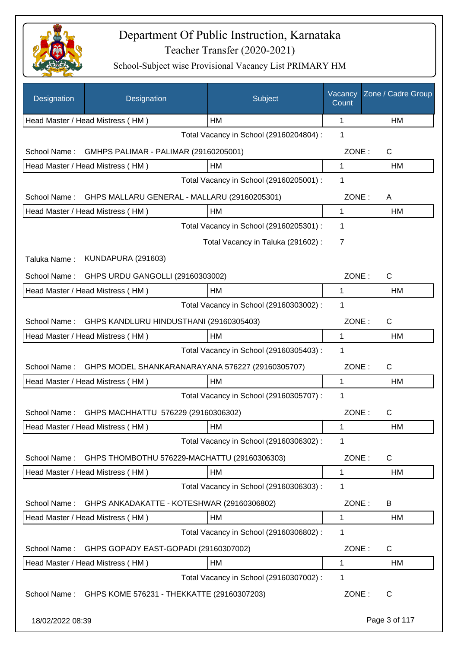

| Designation      | Designation                                             | Subject                                 | Vacancy<br>Count | Zone / Cadre Group |
|------------------|---------------------------------------------------------|-----------------------------------------|------------------|--------------------|
|                  | Head Master / Head Mistress (HM)                        | HМ                                      | 1                | HM                 |
|                  |                                                         | Total Vacancy in School (29160204804) : | 1                |                    |
| School Name:     | GMHPS PALIMAR - PALIMAR (29160205001)                   |                                         | ZONE:            | $\mathsf{C}$       |
|                  | Head Master / Head Mistress (HM)                        | HM                                      | 1                | HM                 |
|                  |                                                         | Total Vacancy in School (29160205001) : | 1                |                    |
| School Name:     | GHPS MALLARU GENERAL - MALLARU (29160205301)            |                                         | ZONE:            | A                  |
|                  | Head Master / Head Mistress (HM)                        | HM                                      | 1                | <b>HM</b>          |
|                  |                                                         | Total Vacancy in School (29160205301) : | 1                |                    |
|                  |                                                         | Total Vacancy in Taluka (291602):       | $\overline{7}$   |                    |
| Taluka Name:     | <b>KUNDAPURA (291603)</b>                               |                                         |                  |                    |
| School Name:     | GHPS URDU GANGOLLI (29160303002)                        |                                         | ZONE:            | $\mathsf{C}$       |
|                  | Head Master / Head Mistress (HM)                        | HM                                      | 1                | HM                 |
|                  |                                                         | Total Vacancy in School (29160303002) : | $\mathbf 1$      |                    |
| School Name:     | GHPS KANDLURU HINDUSTHANI (29160305403)                 |                                         | ZONE:            | $\mathsf{C}$       |
|                  | Head Master / Head Mistress (HM)                        | HM                                      | 1                | HM                 |
|                  |                                                         | Total Vacancy in School (29160305403) : | 1                |                    |
| School Name:     | GHPS MODEL SHANKARANARAYANA 576227 (29160305707)        |                                         | ZONE:            | $\mathsf{C}$       |
|                  | Head Master / Head Mistress (HM)                        | HM                                      | 1                | HM                 |
|                  |                                                         | Total Vacancy in School (29160305707) : | 1                |                    |
| School Name:     | GHPS MACHHATTU 576229 (29160306302)                     |                                         | ZONE:            | $\mathsf{C}$       |
|                  | Head Master / Head Mistress (HM)                        | НM                                      | 1                | НM                 |
|                  |                                                         | Total Vacancy in School (29160306302) : | 1                |                    |
| School Name:     | GHPS THOMBOTHU 576229-MACHATTU (29160306303)            |                                         | ZONE:            | C                  |
|                  | Head Master / Head Mistress (HM)                        | HM                                      | 1                | HM                 |
|                  |                                                         | Total Vacancy in School (29160306303) : | 1                |                    |
| School Name:     | GHPS ANKADAKATTE - KOTESHWAR (29160306802)              |                                         | ZONE:            | B                  |
|                  | Head Master / Head Mistress (HM)                        | HM                                      | 1                | HM                 |
|                  |                                                         | Total Vacancy in School (29160306802) : | 1                |                    |
| School Name:     | GHPS GOPADY EAST-GOPADI (29160307002)                   |                                         | ZONE:            | C                  |
|                  | Head Master / Head Mistress (HM)                        | HM                                      | 1                | HM                 |
|                  |                                                         | Total Vacancy in School (29160307002) : | 1                |                    |
|                  | School Name: GHPS KOME 576231 - THEKKATTE (29160307203) |                                         | ZONE:            | C                  |
| 18/02/2022 08:39 |                                                         |                                         |                  | Page 3 of 117      |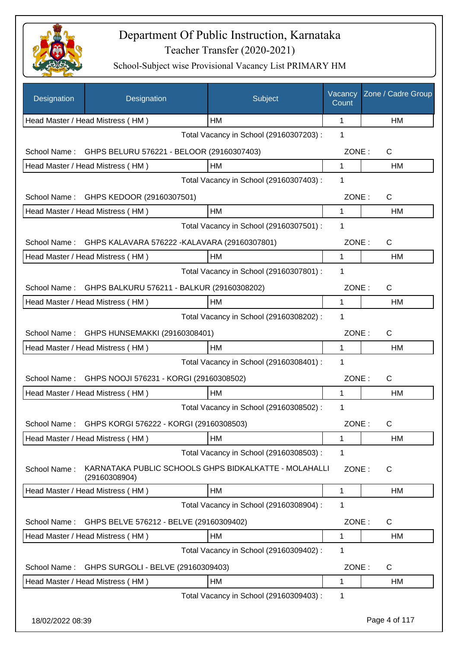

| Designation      | Designation                                                            | Subject                                 | Vacancy<br>Count | Zone / Cadre Group |
|------------------|------------------------------------------------------------------------|-----------------------------------------|------------------|--------------------|
|                  | Head Master / Head Mistress (HM)                                       | HM                                      | 1                | <b>HM</b>          |
|                  |                                                                        | Total Vacancy in School (29160307203) : | 1                |                    |
| School Name:     | GHPS BELURU 576221 - BELOOR (29160307403)                              |                                         | ZONE:            | $\mathsf{C}$       |
|                  | Head Master / Head Mistress (HM)                                       | HM                                      | 1                | HM                 |
|                  |                                                                        | Total Vacancy in School (29160307403) : | 1                |                    |
| School Name:     | GHPS KEDOOR (29160307501)                                              |                                         | ZONE:            | $\mathsf{C}$       |
|                  | Head Master / Head Mistress (HM)                                       | HM                                      | 1                | HM                 |
|                  |                                                                        | Total Vacancy in School (29160307501) : | 1                |                    |
| School Name:     | GHPS KALAVARA 576222 - KALAVARA (29160307801)                          |                                         | ZONE:            | C                  |
|                  | Head Master / Head Mistress (HM)                                       | HM                                      | 1                | HM                 |
|                  |                                                                        | Total Vacancy in School (29160307801) : | 1                |                    |
| School Name:     | GHPS BALKURU 576211 - BALKUR (29160308202)                             |                                         | ZONE:            | $\mathsf{C}$       |
|                  | Head Master / Head Mistress (HM)                                       | HM                                      | 1                | HM                 |
|                  |                                                                        | Total Vacancy in School (29160308202) : | 1                |                    |
|                  | School Name: GHPS HUNSEMAKKI (29160308401)                             |                                         | ZONE:            | $\mathsf{C}$       |
|                  | Head Master / Head Mistress (HM)                                       | HM                                      | $\mathbf{1}$     | HM                 |
|                  |                                                                        | Total Vacancy in School (29160308401) : | 1                |                    |
| School Name:     | GHPS NOOJI 576231 - KORGI (29160308502)                                |                                         | ZONE:            | $\mathsf{C}$       |
|                  | Head Master / Head Mistress (HM)                                       | HM                                      | 1                | HM                 |
|                  |                                                                        | Total Vacancy in School (29160308502) : | 1                |                    |
| School Name:     | GHPS KORGI 576222 - KORGI (29160308503)                                |                                         | ZONE:            | C                  |
|                  | Head Master / Head Mistress (HM)                                       | HM                                      | 1                | HM                 |
|                  |                                                                        | Total Vacancy in School (29160308503) : | 1                |                    |
| School Name:     | KARNATAKA PUBLIC SCHOOLS GHPS BIDKALKATTE - MOLAHALLI<br>(29160308904) |                                         | ZONE:            | C                  |
|                  | Head Master / Head Mistress (HM)                                       | HM                                      | $\mathbf{1}$     | HM                 |
|                  |                                                                        | Total Vacancy in School (29160308904) : | 1                |                    |
| School Name:     | GHPS BELVE 576212 - BELVE (29160309402)                                |                                         | ZONE:            | C                  |
|                  | Head Master / Head Mistress (HM)                                       | HM                                      | 1                | <b>HM</b>          |
|                  |                                                                        | Total Vacancy in School (29160309402) : | 1                |                    |
| School Name:     | GHPS SURGOLI - BELVE (29160309403)                                     |                                         | ZONE:            | C                  |
|                  | Head Master / Head Mistress (HM)                                       | HM                                      | $\mathbf 1$      | HM                 |
|                  |                                                                        | Total Vacancy in School (29160309403) : | 1                |                    |
| 18/02/2022 08:39 |                                                                        |                                         |                  | Page 4 of 117      |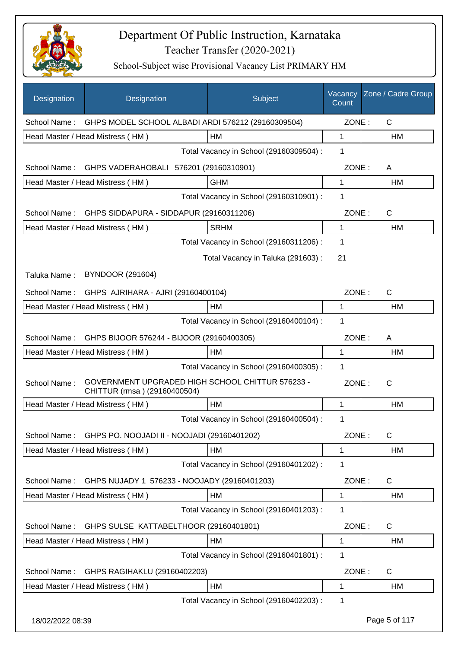

| Designation      | Designation                                                                      | Subject                                 | Vacancy<br>Count | Zone / Cadre Group |
|------------------|----------------------------------------------------------------------------------|-----------------------------------------|------------------|--------------------|
| School Name:     | GHPS MODEL SCHOOL ALBADI ARDI 576212 (29160309504)                               |                                         | ZONE:            | $\mathsf{C}$       |
|                  | Head Master / Head Mistress (HM)                                                 | HM                                      | 1                | НM                 |
|                  |                                                                                  | Total Vacancy in School (29160309504) : | 1                |                    |
| School Name:     | GHPS VADERAHOBALI 576201 (29160310901)                                           |                                         | ZONE:            | A                  |
|                  | Head Master / Head Mistress (HM)                                                 | <b>GHM</b>                              | 1                | HM                 |
|                  |                                                                                  | Total Vacancy in School (29160310901) : | 1                |                    |
| School Name:     | GHPS SIDDAPURA - SIDDAPUR (29160311206)                                          |                                         | ZONE:            | $\mathsf{C}$       |
|                  | Head Master / Head Mistress (HM)                                                 | <b>SRHM</b>                             | 1                | HM                 |
|                  |                                                                                  | Total Vacancy in School (29160311206) : | 1                |                    |
|                  |                                                                                  | Total Vacancy in Taluka (291603):       | 21               |                    |
| Taluka Name:     | BYNDOOR (291604)                                                                 |                                         |                  |                    |
| School Name:     | GHPS AJRIHARA - AJRI (29160400104)                                               |                                         | ZONE:            | $\mathsf{C}$       |
|                  | Head Master / Head Mistress (HM)                                                 | HM                                      | 1                | HM                 |
|                  |                                                                                  | Total Vacancy in School (29160400104) : | 1                |                    |
| School Name:     | GHPS BIJOOR 576244 - BIJOOR (29160400305)                                        |                                         | ZONE:            | A                  |
|                  | Head Master / Head Mistress (HM)                                                 | <b>HM</b>                               | 1                | HM                 |
|                  |                                                                                  | Total Vacancy in School (29160400305) : | 1                |                    |
| School Name:     | GOVERNMENT UPGRADED HIGH SCHOOL CHITTUR 576233 -<br>CHITTUR (rmsa) (29160400504) |                                         | ZONE:            | $\mathsf{C}$       |
|                  | Head Master / Head Mistress (HM)                                                 | HM                                      | 1                | HM                 |
|                  |                                                                                  | Total Vacancy in School (29160400504) : | 1                |                    |
| School Name:     | GHPS PO. NOOJADI II - NOOJADI (29160401202)                                      |                                         | ZONE:            | $\mathsf{C}$       |
|                  | Head Master / Head Mistress (HM)                                                 | HM                                      | 1                | HM                 |
|                  |                                                                                  | Total Vacancy in School (29160401202) : | 1                |                    |
| School Name:     | GHPS NUJADY 1 576233 - NOOJADY (29160401203)                                     |                                         | ZONE:            | C                  |
|                  | Head Master / Head Mistress (HM)                                                 | HM                                      | 1                | HM                 |
|                  |                                                                                  | Total Vacancy in School (29160401203) : | 1                |                    |
| School Name:     | GHPS SULSE KATTABELTHOOR (29160401801)                                           |                                         | ZONE:            | C                  |
|                  | Head Master / Head Mistress (HM)                                                 | HM                                      | 1                | HM                 |
|                  |                                                                                  | Total Vacancy in School (29160401801) : | 1                |                    |
| School Name:     | GHPS RAGIHAKLU (29160402203)                                                     |                                         | ZONE:            | C                  |
|                  | Head Master / Head Mistress (HM)                                                 | HM                                      | 1                | HM                 |
|                  |                                                                                  | Total Vacancy in School (29160402203) : | 1                |                    |
| 18/02/2022 08:39 |                                                                                  |                                         |                  | Page 5 of 117      |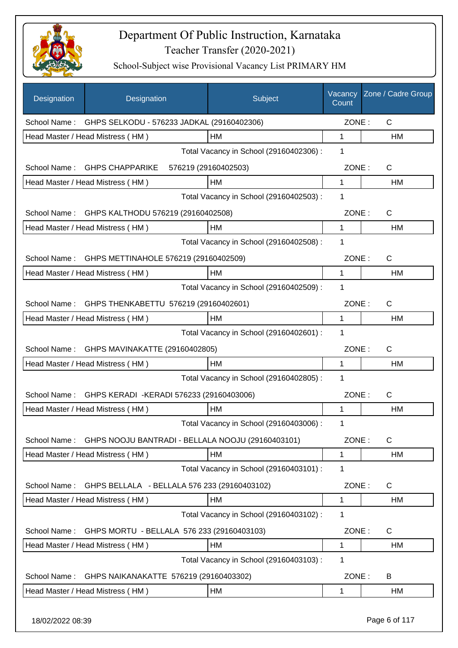

| Designation  | Designation                                       | Subject                                 | Vacancy<br>Count | Zone / Cadre Group |
|--------------|---------------------------------------------------|-----------------------------------------|------------------|--------------------|
| School Name: | GHPS SELKODU - 576233 JADKAL (29160402306)        |                                         | ZONE:            | $\mathsf{C}$       |
|              | Head Master / Head Mistress (HM)                  | HM                                      | 1                | HM                 |
|              |                                                   | Total Vacancy in School (29160402306) : | 1                |                    |
| School Name: | <b>GHPS CHAPPARIKE</b>                            | 576219 (29160402503)                    | ZONE:            | $\mathsf{C}$       |
|              | Head Master / Head Mistress (HM)                  | HM                                      | 1                | HM                 |
|              |                                                   | Total Vacancy in School (29160402503) : | 1                |                    |
|              | School Name: GHPS KALTHODU 576219 (29160402508)   |                                         | ZONE:            | $\mathsf{C}$       |
|              | Head Master / Head Mistress (HM)                  | HM                                      | 1                | HM                 |
|              |                                                   | Total Vacancy in School (29160402508) : | 1                |                    |
| School Name: | GHPS METTINAHOLE 576219 (29160402509)             |                                         | ZONE:            | $\mathsf{C}$       |
|              | Head Master / Head Mistress (HM)                  | HM                                      | 1                | <b>HM</b>          |
|              |                                                   | Total Vacancy in School (29160402509) : | 1                |                    |
| School Name: | GHPS THENKABETTU 576219 (29160402601)             |                                         | ZONE:            | $\mathsf{C}$       |
|              | Head Master / Head Mistress (HM)                  | HM                                      | 1                | HM                 |
|              |                                                   | Total Vacancy in School (29160402601) : | 1                |                    |
| School Name: | GHPS MAVINAKATTE (29160402805)                    |                                         | ZONE:            | $\mathsf{C}$       |
|              | Head Master / Head Mistress (HM)                  | HM                                      | 1                | HM                 |
|              |                                                   | Total Vacancy in School (29160402805) : | 1                |                    |
| School Name: | GHPS KERADI - KERADI 576233 (29160403006)         |                                         | ZONE:            | $\mathsf{C}$       |
|              | Head Master / Head Mistress (HM)                  | HM                                      | 1                | HM                 |
|              |                                                   | Total Vacancy in School (29160403006) : | 1                |                    |
| School Name: | GHPS NOOJU BANTRADI - BELLALA NOOJU (29160403101) |                                         | ZONE:            | C                  |
|              | Head Master / Head Mistress (HM)                  | HM                                      | 1                | HM                 |
|              |                                                   | Total Vacancy in School (29160403101) : | 1                |                    |
| School Name: | GHPS BELLALA - BELLALA 576 233 (29160403102)      |                                         | ZONE:            | C                  |
|              | Head Master / Head Mistress (HM)                  | HM                                      | 1                | HM                 |
|              |                                                   | Total Vacancy in School (29160403102):  | 1                |                    |
| School Name: | GHPS MORTU - BELLALA 576 233 (29160403103)        |                                         | ZONE:            | C                  |
|              | Head Master / Head Mistress (HM)                  | HM                                      | 1                | HM                 |
|              |                                                   | Total Vacancy in School (29160403103) : | 1                |                    |
| School Name: | GHPS NAIKANAKATTE 576219 (29160403302)            |                                         | ZONE:            | B                  |
|              | Head Master / Head Mistress (HM)                  | HM                                      | 1                | HM                 |
|              |                                                   |                                         |                  |                    |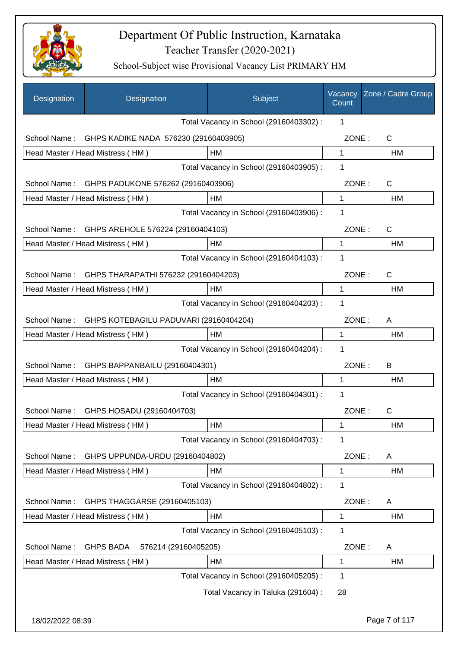

| Designation      | Designation                              | Subject                                 | Vacancy<br>Count | Zone / Cadre Group |
|------------------|------------------------------------------|-----------------------------------------|------------------|--------------------|
|                  |                                          | Total Vacancy in School (29160403302) : | 1                |                    |
| School Name:     | GHPS KADIKE NADA 576230 (29160403905)    |                                         | ZONE:            | $\mathsf{C}$       |
|                  | Head Master / Head Mistress (HM)         | HM                                      | 1                | HM                 |
|                  |                                          | Total Vacancy in School (29160403905) : | 1                |                    |
| School Name:     | GHPS PADUKONE 576262 (29160403906)       |                                         | ZONE:            | C                  |
|                  | Head Master / Head Mistress (HM)         | HM                                      | $\mathbf{1}$     | HM                 |
|                  |                                          | Total Vacancy in School (29160403906) : | 1                |                    |
| School Name:     | GHPS AREHOLE 576224 (29160404103)        |                                         | ZONE:            | C                  |
|                  | Head Master / Head Mistress (HM)         | HM                                      | $\mathbf{1}$     | HM                 |
|                  |                                          | Total Vacancy in School (29160404103) : | 1                |                    |
| School Name:     | GHPS THARAPATHI 576232 (29160404203)     |                                         | ZONE:            | $\mathsf{C}$       |
|                  | Head Master / Head Mistress (HM)         | HM                                      | 1                | HM                 |
|                  |                                          | Total Vacancy in School (29160404203) : | 1                |                    |
| School Name:     | GHPS KOTEBAGILU PADUVARI (29160404204)   |                                         | ZONE:            | A                  |
|                  | Head Master / Head Mistress (HM)         | HM                                      | 1                | HM                 |
|                  |                                          | Total Vacancy in School (29160404204) : | 1                |                    |
| School Name:     | GHPS BAPPANBAILU (29160404301)           |                                         | ZONE:            | B                  |
|                  | Head Master / Head Mistress (HM)         | HM                                      | 1                | HM                 |
|                  |                                          | Total Vacancy in School (29160404301) : | 1                |                    |
|                  | School Name: GHPS HOSADU (29160404703)   |                                         | ZONE:            | $\mathsf{C}$       |
|                  | Head Master / Head Mistress (HM)         | HM                                      | 1                | HM                 |
|                  |                                          | Total Vacancy in School (29160404703) : | 1                |                    |
| School Name:     | GHPS UPPUNDA-URDU (29160404802)          |                                         | ZONE:            | A                  |
|                  | Head Master / Head Mistress (HM)         | HM                                      | 1                | HM                 |
|                  |                                          | Total Vacancy in School (29160404802) : | 1                |                    |
| School Name:     | GHPS THAGGARSE (29160405103)             |                                         | ZONE:            | A                  |
|                  | Head Master / Head Mistress (HM)         | HM                                      | 1                | HM                 |
|                  |                                          | Total Vacancy in School (29160405103) : | 1                |                    |
| School Name:     | <b>GHPS BADA</b><br>576214 (29160405205) |                                         | ZONE:            | A                  |
|                  | Head Master / Head Mistress (HM)         | HM                                      | 1                | HM                 |
|                  |                                          | Total Vacancy in School (29160405205) : | 1                |                    |
|                  |                                          | Total Vacancy in Taluka (291604) :      | 28               |                    |
| 18/02/2022 08:39 |                                          |                                         |                  | Page 7 of 117      |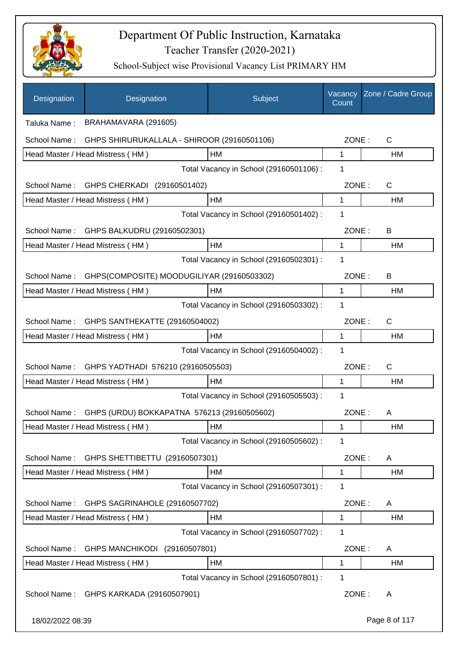

| Designation      | Designation                                 | Subject                                 | Vacancy<br>Count | Zone / Cadre Group |
|------------------|---------------------------------------------|-----------------------------------------|------------------|--------------------|
| Taluka Name:     | BRAHAMAVARA (291605)                        |                                         |                  |                    |
| School Name:     | GHPS SHIRURUKALLALA - SHIROOR (29160501106) |                                         | ZONE:            | C                  |
|                  | Head Master / Head Mistress (HM)            | HM                                      | 1                | HM                 |
|                  |                                             | Total Vacancy in School (29160501106) : | 1                |                    |
| School Name:     | GHPS CHERKADI (29160501402)                 |                                         | ZONE:            | C                  |
|                  | Head Master / Head Mistress (HM)            | НM                                      | 1                | HM                 |
|                  |                                             | Total Vacancy in School (29160501402) : | 1                |                    |
| School Name:     | GHPS BALKUDRU (29160502301)                 |                                         | ZONE:            | B                  |
|                  | Head Master / Head Mistress (HM)            | HM                                      | 1                | HM                 |
|                  |                                             | Total Vacancy in School (29160502301) : | 1                |                    |
| School Name:     | GHPS(COMPOSITE) MOODUGILIYAR (29160503302)  |                                         | ZONE:            | B                  |
|                  | Head Master / Head Mistress (HM)            | HM                                      | 1                | HM                 |
|                  |                                             | Total Vacancy in School (29160503302) : | 1                |                    |
| School Name:     | GHPS SANTHEKATTE (29160504002)              |                                         | ZONE:            | C                  |
|                  | Head Master / Head Mistress (HM)            | <b>HM</b>                               | 1                | HM                 |
|                  |                                             | Total Vacancy in School (29160504002) : | 1                |                    |
| School Name:     | GHPS YADTHADI 576210 (29160505503)          |                                         | ZONE:            | C                  |
|                  | Head Master / Head Mistress (HM)            | HM                                      | 1                | HM                 |
|                  |                                             | Total Vacancy in School (29160505503) : | 1                |                    |
| School Name:     | GHPS (URDU) BOKKAPATNA 576213 (29160505602) |                                         | ZONE:            | A                  |
|                  | Head Master / Head Mistress (HM)            | HM                                      | 1                | HМ                 |
|                  |                                             | Total Vacancy in School (29160505602) : | 1                |                    |
| School Name:     | GHPS SHETTIBETTU (29160507301)              |                                         | ZONE:            | A                  |
|                  | Head Master / Head Mistress (HM)            | HM                                      | 1                | HM                 |
|                  |                                             | Total Vacancy in School (29160507301) : | 1                |                    |
| School Name:     | GHPS SAGRINAHOLE (29160507702)              |                                         | ZONE:            | A                  |
|                  | Head Master / Head Mistress (HM)            | HM                                      | 1                | HM                 |
|                  |                                             | Total Vacancy in School (29160507702) : | 1                |                    |
| School Name:     | GHPS MANCHIKODI (29160507801)               |                                         | ZONE:            | A                  |
|                  | Head Master / Head Mistress (HM)            | HM                                      | 1                | HM                 |
|                  |                                             | Total Vacancy in School (29160507801) : | 1                |                    |
| School Name:     | GHPS KARKADA (29160507901)                  |                                         | ZONE:            | A                  |
| 18/02/2022 08:39 |                                             |                                         |                  | Page 8 of 117      |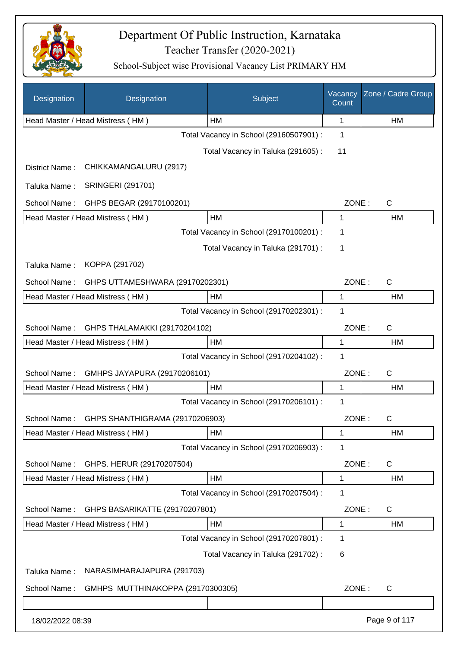

| Designation      | Designation                       | Subject                                 | Vacancy<br>Count | Zone / Cadre Group |
|------------------|-----------------------------------|-----------------------------------------|------------------|--------------------|
|                  | Head Master / Head Mistress (HM)  | HM                                      | 1                | <b>HM</b>          |
|                  |                                   | Total Vacancy in School (29160507901) : | 1                |                    |
|                  |                                   | Total Vacancy in Taluka (291605):       | 11               |                    |
| District Name:   | CHIKKAMANGALURU (2917)            |                                         |                  |                    |
| Taluka Name:     | <b>SRINGERI (291701)</b>          |                                         |                  |                    |
| School Name:     | GHPS BEGAR (29170100201)          |                                         | ZONE:            | $\mathsf{C}$       |
|                  | Head Master / Head Mistress (HM)  | HM                                      | $\mathbf{1}$     | <b>HM</b>          |
|                  |                                   | Total Vacancy in School (29170100201) : | 1                |                    |
|                  |                                   | Total Vacancy in Taluka (291701) :      | 1                |                    |
| Taluka Name:     | KOPPA (291702)                    |                                         |                  |                    |
| School Name:     | GHPS UTTAMESHWARA (29170202301)   |                                         | ZONE:            | $\mathsf{C}$       |
|                  | Head Master / Head Mistress (HM)  | HM                                      | 1                | HM                 |
|                  |                                   | Total Vacancy in School (29170202301) : | 1                |                    |
| School Name:     | GHPS THALAMAKKI (29170204102)     |                                         | ZONE:            | $\mathsf{C}$       |
|                  | Head Master / Head Mistress (HM)  | HM                                      | 1                | <b>HM</b>          |
|                  |                                   | Total Vacancy in School (29170204102) : | 1                |                    |
| School Name:     | GMHPS JAYAPURA (29170206101)      |                                         | ZONE:            | $\mathsf{C}$       |
|                  | Head Master / Head Mistress (HM)  | HM                                      | 1                | HM                 |
|                  |                                   | Total Vacancy in School (29170206101) : | 1                |                    |
| School Name:     | GHPS SHANTHIGRAMA (29170206903)   |                                         | ZONE:            | C                  |
|                  | Head Master / Head Mistress (HM)  | HM                                      | 1                | HM                 |
|                  |                                   | Total Vacancy in School (29170206903) : | 1                |                    |
| School Name:     | GHPS. HERUR (29170207504)         |                                         | ZONE:            | C                  |
|                  | Head Master / Head Mistress (HM)  | HM                                      | 1                | HM                 |
|                  |                                   | Total Vacancy in School (29170207504) : | 1                |                    |
| School Name:     | GHPS BASARIKATTE (29170207801)    |                                         | ZONE:            | $\mathsf{C}$       |
|                  | Head Master / Head Mistress (HM)  | HM                                      | 1                | HM                 |
|                  |                                   | Total Vacancy in School (29170207801) : | 1                |                    |
|                  |                                   | Total Vacancy in Taluka (291702) :      | 6                |                    |
| Taluka Name:     | NARASIMHARAJAPURA (291703)        |                                         |                  |                    |
| School Name:     | GMHPS MUTTHINAKOPPA (29170300305) |                                         | ZONE:            | C                  |
|                  |                                   |                                         |                  |                    |
| 18/02/2022 08:39 |                                   |                                         |                  | Page 9 of 117      |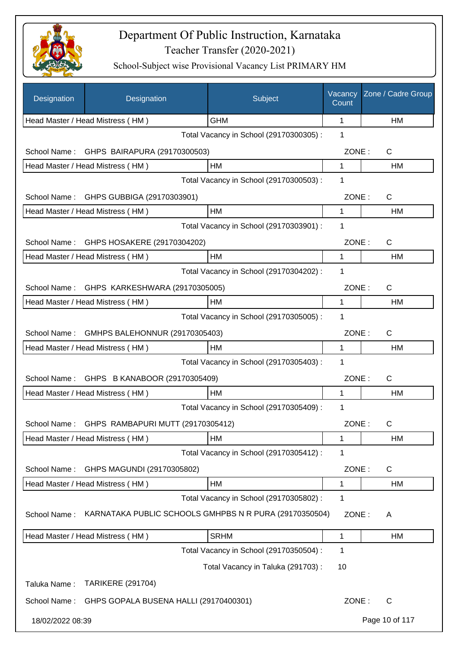

| Designation      | Designation                                            | Subject                                 | Vacancy<br>Count | Zone / Cadre Group |
|------------------|--------------------------------------------------------|-----------------------------------------|------------------|--------------------|
|                  | Head Master / Head Mistress (HM)                       | <b>GHM</b>                              | 1                | HM                 |
|                  |                                                        | Total Vacancy in School (29170300305) : | 1                |                    |
| School Name:     | GHPS BAIRAPURA (29170300503)                           |                                         | ZONE:            | C                  |
|                  | Head Master / Head Mistress (HM)                       | HM                                      | 1                | HM                 |
|                  |                                                        | Total Vacancy in School (29170300503) : | 1                |                    |
| School Name:     | GHPS GUBBIGA (29170303901)                             |                                         | ZONE:            | C                  |
|                  | Head Master / Head Mistress (HM)                       | <b>HM</b>                               | 1                | HM.                |
|                  |                                                        | Total Vacancy in School (29170303901) : | 1                |                    |
| School Name:     | GHPS HOSAKERE (29170304202)                            |                                         | ZONE:            | C                  |
|                  | Head Master / Head Mistress (HM)                       | HM                                      | 1                | HM                 |
|                  |                                                        | Total Vacancy in School (29170304202) : | 1                |                    |
| School Name:     | GHPS KARKESHWARA (29170305005)                         |                                         | ZONE:            | C                  |
|                  | Head Master / Head Mistress (HM)                       | HM                                      | 1                | HM                 |
|                  |                                                        | Total Vacancy in School (29170305005) : | 1                |                    |
| School Name:     | GMHPS BALEHONNUR (29170305403)                         |                                         | ZONE:            | C                  |
|                  | Head Master / Head Mistress (HM)                       | HM                                      | 1                | <b>HM</b>          |
|                  |                                                        | Total Vacancy in School (29170305403) : | 1                |                    |
| School Name:     | GHPS B KANABOOR (29170305409)                          |                                         | ZONE:            | C                  |
|                  | Head Master / Head Mistress (HM)                       | HM                                      | 1                | HM                 |
|                  |                                                        | Total Vacancy in School (29170305409) : | 1                |                    |
|                  | School Name: GHPS RAMBAPURI MUTT (29170305412)         |                                         | ZONE:            | C                  |
|                  | Head Master / Head Mistress (HM)                       | HM                                      | 1                | HM                 |
|                  |                                                        | Total Vacancy in School (29170305412) : | 1                |                    |
| School Name:     | GHPS MAGUNDI (29170305802)                             |                                         | ZONE:            | C                  |
|                  | Head Master / Head Mistress (HM)                       | HM                                      | 1                | HM                 |
|                  |                                                        | Total Vacancy in School (29170305802) : | 1                |                    |
| School Name:     | KARNATAKA PUBLIC SCHOOLS GMHPBS N R PURA (29170350504) |                                         | ZONE:            | A                  |
|                  | Head Master / Head Mistress (HM)                       | <b>SRHM</b>                             | 1                | HM                 |
|                  |                                                        | Total Vacancy in School (29170350504) : | 1                |                    |
|                  |                                                        | Total Vacancy in Taluka (291703):       | 10               |                    |
| Taluka Name:     | <b>TARIKERE (291704)</b>                               |                                         |                  |                    |
| School Name:     | GHPS GOPALA BUSENA HALLI (29170400301)                 |                                         | ZONE:            | $\mathsf{C}$       |
| 18/02/2022 08:39 |                                                        |                                         |                  | Page 10 of 117     |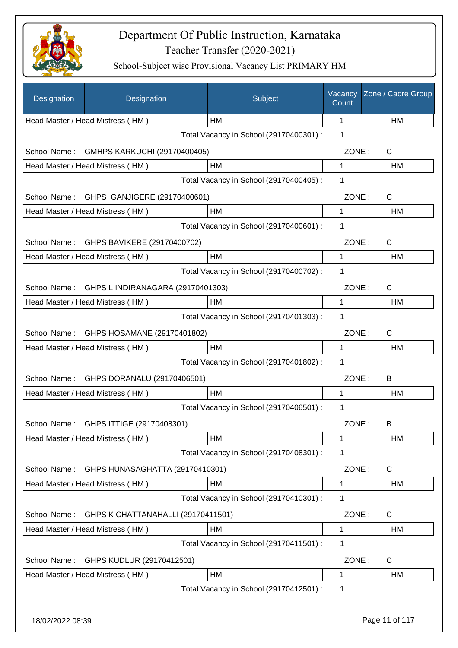

| Designation      | Designation                        | Subject                                 | Vacancy<br>Count | Zone / Cadre Group |
|------------------|------------------------------------|-----------------------------------------|------------------|--------------------|
|                  | Head Master / Head Mistress (HM)   | HM                                      | 1                | HM                 |
|                  |                                    | Total Vacancy in School (29170400301) : | 1                |                    |
| School Name:     | GMHPS KARKUCHI (29170400405)       |                                         | ZONE:            | C                  |
|                  | Head Master / Head Mistress (HM)   | HM                                      | 1                | HM                 |
|                  |                                    | Total Vacancy in School (29170400405) : | 1                |                    |
| School Name:     | GHPS GANJIGERE (29170400601)       |                                         | ZONE:            | $\mathsf{C}$       |
|                  | Head Master / Head Mistress (HM)   | HM                                      | 1                | HM                 |
|                  |                                    | Total Vacancy in School (29170400601) : | 1                |                    |
| School Name:     | GHPS BAVIKERE (29170400702)        |                                         | ZONE:            | $\mathsf{C}$       |
|                  | Head Master / Head Mistress (HM)   | HM                                      | 1                | HM                 |
|                  |                                    | Total Vacancy in School (29170400702) : | 1                |                    |
| School Name:     | GHPS L INDIRANAGARA (29170401303)  |                                         | ZONE:            | $\mathsf{C}$       |
|                  | Head Master / Head Mistress (HM)   | HM                                      | 1                | HM                 |
|                  |                                    | Total Vacancy in School (29170401303) : | 1                |                    |
| School Name:     | GHPS HOSAMANE (29170401802)        |                                         | ZONE:            | $\mathsf{C}$       |
|                  | Head Master / Head Mistress (HM)   | HM                                      | 1                | HM                 |
|                  |                                    | Total Vacancy in School (29170401802) : | 1                |                    |
|                  |                                    |                                         | ZONE:            |                    |
| School Name:     | GHPS DORANALU (29170406501)        | HM                                      | 1                | В<br>HM            |
|                  | Head Master / Head Mistress (HM)   | Total Vacancy in School (29170406501) : | 1                |                    |
|                  |                                    |                                         |                  |                    |
| School Name:     | GHPS ITTIGE (29170408301)          |                                         | ZONE:            | В                  |
|                  | Head Master / Head Mistress (HM)   | HM                                      | 1                | HM                 |
|                  |                                    | Total Vacancy in School (29170408301) : | 1                |                    |
| School Name:     | GHPS HUNASAGHATTA (29170410301)    |                                         | ZONE:            | $\mathsf{C}$       |
|                  | Head Master / Head Mistress (HM)   | HM                                      | $\mathbf 1$      | HM                 |
|                  |                                    | Total Vacancy in School (29170410301) : | 1                |                    |
| School Name:     | GHPS K CHATTANAHALLI (29170411501) |                                         | ZONE:            | $\mathsf{C}$       |
|                  | Head Master / Head Mistress (HM)   | HM                                      | 1                | HM                 |
|                  |                                    | Total Vacancy in School (29170411501) : | 1                |                    |
| School Name:     | GHPS KUDLUR (29170412501)          |                                         | ZONE:            | $\mathsf{C}$       |
|                  | Head Master / Head Mistress (HM)   | HM                                      | 1                | HM                 |
|                  |                                    | Total Vacancy in School (29170412501) : | 1                |                    |
|                  |                                    |                                         |                  |                    |
| 18/02/2022 08:39 |                                    |                                         |                  | Page 11 of 117     |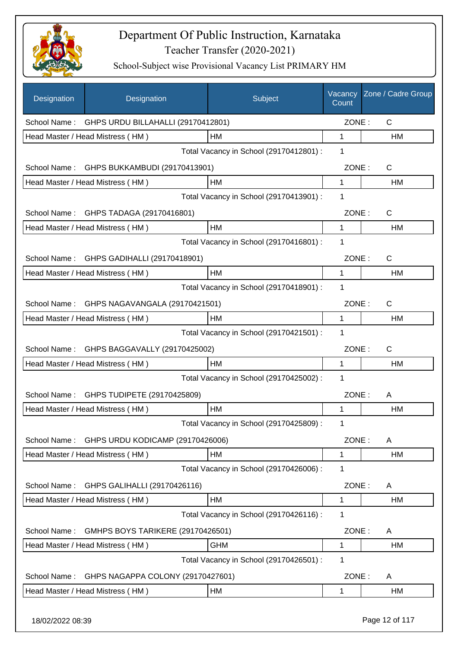

| Designation      | Designation                        | Subject                                 | Vacancy<br>Count | Zone / Cadre Group |
|------------------|------------------------------------|-----------------------------------------|------------------|--------------------|
| School Name:     | GHPS URDU BILLAHALLI (29170412801) |                                         | ZONE:            | $\mathsf{C}$       |
|                  | Head Master / Head Mistress (HM)   | HM                                      | 1                | HM                 |
|                  |                                    | Total Vacancy in School (29170412801) : | 1                |                    |
| School Name:     | GHPS BUKKAMBUDI (29170413901)      |                                         | ZONE:            | $\mathsf{C}$       |
|                  | Head Master / Head Mistress (HM)   | HM                                      | 1                | НM                 |
|                  |                                    | Total Vacancy in School (29170413901) : | 1                |                    |
| School Name:     | GHPS TADAGA (29170416801)          |                                         | ZONE:            | $\mathsf{C}$       |
|                  | Head Master / Head Mistress (HM)   | HM                                      | 1                | HM                 |
|                  |                                    | Total Vacancy in School (29170416801) : | 1                |                    |
| School Name:     | GHPS GADIHALLI (29170418901)       |                                         | ZONE:            | $\mathsf{C}$       |
|                  | Head Master / Head Mistress (HM)   | HM                                      | 1                | <b>HM</b>          |
|                  |                                    | Total Vacancy in School (29170418901) : | 1                |                    |
| School Name:     | GHPS NAGAVANGALA (29170421501)     |                                         | ZONE:            | $\mathsf{C}$       |
|                  | Head Master / Head Mistress (HM)   | HM                                      | 1                | HM                 |
|                  |                                    | Total Vacancy in School (29170421501) : | 1                |                    |
| School Name:     | GHPS BAGGAVALLY (29170425002)      |                                         | ZONE:            | $\mathsf{C}$       |
|                  | Head Master / Head Mistress (HM)   | HM                                      | 1                | HM                 |
|                  |                                    | Total Vacancy in School (29170425002) : | 1                |                    |
| School Name:     | GHPS TUDIPETE (29170425809)        |                                         | ZONE:            | A                  |
|                  | Head Master / Head Mistress (HM)   | HM                                      | 1                | HM                 |
|                  |                                    | Total Vacancy in School (29170425809) : | 1                |                    |
| School Name:     | GHPS URDU KODICAMP (29170426006)   |                                         | ZONE:            | A                  |
|                  | Head Master / Head Mistress (HM)   | HM                                      | 1                | HM                 |
|                  |                                    | Total Vacancy in School (29170426006) : | 1                |                    |
| School Name:     | GHPS GALIHALLI (29170426116)       |                                         | ZONE:            | A                  |
|                  | Head Master / Head Mistress (HM)   | HM                                      | 1                | HM                 |
|                  |                                    | Total Vacancy in School (29170426116) : | 1                |                    |
| School Name:     | GMHPS BOYS TARIKERE (29170426501)  |                                         | ZONE:            | A                  |
|                  | Head Master / Head Mistress (HM)   | <b>GHM</b>                              | 1                | HM                 |
|                  |                                    | Total Vacancy in School (29170426501) : | 1                |                    |
| School Name:     | GHPS NAGAPPA COLONY (29170427601)  |                                         | ZONE:            | A                  |
|                  | Head Master / Head Mistress (HM)   | HM                                      | 1                | HM                 |
| 18/02/2022 08:39 |                                    |                                         |                  | Page 12 of 117     |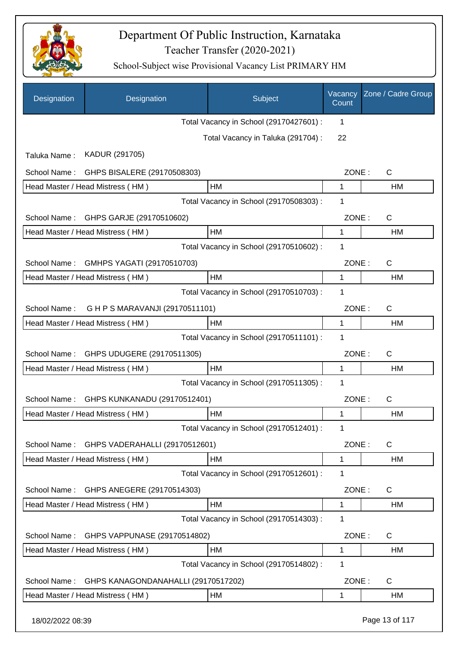

| Designation      | Designation                         | Subject                                 | Vacancy<br>Count | Zone / Cadre Group |
|------------------|-------------------------------------|-----------------------------------------|------------------|--------------------|
|                  |                                     | Total Vacancy in School (29170427601) : | 1                |                    |
|                  |                                     | Total Vacancy in Taluka (291704) :      | 22               |                    |
| Taluka Name:     | KADUR (291705)                      |                                         |                  |                    |
| School Name:     | GHPS BISALERE (29170508303)         |                                         | ZONE:            | C                  |
|                  | Head Master / Head Mistress (HM)    | HM                                      | 1                | HM                 |
|                  |                                     | Total Vacancy in School (29170508303) : | 1                |                    |
| School Name:     | GHPS GARJE (29170510602)            |                                         | ZONE:            | $\mathsf{C}$       |
|                  | Head Master / Head Mistress (HM)    | HM                                      | 1                | HM                 |
|                  |                                     | Total Vacancy in School (29170510602) : | 1                |                    |
| School Name:     | GMHPS YAGATI (29170510703)          |                                         | ZONE:            | C                  |
|                  | Head Master / Head Mistress (HM)    | <b>HM</b>                               | 1                | <b>HM</b>          |
|                  |                                     | Total Vacancy in School (29170510703) : | 1                |                    |
| School Name:     | G H P S MARAVANJI (29170511101)     |                                         | ZONE:            | C                  |
|                  | Head Master / Head Mistress (HM)    | HM                                      | 1                | HM                 |
|                  |                                     | Total Vacancy in School (29170511101) : | 1                |                    |
| School Name:     | GHPS UDUGERE (29170511305)          |                                         | ZONE:            | $\mathsf{C}$       |
|                  | Head Master / Head Mistress (HM)    | HM                                      | 1                | HM                 |
|                  |                                     | Total Vacancy in School (29170511305) : | 1                |                    |
| School Name:     | GHPS KUNKANADU (29170512401)        |                                         | ZONE:            | C                  |
|                  | Head Master / Head Mistress (HM)    | HM                                      | 1                | HM                 |
|                  |                                     | Total Vacancy in School (29170512401) : | 1                |                    |
| School Name:     | GHPS VADERAHALLI (29170512601)      |                                         | ZONE:            | $\mathsf{C}$       |
|                  | Head Master / Head Mistress (HM)    | HM                                      | 1                | HM                 |
|                  |                                     | Total Vacancy in School (29170512601) : | 1                |                    |
| School Name:     | GHPS ANEGERE (29170514303)          |                                         | ZONE:            | $\mathsf{C}$       |
|                  | Head Master / Head Mistress (HM)    | HM                                      | 1                | <b>HM</b>          |
|                  |                                     | Total Vacancy in School (29170514303) : | 1                |                    |
| School Name:     | GHPS VAPPUNASE (29170514802)        |                                         | ZONE:            | C                  |
|                  | Head Master / Head Mistress (HM)    | HM                                      | 1                | <b>HM</b>          |
|                  |                                     | Total Vacancy in School (29170514802) : | 1                |                    |
| School Name:     | GHPS KANAGONDANAHALLI (29170517202) |                                         | ZONE:            | $\mathsf{C}$       |
|                  | Head Master / Head Mistress (HM)    | HM                                      | 1                | HM                 |
| 18/02/2022 08:39 |                                     |                                         |                  | Page 13 of 117     |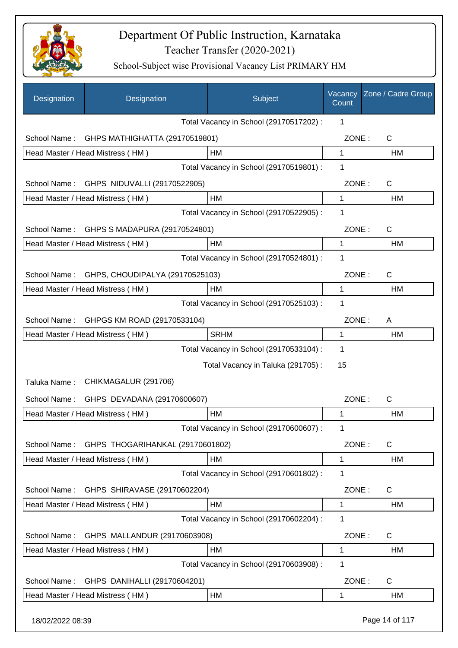

| Designation      | Designation                      | Subject                                 | Vacancy<br>Count | Zone / Cadre Group |
|------------------|----------------------------------|-----------------------------------------|------------------|--------------------|
|                  |                                  | Total Vacancy in School (29170517202) : | 1                |                    |
| School Name:     | GHPS MATHIGHATTA (29170519801)   |                                         | ZONE:            | C                  |
|                  | Head Master / Head Mistress (HM) | HM                                      | 1                | HM                 |
|                  |                                  | Total Vacancy in School (29170519801) : | 1                |                    |
| School Name:     | GHPS NIDUVALLI (29170522905)     |                                         | ZONE:            | $\mathsf{C}$       |
|                  | Head Master / Head Mistress (HM) | HM                                      | $\mathbf{1}$     | HM                 |
|                  |                                  | Total Vacancy in School (29170522905) : | 1                |                    |
| School Name:     | GHPS S MADAPURA (29170524801)    |                                         | ZONE:            | $\mathsf{C}$       |
|                  | Head Master / Head Mistress (HM) | HМ                                      | 1                | HM                 |
|                  |                                  | Total Vacancy in School (29170524801) : | 1                |                    |
| School Name:     | GHPS, CHOUDIPALYA (29170525103)  |                                         | ZONE:            | $\mathsf{C}$       |
|                  | Head Master / Head Mistress (HM) | HM                                      | 1                | HM                 |
|                  |                                  | Total Vacancy in School (29170525103) : | 1                |                    |
| School Name:     | GHPGS KM ROAD (29170533104)      |                                         | ZONE:            | A                  |
|                  | Head Master / Head Mistress (HM) | <b>SRHM</b>                             | $\mathbf{1}$     | HM                 |
|                  |                                  | Total Vacancy in School (29170533104) : | 1                |                    |
|                  |                                  | Total Vacancy in Taluka (291705):       | 15               |                    |
| Taluka Name:     | CHIKMAGALUR (291706)             |                                         |                  |                    |
| School Name:     | GHPS DEVADANA (29170600607)      |                                         | ZONE:            | $\mathsf{C}$       |
|                  | Head Master / Head Mistress (HM) | HM                                      | 1                | HM                 |
|                  |                                  | Total Vacancy in School (29170600607) : | 1                |                    |
| School Name:     | GHPS THOGARIHANKAL (29170601802) |                                         | ZONE:            | $\mathsf{C}$       |
|                  | Head Master / Head Mistress (HM) | HM                                      | $\mathbf{1}$     | HM                 |
|                  |                                  | Total Vacancy in School (29170601802) : | 1                |                    |
| School Name:     | GHPS SHIRAVASE (29170602204)     |                                         | ZONE:            | $\mathsf{C}$       |
|                  | Head Master / Head Mistress (HM) | HM                                      | 1                | HM                 |
|                  |                                  | Total Vacancy in School (29170602204) : | 1                |                    |
| School Name:     | GHPS MALLANDUR (29170603908)     |                                         | ZONE:            | $\mathsf{C}$       |
|                  | Head Master / Head Mistress (HM) | HM                                      | 1                | HM                 |
|                  |                                  | Total Vacancy in School (29170603908) : | 1                |                    |
| School Name:     | GHPS DANIHALLI (29170604201)     |                                         | ZONE:            | C                  |
|                  | Head Master / Head Mistress (HM) | HM                                      | 1                | <b>HM</b>          |
| 18/02/2022 08:39 |                                  |                                         |                  | Page 14 of 117     |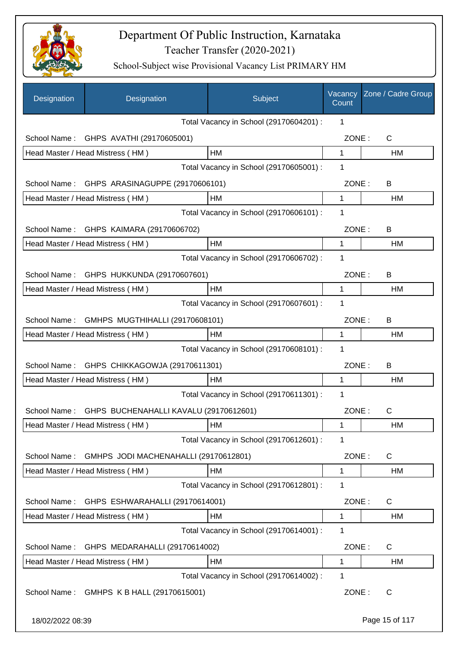

| Designation      | Designation                                 | Subject                                 | Vacancy<br>Count | Zone / Cadre Group |
|------------------|---------------------------------------------|-----------------------------------------|------------------|--------------------|
|                  |                                             | Total Vacancy in School (29170604201) : | 1                |                    |
|                  | School Name: GHPS AVATHI (29170605001)      |                                         | ZONE:            | C                  |
|                  | Head Master / Head Mistress (HM)            | HM                                      | $\mathbf 1$      | HM                 |
|                  |                                             | Total Vacancy in School (29170605001) : | 1                |                    |
| School Name:     | GHPS ARASINAGUPPE (29170606101)             |                                         | ZONE:            | B                  |
|                  | Head Master / Head Mistress (HM)            | HM                                      | 1                | HM                 |
|                  |                                             | Total Vacancy in School (29170606101) : | 1                |                    |
|                  | School Name: GHPS KAIMARA (29170606702)     |                                         | ZONE:            | B                  |
|                  | Head Master / Head Mistress (HM)            | HM                                      | 1                | HM                 |
|                  |                                             | Total Vacancy in School (29170606702) : | 1                |                    |
|                  | School Name: GHPS HUKKUNDA (29170607601)    |                                         | ZONE:            | B                  |
|                  | Head Master / Head Mistress (HM)            | HM                                      | 1                | НM                 |
|                  |                                             | Total Vacancy in School (29170607601) : | 1                |                    |
| School Name:     | GMHPS MUGTHIHALLI (29170608101)             |                                         | ZONE:            | B                  |
|                  | Head Master / Head Mistress (HM)            | HM                                      | 1                | HM                 |
|                  |                                             | Total Vacancy in School (29170608101) : | 1                |                    |
|                  | School Name: GHPS CHIKKAGOWJA (29170611301) |                                         | ZONE:            | B                  |
|                  | Head Master / Head Mistress (HM)            | НM                                      | 1                | HM                 |
|                  |                                             | Total Vacancy in School (29170611301) : | 1                |                    |
| School Name:     | GHPS BUCHENAHALLI KAVALU (29170612601)      |                                         | ZONE:            | $\mathsf C$        |
|                  | Head Master / Head Mistress (HM)            | HM                                      | 1                | HM                 |
|                  |                                             | Total Vacancy in School (29170612601) : | 1                |                    |
| School Name:     | GMHPS JODI MACHENAHALLI (29170612801)       |                                         | ZONE:            | C                  |
|                  | Head Master / Head Mistress (HM)            | HM                                      | 1                | HM                 |
|                  |                                             | Total Vacancy in School (29170612801) : | 1                |                    |
| School Name:     | GHPS ESHWARAHALLI (29170614001)             |                                         | ZONE:            | C                  |
|                  | Head Master / Head Mistress (HM)            | HM                                      | 1                | HM                 |
|                  |                                             | Total Vacancy in School (29170614001) : | 1                |                    |
| School Name:     | GHPS MEDARAHALLI (29170614002)              |                                         | ZONE:            | C                  |
|                  | Head Master / Head Mistress (HM)            | НM                                      | 1                | НM                 |
|                  |                                             | Total Vacancy in School (29170614002) : | 1                |                    |
| School Name:     | GMHPS K B HALL (29170615001)                |                                         | ZONE:            | C                  |
| 18/02/2022 08:39 |                                             |                                         |                  | Page 15 of 117     |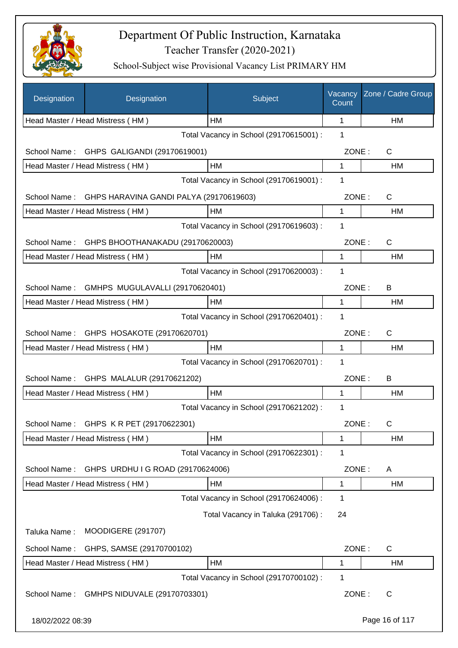

| Designation      | Designation                                  | Subject                                 | Vacancy<br>Count | Zone / Cadre Group |
|------------------|----------------------------------------------|-----------------------------------------|------------------|--------------------|
|                  | Head Master / Head Mistress (HM)             | НM                                      | 1                | <b>HM</b>          |
|                  |                                              | Total Vacancy in School (29170615001) : | 1                |                    |
| School Name:     | GHPS GALIGANDI (29170619001)                 |                                         | ZONE:            | C                  |
|                  | Head Master / Head Mistress (HM)             | HM                                      | 1                | HM                 |
|                  |                                              | Total Vacancy in School (29170619001) : | 1                |                    |
| School Name:     | GHPS HARAVINA GANDI PALYA (29170619603)      |                                         | ZONE:            | C                  |
|                  | Head Master / Head Mistress (HM)             | HM                                      | 1                | HM                 |
|                  |                                              | Total Vacancy in School (29170619603):  | 1                |                    |
| School Name:     | GHPS BHOOTHANAKADU (29170620003)             |                                         | ZONE:            | C                  |
|                  | Head Master / Head Mistress (HM)             | HM                                      | 1                | <b>HM</b>          |
|                  |                                              | Total Vacancy in School (29170620003) : | 1                |                    |
|                  | School Name: GMHPS MUGULAVALLI (29170620401) |                                         | ZONE:            | B                  |
|                  | Head Master / Head Mistress (HM)             | HM                                      | 1                | <b>HM</b>          |
|                  |                                              | Total Vacancy in School (29170620401) : | 1                |                    |
|                  | School Name: GHPS HOSAKOTE (29170620701)     |                                         | ZONE:            | C                  |
|                  | Head Master / Head Mistress (HM)             | HM                                      | 1                | <b>HM</b>          |
|                  |                                              | Total Vacancy in School (29170620701) : | 1                |                    |
| School Name:     | GHPS MALALUR (29170621202)                   |                                         | ZONE:            | B                  |
|                  | Head Master / Head Mistress (HM)             | <b>HM</b>                               | 1                | <b>HM</b>          |
|                  |                                              | Total Vacancy in School (29170621202) : | 1                |                    |
|                  | School Name: GHPS K R PET (29170622301)      |                                         | ZONE:            | C                  |
|                  | Head Master / Head Mistress (HM)             | НM                                      | 1                | HM                 |
|                  |                                              | Total Vacancy in School (29170622301) : | 1                |                    |
| School Name:     | GHPS URDHU I G ROAD (29170624006)            |                                         | ZONE:            | A                  |
|                  | Head Master / Head Mistress (HM)             | HM                                      | 1                | HM                 |
|                  |                                              | Total Vacancy in School (29170624006) : | 1                |                    |
|                  |                                              | Total Vacancy in Taluka (291706):       | 24               |                    |
| Taluka Name:     | <b>MOODIGERE (291707)</b>                    |                                         |                  |                    |
| School Name:     | GHPS, SAMSE (29170700102)                    |                                         | ZONE:            | C                  |
|                  | Head Master / Head Mistress (HM)             | HM                                      | 1                | HM                 |
|                  |                                              | Total Vacancy in School (29170700102) : | 1                |                    |
| School Name:     | GMHPS NIDUVALE (29170703301)                 |                                         | ZONE:            | $\mathsf{C}$       |
| 18/02/2022 08:39 |                                              |                                         |                  | Page 16 of 117     |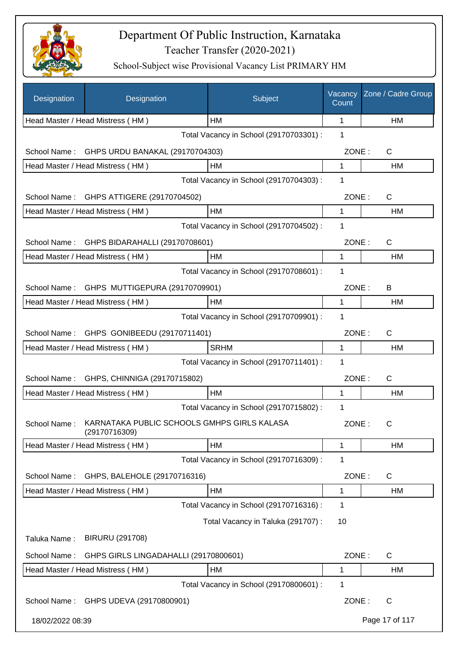

| Designation      | Designation                                                  | Subject                                 | Vacancy<br>Count | Zone / Cadre Group |
|------------------|--------------------------------------------------------------|-----------------------------------------|------------------|--------------------|
|                  | Head Master / Head Mistress (HM)                             | HM                                      | 1                | <b>HM</b>          |
|                  |                                                              | Total Vacancy in School (29170703301) : | 1                |                    |
| School Name:     | GHPS URDU BANAKAL (29170704303)                              |                                         | ZONE:            | C                  |
|                  | Head Master / Head Mistress (HM)                             | <b>HM</b>                               | 1                | <b>HM</b>          |
|                  |                                                              | Total Vacancy in School (29170704303) : | 1                |                    |
| School Name:     | GHPS ATTIGERE (29170704502)                                  |                                         | ZONE:            | C                  |
|                  | Head Master / Head Mistress (HM)                             | HM                                      | 1                | HM                 |
|                  |                                                              | Total Vacancy in School (29170704502) : | 1                |                    |
| School Name:     | GHPS BIDARAHALLI (29170708601)                               |                                         | ZONE:            | $\mathsf{C}$       |
|                  | Head Master / Head Mistress (HM)                             | <b>HM</b>                               | 1                | HM                 |
|                  |                                                              | Total Vacancy in School (29170708601) : | 1                |                    |
| School Name:     | GHPS MUTTIGEPURA (29170709901)                               |                                         | ZONE:            | B                  |
|                  | Head Master / Head Mistress (HM)                             | HM                                      | 1                | HM                 |
|                  |                                                              | Total Vacancy in School (29170709901) : | 1                |                    |
| School Name:     | GHPS GONIBEEDU (29170711401)                                 |                                         | ZONE:            | $\mathsf{C}$       |
|                  | Head Master / Head Mistress (HM)                             | <b>SRHM</b>                             | 1                | HM                 |
|                  |                                                              | Total Vacancy in School (29170711401) : | 1                |                    |
| School Name:     | GHPS, CHINNIGA (29170715802)                                 |                                         | ZONE:            | $\mathsf{C}$       |
|                  | Head Master / Head Mistress (HM)                             | HM                                      | 1                | <b>HM</b>          |
|                  |                                                              | Total Vacancy in School (29170715802) : | 1                |                    |
| School Name:     | KARNATAKA PUBLIC SCHOOLS GMHPS GIRLS KALASA<br>(29170716309) |                                         | ZONE:            | C                  |
|                  | Head Master / Head Mistress (HM)                             | HM                                      | 1                | <b>HM</b>          |
|                  |                                                              | Total Vacancy in School (29170716309) : | 1                |                    |
| School Name:     | GHPS, BALEHOLE (29170716316)                                 |                                         | ZONE:            | C                  |
|                  | Head Master / Head Mistress (HM)                             | HM                                      | 1                | HM                 |
|                  |                                                              | Total Vacancy in School (29170716316) : | 1                |                    |
|                  |                                                              | Total Vacancy in Taluka (291707) :      | 10               |                    |
| Taluka Name:     | <b>BIRURU (291708)</b>                                       |                                         |                  |                    |
| School Name:     | GHPS GIRLS LINGADAHALLI (29170800601)                        |                                         | ZONE:            | C                  |
|                  | Head Master / Head Mistress (HM)                             | HM                                      | 1                | HM                 |
|                  |                                                              | Total Vacancy in School (29170800601) : | 1                |                    |
|                  | School Name: GHPS UDEVA (29170800901)                        |                                         | ZONE:            | $\mathsf{C}$       |
| 18/02/2022 08:39 |                                                              |                                         |                  | Page 17 of 117     |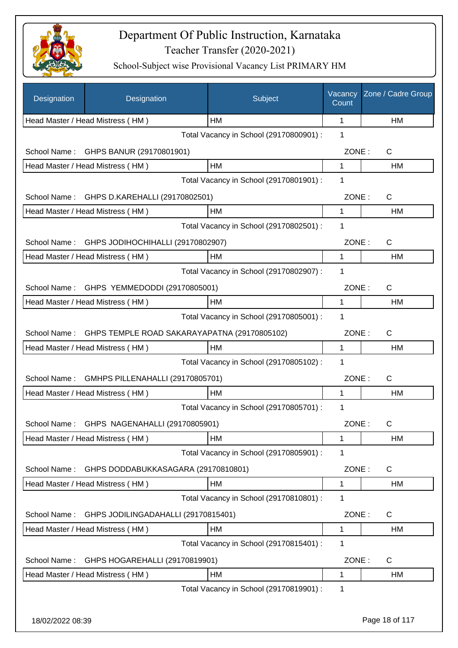

| Designation      | Designation                                  | Subject                                 | Vacancy<br>Count | Zone / Cadre Group |
|------------------|----------------------------------------------|-----------------------------------------|------------------|--------------------|
|                  | Head Master / Head Mistress (HM)             | HM                                      | 1                | HM                 |
|                  |                                              | Total Vacancy in School (29170800901) : | 1                |                    |
| School Name:     | GHPS BANUR (29170801901)                     |                                         | ZONE:            | C                  |
|                  | Head Master / Head Mistress (HM)             | HM                                      | 1                | HM                 |
|                  |                                              | Total Vacancy in School (29170801901) : | 1                |                    |
| School Name:     | GHPS D.KAREHALLI (29170802501)               |                                         | ZONE:            | C                  |
|                  | Head Master / Head Mistress (HM)             | HM                                      | 1                | HM                 |
|                  |                                              | Total Vacancy in School (29170802501) : | 1                |                    |
| School Name:     | GHPS JODIHOCHIHALLI (29170802907)            |                                         | ZONE:            | $\mathsf{C}$       |
|                  | Head Master / Head Mistress (HM)             | HM                                      | 1                | HM                 |
|                  |                                              | Total Vacancy in School (29170802907) : | 1                |                    |
|                  | School Name: GHPS YEMMEDODDI (29170805001)   |                                         | ZONE:            | $\mathsf{C}$       |
|                  | Head Master / Head Mistress (HM)             | HM                                      | $\mathbf{1}$     | <b>HM</b>          |
|                  |                                              | Total Vacancy in School (29170805001) : | 1                |                    |
| School Name:     | GHPS TEMPLE ROAD SAKARAYAPATNA (29170805102) |                                         | ZONE:            | $\mathsf{C}$       |
|                  | Head Master / Head Mistress (HM)             | HM                                      | $\mathbf{1}$     | HM                 |
|                  |                                              | Total Vacancy in School (29170805102) : | 1                |                    |
| School Name:     | GMHPS PILLENAHALLI (29170805701)             |                                         | ZONE:            | $\mathsf{C}$       |
|                  | Head Master / Head Mistress (HM)             | HM                                      | 1                | HM                 |
|                  |                                              | Total Vacancy in School (29170805701) : | 1                |                    |
|                  | School Name: GHPS NAGENAHALLI (29170805901)  |                                         | ZONE:            | C                  |
|                  | Head Master / Head Mistress (HM)             | HM                                      | 1                | HM                 |
|                  |                                              | Total Vacancy in School (29170805901) : | 1                |                    |
| School Name:     | GHPS DODDABUKKASAGARA (29170810801)          |                                         | ZONE:            | C                  |
|                  | Head Master / Head Mistress (HM)             | HM                                      | 1                | HM                 |
|                  |                                              | Total Vacancy in School (29170810801) : | 1                |                    |
| School Name:     | GHPS JODILINGADAHALLI (29170815401)          |                                         | ZONE:            | $\mathsf{C}$       |
|                  | Head Master / Head Mistress (HM)             | HM                                      | 1                | HM                 |
|                  |                                              | Total Vacancy in School (29170815401) : | 1                |                    |
| School Name:     | GHPS HOGAREHALLI (29170819901)               |                                         | ZONE:            | $\mathsf{C}$       |
|                  | Head Master / Head Mistress (HM)             | HM                                      | 1                | HM                 |
|                  |                                              | Total Vacancy in School (29170819901) : | 1                |                    |
|                  |                                              |                                         |                  |                    |
| 18/02/2022 08:39 |                                              |                                         |                  | Page 18 of 117     |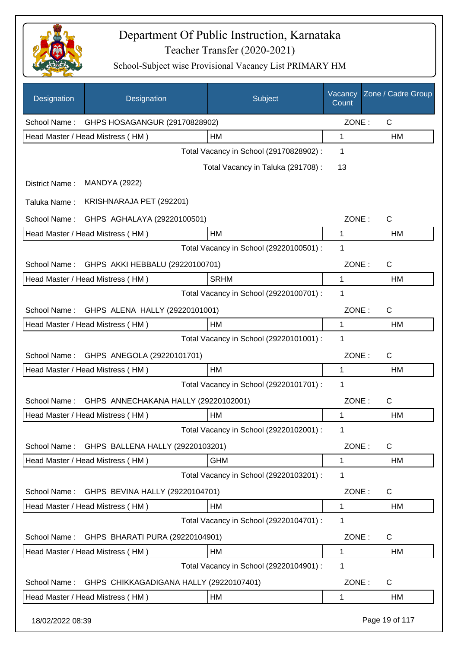

| Designation      | Designation                             | Subject                                 | Vacancy<br>Count | Zone / Cadre Group |
|------------------|-----------------------------------------|-----------------------------------------|------------------|--------------------|
| School Name:     | GHPS HOSAGANGUR (29170828902)           |                                         | ZONE:            | $\mathsf{C}$       |
|                  | Head Master / Head Mistress (HM)        | НM                                      | 1                | HM                 |
|                  |                                         | Total Vacancy in School (29170828902) : | 1                |                    |
|                  |                                         | Total Vacancy in Taluka (291708):       | 13               |                    |
| District Name:   | <b>MANDYA (2922)</b>                    |                                         |                  |                    |
| Taluka Name:     | KRISHNARAJA PET (292201)                |                                         |                  |                    |
| School Name:     | GHPS AGHALAYA (29220100501)             |                                         | ZONE:            | $\mathsf{C}$       |
|                  | Head Master / Head Mistress (HM)        | <b>HM</b>                               | 1                | HM                 |
|                  |                                         | Total Vacancy in School (29220100501) : | 1                |                    |
| School Name:     | GHPS AKKI HEBBALU (29220100701)         |                                         | ZONE:            | $\mathsf{C}$       |
|                  | Head Master / Head Mistress (HM)        | <b>SRHM</b>                             | 1                | HM                 |
|                  |                                         | Total Vacancy in School (29220100701) : | 1                |                    |
| School Name:     | GHPS ALENA HALLY (29220101001)          |                                         | ZONE:            | $\mathsf{C}$       |
|                  | Head Master / Head Mistress (HM)        | HM                                      | 1                | <b>HM</b>          |
|                  |                                         | Total Vacancy in School (29220101001) : | 1                |                    |
| School Name:     | GHPS ANEGOLA (29220101701)              |                                         | ZONE:            | $\mathsf{C}$       |
|                  | Head Master / Head Mistress (HM)        | <b>HM</b>                               | 1                | HM                 |
|                  |                                         | Total Vacancy in School (29220101701) : | 1                |                    |
| School Name:     | GHPS ANNECHAKANA HALLY (29220102001)    |                                         | ZONE:            | $\mathsf{C}$       |
|                  | Head Master / Head Mistress (HM)        | HM                                      | 1                | HM                 |
|                  |                                         | Total Vacancy in School (29220102001) : | 1                |                    |
| School Name:     | GHPS BALLENA HALLY (29220103201)        |                                         | ZONE:            | C                  |
|                  | Head Master / Head Mistress (HM)        | <b>GHM</b>                              | 1                | HM                 |
|                  |                                         | Total Vacancy in School (29220103201) : | 1                |                    |
| School Name:     | GHPS BEVINA HALLY (29220104701)         |                                         | ZONE:            | $\mathsf{C}$       |
|                  | Head Master / Head Mistress (HM)        | НM                                      | 1                | HM                 |
|                  |                                         | Total Vacancy in School (29220104701) : | 1                |                    |
| School Name:     | GHPS BHARATI PURA (29220104901)         |                                         | ZONE:            | C                  |
|                  | Head Master / Head Mistress (HM)        | HM                                      | 1                | HM                 |
|                  |                                         | Total Vacancy in School (29220104901) : | 1                |                    |
| School Name:     | GHPS CHIKKAGADIGANA HALLY (29220107401) |                                         | ZONE:            | $\mathsf{C}$       |
|                  | Head Master / Head Mistress (HM)        | HM                                      | 1                | HM                 |
| 18/02/2022 08:39 |                                         |                                         |                  | Page 19 of 117     |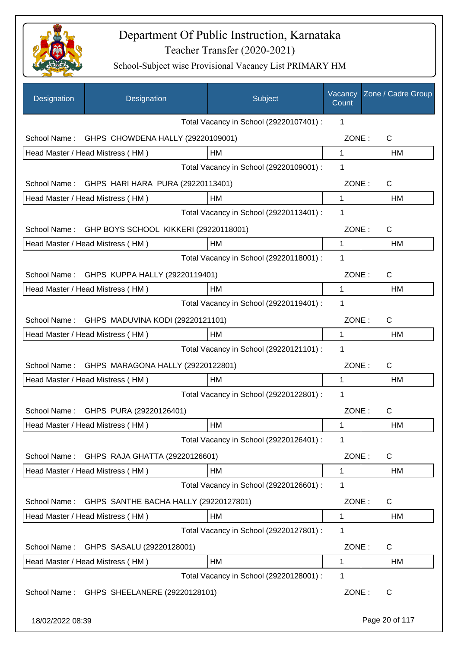

| Designation      | Designation                                   | Subject                                 | Vacancy<br>Count | Zone / Cadre Group |
|------------------|-----------------------------------------------|-----------------------------------------|------------------|--------------------|
|                  |                                               | Total Vacancy in School (29220107401) : | 1                |                    |
| School Name:     | GHPS CHOWDENA HALLY (29220109001)             |                                         | ZONE:            | C                  |
|                  | Head Master / Head Mistress (HM)              | HM                                      | $\mathbf 1$      | HM                 |
|                  |                                               | Total Vacancy in School (29220109001) : | 1                |                    |
| School Name:     | GHPS HARI HARA PURA (29220113401)             |                                         | ZONE:            | C                  |
|                  | Head Master / Head Mistress (HM)              | HM                                      | 1                | HM                 |
|                  |                                               | Total Vacancy in School (29220113401) : | 1                |                    |
| School Name:     | GHP BOYS SCHOOL KIKKERI (29220118001)         |                                         | ZONE:            | C                  |
|                  | Head Master / Head Mistress (HM)              | HМ                                      | 1                | НM                 |
|                  |                                               | Total Vacancy in School (29220118001) : | 1                |                    |
| School Name:     | GHPS KUPPA HALLY (29220119401)                |                                         | ZONE:            | C                  |
|                  | Head Master / Head Mistress (HM)              | HM                                      | 1                | НM                 |
|                  |                                               | Total Vacancy in School (29220119401) : | 1                |                    |
|                  | School Name: GHPS MADUVINA KODI (29220121101) |                                         | ZONE:            | $\mathsf{C}$       |
|                  | Head Master / Head Mistress (HM)              | HM                                      | 1                | HM                 |
|                  |                                               | Total Vacancy in School (29220121101) : | 1                |                    |
| School Name:     | GHPS MARAGONA HALLY (29220122801)             |                                         | ZONE:            | $\mathsf{C}$       |
|                  | Head Master / Head Mistress (HM)              | HМ                                      | 1                | HM                 |
|                  |                                               | Total Vacancy in School (29220122801) : | 1                |                    |
|                  | School Name: GHPS PURA (29220126401)          |                                         | ZONE:            | $\mathsf C$        |
|                  | Head Master / Head Mistress (HM)              | HM                                      | 1                | HM                 |
|                  |                                               | Total Vacancy in School (29220126401) : | 1                |                    |
| School Name:     | GHPS RAJA GHATTA (29220126601)                |                                         | ZONE:            | C                  |
|                  | Head Master / Head Mistress (HM)              | HM                                      | 1                | HM                 |
|                  |                                               | Total Vacancy in School (29220126601) : | 1                |                    |
| School Name:     | GHPS SANTHE BACHA HALLY (29220127801)         |                                         | ZONE:            | C                  |
|                  | Head Master / Head Mistress (HM)              | HM                                      | 1                | HM                 |
|                  |                                               | Total Vacancy in School (29220127801) : | 1                |                    |
| School Name:     | GHPS SASALU (29220128001)                     |                                         | ZONE:            | C                  |
|                  | Head Master / Head Mistress (HM)              | HM                                      | 1                | HM                 |
|                  |                                               | Total Vacancy in School (29220128001) : | 1                |                    |
| School Name:     | GHPS SHEELANERE (29220128101)                 |                                         | ZONE:            | C                  |
| 18/02/2022 08:39 |                                               |                                         |                  | Page 20 of 117     |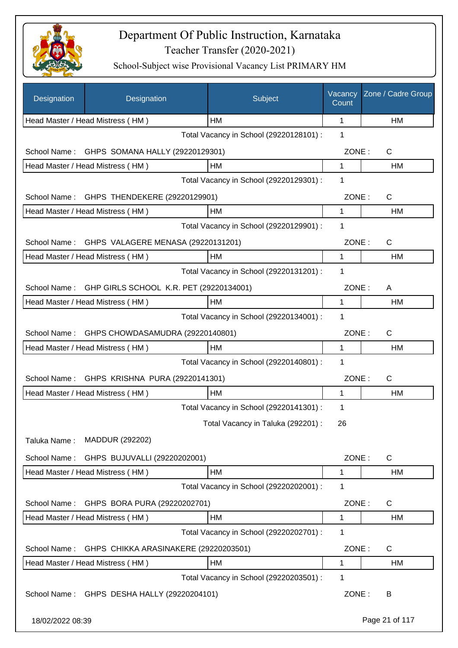

| Designation      | Designation                                 | Subject                                 | Vacancy<br>Count | Zone / Cadre Group |
|------------------|---------------------------------------------|-----------------------------------------|------------------|--------------------|
|                  | Head Master / Head Mistress (HM)            | HM                                      | 1                | HM                 |
|                  |                                             | Total Vacancy in School (29220128101) : | 1                |                    |
| School Name:     | GHPS SOMANA HALLY (29220129301)             |                                         | ZONE:            | C                  |
|                  | Head Master / Head Mistress (HM)            | HM                                      | 1                | HM                 |
|                  |                                             | Total Vacancy in School (29220129301) : | 1                |                    |
| School Name:     | GHPS THENDEKERE (29220129901)               |                                         | ZONE:            | C                  |
|                  | Head Master / Head Mistress (HM)            | НM                                      | 1                | HM                 |
|                  |                                             | Total Vacancy in School (29220129901) : | 1                |                    |
| School Name:     | GHPS VALAGERE MENASA (29220131201)          |                                         | ZONE:            | C                  |
|                  | Head Master / Head Mistress (HM)            | HM                                      | 1                | HM                 |
|                  |                                             | Total Vacancy in School (29220131201) : | 1                |                    |
| School Name:     | GHP GIRLS SCHOOL K.R. PET (29220134001)     |                                         | ZONE:            | A                  |
|                  | Head Master / Head Mistress (HM)            | HM                                      | 1                | HM                 |
|                  |                                             | Total Vacancy in School (29220134001) : | 1                |                    |
| School Name:     | GHPS CHOWDASAMUDRA (29220140801)            |                                         | ZONE:            | $\mathsf C$        |
|                  | Head Master / Head Mistress (HM)            | HM                                      | 1                | HM                 |
|                  |                                             | Total Vacancy in School (29220140801) : | 1                |                    |
| School Name:     | GHPS KRISHNA PURA (29220141301)             |                                         | ZONE:            | C                  |
|                  | Head Master / Head Mistress (HM)            | HM                                      | 1                | HM                 |
|                  |                                             | Total Vacancy in School (29220141301) : | 1                |                    |
|                  |                                             | Total Vacancy in Taluka (292201) :      | 26               |                    |
| Taluka Name:     | MADDUR (292202)                             |                                         |                  |                    |
| School Name:     | GHPS BUJUVALLI (29220202001)                |                                         | ZONE:            | $\mathsf{C}$       |
|                  | Head Master / Head Mistress (HM)            | HM                                      | 1                | <b>HM</b>          |
|                  |                                             | Total Vacancy in School (29220202001) : | 1                |                    |
| School Name:     | GHPS BORA PURA (29220202701)                |                                         | ZONE:            | C                  |
|                  | Head Master / Head Mistress (HM)            | HM                                      | $\mathbf 1$      | HM                 |
|                  |                                             | Total Vacancy in School (29220202701) : | 1                |                    |
| School Name:     |                                             |                                         | ZONE:            | C                  |
|                  | GHPS CHIKKA ARASINAKERE (29220203501)       | HM                                      | 1                | HM                 |
|                  | Head Master / Head Mistress (HM)            | Total Vacancy in School (29220203501) : | 1                |                    |
|                  | School Name: GHPS DESHA HALLY (29220204101) |                                         | ZONE:            | B                  |
| 18/02/2022 08:39 |                                             |                                         |                  | Page 21 of 117     |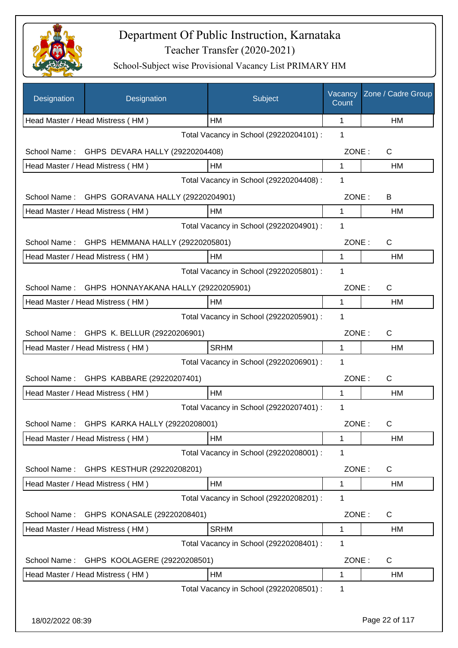

| Designation      | Designation                                 | Subject                                 | Vacancy<br>Count | Zone / Cadre Group |
|------------------|---------------------------------------------|-----------------------------------------|------------------|--------------------|
|                  | Head Master / Head Mistress (HM)            | HM                                      | 1                | HM                 |
|                  |                                             | Total Vacancy in School (29220204101) : | 1                |                    |
| School Name:     | GHPS DEVARA HALLY (29220204408)             |                                         | ZONE:            | C                  |
|                  | Head Master / Head Mistress (HM)            | HM                                      | 1                | HM                 |
|                  |                                             | Total Vacancy in School (29220204408) : | $\mathbf{1}$     |                    |
| School Name:     | GHPS GORAVANA HALLY (29220204901)           |                                         | ZONE:            | B                  |
|                  | Head Master / Head Mistress (HM)            | HM                                      | 1                | HM                 |
|                  |                                             | Total Vacancy in School (29220204901) : | 1                |                    |
| School Name:     | GHPS HEMMANA HALLY (29220205801)            |                                         | ZONE:            | C                  |
|                  | Head Master / Head Mistress (HM)            | HM                                      | 1                | HM                 |
|                  |                                             | Total Vacancy in School (29220205801) : | 1                |                    |
| School Name:     | GHPS HONNAYAKANA HALLY (29220205901)        |                                         | ZONE:            | $\mathsf{C}$       |
|                  | Head Master / Head Mistress (HM)            | HM                                      | $\mathbf{1}$     | <b>HM</b>          |
|                  |                                             | Total Vacancy in School (29220205901) : | 1                |                    |
|                  | School Name: GHPS K. BELLUR (29220206901)   |                                         | ZONE:            | $\mathsf{C}$       |
|                  | Head Master / Head Mistress (HM)            | <b>SRHM</b>                             | $\mathbf{1}$     | <b>HM</b>          |
|                  |                                             | Total Vacancy in School (29220206901) : | 1                |                    |
|                  | School Name: GHPS KABBARE (29220207401)     |                                         | ZONE:            | $\mathsf{C}$       |
|                  | Head Master / Head Mistress (HM)            | <b>HM</b>                               | 1                | HM                 |
|                  |                                             | Total Vacancy in School (29220207401) : | 1                |                    |
|                  | School Name: GHPS KARKA HALLY (29220208001) |                                         | ZONE:            | C.                 |
|                  | Head Master / Head Mistress (HM)            | HM                                      | 1                | HM                 |
|                  |                                             | Total Vacancy in School (29220208001) : | $\mathbf 1$      |                    |
| School Name:     | GHPS KESTHUR (29220208201)                  |                                         | ZONE:            | C                  |
|                  | Head Master / Head Mistress (HM)            | HM                                      | 1                | HM                 |
|                  |                                             | Total Vacancy in School (29220208201) : | 1                |                    |
| School Name:     | GHPS KONASALE (29220208401)                 |                                         | ZONE:            | C                  |
|                  | Head Master / Head Mistress (HM)            | <b>SRHM</b>                             | 1                | HM                 |
|                  |                                             | Total Vacancy in School (29220208401) : | $\mathbf 1$      |                    |
| School Name:     | GHPS KOOLAGERE (29220208501)                |                                         | ZONE:            | $\mathsf{C}$       |
|                  | Head Master / Head Mistress (HM)            | HM                                      | $\mathbf{1}$     | HM                 |
|                  |                                             | Total Vacancy in School (29220208501) : | $\mathbf 1$      |                    |
|                  |                                             |                                         |                  |                    |
| 18/02/2022 08:39 |                                             |                                         |                  | Page 22 of 117     |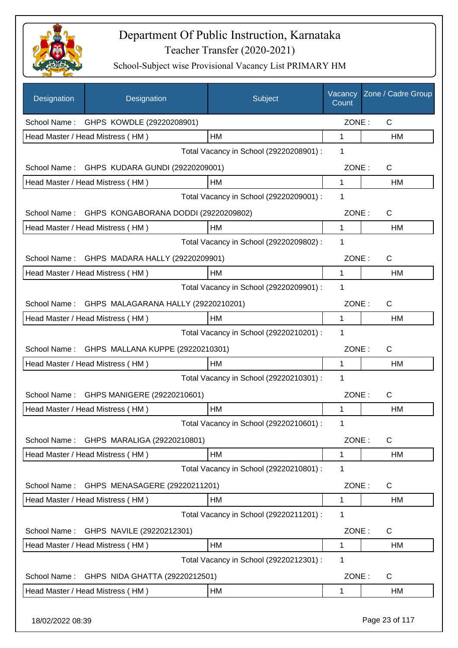

| <b>Designation</b> | Designation                                  | Subject                                 | Vacancy<br>Count | Zone / Cadre Group |
|--------------------|----------------------------------------------|-----------------------------------------|------------------|--------------------|
|                    | School Name: GHPS KOWDLE (29220208901)       |                                         | ZONE:            | $\mathsf{C}$       |
|                    | Head Master / Head Mistress (HM)             | HM                                      | 1                | <b>HM</b>          |
|                    |                                              | Total Vacancy in School (29220208901) : | 1                |                    |
|                    | School Name: GHPS KUDARA GUNDI (29220209001) |                                         | ZONE:            | $\mathsf{C}$       |
|                    | Head Master / Head Mistress (HM)             | <b>HM</b>                               | 1                | <b>HM</b>          |
|                    |                                              | Total Vacancy in School (29220209001) : | 1                |                    |
| School Name:       | GHPS KONGABORANA DODDI (29220209802)         |                                         | ZONE:            | $\mathsf{C}$       |
|                    | Head Master / Head Mistress (HM)             | HM                                      | 1                | HM                 |
|                    |                                              | Total Vacancy in School (29220209802) : | 1                |                    |
|                    | School Name: GHPS MADARA HALLY (29220209901) |                                         | ZONE:            | $\mathsf{C}$       |
|                    | Head Master / Head Mistress (HM)             | HM                                      | 1                | HM                 |
|                    |                                              | Total Vacancy in School (29220209901) : | 1                |                    |
| School Name:       | GHPS MALAGARANA HALLY (29220210201)          |                                         | ZONE:            | $\mathsf{C}$       |
|                    | Head Master / Head Mistress (HM)             | <b>HM</b>                               | 1                | HM                 |
|                    |                                              | Total Vacancy in School (29220210201) : | 1                |                    |
| School Name:       | GHPS MALLANA KUPPE (29220210301)             |                                         | ZONE:            | $\mathsf{C}$       |
|                    | Head Master / Head Mistress (HM)             | HM                                      | 1                | <b>HM</b>          |
|                    |                                              | Total Vacancy in School (29220210301) : | 1                |                    |
|                    | School Name: GHPS MANIGERE (29220210601)     |                                         | ZONE:            | $\mathsf{C}$       |
|                    | Head Master / Head Mistress (HM)             | HM                                      | 1                | HM                 |
|                    |                                              | Total Vacancy in School (29220210601) : | 1                |                    |
| School Name:       | GHPS MARALIGA (29220210801)                  |                                         | ZONE:            | C                  |
|                    | Head Master / Head Mistress (HM)             | HM                                      | 1                | HM                 |
|                    |                                              | Total Vacancy in School (29220210801) : | 1                |                    |
| School Name:       | GHPS MENASAGERE (29220211201)                |                                         | ZONE:            | C                  |
|                    | Head Master / Head Mistress (HM)             | HM                                      | $\mathbf{1}$     | HM                 |
|                    |                                              | Total Vacancy in School (29220211201) : | 1                |                    |
| School Name:       | GHPS NAVILE (29220212301)                    |                                         | ZONE:            | C                  |
|                    | Head Master / Head Mistress (HM)             | HM                                      | 1                | HM                 |
|                    |                                              | Total Vacancy in School (29220212301) : | 1                |                    |
| School Name:       | GHPS NIDA GHATTA (29220212501)               |                                         | ZONE:            | C                  |
|                    | Head Master / Head Mistress (HM)             | HM                                      | 1                | HM                 |
| 18/02/2022 08:39   |                                              |                                         |                  | Page 23 of 117     |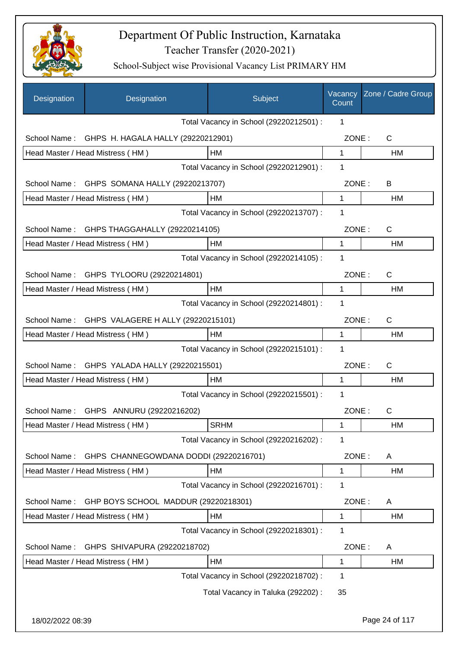

| Designation      | Designation                            | Subject                                 | Vacancy<br>Count | Zone / Cadre Group |
|------------------|----------------------------------------|-----------------------------------------|------------------|--------------------|
|                  |                                        | Total Vacancy in School (29220212501) : | 1                |                    |
| School Name:     | GHPS H. HAGALA HALLY (29220212901)     |                                         | ZONE:            | C                  |
|                  | Head Master / Head Mistress (HM)       | HM                                      | 1                | HM                 |
|                  |                                        | Total Vacancy in School (29220212901) : | 1                |                    |
| School Name:     | GHPS SOMANA HALLY (29220213707)        |                                         | ZONE:            | B                  |
|                  | Head Master / Head Mistress (HM)       | HM                                      | $\mathbf{1}$     | HM                 |
|                  |                                        | Total Vacancy in School (29220213707) : | 1                |                    |
| School Name:     | GHPS THAGGAHALLY (29220214105)         |                                         | ZONE:            | $\mathsf{C}$       |
|                  | Head Master / Head Mistress (HM)       | HM                                      | 1                | HM                 |
|                  |                                        | Total Vacancy in School (29220214105) : | 1                |                    |
| School Name:     | GHPS TYLOORU (29220214801)             |                                         | ZONE:            | C                  |
|                  | Head Master / Head Mistress (HM)       | <b>HM</b>                               | 1                | HM                 |
|                  |                                        | Total Vacancy in School (29220214801) : | 1                |                    |
| School Name:     | GHPS VALAGERE H ALLY (29220215101)     |                                         | ZONE:            | C                  |
|                  | Head Master / Head Mistress (HM)       | HM                                      | 1                | HM                 |
|                  |                                        | Total Vacancy in School (29220215101) : | 1                |                    |
| School Name:     | GHPS YALADA HALLY (29220215501)        |                                         | ZONE:            | $\mathsf{C}$       |
|                  | Head Master / Head Mistress (HM)       | НM                                      | 1                | HM                 |
|                  |                                        | Total Vacancy in School (29220215501) : | 1                |                    |
|                  | School Name: GHPS ANNURU (29220216202) |                                         | ZONE:            | C                  |
|                  | Head Master / Head Mistress (HM)       | <b>SRHM</b>                             | 1                | HM                 |
|                  |                                        | Total Vacancy in School (29220216202) : | 1                |                    |
| School Name:     | GHPS CHANNEGOWDANA DODDI (29220216701) |                                         | ZONE:            | A                  |
|                  | Head Master / Head Mistress (HM)       | HM                                      | 1                | HM                 |
|                  |                                        | Total Vacancy in School (29220216701) : | 1                |                    |
| School Name:     | GHP BOYS SCHOOL MADDUR (29220218301)   |                                         | ZONE:            | A                  |
|                  | Head Master / Head Mistress (HM)       | HM                                      | 1                | HM                 |
|                  |                                        | Total Vacancy in School (29220218301) : | 1                |                    |
| School Name:     | GHPS SHIVAPURA (29220218702)           |                                         | ZONE:            | A                  |
|                  | Head Master / Head Mistress (HM)       | HM                                      | 1                | HM                 |
|                  |                                        | Total Vacancy in School (29220218702) : | 1                |                    |
|                  |                                        | Total Vacancy in Taluka (292202) :      | 35               |                    |
| 18/02/2022 08:39 |                                        |                                         |                  | Page 24 of 117     |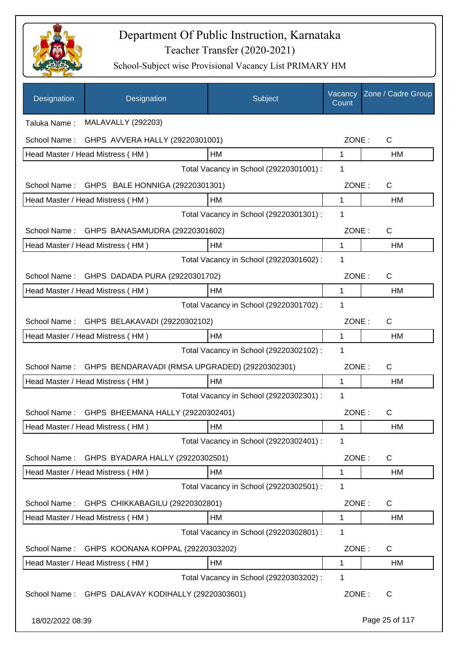

| Designation      | Designation                                    | Subject                                 | Vacancy<br>Count | Zone / Cadre Group |
|------------------|------------------------------------------------|-----------------------------------------|------------------|--------------------|
| Taluka Name:     | <b>MALAVALLY (292203)</b>                      |                                         |                  |                    |
| School Name:     | GHPS AVVERA HALLY (29220301001)                |                                         | ZONE:            | $\mathsf{C}$       |
|                  | Head Master / Head Mistress (HM)               | HM                                      | $\mathbf{1}$     | HM                 |
|                  |                                                | Total Vacancy in School (29220301001) : | 1                |                    |
|                  | School Name: GHPS BALE HONNIGA (29220301301)   |                                         | ZONE:            | C                  |
|                  | Head Master / Head Mistress (HM)               | HM                                      | 1                | <b>HM</b>          |
|                  |                                                | Total Vacancy in School (29220301301) : | 1                |                    |
| School Name:     | GHPS BANASAMUDRA (29220301602)                 |                                         | ZONE:            | C                  |
|                  | Head Master / Head Mistress (HM)               | HM                                      | 1                | <b>HM</b>          |
|                  |                                                | Total Vacancy in School (29220301602) : | 1                |                    |
|                  | School Name: GHPS DADADA PURA (29220301702)    |                                         | ZONE:            | C                  |
|                  | Head Master / Head Mistress (HM)               | HM                                      | 1                | HM                 |
|                  |                                                | Total Vacancy in School (29220301702) : | 1                |                    |
|                  | School Name: GHPS BELAKAVADI (29220302102)     |                                         | ZONE:            | C                  |
|                  | Head Master / Head Mistress (HM)               | HM                                      | 1                | НM                 |
|                  |                                                | Total Vacancy in School (29220302102) : | 1                |                    |
| School Name:     | GHPS BENDARAVADI (RMSA UPGRADED) (29220302301) |                                         | ZONE:            | C                  |
|                  | Head Master / Head Mistress (HM)               | HM                                      | $\mathbf 1$      | НM                 |
|                  |                                                | Total Vacancy in School (29220302301) : | 1                |                    |
|                  | School Name: GHPS BHEEMANA HALLY (29220302401) |                                         | ZONE:            | C                  |
|                  | Head Master / Head Mistress (HM)               | <b>HM</b>                               | 1                | HM                 |
|                  |                                                | Total Vacancy in School (29220302401) : | 1                |                    |
| School Name:     | GHPS BYADARA HALLY (29220302501)               |                                         | ZONE:            | C                  |
|                  | Head Master / Head Mistress (HM)               | HM                                      | 1                | HM                 |
|                  |                                                | Total Vacancy in School (29220302501) : | 1                |                    |
| School Name:     | GHPS CHIKKABAGILU (29220302801)                |                                         | ZONE:            | C                  |
|                  | Head Master / Head Mistress (HM)               | HM                                      | 1                | <b>HM</b>          |
|                  |                                                | Total Vacancy in School (29220302801) : | 1                |                    |
| School Name:     | GHPS KOONANA KOPPAL (29220303202)              |                                         | ZONE:            | C                  |
|                  | Head Master / Head Mistress (HM)               | HM                                      | 1                | HM                 |
|                  |                                                | Total Vacancy in School (29220303202) : | 1                |                    |
| School Name:     | GHPS DALAVAY KODIHALLY (29220303601)           |                                         | ZONE:            | C                  |
| 18/02/2022 08:39 |                                                |                                         |                  | Page 25 of 117     |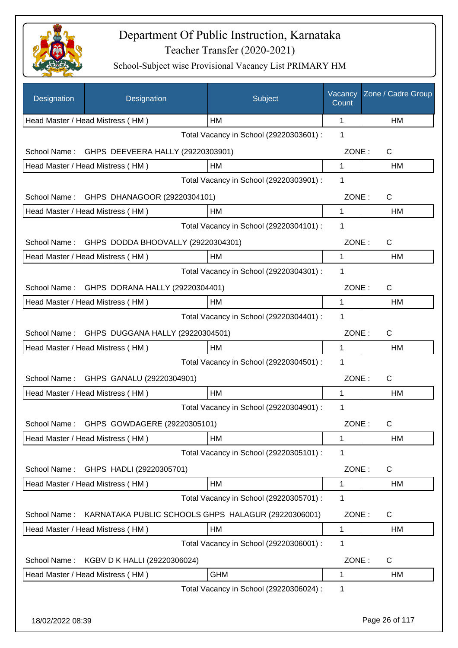

| Designation                                     | Designation                                         | Subject                                 | Vacancy<br>Count | Zone / Cadre Group    |
|-------------------------------------------------|-----------------------------------------------------|-----------------------------------------|------------------|-----------------------|
|                                                 | Head Master / Head Mistress (HM)                    | HM                                      | 1                | HM                    |
|                                                 |                                                     | Total Vacancy in School (29220303601) : | 1                |                       |
| School Name:                                    | GHPS DEEVEERA HALLY (29220303901)                   |                                         | ZONE:            | C                     |
|                                                 | Head Master / Head Mistress (HM)                    | HM                                      | 1                | HM                    |
|                                                 |                                                     | Total Vacancy in School (29220303901) : | $\mathbf 1$      |                       |
| School Name:                                    | GHPS DHANAGOOR (29220304101)                        |                                         | ZONE:            | $\mathsf{C}$          |
|                                                 | Head Master / Head Mistress (HM)                    | <b>HM</b>                               | 1                | HM                    |
|                                                 |                                                     | Total Vacancy in School (29220304101) : | 1                |                       |
| School Name:                                    | GHPS DODDA BHOOVALLY (29220304301)                  |                                         | ZONE:            | C                     |
|                                                 | Head Master / Head Mistress (HM)                    | HM                                      | 1                | HM                    |
|                                                 |                                                     | Total Vacancy in School (29220304301) : | 1                |                       |
| School Name:<br>GHPS DORANA HALLY (29220304401) |                                                     |                                         |                  | ZONE:<br>$\mathsf{C}$ |
|                                                 | Head Master / Head Mistress (HM)                    | HM                                      | $\mathbf{1}$     | <b>HM</b>             |
|                                                 |                                                     | Total Vacancy in School (29220304401) : | 1                |                       |
| School Name: GHPS DUGGANA HALLY (29220304501)   |                                                     |                                         | ZONE:            | $\mathsf{C}$          |
|                                                 | Head Master / Head Mistress (HM)                    | HM                                      | $\mathbf{1}$     | <b>HM</b>             |
|                                                 |                                                     | Total Vacancy in School (29220304501) : | 1                |                       |
|                                                 | School Name: GHPS GANALU (29220304901)              |                                         | ZONE:            | $\mathsf{C}$          |
|                                                 | Head Master / Head Mistress (HM)                    | HM                                      | 1                | HM                    |
|                                                 |                                                     | Total Vacancy in School (29220304901) : | 1                |                       |
|                                                 | School Name: GHPS GOWDAGERE (29220305101)           |                                         | ZONE:            | C.                    |
|                                                 | Head Master / Head Mistress (HM)                    | HM                                      | 1                | HM                    |
|                                                 |                                                     | Total Vacancy in School (29220305101) : | $\mathbf 1$      |                       |
| School Name:                                    | GHPS HADLI (29220305701)                            |                                         | ZONE:            | C                     |
|                                                 | Head Master / Head Mistress (HM)                    | HM                                      | 1                | HM                    |
|                                                 |                                                     | Total Vacancy in School (29220305701) : | 1                |                       |
| School Name:                                    | KARNATAKA PUBLIC SCHOOLS GHPS HALAGUR (29220306001) |                                         | ZONE:            | C                     |
|                                                 | Head Master / Head Mistress (HM)                    | HM                                      | 1                | HM                    |
|                                                 |                                                     | Total Vacancy in School (29220306001) : | $\mathbf 1$      |                       |
| School Name:                                    | KGBV D K HALLI (29220306024)                        |                                         | ZONE:            | $\mathsf{C}$          |
|                                                 | Head Master / Head Mistress (HM)                    | <b>GHM</b>                              | $\mathbf{1}$     | <b>HM</b>             |
|                                                 |                                                     | Total Vacancy in School (29220306024) : | $\mathbf 1$      |                       |
|                                                 |                                                     |                                         |                  |                       |
| 18/02/2022 08:39                                |                                                     |                                         |                  | Page 26 of 117        |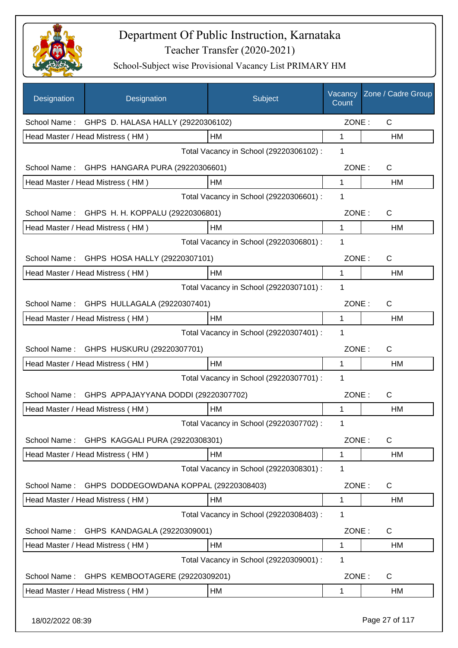

| Designation                                                    | Designation                            | Subject                                 | Vacancy<br>Count | Zone / Cadre Group |
|----------------------------------------------------------------|----------------------------------------|-----------------------------------------|------------------|--------------------|
| School Name:                                                   | GHPS D. HALASA HALLY (29220306102)     |                                         | ZONE:            | C                  |
|                                                                | Head Master / Head Mistress (HM)       | HM                                      | 1                | НM                 |
|                                                                |                                        | Total Vacancy in School (29220306102) : | 1                |                    |
| School Name:                                                   | GHPS HANGARA PURA (29220306601)        |                                         | ZONE:            | C                  |
|                                                                | Head Master / Head Mistress (HM)       | HM                                      | 1                | НM                 |
|                                                                |                                        | Total Vacancy in School (29220306601) : | 1                |                    |
| C<br>School Name:<br>GHPS H. H. KOPPALU (29220306801)<br>ZONE: |                                        |                                         |                  |                    |
|                                                                | Head Master / Head Mistress (HM)       | HM                                      | 1                | HM                 |
|                                                                |                                        | Total Vacancy in School (29220306801) : | 1                |                    |
| School Name:                                                   | GHPS HOSA HALLY (29220307101)          |                                         | ZONE:            | C                  |
|                                                                | Head Master / Head Mistress (HM)       | HM                                      | 1                | HM                 |
|                                                                |                                        | Total Vacancy in School (29220307101) : | 1                |                    |
| School Name:                                                   | GHPS HULLAGALA (29220307401)           |                                         | ZONE:            | C                  |
|                                                                | Head Master / Head Mistress (HM)       | HM                                      | 1                | HM                 |
|                                                                |                                        | Total Vacancy in School (29220307401) : | 1                |                    |
| School Name:                                                   | GHPS HUSKURU (29220307701)             |                                         | ZONE:            | C                  |
|                                                                | Head Master / Head Mistress (HM)       | HM                                      | 1                | HM                 |
|                                                                |                                        | Total Vacancy in School (29220307701) : | 1                |                    |
| School Name:                                                   | GHPS APPAJAYYANA DODDI (29220307702)   |                                         | ZONE:            | C                  |
|                                                                | Head Master / Head Mistress (HM)       | НM                                      | 1                | HM                 |
|                                                                |                                        | Total Vacancy in School (29220307702) : | 1                |                    |
| School Name:                                                   | GHPS KAGGALI PURA (29220308301)        |                                         | ZONE:            | $\mathsf C$        |
|                                                                | Head Master / Head Mistress (HM)       | HM                                      | 1                | HM                 |
|                                                                |                                        | Total Vacancy in School (29220308301) : | 1                |                    |
| School Name:                                                   | GHPS DODDEGOWDANA KOPPAL (29220308403) |                                         | ZONE:            | C                  |
|                                                                | Head Master / Head Mistress (HM)       | HM                                      | 1                | HM                 |
|                                                                |                                        | Total Vacancy in School (29220308403) : | 1                |                    |
| School Name:                                                   | GHPS KANDAGALA (29220309001)           |                                         | ZONE:            | $\mathsf{C}$       |
|                                                                | Head Master / Head Mistress (HM)       | HM                                      | 1                | HM                 |
|                                                                |                                        | Total Vacancy in School (29220309001) : | 1                |                    |
| School Name:                                                   | GHPS KEMBOOTAGERE (29220309201)        |                                         | ZONE:            | C                  |
|                                                                | Head Master / Head Mistress (HM)       | HM                                      | 1                | HM                 |
|                                                                |                                        |                                         |                  |                    |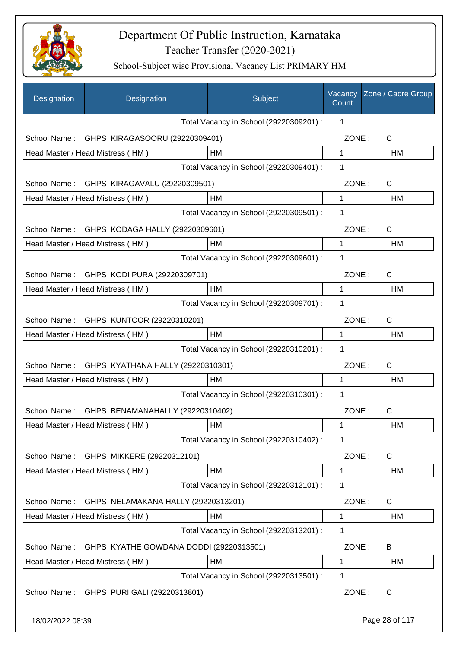

| Designation      | Designation                                   | Subject                                 | Vacancy<br>Count | Zone / Cadre Group |
|------------------|-----------------------------------------------|-----------------------------------------|------------------|--------------------|
|                  |                                               | Total Vacancy in School (29220309201) : | 1                |                    |
| School Name:     | GHPS KIRAGASOORU (29220309401)                |                                         | ZONE:            | C                  |
|                  | Head Master / Head Mistress (HM)              | HM                                      | $\mathbf 1$      | HM                 |
|                  |                                               | Total Vacancy in School (29220309401) : | 1                |                    |
|                  | School Name: GHPS KIRAGAVALU (29220309501)    |                                         | ZONE:            | C                  |
|                  | Head Master / Head Mistress (HM)              | HM                                      | 1                | HM                 |
|                  |                                               | Total Vacancy in School (29220309501) : | 1                |                    |
| School Name:     | GHPS KODAGA HALLY (29220309601)               |                                         | ZONE:            | C                  |
|                  | Head Master / Head Mistress (HM)              | HM                                      | 1                | HM                 |
|                  |                                               | Total Vacancy in School (29220309601) : | 1                |                    |
|                  | School Name: GHPS KODI PURA (29220309701)     |                                         | ZONE:            | C                  |
|                  | Head Master / Head Mistress (HM)              | HM                                      | 1                | HM                 |
|                  |                                               | Total Vacancy in School (29220309701) : | 1                |                    |
|                  | School Name: GHPS KUNTOOR (29220310201)       |                                         | ZONE:            | $\mathsf{C}$       |
|                  | Head Master / Head Mistress (HM)              | HM                                      | 1                | HM                 |
|                  |                                               | Total Vacancy in School (29220310201) : | 1                |                    |
| School Name:     | GHPS KYATHANA HALLY (29220310301)             |                                         | ZONE:            | $\mathsf{C}$       |
|                  | Head Master / Head Mistress (HM)              | HM                                      | 1                | HM                 |
|                  |                                               | Total Vacancy in School (29220310301) : | 1                |                    |
|                  | School Name: GHPS BENAMANAHALLY (29220310402) |                                         | ZONE:            | $\mathsf C$        |
|                  | Head Master / Head Mistress (HM)              | ${\sf HM}$                              | 1                | HM                 |
|                  |                                               | Total Vacancy in School (29220310402) : | 1                |                    |
| School Name:     | GHPS MIKKERE (29220312101)                    |                                         | ZONE:            | C                  |
|                  | Head Master / Head Mistress (HM)              | HM                                      | 1                | HM                 |
|                  |                                               | Total Vacancy in School (29220312101) : | 1                |                    |
| School Name:     | GHPS NELAMAKANA HALLY (29220313201)           |                                         | ZONE:            | C                  |
|                  | Head Master / Head Mistress (HM)              | НM                                      | 1                | HM                 |
|                  |                                               | Total Vacancy in School (29220313201) : | 1                |                    |
| School Name:     | GHPS KYATHE GOWDANA DODDI (29220313501)       |                                         | ZONE:            | B                  |
|                  | Head Master / Head Mistress (HM)              | HM                                      | 1                | HM                 |
|                  |                                               | Total Vacancy in School (29220313501) : | 1                |                    |
|                  | School Name: GHPS PURI GALI (29220313801)     |                                         | ZONE:            | C                  |
| 18/02/2022 08:39 |                                               |                                         |                  | Page 28 of 117     |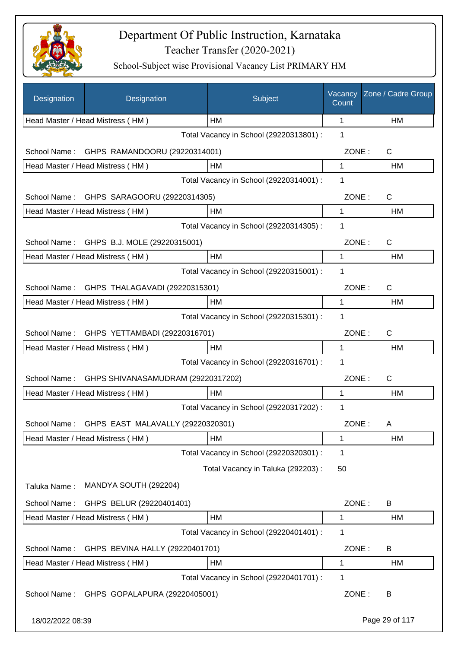

| Designation      | Designation                                    | Subject                                 | Vacancy<br>Count | Zone / Cadre Group |
|------------------|------------------------------------------------|-----------------------------------------|------------------|--------------------|
|                  | Head Master / Head Mistress (HM)               | HM                                      | 1                | HM                 |
|                  |                                                | Total Vacancy in School (29220313801) : | 1                |                    |
| School Name:     | GHPS RAMANDOORU (29220314001)                  |                                         | ZONE:            | C                  |
|                  | Head Master / Head Mistress (HM)               | HM                                      | 1                | HM                 |
|                  |                                                | Total Vacancy in School (29220314001) : | 1                |                    |
| School Name:     | GHPS SARAGOORU (29220314305)                   |                                         | ZONE:            | C                  |
|                  | Head Master / Head Mistress (HM)               | НM                                      | 1                | HМ                 |
|                  |                                                | Total Vacancy in School (29220314305) : | 1                |                    |
| School Name:     | GHPS B.J. MOLE (29220315001)                   |                                         | ZONE:            | C                  |
|                  | Head Master / Head Mistress (HM)               | HM                                      | 1                | HM                 |
|                  |                                                | Total Vacancy in School (29220315001) : | 1                |                    |
|                  | School Name: GHPS THALAGAVADI (29220315301)    |                                         | ZONE:            | C                  |
|                  | Head Master / Head Mistress (HM)               | HM                                      | 1                | <b>HM</b>          |
|                  |                                                | Total Vacancy in School (29220315301) : | 1                |                    |
|                  | School Name: GHPS YETTAMBADI (29220316701)     |                                         | ZONE:            | C                  |
|                  | Head Master / Head Mistress (HM)               | <b>HM</b>                               | 1                | HM                 |
|                  |                                                | Total Vacancy in School (29220316701) : | 1                |                    |
| School Name:     | GHPS SHIVANASAMUDRAM (29220317202)             |                                         | ZONE:            | C                  |
|                  | Head Master / Head Mistress (HM)               | HM                                      | 1                | HM                 |
|                  |                                                | Total Vacancy in School (29220317202) : | 1                |                    |
|                  | School Name: GHPS EAST MALAVALLY (29220320301) |                                         | ZONE:            | A                  |
|                  | Head Master / Head Mistress (HM)               | HM                                      | 1                | HM                 |
|                  |                                                | Total Vacancy in School (29220320301) : | $\mathbf 1$      |                    |
|                  |                                                | Total Vacancy in Taluka (292203) :      | 50               |                    |
| Taluka Name:     | MANDYA SOUTH (292204)                          |                                         |                  |                    |
| School Name:     | GHPS BELUR (29220401401)                       |                                         | ZONE:            | B                  |
|                  | Head Master / Head Mistress (HM)               | HM                                      | 1                | HM                 |
|                  |                                                | Total Vacancy in School (29220401401) : | 1                |                    |
| School Name:     | GHPS BEVINA HALLY (29220401701)                |                                         | ZONE:            | B                  |
|                  | Head Master / Head Mistress (HM)               | HM                                      | 1                | HM                 |
|                  |                                                | Total Vacancy in School (29220401701) : | 1                |                    |
| School Name:     | GHPS GOPALAPURA (29220405001)                  |                                         | ZONE:            | B                  |
| 18/02/2022 08:39 |                                                |                                         |                  | Page 29 of 117     |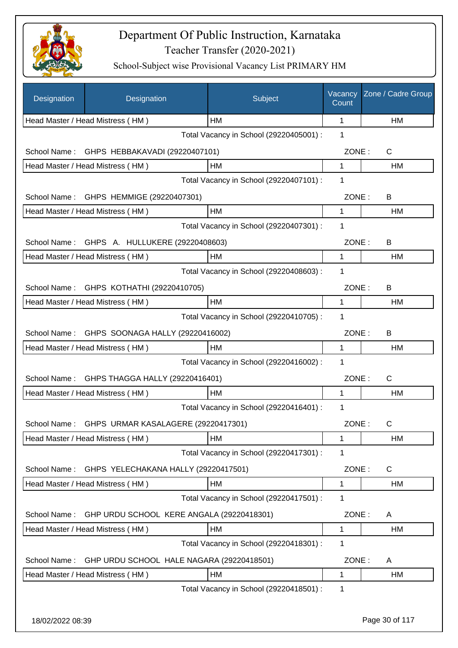

| Designation  | Designation                                      | Subject                                 | Vacancy<br>Count | Zone / Cadre Group |
|--------------|--------------------------------------------------|-----------------------------------------|------------------|--------------------|
|              | Head Master / Head Mistress (HM)                 | HM                                      | 1                | HM                 |
|              |                                                  | Total Vacancy in School (29220405001) : | 1                |                    |
| School Name: | GHPS HEBBAKAVADI (29220407101)                   |                                         | ZONE:            | C                  |
|              | Head Master / Head Mistress (HM)                 | HM                                      | 1                | HM                 |
|              |                                                  | Total Vacancy in School (29220407101) : | 1                |                    |
| School Name: | GHPS HEMMIGE (29220407301)                       |                                         | ZONE:            | B                  |
|              | Head Master / Head Mistress (HM)                 | <b>HM</b>                               | 1                | HM.                |
|              |                                                  | Total Vacancy in School (29220407301) : | 1                |                    |
| School Name: | GHPS A. HULLUKERE (29220408603)                  |                                         | ZONE:            | B                  |
|              | Head Master / Head Mistress (HM)                 | <b>HM</b>                               | 1                | HM                 |
|              |                                                  | Total Vacancy in School (29220408603) : | 1                |                    |
| School Name: | GHPS KOTHATHI (29220410705)                      |                                         | ZONE:            | B                  |
|              | Head Master / Head Mistress (HM)                 | HM                                      | 1                | HM                 |
|              |                                                  | Total Vacancy in School (29220410705) : | 1                |                    |
| School Name: | GHPS SOONAGA HALLY (29220416002)                 |                                         | ZONE:            | B                  |
|              | Head Master / Head Mistress (HM)                 | HM                                      | 1                | HM                 |
|              |                                                  | Total Vacancy in School (29220416002) : | 1                |                    |
| School Name: | GHPS THAGGA HALLY (29220416401)                  |                                         | ZONE:            | $\mathsf{C}$       |
|              | Head Master / Head Mistress (HM)                 | HM                                      | 1                | HM                 |
|              |                                                  | Total Vacancy in School (29220416401) : | 1                |                    |
|              | School Name: GHPS URMAR KASALAGERE (29220417301) |                                         | ZONE:            | C                  |
|              | Head Master / Head Mistress (HM)                 | HM                                      | 1                | HM                 |
|              |                                                  | Total Vacancy in School (29220417301) : | 1                |                    |
| School Name: | GHPS YELECHAKANA HALLY (29220417501)             |                                         | ZONE:            | C                  |
|              | Head Master / Head Mistress (HM)                 | HM                                      | 1                | HM                 |
|              |                                                  | Total Vacancy in School (29220417501) : | 1                |                    |
| School Name: | GHP URDU SCHOOL KERE ANGALA (29220418301)        |                                         | ZONE:            | A                  |
|              | Head Master / Head Mistress (HM)                 | HM                                      | 1                | HM                 |
|              |                                                  | Total Vacancy in School (29220418301) : | 1                |                    |
| School Name: | GHP URDU SCHOOL HALE NAGARA (29220418501)        |                                         | ZONE:            | A                  |
|              | Head Master / Head Mistress (HM)                 | HM                                      | 1                | HM                 |
|              |                                                  | Total Vacancy in School (29220418501) : | 1                |                    |
|              |                                                  |                                         |                  |                    |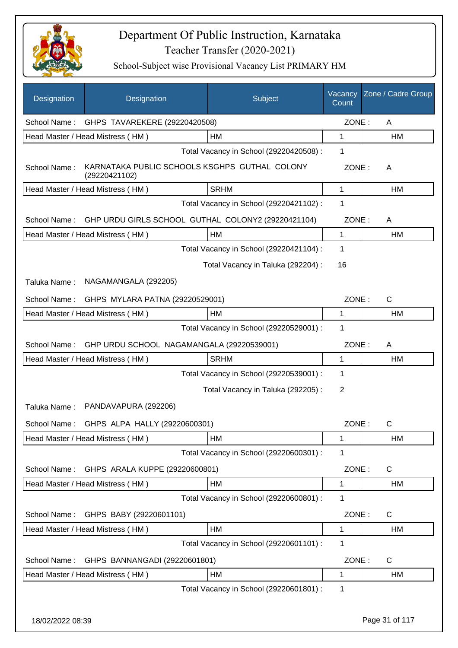

| Designation      | Designation                                                    | Subject                                 | Vacancy<br>Count | Zone / Cadre Group |
|------------------|----------------------------------------------------------------|-----------------------------------------|------------------|--------------------|
| School Name:     | GHPS TAVAREKERE (29220420508)                                  |                                         | ZONE:            | A                  |
|                  | Head Master / Head Mistress (HM)                               | <b>HM</b>                               | 1                | HM                 |
|                  |                                                                | Total Vacancy in School (29220420508) : | 1                |                    |
| School Name:     | KARNATAKA PUBLIC SCHOOLS KSGHPS GUTHAL COLONY<br>(29220421102) |                                         | ZONE:            | A                  |
|                  | Head Master / Head Mistress (HM)                               | <b>SRHM</b>                             | 1                | HM                 |
|                  |                                                                | Total Vacancy in School (29220421102) : | 1                |                    |
| School Name:     | GHP URDU GIRLS SCHOOL GUTHAL COLONY2 (29220421104)             |                                         | ZONE:            | A                  |
|                  | Head Master / Head Mistress (HM)                               | HM                                      | 1                | HM                 |
|                  |                                                                | Total Vacancy in School (29220421104) : | 1                |                    |
|                  |                                                                | Total Vacancy in Taluka (292204) :      | 16               |                    |
| Taluka Name:     | NAGAMANGALA (292205)                                           |                                         |                  |                    |
| School Name:     | GHPS MYLARA PATNA (29220529001)                                |                                         | ZONE:            | $\mathsf{C}$       |
|                  | Head Master / Head Mistress (HM)                               | НM                                      | 1                | HM                 |
|                  |                                                                | Total Vacancy in School (29220529001) : | 1                |                    |
| School Name:     | GHP URDU SCHOOL NAGAMANGALA (29220539001)                      |                                         | ZONE:            | A                  |
|                  | Head Master / Head Mistress (HM)                               | <b>SRHM</b>                             | 1                | HM                 |
|                  |                                                                | Total Vacancy in School (29220539001) : | 1                |                    |
|                  |                                                                | Total Vacancy in Taluka (292205):       | 2                |                    |
| Taluka Name:     | PANDAVAPURA (292206)                                           |                                         |                  |                    |
|                  | School Name: GHPS ALPA HALLY (29220600301)                     |                                         | ZONE:            | C                  |
|                  | Head Master / Head Mistress (HM)                               | HM                                      | 1                | HM                 |
|                  |                                                                | Total Vacancy in School (29220600301) : | 1                |                    |
| School Name:     | GHPS ARALA KUPPE (29220600801)                                 |                                         | ZONE:            | C                  |
|                  | Head Master / Head Mistress (HM)                               | HM                                      | 1                | HM                 |
|                  |                                                                | Total Vacancy in School (29220600801) : | 1                |                    |
| School Name:     | GHPS BABY (29220601101)                                        |                                         | ZONE:            | C                  |
|                  | Head Master / Head Mistress (HM)                               | <b>HM</b>                               | 1                | HM                 |
|                  |                                                                | Total Vacancy in School (29220601101) : | 1                |                    |
| School Name:     | GHPS BANNANGADI (29220601801)                                  |                                         | ZONE:            | C                  |
|                  | Head Master / Head Mistress (HM)                               | HM                                      | 1                | HM                 |
|                  |                                                                | Total Vacancy in School (29220601801) : | 1                |                    |
| 18/02/2022 08:39 |                                                                |                                         |                  | Page 31 of 117     |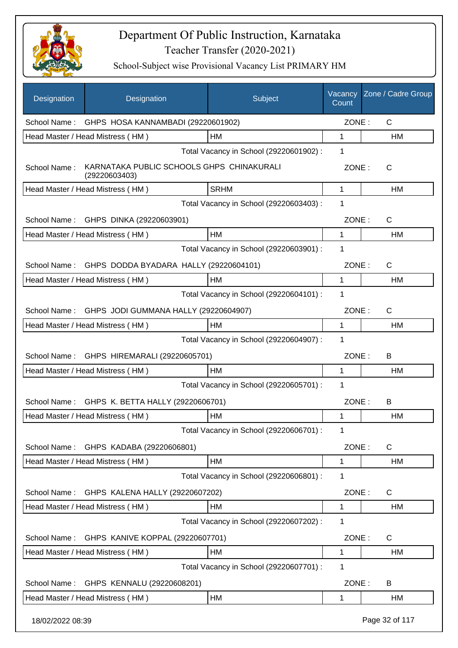

| Designation      | Designation                                                | Subject                                 | Vacancy<br>Count | Zone / Cadre Group |
|------------------|------------------------------------------------------------|-----------------------------------------|------------------|--------------------|
|                  | School Name: GHPS HOSA KANNAMBADI (29220601902)            |                                         | ZONE:            | C                  |
|                  | Head Master / Head Mistress (HM)                           | HM                                      | 1                | HM                 |
|                  |                                                            | Total Vacancy in School (29220601902) : | 1                |                    |
| School Name:     | KARNATAKA PUBLIC SCHOOLS GHPS CHINAKURALI<br>(29220603403) |                                         | ZONE:            | C                  |
|                  | Head Master / Head Mistress (HM)                           | <b>SRHM</b>                             | 1                | HM                 |
|                  |                                                            | Total Vacancy in School (29220603403) : | 1                |                    |
|                  | School Name: GHPS DINKA (29220603901)                      |                                         | ZONE:            | $\mathsf{C}$       |
|                  | Head Master / Head Mistress (HM)                           | HM                                      | 1                | HM                 |
|                  |                                                            | Total Vacancy in School (29220603901) : | 1                |                    |
| School Name:     | GHPS DODDA BYADARA HALLY (29220604101)                     |                                         | ZONE:            | $\mathsf{C}$       |
|                  | Head Master / Head Mistress (HM)                           | HМ                                      | 1                | <b>HM</b>          |
|                  |                                                            | Total Vacancy in School (29220604101) : | 1                |                    |
| School Name:     | GHPS JODI GUMMANA HALLY (29220604907)                      |                                         | ZONE:            | C                  |
|                  | Head Master / Head Mistress (HM)                           | <b>HM</b>                               | 1                | HM                 |
|                  |                                                            | Total Vacancy in School (29220604907) : | 1                |                    |
|                  | School Name: GHPS HIREMARALI (29220605701)                 |                                         | ZONE:            | B                  |
|                  | Head Master / Head Mistress (HM)                           | <b>HM</b>                               | 1                | HM                 |
|                  |                                                            | Total Vacancy in School (29220605701) : | 1                |                    |
| School Name:     | GHPS K. BETTA HALLY (29220606701)                          |                                         | ZONE:            | B                  |
|                  | Head Master / Head Mistress (HM)                           | <b>HM</b>                               | 1                | <b>HM</b>          |
|                  |                                                            | Total Vacancy in School (29220606701) : | 1                |                    |
| School Name:     | GHPS KADABA (29220606801)                                  |                                         | ZONE:            | $\mathsf{C}$       |
|                  | Head Master / Head Mistress (HM)                           | HM                                      | 1                | HM                 |
|                  |                                                            | Total Vacancy in School (29220606801) : | 1                |                    |
| School Name:     | GHPS KALENA HALLY (29220607202)                            |                                         | ZONE:            | C                  |
|                  | Head Master / Head Mistress (HM)                           | НM                                      | 1                | HM                 |
|                  |                                                            | Total Vacancy in School (29220607202) : | 1                |                    |
| School Name:     | GHPS KANIVE KOPPAL (29220607701)                           |                                         | ZONE:            | C                  |
|                  | Head Master / Head Mistress (HM)                           | HM                                      | 1                | HM                 |
|                  |                                                            | Total Vacancy in School (29220607701) : | 1                |                    |
| School Name:     | GHPS KENNALU (29220608201)                                 |                                         | ZONE:            | B                  |
|                  | Head Master / Head Mistress (HM)                           | НM                                      | 1                | HM                 |
| 18/02/2022 08:39 |                                                            |                                         |                  | Page 32 of 117     |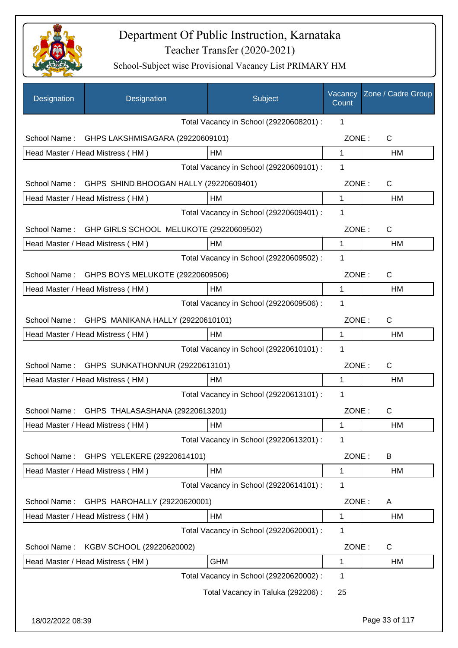

| Designation  | Designation                                  | Subject                                 | Vacancy<br>Count | Zone / Cadre Group |
|--------------|----------------------------------------------|-----------------------------------------|------------------|--------------------|
|              |                                              | Total Vacancy in School (29220608201) : | 1                |                    |
| School Name: | GHPS LAKSHMISAGARA (29220609101)             |                                         | ZONE:            | C                  |
|              | Head Master / Head Mistress (HM)             | HM                                      | 1                | HM                 |
|              |                                              | Total Vacancy in School (29220609101) : | 1                |                    |
| School Name: | GHPS SHIND BHOOGAN HALLY (29220609401)       |                                         | ZONE:            | C                  |
|              | Head Master / Head Mistress (HM)             | HM                                      | $\mathbf{1}$     | HM                 |
|              |                                              | Total Vacancy in School (29220609401) : | 1                |                    |
| School Name: | GHP GIRLS SCHOOL MELUKOTE (29220609502)      |                                         | ZONE:            | $\mathsf{C}$       |
|              | Head Master / Head Mistress (HM)             | НM                                      | 1                | HM                 |
|              |                                              | Total Vacancy in School (29220609502) : | 1                |                    |
| School Name: | GHPS BOYS MELUKOTE (29220609506)             |                                         | ZONE:            | C                  |
|              | Head Master / Head Mistress (HM)             | HM                                      | 1                | HM                 |
|              |                                              | Total Vacancy in School (29220609506) : | 1                |                    |
| School Name: | GHPS MANIKANA HALLY (29220610101)            |                                         | ZONE:            | C                  |
|              | Head Master / Head Mistress (HM)             | HM                                      | 1                | HM                 |
|              |                                              | Total Vacancy in School (29220610101) : | 1                |                    |
| School Name: | GHPS SUNKATHONNUR (29220613101)              |                                         | ZONE:            | $\mathsf{C}$       |
|              | Head Master / Head Mistress (HM)             | НM                                      | 1                | HM                 |
|              |                                              | Total Vacancy in School (29220613101) : | 1                |                    |
|              | School Name: GHPS THALASASHANA (29220613201) |                                         | ZONE:            | C                  |
|              | Head Master / Head Mistress (HM)             | HM                                      | 1                | HM                 |
|              |                                              | Total Vacancy in School (29220613201) : | 1                |                    |
| School Name: | GHPS YELEKERE (29220614101)                  |                                         | ZONE:            | B                  |
|              | Head Master / Head Mistress (HM)             | HM                                      | 1                | HM                 |
|              |                                              | Total Vacancy in School (29220614101) : | 1                |                    |
| School Name: | GHPS HAROHALLY (29220620001)                 |                                         | ZONE:            | A                  |
|              | Head Master / Head Mistress (HM)             | HM                                      | 1                | HM                 |
|              |                                              | Total Vacancy in School (29220620001) : | 1                |                    |
| School Name: | KGBV SCHOOL (29220620002)                    |                                         | ZONE:            | C                  |
|              | Head Master / Head Mistress (HM)             | <b>GHM</b>                              | 1                | HM                 |
|              |                                              | Total Vacancy in School (29220620002) : | 1                |                    |
|              |                                              | Total Vacancy in Taluka (292206):       | 25               |                    |
|              |                                              |                                         |                  |                    |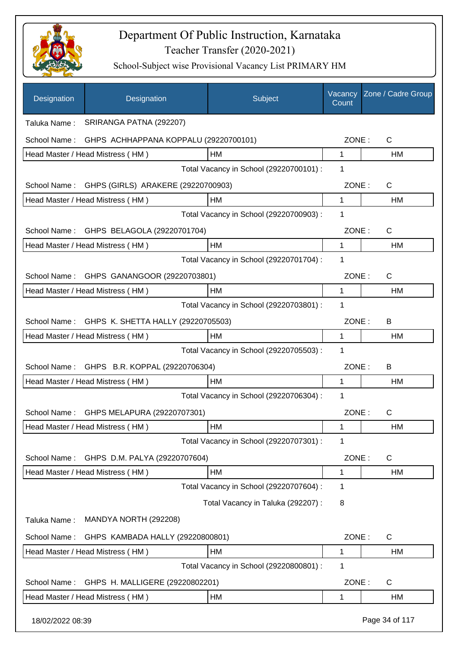

| Designation      | Designation                                     | Subject                                 | Vacancy<br>Count | Zone / Cadre Group |
|------------------|-------------------------------------------------|-----------------------------------------|------------------|--------------------|
| Taluka Name:     | SRIRANGA PATNA (292207)                         |                                         |                  |                    |
| School Name:     | GHPS ACHHAPPANA KOPPALU (29220700101)           |                                         | ZONE:            | $\mathsf{C}$       |
|                  | Head Master / Head Mistress (HM)                | HM                                      | 1                | HM                 |
|                  |                                                 | Total Vacancy in School (29220700101) : | 1                |                    |
|                  | School Name: GHPS (GIRLS) ARAKERE (29220700903) |                                         | ZONE:            | C                  |
|                  | Head Master / Head Mistress (HM)                | HM                                      | $\mathbf{1}$     | HM                 |
|                  |                                                 | Total Vacancy in School (29220700903) : | 1                |                    |
| School Name:     | GHPS BELAGOLA (29220701704)                     |                                         | ZONE:            | C                  |
|                  | Head Master / Head Mistress (HM)                | <b>HM</b>                               | $\mathbf{1}$     | HM                 |
|                  |                                                 | Total Vacancy in School (29220701704) : | 1                |                    |
|                  | School Name: GHPS GANANGOOR (29220703801)       |                                         | ZONE:            | $\mathsf{C}$       |
|                  | Head Master / Head Mistress (HM)                | HM                                      | 1                | HM                 |
|                  |                                                 | Total Vacancy in School (29220703801) : | 1                |                    |
| School Name:     | GHPS K. SHETTA HALLY (29220705503)              |                                         | ZONE:            | B                  |
|                  | Head Master / Head Mistress (HM)                | HM                                      | 1                | HM                 |
|                  |                                                 | Total Vacancy in School (29220705503) : | 1                |                    |
| School Name:     | GHPS B.R. KOPPAL (29220706304)                  |                                         | ZONE:            | B                  |
|                  | Head Master / Head Mistress (HM)                | HM                                      | 1                | HM                 |
|                  |                                                 | Total Vacancy in School (29220706304) : | 1                |                    |
|                  | School Name: GHPS MELAPURA (29220707301)        |                                         | ZONE:            | C                  |
|                  | Head Master / Head Mistress (HM)                | <b>HM</b>                               | 1                | HM                 |
|                  |                                                 | Total Vacancy in School (29220707301) : | 1                |                    |
| School Name:     | GHPS D.M. PALYA (29220707604)                   |                                         | ZONE:            | C                  |
|                  | Head Master / Head Mistress (HM)                | HM                                      | 1                | HM                 |
|                  |                                                 | Total Vacancy in School (29220707604) : | 1                |                    |
|                  |                                                 | Total Vacancy in Taluka (292207) :      | 8                |                    |
| Taluka Name:     | MANDYA NORTH (292208)                           |                                         |                  |                    |
| School Name:     | GHPS KAMBADA HALLY (29220800801)                |                                         | ZONE:            | $\mathsf{C}$       |
|                  | Head Master / Head Mistress (HM)                | HM                                      | 1                | HM                 |
|                  |                                                 | Total Vacancy in School (29220800801) : | 1                |                    |
| School Name:     | GHPS H. MALLIGERE (29220802201)                 |                                         | ZONE:            | C                  |
|                  | Head Master / Head Mistress (HM)                | НM                                      | 1                | HM                 |
| 18/02/2022 08:39 |                                                 |                                         |                  | Page 34 of 117     |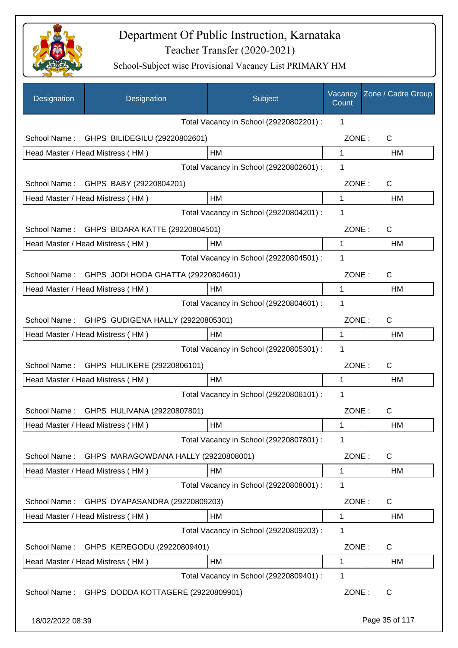

| Designation      | Designation                                      | Subject                                 | Vacancy<br>Count | Zone / Cadre Group |
|------------------|--------------------------------------------------|-----------------------------------------|------------------|--------------------|
|                  |                                                  | Total Vacancy in School (29220802201) : | 1                |                    |
| School Name:     | GHPS BILIDEGILU (29220802601)                    |                                         | ZONE:            | C                  |
|                  | Head Master / Head Mistress (HM)                 | HM                                      | 1                | HM                 |
|                  |                                                  | Total Vacancy in School (29220802601) : | $\mathbf 1$      |                    |
|                  | School Name: GHPS BABY (29220804201)             |                                         | ZONE:            | C                  |
|                  | Head Master / Head Mistress (HM)                 | HM                                      | 1                | HM                 |
|                  |                                                  | Total Vacancy in School (29220804201) : | 1                |                    |
|                  | School Name: GHPS BIDARA KATTE (29220804501)     |                                         | ZONE:            | C                  |
|                  | Head Master / Head Mistress (HM)                 | HM                                      | 1                | НM                 |
|                  |                                                  | Total Vacancy in School (29220804501) : | 1                |                    |
|                  | School Name: GHPS JODI HODA GHATTA (29220804601) |                                         | ZONE:            | C                  |
|                  | Head Master / Head Mistress (HM)                 | HM                                      | 1                | <b>HM</b>          |
|                  |                                                  | Total Vacancy in School (29220804601) : | 1                |                    |
| School Name:     | GHPS GUDIGENA HALLY (29220805301)                |                                         | ZONE:            | $\mathsf{C}$       |
|                  | Head Master / Head Mistress (HM)                 | HМ                                      | 1                | HM                 |
|                  |                                                  | Total Vacancy in School (29220805301) : | 1                |                    |
| School Name:     | GHPS HULIKERE (29220806101)                      |                                         | ZONE:            | C                  |
|                  | Head Master / Head Mistress (HM)                 | HM                                      | 1                | HM                 |
|                  |                                                  | Total Vacancy in School (29220806101) : | 1                |                    |
|                  | School Name: GHPS HULIVANA (29220807801)         |                                         | ZONE:            | C                  |
|                  | Head Master / Head Mistress (HM)                 | HM                                      | 1                | HM                 |
|                  |                                                  | Total Vacancy in School (29220807801) : | 1                |                    |
| School Name:     | GHPS MARAGOWDANA HALLY (29220808001)             |                                         | ZONE:            | C                  |
|                  | Head Master / Head Mistress (HM)                 | HМ                                      | 1                | НM                 |
|                  |                                                  | Total Vacancy in School (29220808001) : | 1                |                    |
| School Name:     | GHPS DYAPASANDRA (29220809203)                   |                                         | ZONE:            | C                  |
|                  | Head Master / Head Mistress (HM)                 | НM                                      | 1                | HM                 |
|                  |                                                  | Total Vacancy in School (29220809203) : | 1                |                    |
| School Name:     | GHPS KEREGODU (29220809401)                      |                                         | ZONE:            | C                  |
|                  | Head Master / Head Mistress (HM)                 | HM                                      | 1                | HM                 |
|                  |                                                  | Total Vacancy in School (29220809401) : | 1                |                    |
|                  | School Name: GHPS DODDA KOTTAGERE (29220809901)  |                                         | ZONE:            | C                  |
| 18/02/2022 08:39 |                                                  |                                         |                  | Page 35 of 117     |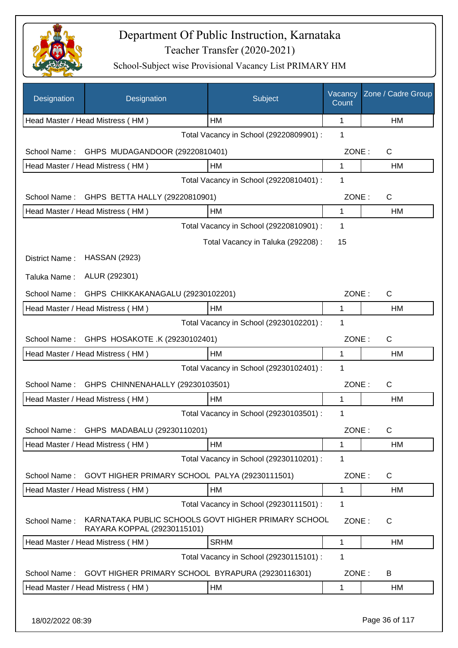

| Designation    | Designation                                                                        | Subject                                 | Vacancy<br>Count | Zone / Cadre Group |
|----------------|------------------------------------------------------------------------------------|-----------------------------------------|------------------|--------------------|
|                | Head Master / Head Mistress (HM)                                                   | HM                                      | 1                | HM                 |
|                |                                                                                    | Total Vacancy in School (29220809901) : | 1                |                    |
| School Name:   | GHPS MUDAGANDOOR (29220810401)                                                     |                                         | ZONE:            | C                  |
|                | Head Master / Head Mistress (HM)                                                   | HM                                      | 1                | НM                 |
|                |                                                                                    | Total Vacancy in School (29220810401) : | 1                |                    |
| School Name:   | GHPS BETTA HALLY (29220810901)                                                     |                                         | ZONE:            | C                  |
|                | Head Master / Head Mistress (HM)                                                   | HM                                      | $\mathbf{1}$     | НM                 |
|                |                                                                                    | Total Vacancy in School (29220810901) : | $\mathbf 1$      |                    |
|                |                                                                                    | Total Vacancy in Taluka (292208) :      | 15               |                    |
| District Name: | <b>HASSAN (2923)</b>                                                               |                                         |                  |                    |
| Taluka Name:   | ALUR (292301)                                                                      |                                         |                  |                    |
| School Name:   | GHPS CHIKKAKANAGALU (29230102201)                                                  |                                         | ZONE:            | C                  |
|                | Head Master / Head Mistress (HM)                                                   | HM                                      | 1                | HM                 |
|                |                                                                                    | Total Vacancy in School (29230102201) : | 1                |                    |
| School Name:   | GHPS HOSAKOTE .K (29230102401)                                                     |                                         | ZONE:            | C                  |
|                | Head Master / Head Mistress (HM)                                                   | HM                                      | 1                | HM                 |
|                |                                                                                    | Total Vacancy in School (29230102401) : | 1                |                    |
| School Name:   | GHPS CHINNENAHALLY (29230103501)                                                   |                                         | ZONE:            | C                  |
|                | Head Master / Head Mistress (HM)                                                   | HM                                      | 1                | HM                 |
|                |                                                                                    | Total Vacancy in School (29230103501) : | 1                |                    |
|                | School Name: GHPS MADABALU (29230110201)                                           |                                         | ZONE:            | $\mathsf C$        |
|                | Head Master / Head Mistress (HM)                                                   | HM                                      | 1                | HM                 |
|                |                                                                                    | Total Vacancy in School (29230110201) : | 1                |                    |
| School Name:   | GOVT HIGHER PRIMARY SCHOOL PALYA (29230111501)                                     |                                         | ZONE:            | C                  |
|                | Head Master / Head Mistress (HM)                                                   | HM                                      | 1                | НM                 |
|                |                                                                                    | Total Vacancy in School (29230111501) : | 1                |                    |
| School Name:   | KARNATAKA PUBLIC SCHOOLS GOVT HIGHER PRIMARY SCHOOL<br>RAYARA KOPPAL (29230115101) |                                         | ZONE:            | С                  |
|                | Head Master / Head Mistress (HM)                                                   | <b>SRHM</b>                             | 1                | HM                 |
|                |                                                                                    | Total Vacancy in School (29230115101) : | 1                |                    |
| School Name:   | GOVT HIGHER PRIMARY SCHOOL BYRAPURA (29230116301)                                  |                                         | ZONE:            | B                  |
|                | Head Master / Head Mistress (HM)                                                   | HM                                      | 1                | НM                 |
|                |                                                                                    |                                         |                  |                    |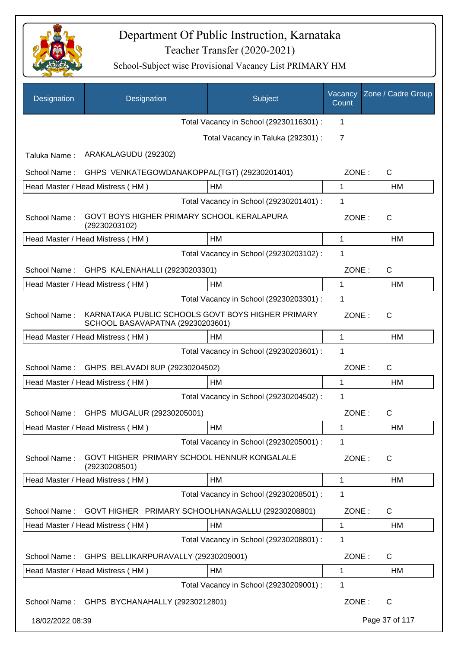

| Designation                                    | Designation                                                                           | Subject                                 | Vacancy<br>Count | Zone / Cadre Group |
|------------------------------------------------|---------------------------------------------------------------------------------------|-----------------------------------------|------------------|--------------------|
|                                                |                                                                                       | Total Vacancy in School (29230116301) : | 1                |                    |
|                                                |                                                                                       | Total Vacancy in Taluka (292301) :      | $\overline{7}$   |                    |
| Taluka Name:                                   | ARAKALAGUDU (292302)                                                                  |                                         |                  |                    |
| School Name:                                   | GHPS VENKATEGOWDANAKOPPAL(TGT) (29230201401)                                          |                                         | ZONE:            | $\mathsf{C}$       |
|                                                | Head Master / Head Mistress (HM)                                                      | НM                                      | 1                | HM                 |
|                                                |                                                                                       | Total Vacancy in School (29230201401) : | 1                |                    |
| School Name:                                   | GOVT BOYS HIGHER PRIMARY SCHOOL KERALAPURA<br>(29230203102)                           |                                         | ZONE:            | $\mathsf{C}$       |
|                                                | Head Master / Head Mistress (HM)                                                      | HM                                      | 1                | НM                 |
|                                                |                                                                                       | Total Vacancy in School (29230203102) : | 1                |                    |
| GHPS KALENAHALLI (29230203301)<br>School Name: | ZONE:                                                                                 | $\mathsf{C}$                            |                  |                    |
|                                                | Head Master / Head Mistress (HM)                                                      | HM                                      | 1                | HM                 |
|                                                |                                                                                       | Total Vacancy in School (29230203301) : | 1                |                    |
| School Name:                                   | KARNATAKA PUBLIC SCHOOLS GOVT BOYS HIGHER PRIMARY<br>SCHOOL BASAVAPATNA (29230203601) |                                         | ZONE:            | $\mathsf{C}$       |
|                                                | Head Master / Head Mistress (HM)                                                      | HM                                      | 1                | HM                 |
|                                                |                                                                                       | Total Vacancy in School (29230203601) : | 1                |                    |
| School Name:                                   | GHPS BELAVADI 8UP (29230204502)                                                       |                                         | ZONE:            | $\mathsf{C}$       |
|                                                | Head Master / Head Mistress (HM)                                                      | HM                                      | 1                | НM                 |
|                                                |                                                                                       | Total Vacancy in School (29230204502) : | 1                |                    |
| School Name:                                   | GHPS MUGALUR (29230205001)                                                            |                                         | ZONE:            | $\mathsf{C}$       |
|                                                | Head Master / Head Mistress (HM)                                                      | HM                                      | 1                | HМ                 |
|                                                |                                                                                       | Total Vacancy in School (29230205001) : | 1                |                    |
| School Name:                                   | GOVT HIGHER PRIMARY SCHOOL HENNUR KONGALALE<br>(29230208501)                          |                                         | ZONE:            | $\mathsf{C}$       |
|                                                | Head Master / Head Mistress (HM)                                                      | HM                                      | 1                | HM                 |
|                                                |                                                                                       | Total Vacancy in School (29230208501) : | 1                |                    |
| School Name:                                   | GOVT HIGHER PRIMARY SCHOOLHANAGALLU (29230208801)                                     |                                         | ZONE:            | $\mathsf{C}$       |
|                                                | Head Master / Head Mistress (HM)                                                      | HM                                      | 1                | HM                 |
|                                                |                                                                                       | Total Vacancy in School (29230208801) : | 1                |                    |
| School Name:                                   | GHPS BELLIKARPURAVALLY (29230209001)                                                  |                                         | ZONE:            | $\mathsf{C}$       |
|                                                | Head Master / Head Mistress (HM)                                                      | HM                                      | 1                | HM                 |
|                                                |                                                                                       | Total Vacancy in School (29230209001) : | 1                |                    |
|                                                | School Name: GHPS BYCHANAHALLY (29230212801)                                          |                                         | ZONE:            | $\mathsf{C}$       |
| 18/02/2022 08:39                               |                                                                                       |                                         |                  | Page 37 of 117     |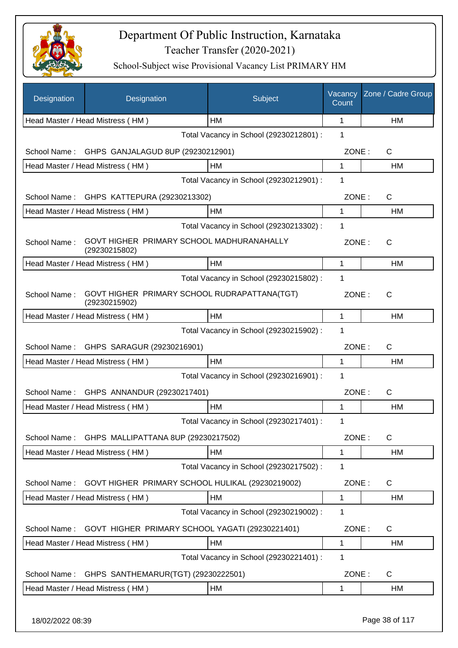

| Designation  | Designation                                                   | Subject                                 | Vacancy<br>Count | Zone / Cadre Group |
|--------------|---------------------------------------------------------------|-----------------------------------------|------------------|--------------------|
|              | Head Master / Head Mistress (HM)                              | <b>HM</b>                               | 1                | HM                 |
|              |                                                               | Total Vacancy in School (29230212801) : | 1                |                    |
| School Name: | GHPS GANJALAGUD 8UP (29230212901)                             |                                         | ZONE:            | C                  |
|              | Head Master / Head Mistress (HM)                              | HM                                      | 1                | HM                 |
|              |                                                               | Total Vacancy in School (29230212901) : | 1                |                    |
| School Name: | GHPS KATTEPURA (29230213302)                                  |                                         | ZONE:            | C                  |
|              | Head Master / Head Mistress (HM)                              | HM                                      | 1                | НM                 |
|              |                                                               | Total Vacancy in School (29230213302) : | 1                |                    |
| School Name: | GOVT HIGHER PRIMARY SCHOOL MADHURANAHALLY<br>(29230215802)    |                                         | ZONE:            | С                  |
|              | Head Master / Head Mistress (HM)                              | <b>HM</b>                               | $\mathbf{1}$     | <b>HM</b>          |
|              |                                                               | Total Vacancy in School (29230215802) : | 1                |                    |
| School Name: | GOVT HIGHER PRIMARY SCHOOL RUDRAPATTANA(TGT)<br>(29230215902) |                                         | ZONE:            | $\mathsf{C}$       |
|              | Head Master / Head Mistress (HM)                              | HM                                      | $\mathbf 1$      | HM                 |
|              |                                                               | Total Vacancy in School (29230215902) : | 1                |                    |
| School Name: | GHPS SARAGUR (29230216901)                                    |                                         | ZONE:            | C                  |
|              | Head Master / Head Mistress (HM)                              | HM                                      | 1                | HM                 |
|              |                                                               | Total Vacancy in School (29230216901) : | 1                |                    |
| School Name: | GHPS ANNANDUR (29230217401)                                   |                                         | ZONE:            | C                  |
|              | Head Master / Head Mistress (HM)                              | <b>HM</b>                               | 1                | <b>HM</b>          |
|              |                                                               | Total Vacancy in School (29230217401) : | 1                |                    |
| School Name: | GHPS MALLIPATTANA 8UP (29230217502)                           |                                         | ZONE:            | C                  |
|              | Head Master / Head Mistress (HM)                              | HM                                      | 1                | HM                 |
|              |                                                               | Total Vacancy in School (29230217502) : | 1                |                    |
| School Name: | GOVT HIGHER PRIMARY SCHOOL HULIKAL (29230219002)              |                                         | ZONE:            | $\mathsf C$        |
|              | Head Master / Head Mistress (HM)                              | HM                                      | 1                | НM                 |
|              |                                                               | Total Vacancy in School (29230219002) : | 1                |                    |
| School Name: | GOVT HIGHER PRIMARY SCHOOL YAGATI (29230221401)               |                                         | ZONE:            | $\mathsf{C}$       |
|              | Head Master / Head Mistress (HM)                              | HM                                      | 1                | HM                 |
|              |                                                               | Total Vacancy in School (29230221401) : | 1                |                    |
| School Name: | GHPS SANTHEMARUR(TGT) (29230222501)                           |                                         | ZONE:            | $\mathsf{C}$       |
|              | Head Master / Head Mistress (HM)                              | HM                                      | 1                | HM                 |
|              |                                                               |                                         |                  |                    |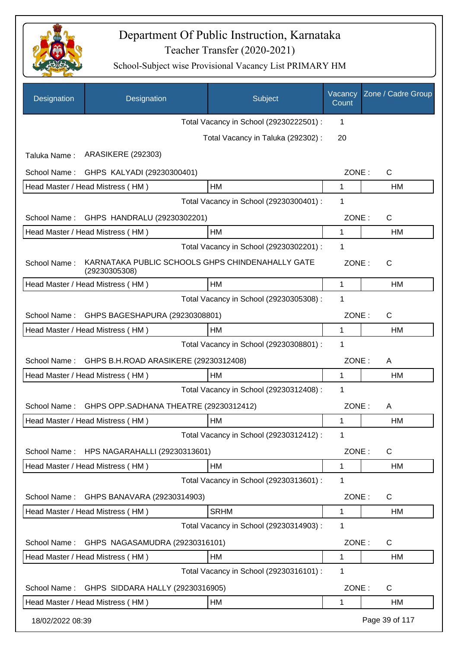

| Designation      | Designation                                                       | Subject                                 | Vacancy<br>Count | Zone / Cadre Group |
|------------------|-------------------------------------------------------------------|-----------------------------------------|------------------|--------------------|
|                  |                                                                   | Total Vacancy in School (29230222501) : | 1                |                    |
|                  |                                                                   | Total Vacancy in Taluka (292302) :      | 20               |                    |
| Taluka Name:     | <b>ARASIKERE (292303)</b>                                         |                                         |                  |                    |
| School Name:     | GHPS KALYADI (29230300401)                                        |                                         | ZONE:            | C                  |
|                  | Head Master / Head Mistress (HM)                                  | НM                                      | 1                | HM                 |
|                  |                                                                   | Total Vacancy in School (29230300401) : | 1                |                    |
| School Name:     | GHPS HANDRALU (29230302201)                                       |                                         | ZONE:            | $\mathsf{C}$       |
|                  | Head Master / Head Mistress (HM)                                  | HM                                      | 1                | <b>HM</b>          |
|                  |                                                                   | Total Vacancy in School (29230302201) : | 1                |                    |
| School Name:     | KARNATAKA PUBLIC SCHOOLS GHPS CHINDENAHALLY GATE<br>(29230305308) |                                         | ZONE:            | $\mathsf{C}$       |
|                  | Head Master / Head Mistress (HM)                                  | HM                                      | 1                | HM                 |
|                  |                                                                   | Total Vacancy in School (29230305308) : | 1                |                    |
| School Name:     | GHPS BAGESHAPURA (29230308801)                                    |                                         | ZONE:            | $\mathsf{C}$       |
|                  | Head Master / Head Mistress (HM)                                  | HM                                      | 1                | HM                 |
|                  |                                                                   | Total Vacancy in School (29230308801) : | 1                |                    |
| School Name:     | GHPS B.H.ROAD ARASIKERE (29230312408)                             |                                         | ZONE:            | A                  |
|                  | Head Master / Head Mistress (HM)                                  | HM                                      | 1                | <b>HM</b>          |
|                  |                                                                   | Total Vacancy in School (29230312408) : | 1                |                    |
| School Name:     | GHPS OPP.SADHANA THEATRE (29230312412)                            |                                         | ZONE:            | A                  |
|                  | Head Master / Head Mistress (HM)                                  | HM                                      | 1                | <b>HM</b>          |
|                  |                                                                   | Total Vacancy in School (29230312412) : | 1                |                    |
| School Name:     | HPS NAGARAHALLI (29230313601)                                     |                                         | ZONE:            | $\mathsf{C}$       |
|                  | Head Master / Head Mistress (HM)                                  | HM                                      | 1                | HM                 |
|                  |                                                                   | Total Vacancy in School (29230313601) : | 1                |                    |
| School Name:     | GHPS BANAVARA (29230314903)                                       |                                         | ZONE:            | C                  |
|                  | Head Master / Head Mistress (HM)                                  | <b>SRHM</b>                             | 1                | HM                 |
|                  |                                                                   | Total Vacancy in School (29230314903) : | 1                |                    |
| School Name:     | GHPS NAGASAMUDRA (29230316101)                                    |                                         | ZONE:            | C                  |
|                  | Head Master / Head Mistress (HM)                                  | HM                                      | 1                | HM                 |
|                  |                                                                   | Total Vacancy in School (29230316101) : | 1                |                    |
| School Name:     | GHPS SIDDARA HALLY (29230316905)                                  |                                         | ZONE:            | C                  |
|                  | Head Master / Head Mistress (HM)                                  | HM                                      | 1                | HM                 |
| 18/02/2022 08:39 |                                                                   |                                         |                  | Page 39 of 117     |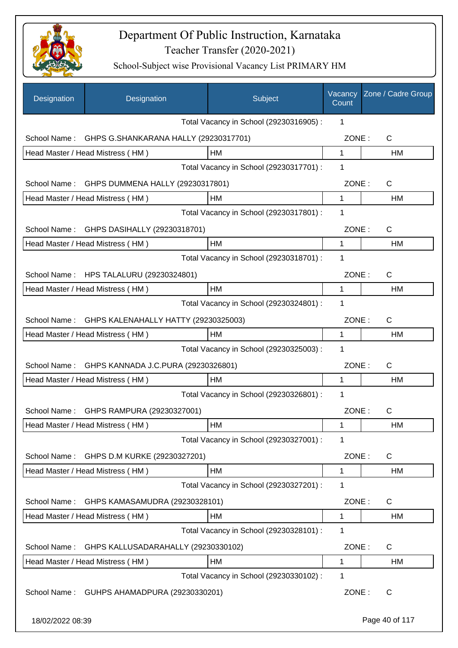

| Designation      | Designation                             | Subject                                 | Vacancy<br>Count | Zone / Cadre Group |
|------------------|-----------------------------------------|-----------------------------------------|------------------|--------------------|
|                  |                                         | Total Vacancy in School (29230316905) : | 1                |                    |
| School Name:     | GHPS G.SHANKARANA HALLY (29230317701)   |                                         | ZONE:            | C                  |
|                  | Head Master / Head Mistress (HM)        | HM                                      | $\mathbf 1$      | HM                 |
|                  |                                         | Total Vacancy in School (29230317701) : | 1                |                    |
| School Name:     | GHPS DUMMENA HALLY (29230317801)        |                                         | ZONE:            | $\mathsf C$        |
|                  | Head Master / Head Mistress (HM)        | HM                                      | $\mathbf 1$      | <b>HM</b>          |
|                  |                                         | Total Vacancy in School (29230317801) : | 1                |                    |
| School Name:     | GHPS DASIHALLY (29230318701)            |                                         | ZONE:            | C                  |
|                  | Head Master / Head Mistress (HM)        | HM                                      | 1                | HM                 |
|                  |                                         | Total Vacancy in School (29230318701) : | 1                |                    |
|                  | School Name: HPS TALALURU (29230324801) |                                         | ZONE:            | C                  |
|                  | Head Master / Head Mistress (HM)        | HM                                      | 1                | НM                 |
|                  |                                         | Total Vacancy in School (29230324801) : | 1                |                    |
| School Name:     | GHPS KALENAHALLY HATTY (29230325003)    |                                         | ZONE:            | C                  |
|                  | Head Master / Head Mistress (HM)        | НM                                      | 1                | НM                 |
|                  |                                         | Total Vacancy in School (29230325003) : | 1                |                    |
| School Name:     | GHPS KANNADA J.C.PURA (29230326801)     |                                         | ZONE:            | $\mathsf{C}$       |
|                  | Head Master / Head Mistress (HM)        | <b>HM</b>                               | 1                | <b>HM</b>          |
|                  |                                         | Total Vacancy in School (29230326801) : | 1                |                    |
| School Name:     | GHPS RAMPURA (29230327001)              |                                         | ZONE:            | C                  |
|                  | Head Master / Head Mistress (HM)        | HM                                      | 1                | HM                 |
|                  |                                         | Total Vacancy in School (29230327001) : | 1                |                    |
| School Name:     | GHPS D.M KURKE (29230327201)            |                                         | ZONE:            | C                  |
|                  | Head Master / Head Mistress (HM)        | HM                                      | 1                | HM                 |
|                  |                                         | Total Vacancy in School (29230327201) : | 1                |                    |
| School Name:     | GHPS KAMASAMUDRA (29230328101)          |                                         | ZONE:            | C                  |
|                  | Head Master / Head Mistress (HM)        | HM                                      | 1                | HM                 |
|                  |                                         | Total Vacancy in School (29230328101) : | 1                |                    |
| School Name:     | GHPS KALLUSADARAHALLY (29230330102)     |                                         | ZONE:            | C                  |
|                  | Head Master / Head Mistress (HM)        | HM                                      | 1                | НM                 |
|                  |                                         | Total Vacancy in School (29230330102) : | 1                |                    |
| School Name:     | GUHPS AHAMADPURA (29230330201)          |                                         | ZONE:            | C                  |
| 18/02/2022 08:39 |                                         |                                         |                  | Page 40 of 117     |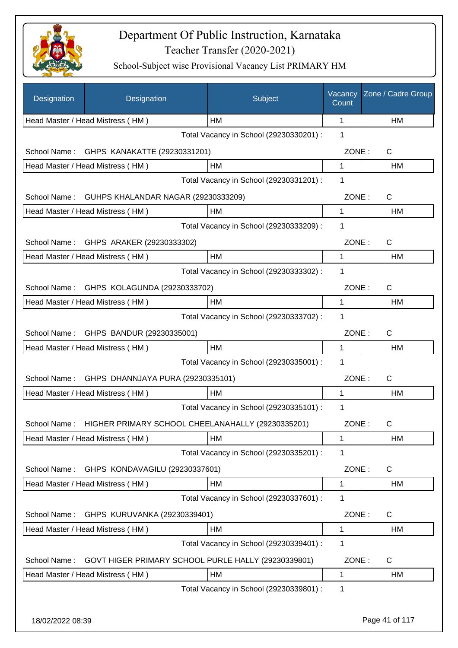

| Designation   | Designation                               | Subject                                             | Vacancy<br>Count | Zone / Cadre Group |
|---------------|-------------------------------------------|-----------------------------------------------------|------------------|--------------------|
|               | Head Master / Head Mistress (HM)          | HM                                                  | 1                | HM                 |
|               |                                           | Total Vacancy in School (29230330201) :             | 1                |                    |
| School Name:  | GHPS KANAKATTE (29230331201)              |                                                     | ZONE:            | $\mathsf{C}$       |
|               | Head Master / Head Mistress (HM)          | HM                                                  | 1                | HM                 |
|               |                                           | Total Vacancy in School (29230331201) :             | 1                |                    |
| School Name:  | GUHPS KHALANDAR NAGAR (29230333209)       |                                                     | ZONE:            | $\mathsf{C}$       |
|               | Head Master / Head Mistress (HM)          | HM                                                  | 1                | HM                 |
|               |                                           | Total Vacancy in School (29230333209) :             | 1                |                    |
|               | School Name: GHPS ARAKER (29230333302)    |                                                     | ZONE:            | $\mathsf{C}$       |
|               | Head Master / Head Mistress (HM)          | HM                                                  | 1                | HM                 |
|               |                                           | Total Vacancy in School (29230333302) :             | 1                |                    |
|               | School Name: GHPS KOLAGUNDA (29230333702) |                                                     | ZONE:            | $\mathsf{C}$       |
|               | Head Master / Head Mistress (HM)          | HM                                                  | 1                | HM                 |
|               |                                           | Total Vacancy in School (29230333702) :             | 1                |                    |
|               | School Name: GHPS BANDUR (29230335001)    |                                                     | ZONE:            | $\mathsf{C}$       |
|               | Head Master / Head Mistress (HM)          | HM                                                  | 1                | HM                 |
|               |                                           | Total Vacancy in School (29230335001) :             | 1                |                    |
| School Name:  | GHPS DHANNJAYA PURA (29230335101)         |                                                     | ZONE:            | $\mathsf{C}$       |
|               | Head Master / Head Mistress (HM)          | HM                                                  | $\mathbf 1$      | HM                 |
|               |                                           | Total Vacancy in School (29230335101) :             | 1                |                    |
| School Name : |                                           | HIGHER PRIMARY SCHOOL CHEELANAHALLY (29230335201)   | ZONE:            | C.                 |
|               | Head Master / Head Mistress (HM)          | HM                                                  | 1                | HM                 |
|               |                                           | Total Vacancy in School (29230335201) :             | 1                |                    |
| School Name:  | GHPS KONDAVAGILU (29230337601)            |                                                     | ZONE:            | $\mathsf{C}$       |
|               | Head Master / Head Mistress (HM)          | HM                                                  | 1                | HM                 |
|               |                                           | Total Vacancy in School (29230337601) :             | 1                |                    |
| School Name:  | GHPS KURUVANKA (29230339401)              |                                                     | ZONE:            | C                  |
|               | Head Master / Head Mistress (HM)          | HM                                                  | 1                | HM                 |
|               |                                           | Total Vacancy in School (29230339401) :             | 1                |                    |
| School Name:  |                                           | GOVT HIGER PRIMARY SCHOOL PURLE HALLY (29230339801) | ZONE:            | C                  |
|               | Head Master / Head Mistress (HM)          | HM                                                  | 1                | HM                 |
|               |                                           | Total Vacancy in School (29230339801) :             | 1                |                    |
|               |                                           |                                                     |                  |                    |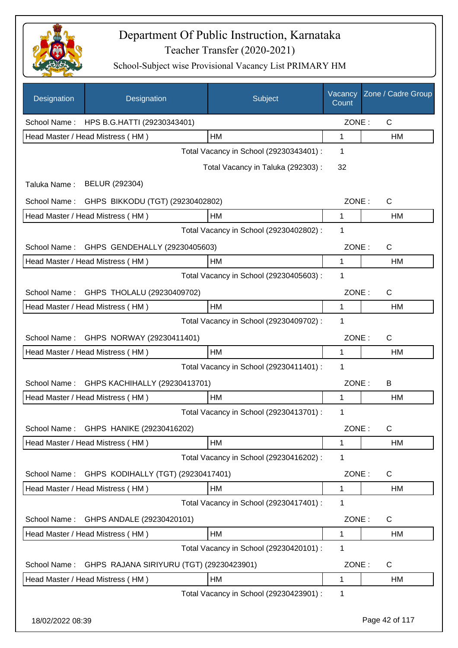

| Designation  | Designation                                   | Subject                                 | Vacancy<br>Count | Zone / Cadre Group |
|--------------|-----------------------------------------------|-----------------------------------------|------------------|--------------------|
|              | School Name: HPS B.G.HATTI (29230343401)      |                                         | ZONE:            | C                  |
|              | Head Master / Head Mistress (HM)              | HM                                      | 1                | HM                 |
|              |                                               | Total Vacancy in School (29230343401) : | 1                |                    |
|              |                                               | Total Vacancy in Taluka (292303):       | 32               |                    |
| Taluka Name: | BELUR (292304)                                |                                         |                  |                    |
|              | School Name: GHPS BIKKODU (TGT) (29230402802) |                                         | ZONE:            | C                  |
|              | Head Master / Head Mistress (HM)              | HM                                      | $\mathbf 1$      | HM                 |
|              |                                               | Total Vacancy in School (29230402802) : | 1                |                    |
| School Name: | GHPS GENDEHALLY (29230405603)                 |                                         | ZONE:            | $\mathsf{C}$       |
|              | Head Master / Head Mistress (HM)              | <b>HM</b>                               | 1                | HM                 |
|              |                                               | Total Vacancy in School (29230405603) : | 1                |                    |
| School Name: | GHPS THOLALU (29230409702)                    |                                         | ZONE:            | $\mathsf{C}$       |
|              | Head Master / Head Mistress (HM)              | <b>HM</b>                               | 1                | HM                 |
|              |                                               | Total Vacancy in School (29230409702) : | 1                |                    |
| School Name: | GHPS NORWAY (29230411401)                     |                                         | ZONE:            | $\mathsf{C}$       |
|              | Head Master / Head Mistress (HM)              | HM                                      | 1                | HM                 |
|              |                                               | Total Vacancy in School (29230411401) : | 1                |                    |
| School Name: | GHPS KACHIHALLY (29230413701)                 |                                         | ZONE:            | B                  |
|              | Head Master / Head Mistress (HM)              | HM                                      | 1                | HM                 |
|              |                                               | Total Vacancy in School (29230413701) : | 1                |                    |
| School Name: | GHPS HANIKE (29230416202)                     |                                         | ZONE:            | C                  |
|              | Head Master / Head Mistress (HM)              | HM                                      | 1                | HM                 |
|              |                                               | Total Vacancy in School (29230416202) : | 1                |                    |
| School Name: | GHPS KODIHALLY (TGT) (29230417401)            |                                         | ZONE:            | C                  |
|              | Head Master / Head Mistress (HM)              | HM                                      | 1                | HM                 |
|              |                                               | Total Vacancy in School (29230417401) : | 1                |                    |
| School Name: | GHPS ANDALE (29230420101)                     |                                         | ZONE:            | C                  |
|              | Head Master / Head Mistress (HM)              | HM                                      | 1                | HM                 |
|              |                                               | Total Vacancy in School (29230420101) : | 1                |                    |
| School Name: | GHPS RAJANA SIRIYURU (TGT) (29230423901)      |                                         | ZONE:            | C                  |
|              | Head Master / Head Mistress (HM)              | HM                                      | 1                | HM                 |
|              |                                               | Total Vacancy in School (29230423901) : | 1                |                    |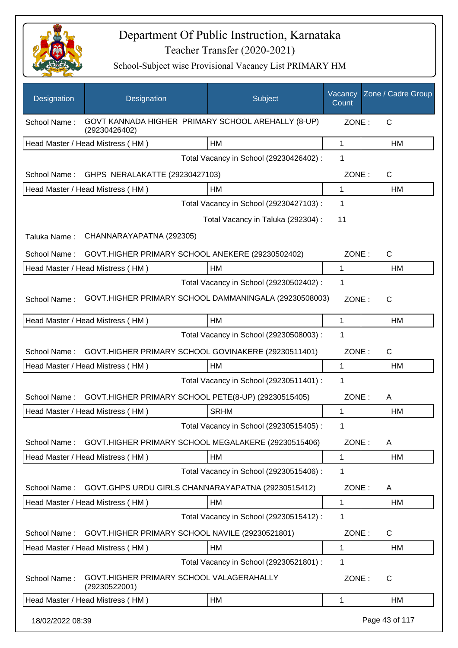

| Designation      | Designation                                                         | Subject                                 | Vacancy<br>Count | Zone / Cadre Group |
|------------------|---------------------------------------------------------------------|-----------------------------------------|------------------|--------------------|
| School Name:     | GOVT KANNADA HIGHER PRIMARY SCHOOL AREHALLY (8-UP)<br>(29230426402) |                                         | ZONE:            | C                  |
|                  | Head Master / Head Mistress (HM)                                    | HM                                      | 1                | HM                 |
|                  |                                                                     | Total Vacancy in School (29230426402) : | 1                |                    |
| School Name:     | GHPS NERALAKATTE (29230427103)                                      |                                         | ZONE:            | $\mathsf{C}$       |
|                  | Head Master / Head Mistress (HM)                                    | HM                                      | 1                | HM                 |
|                  |                                                                     | Total Vacancy in School (29230427103) : | 1                |                    |
|                  |                                                                     | Total Vacancy in Taluka (292304) :      | 11               |                    |
| Taluka Name:     | CHANNARAYAPATNA (292305)                                            |                                         |                  |                    |
| School Name:     | GOVT.HIGHER PRIMARY SCHOOL ANEKERE (29230502402)                    |                                         | ZONE:            | $\mathsf{C}$       |
|                  | Head Master / Head Mistress (HM)                                    | НM                                      | 1                | HM                 |
|                  |                                                                     | Total Vacancy in School (29230502402) : | 1                |                    |
| School Name:     | GOVT.HIGHER PRIMARY SCHOOL DAMMANINGALA (29230508003)               |                                         | ZONE:            | $\mathsf{C}$       |
|                  | Head Master / Head Mistress (HM)                                    | HM                                      | 1                | HM                 |
|                  |                                                                     | Total Vacancy in School (29230508003) : | 1                |                    |
| School Name:     | GOVT.HIGHER PRIMARY SCHOOL GOVINAKERE (29230511401)                 |                                         | ZONE:            | $\mathsf{C}$       |
|                  | Head Master / Head Mistress (HM)                                    | HM                                      | 1                | HM                 |
|                  |                                                                     | Total Vacancy in School (29230511401) : | 1                |                    |
| School Name:     | GOVT.HIGHER PRIMARY SCHOOL PETE(8-UP) (29230515405)                 |                                         | ZONE:            | A                  |
|                  | Head Master / Head Mistress (HM)                                    | <b>SRHM</b>                             | 1                | HM                 |
|                  |                                                                     | Total Vacancy in School (29230515405):  | 1                |                    |
| School Name:     | GOVT.HIGHER PRIMARY SCHOOL MEGALAKERE (29230515406)                 |                                         | ZONE:            | A                  |
|                  | Head Master / Head Mistress (HM)                                    | HM                                      | $\mathbf{1}$     | HM                 |
|                  |                                                                     | Total Vacancy in School (29230515406) : | 1                |                    |
| School Name:     | GOVT.GHPS URDU GIRLS CHANNARAYAPATNA (29230515412)                  |                                         | ZONE:            | A                  |
|                  | Head Master / Head Mistress (HM)                                    | HM                                      | 1                | HM                 |
|                  |                                                                     | Total Vacancy in School (29230515412) : | 1                |                    |
| School Name:     | GOVT.HIGHER PRIMARY SCHOOL NAVILE (29230521801)                     |                                         | ZONE:            | C                  |
|                  | Head Master / Head Mistress (HM)                                    | HM                                      | 1                | HM                 |
|                  |                                                                     | Total Vacancy in School (29230521801) : | 1                |                    |
| School Name:     | GOVT.HIGHER PRIMARY SCHOOL VALAGERAHALLY<br>(29230522001)           |                                         | ZONE:            | C                  |
|                  | Head Master / Head Mistress (HM)                                    | HM                                      | 1                | HM                 |
| 18/02/2022 08:39 |                                                                     |                                         |                  | Page 43 of 117     |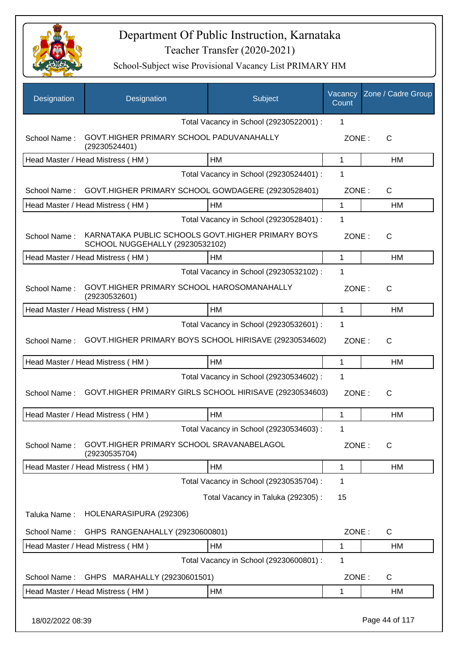

| Designation      | Designation                                                                           | Subject                                 | Vacancy<br>Count | Zone / Cadre Group |
|------------------|---------------------------------------------------------------------------------------|-----------------------------------------|------------------|--------------------|
|                  |                                                                                       | Total Vacancy in School (29230522001) : | 1                |                    |
| School Name:     | GOVT.HIGHER PRIMARY SCHOOL PADUVANAHALLY<br>(29230524401)                             |                                         | ZONE:            | С                  |
|                  | Head Master / Head Mistress (HM)                                                      | HM                                      | 1                | HМ                 |
|                  |                                                                                       | Total Vacancy in School (29230524401) : | 1                |                    |
| School Name:     | GOVT.HIGHER PRIMARY SCHOOL GOWDAGERE (29230528401)                                    |                                         | ZONE:            | C                  |
|                  | Head Master / Head Mistress (HM)                                                      | HМ                                      | 1                | HM                 |
|                  |                                                                                       | Total Vacancy in School (29230528401) : | 1                |                    |
| School Name:     | KARNATAKA PUBLIC SCHOOLS GOVT. HIGHER PRIMARY BOYS<br>SCHOOL NUGGEHALLY (29230532102) |                                         | ZONE:            | $\mathsf{C}$       |
|                  | Head Master / Head Mistress (HM)                                                      | НM                                      | 1                | НM                 |
|                  |                                                                                       | Total Vacancy in School (29230532102) : | 1                |                    |
| School Name:     | GOVT.HIGHER PRIMARY SCHOOL HAROSOMANAHALLY<br>(29230532601)                           |                                         | ZONE:            | C                  |
|                  | Head Master / Head Mistress (HM)                                                      | HM                                      | 1                | HM                 |
| School Name:     | GOVT.HIGHER PRIMARY BOYS SCHOOL HIRISAVE (29230534602)                                | Total Vacancy in School (29230532601) : | 1<br>ZONE:       | C                  |
|                  | Head Master / Head Mistress (HM)                                                      | HM                                      | 1                | HM                 |
|                  |                                                                                       | Total Vacancy in School (29230534602) : | 1                |                    |
| School Name:     | GOVT. HIGHER PRIMARY GIRLS SCHOOL HIRISAVE (29230534603)                              |                                         | ZONE:            | $\mathsf{C}$       |
|                  | Head Master / Head Mistress (HM)                                                      | <b>HM</b>                               | 1                | <b>HM</b>          |
|                  |                                                                                       | Total Vacancy in School (29230534603) : | 1                |                    |
| School Name:     | GOVT.HIGHER PRIMARY SCHOOL SRAVANABELAGOL<br>(29230535704)                            |                                         | ZONE:            | C                  |
|                  | Head Master / Head Mistress (HM)                                                      | HM                                      | 1                | НM                 |
|                  |                                                                                       | Total Vacancy in School (29230535704) : | 1                |                    |
|                  |                                                                                       | Total Vacancy in Taluka (292305):       | 15               |                    |
| Taluka Name:     | HOLENARASIPURA (292306)                                                               |                                         |                  |                    |
| School Name:     | GHPS RANGENAHALLY (29230600801)                                                       |                                         | ZONE:            | C                  |
|                  | Head Master / Head Mistress (HM)                                                      | <b>HM</b>                               | 1                | HM                 |
|                  |                                                                                       | Total Vacancy in School (29230600801) : | 1                |                    |
| School Name:     | GHPS MARAHALLY (29230601501)                                                          |                                         | ZONE:            | C                  |
|                  | Head Master / Head Mistress (HM)                                                      | HM                                      | 1                | НM                 |
| 18/02/2022 08:39 |                                                                                       |                                         |                  | Page 44 of 117     |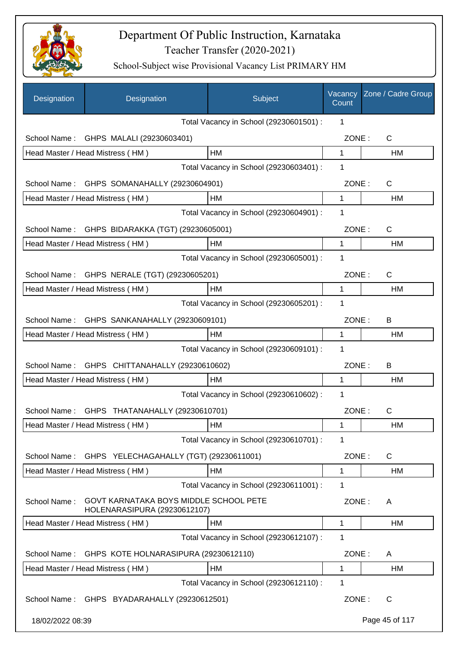

| Designation      | Designation                                                            | Subject                                 | Vacancy<br>Count | Zone / Cadre Group |
|------------------|------------------------------------------------------------------------|-----------------------------------------|------------------|--------------------|
|                  |                                                                        | Total Vacancy in School (29230601501) : | 1                |                    |
|                  | School Name: GHPS MALALI (29230603401)                                 |                                         | ZONE:            | C                  |
|                  | Head Master / Head Mistress (HM)                                       | HM                                      | 1                | HM                 |
|                  |                                                                        | Total Vacancy in School (29230603401) : | 1                |                    |
| School Name:     | GHPS SOMANAHALLY (29230604901)                                         |                                         | ZONE:            | C                  |
|                  | Head Master / Head Mistress (HM)                                       | HM                                      | 1                | HM                 |
|                  |                                                                        | Total Vacancy in School (29230604901) : | 1                |                    |
| School Name:     | GHPS BIDARAKKA (TGT) (29230605001)                                     |                                         | ZONE:            | $\mathsf{C}$       |
|                  | Head Master / Head Mistress (HM)                                       | <b>HM</b>                               | 1                | HM                 |
|                  |                                                                        | Total Vacancy in School (29230605001) : | 1                |                    |
|                  | School Name: GHPS NERALE (TGT) (29230605201)                           |                                         | ZONE:            | C                  |
|                  | Head Master / Head Mistress (HM)                                       | HM                                      | 1                | HM                 |
|                  |                                                                        | Total Vacancy in School (29230605201) : | 1                |                    |
|                  | School Name: GHPS SANKANAHALLY (29230609101)                           |                                         | ZONE:            | B                  |
|                  | Head Master / Head Mistress (HM)                                       | HM                                      | 1                | HM                 |
|                  |                                                                        | Total Vacancy in School (29230609101) : | 1                |                    |
| School Name:     | GHPS CHITTANAHALLY (29230610602)                                       |                                         | ZONE:            | B                  |
|                  | Head Master / Head Mistress (HM)                                       | НM                                      | 1                | HM                 |
|                  |                                                                        | Total Vacancy in School (29230610602) : | 1                |                    |
|                  | School Name: GHPS THATANAHALLY (29230610701)                           |                                         | ZONE:            | C                  |
|                  | Head Master / Head Mistress (HM)                                       | HM                                      | 1                | HM                 |
|                  |                                                                        | Total Vacancy in School (29230610701) : | 1                |                    |
| School Name:     | GHPS YELECHAGAHALLY (TGT) (29230611001)                                |                                         | ZONE:            | C                  |
|                  | Head Master / Head Mistress (HM)                                       | HM                                      | 1                | HM                 |
|                  |                                                                        | Total Vacancy in School (29230611001) : | 1                |                    |
| School Name:     | GOVT KARNATAKA BOYS MIDDLE SCHOOL PETE<br>HOLENARASIPURA (29230612107) |                                         | ZONE:            | A                  |
|                  | Head Master / Head Mistress (HM)                                       | НM                                      | 1                | HM                 |
|                  |                                                                        | Total Vacancy in School (29230612107) : | 1                |                    |
| School Name:     | GHPS KOTE HOLNARASIPURA (29230612110)                                  |                                         | ZONE:            | A                  |
|                  | Head Master / Head Mistress (HM)                                       | HM                                      | 1                | HM                 |
|                  |                                                                        | Total Vacancy in School (29230612110) : | 1                |                    |
|                  | School Name: GHPS BYADARAHALLY (29230612501)                           |                                         | ZONE:            | C                  |
| 18/02/2022 08:39 |                                                                        |                                         |                  | Page 45 of 117     |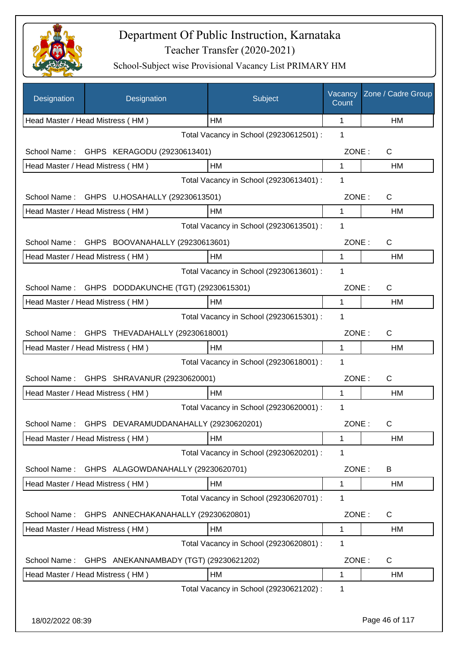

| Designation  | Designation                                        | Subject                                 | Vacancy<br>Count | Zone / Cadre Group |
|--------------|----------------------------------------------------|-----------------------------------------|------------------|--------------------|
|              | Head Master / Head Mistress (HM)                   | HM                                      | 1                | HM                 |
|              |                                                    | Total Vacancy in School (29230612501) : | 1                |                    |
| School Name: | GHPS KERAGODU (29230613401)                        |                                         | ZONE:            | C                  |
|              | Head Master / Head Mistress (HM)                   | HM                                      | 1                | HM                 |
|              |                                                    | Total Vacancy in School (29230613401) : | $\mathbf 1$      |                    |
| School Name: | GHPS U.HOSAHALLY (29230613501)                     |                                         | ZONE:            | C                  |
|              | Head Master / Head Mistress (HM)                   | HM                                      | 1                | HM                 |
|              |                                                    | Total Vacancy in School (29230613501) : | 1                |                    |
| School Name: | GHPS BOOVANAHALLY (29230613601)                    |                                         | ZONE:            | C                  |
|              | Head Master / Head Mistress (HM)                   | <b>HM</b>                               | 1                | HM                 |
|              |                                                    | Total Vacancy in School (29230613601) : | 1                |                    |
| School Name: | GHPS DODDAKUNCHE (TGT) (29230615301)               |                                         | ZONE:            | $\mathsf{C}$       |
|              | Head Master / Head Mistress (HM)                   | HM                                      | $\mathbf{1}$     | <b>HM</b>          |
|              |                                                    | Total Vacancy in School (29230615301) : | 1                |                    |
|              | School Name: GHPS THEVADAHALLY (29230618001)       |                                         | ZONE:            | C                  |
|              | Head Master / Head Mistress (HM)                   | HM                                      | $\mathbf{1}$     | HM                 |
|              |                                                    | Total Vacancy in School (29230618001) : | 1                |                    |
| School Name: | GHPS SHRAVANUR (29230620001)                       |                                         | ZONE:            | $\mathsf{C}$       |
|              | Head Master / Head Mistress (HM)                   | HM                                      | 1                | HM                 |
|              |                                                    | Total Vacancy in School (29230620001) : | 1                |                    |
|              | School Name: GHPS DEVARAMUDDANAHALLY (29230620201) |                                         | ZONE:            | C                  |
|              | Head Master / Head Mistress (HM)                   | HM                                      | 1                | HM                 |
|              |                                                    | Total Vacancy in School (29230620201) : | $\mathbf 1$      |                    |
| School Name: | GHPS ALAGOWDANAHALLY (29230620701)                 |                                         | ZONE:            | B                  |
|              | Head Master / Head Mistress (HM)                   | HM                                      | 1                | HM                 |
|              |                                                    | Total Vacancy in School (29230620701) : | 1                |                    |
| School Name: | GHPS ANNECHAKANAHALLY (29230620801)                |                                         | ZONE:            | $\mathsf{C}$       |
|              | Head Master / Head Mistress (HM)                   | HM                                      | 1                | HM                 |
|              |                                                    | Total Vacancy in School (29230620801) : | 1                |                    |
| School Name: | GHPS ANEKANNAMBADY (TGT) (29230621202)             |                                         | ZONE:            | $\mathsf{C}$       |
|              | Head Master / Head Mistress (HM)                   | HM                                      | 1                | HM                 |
|              |                                                    | Total Vacancy in School (29230621202) : | 1                |                    |
|              |                                                    |                                         |                  |                    |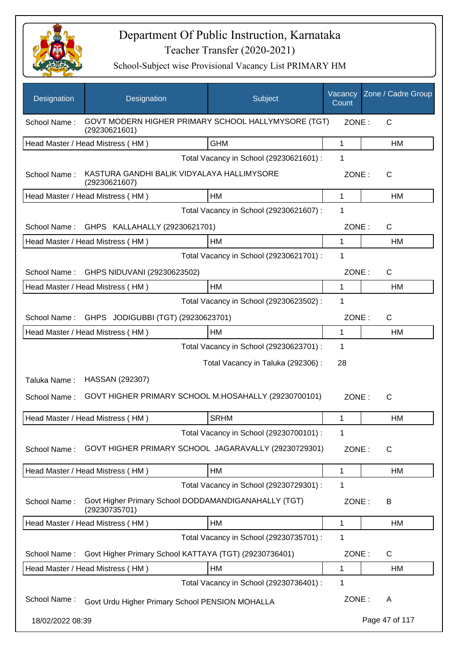

| Designation                              | Designation                                                           | Subject                                 | Vacancy<br>Count | Zone / Cadre Group |
|------------------------------------------|-----------------------------------------------------------------------|-----------------------------------------|------------------|--------------------|
| School Name:                             | GOVT MODERN HIGHER PRIMARY SCHOOL HALLYMYSORE (TGT)<br>(29230621601)  |                                         | ZONE:            | C                  |
|                                          | Head Master / Head Mistress (HM)                                      | <b>GHM</b>                              | $\mathbf{1}$     | <b>HM</b>          |
|                                          |                                                                       | Total Vacancy in School (29230621601) : | 1                |                    |
| School Name:                             | KASTURA GANDHI BALIK VIDYALAYA HALLIMYSORE<br>(29230621607)           |                                         | ZONE:            | C                  |
|                                          | Head Master / Head Mistress (HM)                                      | HM                                      | 1                | HM                 |
|                                          |                                                                       | Total Vacancy in School (29230621607) : | 1                |                    |
| School Name:                             | GHPS KALLAHALLY (29230621701)                                         |                                         | ZONE:            | $\mathsf{C}$       |
|                                          | Head Master / Head Mistress (HM)                                      | НM                                      | 1                | HM                 |
|                                          |                                                                       | Total Vacancy in School (29230621701) : | 1                |                    |
| School Name:                             | GHPS NIDUVANI (29230623502)                                           |                                         | ZONE:            | $\mathsf{C}$       |
|                                          | Head Master / Head Mistress (HM)                                      | HM                                      | 1                | HM                 |
|                                          |                                                                       | Total Vacancy in School (29230623502) : | 1                |                    |
| School Name:                             | GHPS JODIGUBBI (TGT) (29230623701)                                    |                                         | ZONE:            | $\mathsf{C}$       |
|                                          | Head Master / Head Mistress (HM)                                      | <b>HM</b>                               | $\mathbf{1}$     | HM                 |
|                                          |                                                                       | Total Vacancy in School (29230623701) : | 1                |                    |
| 28<br>Total Vacancy in Taluka (292306) : |                                                                       |                                         |                  |                    |
| Taluka Name:                             | HASSAN (292307)                                                       |                                         |                  |                    |
| School Name:                             | GOVT HIGHER PRIMARY SCHOOL M.HOSAHALLY (29230700101)                  |                                         | ZONE:            | C                  |
|                                          | Head Master / Head Mistress (HM)                                      | <b>SRHM</b>                             | 1                | HM                 |
|                                          |                                                                       | Total Vacancy in School (29230700101) : | 1                |                    |
| School Name:                             | GOVT HIGHER PRIMARY SCHOOL JAGARAVALLY (29230729301)                  |                                         | ZONE:            | $\mathsf{C}$       |
|                                          | Head Master / Head Mistress (HM)                                      | HM                                      | 1                | HM                 |
|                                          |                                                                       | Total Vacancy in School (29230729301) : | 1                |                    |
| School Name:                             | Govt Higher Primary School DODDAMANDIGANAHALLY (TGT)<br>(29230735701) |                                         | ZONE:            | B                  |
|                                          | Head Master / Head Mistress (HM)                                      | HM                                      | 1                | HM                 |
|                                          |                                                                       | Total Vacancy in School (29230735701) : | 1                |                    |
| School Name:                             | Govt Higher Primary School KATTAYA (TGT) (29230736401)                |                                         | ZONE:            | $\mathsf{C}$       |
|                                          | Head Master / Head Mistress (HM)                                      | HM                                      | 1                | HM                 |
|                                          |                                                                       | Total Vacancy in School (29230736401) : | 1                |                    |
| School Name:                             | Govt Urdu Higher Primary School PENSION MOHALLA                       |                                         | ZONE:            | A                  |
| 18/02/2022 08:39                         |                                                                       |                                         |                  | Page 47 of 117     |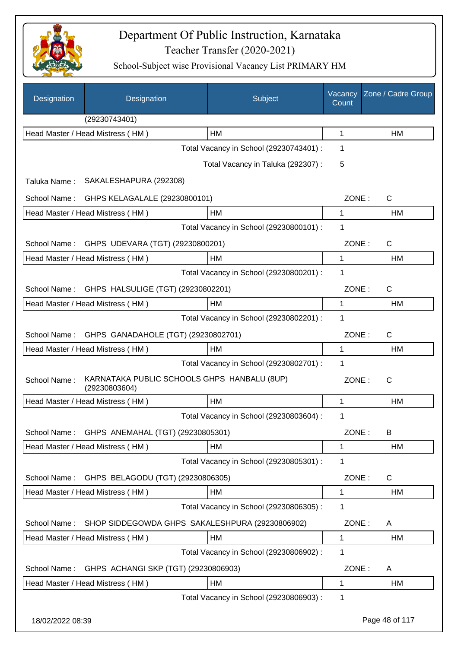

| Designation      | Designation                                                  | Subject                                 | Vacancy<br>Count | Zone / Cadre Group |
|------------------|--------------------------------------------------------------|-----------------------------------------|------------------|--------------------|
|                  | (29230743401)                                                |                                         |                  |                    |
|                  | Head Master / Head Mistress (HM)                             | HM                                      | $\mathbf 1$      | HM                 |
|                  |                                                              | Total Vacancy in School (29230743401) : | 1                |                    |
|                  |                                                              | Total Vacancy in Taluka (292307) :      | 5                |                    |
| Taluka Name:     | SAKALESHAPURA (292308)                                       |                                         |                  |                    |
| School Name:     | GHPS KELAGALALE (29230800101)                                |                                         | ZONE:            | C                  |
|                  | Head Master / Head Mistress (HM)                             | <b>HM</b>                               | $\mathbf{1}$     | HM                 |
|                  |                                                              | Total Vacancy in School (29230800101) : | 1                |                    |
| School Name:     | GHPS UDEVARA (TGT) (29230800201)                             |                                         | ZONE:            | $\mathsf{C}$       |
|                  | Head Master / Head Mistress (HM)                             | HM                                      | 1                | HM                 |
|                  |                                                              | Total Vacancy in School (29230800201) : | 1                |                    |
| School Name:     | GHPS HALSULIGE (TGT) (29230802201)                           |                                         | ZONE:            | $\mathsf{C}$       |
|                  | Head Master / Head Mistress (HM)                             | HM                                      | 1                | HM                 |
|                  |                                                              | Total Vacancy in School (29230802201) : | 1                |                    |
| School Name:     | GHPS GANADAHOLE (TGT) (29230802701)                          |                                         | ZONE:            | C                  |
|                  | Head Master / Head Mistress (HM)                             | HM                                      | $\mathbf{1}$     | HM                 |
|                  |                                                              | Total Vacancy in School (29230802701) : | 1                |                    |
| School Name:     | KARNATAKA PUBLIC SCHOOLS GHPS HANBALU (8UP)<br>(29230803604) |                                         | ZONE:            | C                  |
|                  | Head Master / Head Mistress (HM)                             | HM                                      | 1                | HM                 |
|                  |                                                              | Total Vacancy in School (29230803604) : | 1                |                    |
| School Name:     | GHPS ANEMAHAL (TGT) (29230805301)                            |                                         | ZONE:            | B                  |
|                  | Head Master / Head Mistress (HM)                             | HM                                      | 1                | HM                 |
|                  |                                                              | Total Vacancy in School (29230805301) : | 1                |                    |
| School Name:     | GHPS BELAGODU (TGT) (29230806305)                            |                                         | ZONE:            | C                  |
|                  | Head Master / Head Mistress (HM)                             | HM                                      | 1                | HM                 |
|                  |                                                              | Total Vacancy in School (29230806305) : | 1                |                    |
| School Name:     | SHOP SIDDEGOWDA GHPS SAKALESHPURA (29230806902)              |                                         | ZONE:            | A                  |
|                  | Head Master / Head Mistress (HM)                             | HM                                      | 1                | HM                 |
|                  |                                                              | Total Vacancy in School (29230806902) : | 1                |                    |
| School Name:     | GHPS ACHANGI SKP (TGT) (29230806903)                         |                                         | ZONE:            | A                  |
|                  | Head Master / Head Mistress (HM)                             | HM                                      | 1                | HM                 |
|                  |                                                              | Total Vacancy in School (29230806903) : | 1                |                    |
| 18/02/2022 08:39 |                                                              |                                         |                  | Page 48 of 117     |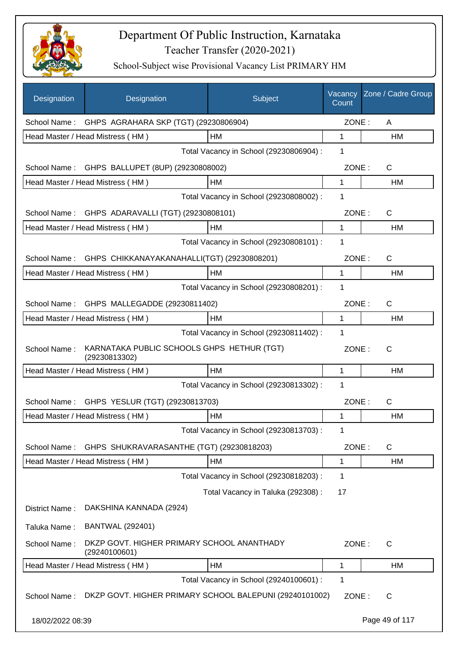

| Designation      | Designation                                                 | Subject                                 | Vacancy<br>Count | Zone / Cadre Group |
|------------------|-------------------------------------------------------------|-----------------------------------------|------------------|--------------------|
| School Name:     | GHPS AGRAHARA SKP (TGT) (29230806904)                       |                                         | ZONE:            | A                  |
|                  | Head Master / Head Mistress (HM)                            | HM                                      | 1                | HM                 |
|                  |                                                             | Total Vacancy in School (29230806904) : | 1                |                    |
| School Name:     | GHPS BALLUPET (8UP) (29230808002)                           |                                         | ZONE:            | $\mathsf{C}$       |
|                  | Head Master / Head Mistress (HM)                            | HM                                      | 1                | HM                 |
|                  |                                                             | Total Vacancy in School (29230808002) : | 1                |                    |
|                  | School Name: GHPS ADARAVALLI (TGT) (29230808101)            |                                         | ZONE:            | C                  |
|                  | Head Master / Head Mistress (HM)                            | HM                                      | 1                | HM                 |
|                  |                                                             | Total Vacancy in School (29230808101) : | 1                |                    |
|                  | School Name: GHPS CHIKKANAYAKANAHALLI(TGT) (29230808201)    |                                         | ZONE:            | $\mathsf{C}$       |
|                  | Head Master / Head Mistress (HM)                            | HM                                      | 1                | <b>HM</b>          |
|                  |                                                             | Total Vacancy in School (29230808201) : | 1                |                    |
| School Name:     | GHPS MALLEGADDE (29230811402)                               |                                         | ZONE:            | $\mathsf{C}$       |
|                  | Head Master / Head Mistress (HM)                            | HM                                      | 1                | <b>HM</b>          |
|                  |                                                             | Total Vacancy in School (29230811402) : | 1                |                    |
| School Name:     | KARNATAKA PUBLIC SCHOOLS GHPS HETHUR (TGT)<br>(29230813302) |                                         | ZONE:            | C                  |
|                  | Head Master / Head Mistress (HM)                            | HM                                      | 1                | HM                 |
|                  |                                                             | Total Vacancy in School (29230813302) : | 1                |                    |
|                  | School Name: GHPS YESLUR (TGT) (29230813703)                |                                         | ZONE:            | C                  |
|                  | Head Master / Head Mistress (HM)                            | HM                                      | 1                | HM                 |
|                  |                                                             | Total Vacancy in School (29230813703) : | 1                |                    |
| School Name:     | GHPS SHUKRAVARASANTHE (TGT) (29230818203)                   |                                         | ZONE:            | $\mathsf{C}$       |
|                  | Head Master / Head Mistress (HM)                            | HM                                      | 1                | <b>HM</b>          |
|                  |                                                             | Total Vacancy in School (29230818203) : | 1                |                    |
|                  |                                                             | Total Vacancy in Taluka (292308) :      | 17               |                    |
| District Name:   | DAKSHINA KANNADA (2924)                                     |                                         |                  |                    |
| Taluka Name:     | <b>BANTWAL (292401)</b>                                     |                                         |                  |                    |
| School Name:     | DKZP GOVT. HIGHER PRIMARY SCHOOL ANANTHADY<br>(29240100601) |                                         | ZONE:            | $\mathsf{C}$       |
|                  | Head Master / Head Mistress (HM)                            | HM                                      | 1                | HM                 |
|                  |                                                             | Total Vacancy in School (29240100601) : | 1                |                    |
| School Name:     | DKZP GOVT. HIGHER PRIMARY SCHOOL BALEPUNI (29240101002)     |                                         | ZONE:            | C                  |
| 18/02/2022 08:39 |                                                             |                                         |                  | Page 49 of 117     |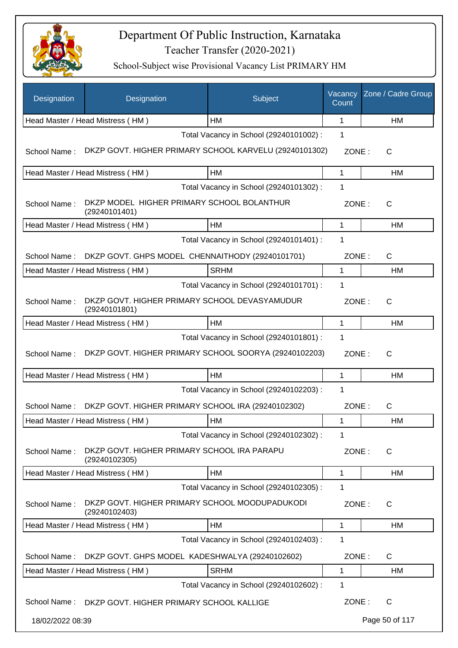

| Designation      | Designation                                                     | Subject                                 | Vacancy<br>Count | Zone / Cadre Group |
|------------------|-----------------------------------------------------------------|-----------------------------------------|------------------|--------------------|
|                  | Head Master / Head Mistress (HM)                                | HM                                      | 1                | <b>HM</b>          |
|                  |                                                                 | Total Vacancy in School (29240101002) : | 1                |                    |
| School Name:     | DKZP GOVT. HIGHER PRIMARY SCHOOL KARVELU (29240101302)          |                                         | ZONE:            | C                  |
|                  | Head Master / Head Mistress (HM)                                | HM                                      | $\mathbf{1}$     | HM                 |
|                  |                                                                 | Total Vacancy in School (29240101302) : | 1                |                    |
| School Name:     | DKZP MODEL HIGHER PRIMARY SCHOOL BOLANTHUR<br>(29240101401)     |                                         | ZONE:            | C                  |
|                  | Head Master / Head Mistress (HM)                                | HM                                      | 1                | HM                 |
|                  |                                                                 | Total Vacancy in School (29240101401) : | 1                |                    |
| School Name:     | DKZP GOVT. GHPS MODEL CHENNAITHODY (29240101701)                |                                         | ZONE:            | $\mathsf{C}$       |
|                  | Head Master / Head Mistress (HM)                                | <b>SRHM</b>                             | 1                | HM                 |
|                  |                                                                 | Total Vacancy in School (29240101701) : | 1                |                    |
| School Name:     | DKZP GOVT. HIGHER PRIMARY SCHOOL DEVASYAMUDUR<br>(29240101801)  |                                         | ZONE:            | $\mathsf{C}$       |
|                  | Head Master / Head Mistress (HM)                                | HM                                      | $\mathbf 1$      | HM                 |
|                  |                                                                 | Total Vacancy in School (29240101801) : | 1                |                    |
| School Name:     | DKZP GOVT. HIGHER PRIMARY SCHOOL SOORYA (29240102203)           |                                         | ZONE:            | C                  |
|                  | Head Master / Head Mistress (HM)                                | HM                                      | 1                | HM                 |
|                  |                                                                 | Total Vacancy in School (29240102203) : | 1                |                    |
| School Name:     | DKZP GOVT. HIGHER PRIMARY SCHOOL IRA (29240102302)              |                                         | ZONE:            | $\mathsf{C}$       |
|                  | Head Master / Head Mistress (HM)                                | HM                                      | 1                | HM                 |
|                  |                                                                 | Total Vacancy in School (29240102302) : | 1                |                    |
| School Name:     | DKZP GOVT. HIGHER PRIMARY SCHOOL IRA PARAPU<br>(29240102305)    |                                         | ZONE:            | C                  |
|                  | Head Master / Head Mistress (HM)                                | HM                                      | $\mathbf{1}$     | HM                 |
|                  |                                                                 | Total Vacancy in School (29240102305) : | 1                |                    |
| School Name:     | DKZP GOVT. HIGHER PRIMARY SCHOOL MOODUPADUKODI<br>(29240102403) |                                         | ZONE:            | C                  |
|                  | Head Master / Head Mistress (HM)                                | HM                                      | $\mathbf{1}$     | HM                 |
|                  |                                                                 | Total Vacancy in School (29240102403) : | 1                |                    |
| School Name:     | DKZP GOVT. GHPS MODEL KADESHWALYA (29240102602)                 |                                         | ZONE:            | $\mathsf{C}$       |
|                  | Head Master / Head Mistress (HM)                                | <b>SRHM</b>                             | 1                | HM                 |
|                  |                                                                 | Total Vacancy in School (29240102602) : | 1                |                    |
| School Name:     | DKZP GOVT. HIGHER PRIMARY SCHOOL KALLIGE                        |                                         | ZONE:            | C                  |
| 18/02/2022 08:39 |                                                                 |                                         |                  | Page 50 of 117     |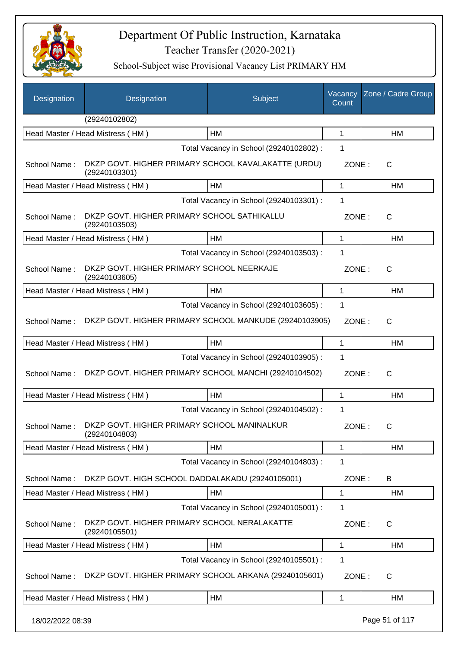

| Designation      | Designation                                                          | Subject                                 | Vacancy<br>Count | Zone / Cadre Group |
|------------------|----------------------------------------------------------------------|-----------------------------------------|------------------|--------------------|
|                  | (29240102802)                                                        |                                         |                  |                    |
|                  | Head Master / Head Mistress (HM)                                     | HM                                      | 1                | HM                 |
|                  |                                                                      | Total Vacancy in School (29240102802) : | 1                |                    |
| School Name:     | DKZP GOVT. HIGHER PRIMARY SCHOOL KAVALAKATTE (URDU)<br>(29240103301) |                                         | ZONE:            | C                  |
|                  | Head Master / Head Mistress (HM)                                     | HM                                      | 1                | НM                 |
|                  |                                                                      | Total Vacancy in School (29240103301) : | 1                |                    |
| School Name:     | DKZP GOVT. HIGHER PRIMARY SCHOOL SATHIKALLU<br>(29240103503)         |                                         | ZONE:            | C                  |
|                  | Head Master / Head Mistress (HM)                                     | HM                                      | 1                | HM                 |
|                  |                                                                      | Total Vacancy in School (29240103503) : | 1                |                    |
| School Name:     | DKZP GOVT. HIGHER PRIMARY SCHOOL NEERKAJE<br>(29240103605)           |                                         | ZONE:            | C                  |
|                  | Head Master / Head Mistress (HM)                                     | <b>HM</b>                               | 1                | HM                 |
|                  |                                                                      | Total Vacancy in School (29240103605) : | 1                |                    |
| School Name:     | DKZP GOVT. HIGHER PRIMARY SCHOOL MANKUDE (29240103905)               |                                         | ZONE:            | C                  |
|                  | Head Master / Head Mistress (HM)                                     | HM                                      | 1                | <b>HM</b>          |
|                  |                                                                      | Total Vacancy in School (29240103905) : | 1                |                    |
| School Name:     | DKZP GOVT. HIGHER PRIMARY SCHOOL MANCHI (29240104502)                |                                         | ZONE:            | $\mathsf{C}$       |
|                  | Head Master / Head Mistress (HM)                                     | HM                                      | 1                | HM                 |
|                  |                                                                      | Total Vacancy in School (29240104502) : | 1                |                    |
| School Name:     | DKZP GOVT. HIGHER PRIMARY SCHOOL MANINALKUR<br>(29240104803)         |                                         | ZONE:            | C                  |
|                  | Head Master / Head Mistress (HM)                                     | HM                                      | 1                | HM                 |
|                  |                                                                      | Total Vacancy in School (29240104803) : | 1                |                    |
| School Name:     | DKZP GOVT. HIGH SCHOOL DADDALAKADU (29240105001)                     |                                         | ZONE:            | B                  |
|                  | Head Master / Head Mistress (HM)                                     | HM                                      | 1                | HM                 |
|                  |                                                                      | Total Vacancy in School (29240105001) : | 1                |                    |
| School Name:     | DKZP GOVT. HIGHER PRIMARY SCHOOL NERALAKATTE<br>(29240105501)        |                                         | ZONE:            | C                  |
|                  | Head Master / Head Mistress (HM)                                     | HM                                      | 1                | HM                 |
|                  |                                                                      | Total Vacancy in School (29240105501) : | 1                |                    |
| School Name:     | DKZP GOVT. HIGHER PRIMARY SCHOOL ARKANA (29240105601)                |                                         | ZONE:            | C                  |
|                  | Head Master / Head Mistress (HM)                                     | HM                                      | 1                | HM                 |
| 18/02/2022 08:39 |                                                                      |                                         |                  | Page 51 of 117     |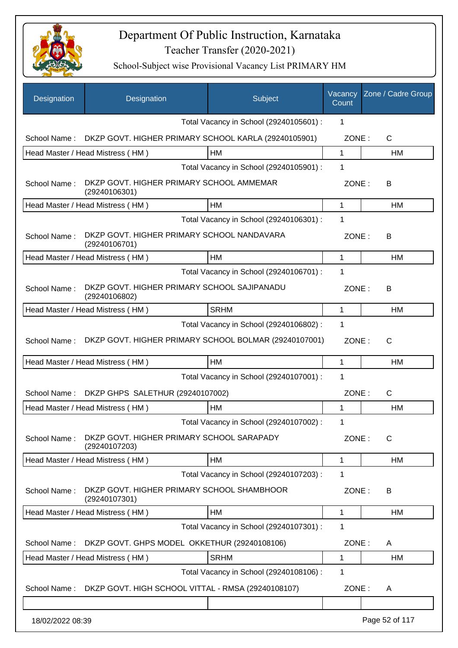

| Designation      | Designation                                                  | Subject                                 | Vacancy<br>Count | Zone / Cadre Group |
|------------------|--------------------------------------------------------------|-----------------------------------------|------------------|--------------------|
|                  |                                                              | Total Vacancy in School (29240105601) : | 1                |                    |
| School Name:     | DKZP GOVT. HIGHER PRIMARY SCHOOL KARLA (29240105901)         |                                         | ZONE:            | $\mathsf{C}$       |
|                  | Head Master / Head Mistress (HM)                             | HM                                      | 1                | НM                 |
|                  |                                                              | Total Vacancy in School (29240105901) : | 1                |                    |
| School Name:     | DKZP GOVT. HIGHER PRIMARY SCHOOL AMMEMAR<br>(29240106301)    |                                         | ZONE:            | В                  |
|                  | Head Master / Head Mistress (HM)                             | HM                                      | 1                | HM                 |
|                  |                                                              | Total Vacancy in School (29240106301) : | 1                |                    |
| School Name:     | DKZP GOVT. HIGHER PRIMARY SCHOOL NANDAVARA<br>(29240106701)  |                                         | ZONE:            | В                  |
|                  | Head Master / Head Mistress (HM)                             | <b>HM</b>                               | 1                | HM                 |
|                  |                                                              | Total Vacancy in School (29240106701) : | 1                |                    |
| School Name:     | DKZP GOVT. HIGHER PRIMARY SCHOOL SAJIPANADU<br>(29240106802) |                                         | ZONE:            | B                  |
|                  | Head Master / Head Mistress (HM)                             | <b>SRHM</b>                             | 1                | НM                 |
|                  |                                                              | Total Vacancy in School (29240106802) : | 1                |                    |
| School Name:     | DKZP GOVT. HIGHER PRIMARY SCHOOL BOLMAR (29240107001)        |                                         | ZONE:            | $\mathsf{C}$       |
|                  | Head Master / Head Mistress (HM)                             | HM                                      | 1                | HM                 |
|                  |                                                              | Total Vacancy in School (29240107001) : | 1                |                    |
|                  | School Name: DKZP GHPS SALETHUR (29240107002)                |                                         | ZONE:            | $\mathsf{C}$       |
|                  | Head Master / Head Mistress (HM)                             | HM                                      | 1                | HM                 |
|                  |                                                              | Total Vacancy in School (29240107002) : | 1                |                    |
| School Name:     | DKZP GOVT. HIGHER PRIMARY SCHOOL SARAPADY<br>(29240107203)   |                                         | ZONE:            | C                  |
|                  | Head Master / Head Mistress (HM)                             | HM                                      | 1                | HM                 |
|                  |                                                              | Total Vacancy in School (29240107203) : | 1                |                    |
| School Name:     | DKZP GOVT. HIGHER PRIMARY SCHOOL SHAMBHOOR<br>(29240107301)  |                                         | ZONE:            | В                  |
|                  | Head Master / Head Mistress (HM)                             | <b>HM</b>                               | 1                | НM                 |
|                  |                                                              | Total Vacancy in School (29240107301) : | 1                |                    |
| School Name:     | DKZP GOVT. GHPS MODEL OKKETHUR (29240108106)                 |                                         | ZONE:            | A                  |
|                  | Head Master / Head Mistress (HM)                             | <b>SRHM</b>                             | 1                | HM                 |
|                  |                                                              | Total Vacancy in School (29240108106) : | 1                |                    |
| School Name:     | DKZP GOVT. HIGH SCHOOL VITTAL - RMSA (29240108107)           |                                         | ZONE:            | A                  |
|                  |                                                              |                                         |                  |                    |
| 18/02/2022 08:39 |                                                              |                                         |                  | Page 52 of 117     |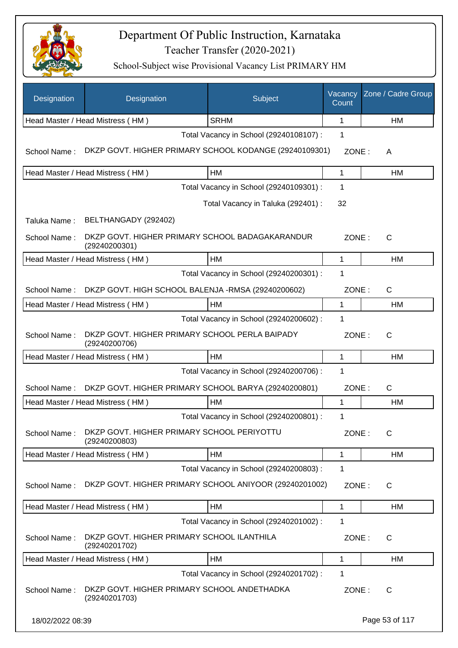

| Designation      | Designation                                                      | Subject                                 | Vacancy<br>Count | Zone / Cadre Group |
|------------------|------------------------------------------------------------------|-----------------------------------------|------------------|--------------------|
|                  | Head Master / Head Mistress (HM)                                 | <b>SRHM</b>                             | 1                | HM                 |
|                  |                                                                  | Total Vacancy in School (29240108107) : | 1                |                    |
| School Name:     | DKZP GOVT. HIGHER PRIMARY SCHOOL KODANGE (29240109301)           |                                         | ZONE:            | A                  |
|                  | Head Master / Head Mistress (HM)                                 | HM                                      | 1                | HM                 |
|                  |                                                                  | Total Vacancy in School (29240109301) : | 1                |                    |
|                  |                                                                  | Total Vacancy in Taluka (292401) :      | 32               |                    |
| Taluka Name:     | BELTHANGADY (292402)                                             |                                         |                  |                    |
| School Name:     | DKZP GOVT. HIGHER PRIMARY SCHOOL BADAGAKARANDUR<br>(29240200301) |                                         | ZONE:            | C                  |
|                  | Head Master / Head Mistress (HM)                                 | <b>HM</b>                               | 1                | <b>HM</b>          |
|                  |                                                                  | Total Vacancy in School (29240200301) : | 1                |                    |
| School Name:     | DKZP GOVT. HIGH SCHOOL BALENJA -RMSA (29240200602)               |                                         | ZONE:            | C                  |
|                  | Head Master / Head Mistress (HM)                                 | HM                                      | 1                | HM                 |
|                  |                                                                  | Total Vacancy in School (29240200602) : | 1                |                    |
| School Name:     | DKZP GOVT. HIGHER PRIMARY SCHOOL PERLA BAIPADY<br>(29240200706)  |                                         | ZONE:            | C                  |
|                  | Head Master / Head Mistress (HM)                                 | HM                                      | 1                | HM                 |
|                  |                                                                  | Total Vacancy in School (29240200706) : | 1                |                    |
| School Name:     | DKZP GOVT. HIGHER PRIMARY SCHOOL BARYA (29240200801)             |                                         | ZONE:            | C                  |
|                  | Head Master / Head Mistress (HM)                                 | HM                                      | 1                | HM                 |
|                  |                                                                  | Total Vacancy in School (29240200801) : | 1                |                    |
| School Name:     | DKZP GOVT. HIGHER PRIMARY SCHOOL PERIYOTTU<br>(29240200803)      |                                         | ZONE:            | C                  |
|                  | Head Master / Head Mistress (HM)                                 | HM                                      | 1                | <b>HM</b>          |
|                  |                                                                  | Total Vacancy in School (29240200803) : | 1                |                    |
| School Name:     | DKZP GOVT. HIGHER PRIMARY SCHOOL ANIYOOR (29240201002)           |                                         | ZONE:            | C                  |
|                  | Head Master / Head Mistress (HM)                                 | HM                                      | 1                | HM                 |
|                  |                                                                  | Total Vacancy in School (29240201002) : | 1                |                    |
| School Name:     | DKZP GOVT. HIGHER PRIMARY SCHOOL ILANTHILA<br>(29240201702)      |                                         | ZONE:            | C                  |
|                  | Head Master / Head Mistress (HM)                                 | HM                                      | 1                | <b>HM</b>          |
|                  |                                                                  | Total Vacancy in School (29240201702) : | 1                |                    |
| School Name:     | DKZP GOVT. HIGHER PRIMARY SCHOOL ANDETHADKA<br>(29240201703)     |                                         | ZONE:            | C                  |
| 18/02/2022 08:39 |                                                                  |                                         |                  | Page 53 of 117     |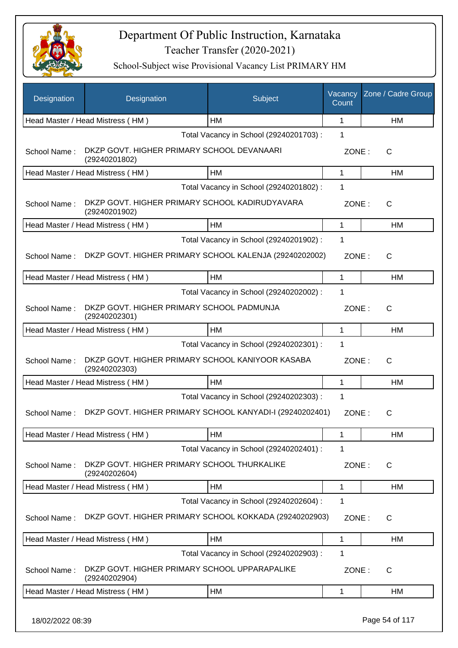

| Head Master / Head Mistress (HM)<br><b>HM</b><br>$\mathbf{1}$<br>HM<br>Total Vacancy in School (29240201703) :<br>1<br>DKZP GOVT. HIGHER PRIMARY SCHOOL DEVANAARI<br>School Name:<br>ZONE:<br>C<br>(29240201802)<br>HM<br>1<br>Head Master / Head Mistress (HM)<br>НM<br>Total Vacancy in School (29240201802) :<br>1<br>DKZP GOVT. HIGHER PRIMARY SCHOOL KADIRUDYAVARA<br>School Name:<br>ZONE:<br>C<br>(29240201902)<br>HM<br>Head Master / Head Mistress (HM)<br>1<br>НM<br>Total Vacancy in School (29240201902) :<br>1<br>DKZP GOVT. HIGHER PRIMARY SCHOOL KALENJA (29240202002)<br>School Name:<br>ZONE:<br>C<br><b>HM</b><br>Head Master / Head Mistress (HM)<br>$\mathbf{1}$<br>HM<br>Total Vacancy in School (29240202002) :<br>1<br>DKZP GOVT. HIGHER PRIMARY SCHOOL PADMUNJA<br>School Name:<br>ZONE:<br>C<br>(29240202301)<br>HM<br>1<br>Head Master / Head Mistress (HM)<br>НM<br>Total Vacancy in School (29240202301) :<br>1<br>DKZP GOVT. HIGHER PRIMARY SCHOOL KANIYOOR KASABA<br>School Name:<br>ZONE:<br>C<br>(29240202303)<br>HM<br>1<br>Head Master / Head Mistress (HM)<br>НM<br>Total Vacancy in School (29240202303) :<br>1<br>DKZP GOVT. HIGHER PRIMARY SCHOOL KANYADI-I (29240202401)<br>School Name:<br>ZONE:<br>С<br>Head Master / Head Mistress (HM)<br>HM<br>1<br>HM<br>Total Vacancy in School (29240202401) :<br>1<br>DKZP GOVT. HIGHER PRIMARY SCHOOL THURKALIKE<br>School Name:<br>ZONE:<br>C<br>(29240202604)<br>Head Master / Head Mistress (HM)<br>HM<br>1<br>HM<br>Total Vacancy in School (29240202604) :<br>1<br>DKZP GOVT. HIGHER PRIMARY SCHOOL KOKKADA (29240202903)<br>School Name:<br>ZONE:<br>C<br>Head Master / Head Mistress (HM)<br>HM<br>1<br>НM<br>Total Vacancy in School (29240202903) :<br>1<br>DKZP GOVT. HIGHER PRIMARY SCHOOL UPPARAPALIKE<br>School Name:<br>ZONE:<br>C<br>(29240202904)<br>HM<br>Head Master / Head Mistress (HM)<br>1<br>НM | Designation | Designation | Subject | Vacancy<br>Count | Zone / Cadre Group |
|---------------------------------------------------------------------------------------------------------------------------------------------------------------------------------------------------------------------------------------------------------------------------------------------------------------------------------------------------------------------------------------------------------------------------------------------------------------------------------------------------------------------------------------------------------------------------------------------------------------------------------------------------------------------------------------------------------------------------------------------------------------------------------------------------------------------------------------------------------------------------------------------------------------------------------------------------------------------------------------------------------------------------------------------------------------------------------------------------------------------------------------------------------------------------------------------------------------------------------------------------------------------------------------------------------------------------------------------------------------------------------------------------------------------------------------------------------------------------------------------------------------------------------------------------------------------------------------------------------------------------------------------------------------------------------------------------------------------------------------------------------------------------------------------------------------------------------------------------------------------------------------------------------|-------------|-------------|---------|------------------|--------------------|
|                                                                                                                                                                                                                                                                                                                                                                                                                                                                                                                                                                                                                                                                                                                                                                                                                                                                                                                                                                                                                                                                                                                                                                                                                                                                                                                                                                                                                                                                                                                                                                                                                                                                                                                                                                                                                                                                                                         |             |             |         |                  |                    |
|                                                                                                                                                                                                                                                                                                                                                                                                                                                                                                                                                                                                                                                                                                                                                                                                                                                                                                                                                                                                                                                                                                                                                                                                                                                                                                                                                                                                                                                                                                                                                                                                                                                                                                                                                                                                                                                                                                         |             |             |         |                  |                    |
|                                                                                                                                                                                                                                                                                                                                                                                                                                                                                                                                                                                                                                                                                                                                                                                                                                                                                                                                                                                                                                                                                                                                                                                                                                                                                                                                                                                                                                                                                                                                                                                                                                                                                                                                                                                                                                                                                                         |             |             |         |                  |                    |
|                                                                                                                                                                                                                                                                                                                                                                                                                                                                                                                                                                                                                                                                                                                                                                                                                                                                                                                                                                                                                                                                                                                                                                                                                                                                                                                                                                                                                                                                                                                                                                                                                                                                                                                                                                                                                                                                                                         |             |             |         |                  |                    |
|                                                                                                                                                                                                                                                                                                                                                                                                                                                                                                                                                                                                                                                                                                                                                                                                                                                                                                                                                                                                                                                                                                                                                                                                                                                                                                                                                                                                                                                                                                                                                                                                                                                                                                                                                                                                                                                                                                         |             |             |         |                  |                    |
|                                                                                                                                                                                                                                                                                                                                                                                                                                                                                                                                                                                                                                                                                                                                                                                                                                                                                                                                                                                                                                                                                                                                                                                                                                                                                                                                                                                                                                                                                                                                                                                                                                                                                                                                                                                                                                                                                                         |             |             |         |                  |                    |
|                                                                                                                                                                                                                                                                                                                                                                                                                                                                                                                                                                                                                                                                                                                                                                                                                                                                                                                                                                                                                                                                                                                                                                                                                                                                                                                                                                                                                                                                                                                                                                                                                                                                                                                                                                                                                                                                                                         |             |             |         |                  |                    |
|                                                                                                                                                                                                                                                                                                                                                                                                                                                                                                                                                                                                                                                                                                                                                                                                                                                                                                                                                                                                                                                                                                                                                                                                                                                                                                                                                                                                                                                                                                                                                                                                                                                                                                                                                                                                                                                                                                         |             |             |         |                  |                    |
|                                                                                                                                                                                                                                                                                                                                                                                                                                                                                                                                                                                                                                                                                                                                                                                                                                                                                                                                                                                                                                                                                                                                                                                                                                                                                                                                                                                                                                                                                                                                                                                                                                                                                                                                                                                                                                                                                                         |             |             |         |                  |                    |
|                                                                                                                                                                                                                                                                                                                                                                                                                                                                                                                                                                                                                                                                                                                                                                                                                                                                                                                                                                                                                                                                                                                                                                                                                                                                                                                                                                                                                                                                                                                                                                                                                                                                                                                                                                                                                                                                                                         |             |             |         |                  |                    |
|                                                                                                                                                                                                                                                                                                                                                                                                                                                                                                                                                                                                                                                                                                                                                                                                                                                                                                                                                                                                                                                                                                                                                                                                                                                                                                                                                                                                                                                                                                                                                                                                                                                                                                                                                                                                                                                                                                         |             |             |         |                  |                    |
|                                                                                                                                                                                                                                                                                                                                                                                                                                                                                                                                                                                                                                                                                                                                                                                                                                                                                                                                                                                                                                                                                                                                                                                                                                                                                                                                                                                                                                                                                                                                                                                                                                                                                                                                                                                                                                                                                                         |             |             |         |                  |                    |
|                                                                                                                                                                                                                                                                                                                                                                                                                                                                                                                                                                                                                                                                                                                                                                                                                                                                                                                                                                                                                                                                                                                                                                                                                                                                                                                                                                                                                                                                                                                                                                                                                                                                                                                                                                                                                                                                                                         |             |             |         |                  |                    |
|                                                                                                                                                                                                                                                                                                                                                                                                                                                                                                                                                                                                                                                                                                                                                                                                                                                                                                                                                                                                                                                                                                                                                                                                                                                                                                                                                                                                                                                                                                                                                                                                                                                                                                                                                                                                                                                                                                         |             |             |         |                  |                    |
|                                                                                                                                                                                                                                                                                                                                                                                                                                                                                                                                                                                                                                                                                                                                                                                                                                                                                                                                                                                                                                                                                                                                                                                                                                                                                                                                                                                                                                                                                                                                                                                                                                                                                                                                                                                                                                                                                                         |             |             |         |                  |                    |
|                                                                                                                                                                                                                                                                                                                                                                                                                                                                                                                                                                                                                                                                                                                                                                                                                                                                                                                                                                                                                                                                                                                                                                                                                                                                                                                                                                                                                                                                                                                                                                                                                                                                                                                                                                                                                                                                                                         |             |             |         |                  |                    |
|                                                                                                                                                                                                                                                                                                                                                                                                                                                                                                                                                                                                                                                                                                                                                                                                                                                                                                                                                                                                                                                                                                                                                                                                                                                                                                                                                                                                                                                                                                                                                                                                                                                                                                                                                                                                                                                                                                         |             |             |         |                  |                    |
|                                                                                                                                                                                                                                                                                                                                                                                                                                                                                                                                                                                                                                                                                                                                                                                                                                                                                                                                                                                                                                                                                                                                                                                                                                                                                                                                                                                                                                                                                                                                                                                                                                                                                                                                                                                                                                                                                                         |             |             |         |                  |                    |
|                                                                                                                                                                                                                                                                                                                                                                                                                                                                                                                                                                                                                                                                                                                                                                                                                                                                                                                                                                                                                                                                                                                                                                                                                                                                                                                                                                                                                                                                                                                                                                                                                                                                                                                                                                                                                                                                                                         |             |             |         |                  |                    |
|                                                                                                                                                                                                                                                                                                                                                                                                                                                                                                                                                                                                                                                                                                                                                                                                                                                                                                                                                                                                                                                                                                                                                                                                                                                                                                                                                                                                                                                                                                                                                                                                                                                                                                                                                                                                                                                                                                         |             |             |         |                  |                    |
|                                                                                                                                                                                                                                                                                                                                                                                                                                                                                                                                                                                                                                                                                                                                                                                                                                                                                                                                                                                                                                                                                                                                                                                                                                                                                                                                                                                                                                                                                                                                                                                                                                                                                                                                                                                                                                                                                                         |             |             |         |                  |                    |
|                                                                                                                                                                                                                                                                                                                                                                                                                                                                                                                                                                                                                                                                                                                                                                                                                                                                                                                                                                                                                                                                                                                                                                                                                                                                                                                                                                                                                                                                                                                                                                                                                                                                                                                                                                                                                                                                                                         |             |             |         |                  |                    |
|                                                                                                                                                                                                                                                                                                                                                                                                                                                                                                                                                                                                                                                                                                                                                                                                                                                                                                                                                                                                                                                                                                                                                                                                                                                                                                                                                                                                                                                                                                                                                                                                                                                                                                                                                                                                                                                                                                         |             |             |         |                  |                    |
|                                                                                                                                                                                                                                                                                                                                                                                                                                                                                                                                                                                                                                                                                                                                                                                                                                                                                                                                                                                                                                                                                                                                                                                                                                                                                                                                                                                                                                                                                                                                                                                                                                                                                                                                                                                                                                                                                                         |             |             |         |                  |                    |
|                                                                                                                                                                                                                                                                                                                                                                                                                                                                                                                                                                                                                                                                                                                                                                                                                                                                                                                                                                                                                                                                                                                                                                                                                                                                                                                                                                                                                                                                                                                                                                                                                                                                                                                                                                                                                                                                                                         |             |             |         |                  |                    |
|                                                                                                                                                                                                                                                                                                                                                                                                                                                                                                                                                                                                                                                                                                                                                                                                                                                                                                                                                                                                                                                                                                                                                                                                                                                                                                                                                                                                                                                                                                                                                                                                                                                                                                                                                                                                                                                                                                         |             |             |         |                  |                    |
|                                                                                                                                                                                                                                                                                                                                                                                                                                                                                                                                                                                                                                                                                                                                                                                                                                                                                                                                                                                                                                                                                                                                                                                                                                                                                                                                                                                                                                                                                                                                                                                                                                                                                                                                                                                                                                                                                                         |             |             |         |                  |                    |
|                                                                                                                                                                                                                                                                                                                                                                                                                                                                                                                                                                                                                                                                                                                                                                                                                                                                                                                                                                                                                                                                                                                                                                                                                                                                                                                                                                                                                                                                                                                                                                                                                                                                                                                                                                                                                                                                                                         |             |             |         |                  |                    |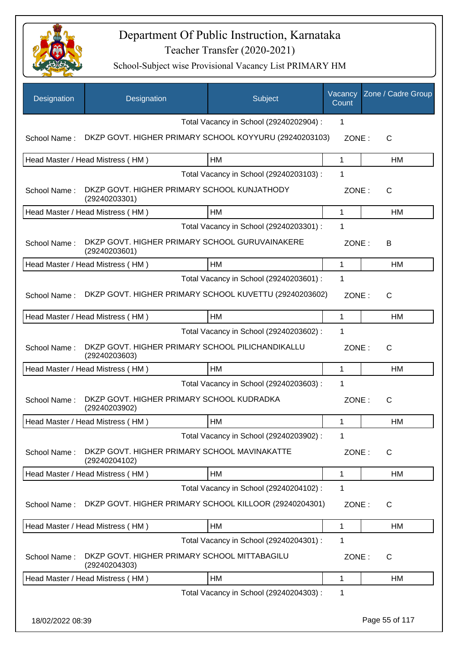

| Designation      | Designation                                                       | Subject                                 | Vacancy<br>Count | Zone / Cadre Group |
|------------------|-------------------------------------------------------------------|-----------------------------------------|------------------|--------------------|
|                  |                                                                   | Total Vacancy in School (29240202904) : | $\mathbf 1$      |                    |
| School Name:     | DKZP GOVT. HIGHER PRIMARY SCHOOL KOYYURU (29240203103)            |                                         | ZONE:            | C                  |
|                  | Head Master / Head Mistress (HM)                                  | <b>HM</b>                               | 1                | HM                 |
|                  |                                                                   | Total Vacancy in School (29240203103) : | 1                |                    |
| School Name:     | DKZP GOVT. HIGHER PRIMARY SCHOOL KUNJATHODY<br>(29240203301)      |                                         | ZONE:            | C                  |
|                  | Head Master / Head Mistress (HM)                                  | HM                                      | 1                | HM                 |
|                  |                                                                   | Total Vacancy in School (29240203301) : | 1                |                    |
| School Name:     | DKZP GOVT. HIGHER PRIMARY SCHOOL GURUVAINAKERE<br>(29240203601)   |                                         | ZONE:            | В                  |
|                  | Head Master / Head Mistress (HM)                                  | HM                                      | 1                | HM                 |
|                  |                                                                   | Total Vacancy in School (29240203601) : | 1                |                    |
| School Name:     | DKZP GOVT. HIGHER PRIMARY SCHOOL KUVETTU (29240203602)            |                                         | ZONE:            | $\mathsf{C}$       |
|                  | Head Master / Head Mistress (HM)                                  | HM                                      | $\mathbf{1}$     | HM                 |
|                  |                                                                   | Total Vacancy in School (29240203602) : | 1                |                    |
| School Name:     | DKZP GOVT. HIGHER PRIMARY SCHOOL PILICHANDIKALLU<br>(29240203603) |                                         | ZONE:            | $\mathsf{C}$       |
|                  | Head Master / Head Mistress (HM)                                  | HM                                      | $\mathbf 1$      | HM                 |
|                  |                                                                   | Total Vacancy in School (29240203603) : | 1                |                    |
| School Name:     | DKZP GOVT. HIGHER PRIMARY SCHOOL KUDRADKA<br>(29240203902)        |                                         | ZONE:            | C                  |
|                  | Head Master / Head Mistress (HM)                                  | HM                                      | 1                | HM                 |
|                  |                                                                   | Total Vacancy in School (29240203902) : | 1                |                    |
| School Name:     | DKZP GOVT. HIGHER PRIMARY SCHOOL MAVINAKATTE<br>(29240204102)     |                                         | ZONE:            | C                  |
|                  | Head Master / Head Mistress (HM)                                  | HM                                      | $\mathbf 1$      | HM                 |
|                  |                                                                   | Total Vacancy in School (29240204102) : | 1                |                    |
| School Name:     | DKZP GOVT. HIGHER PRIMARY SCHOOL KILLOOR (29240204301)            |                                         | ZONE:            | C                  |
|                  | Head Master / Head Mistress (HM)                                  | HM                                      | $\mathbf{1}$     | <b>HM</b>          |
|                  |                                                                   | Total Vacancy in School (29240204301) : | 1                |                    |
| School Name:     | DKZP GOVT. HIGHER PRIMARY SCHOOL MITTABAGILU<br>(29240204303)     |                                         | ZONE:            | C                  |
|                  | Head Master / Head Mistress (HM)                                  | HM                                      | 1                | HM                 |
|                  |                                                                   | Total Vacancy in School (29240204303) : | 1                |                    |
| 18/02/2022 08:39 |                                                                   |                                         |                  | Page 55 of 117     |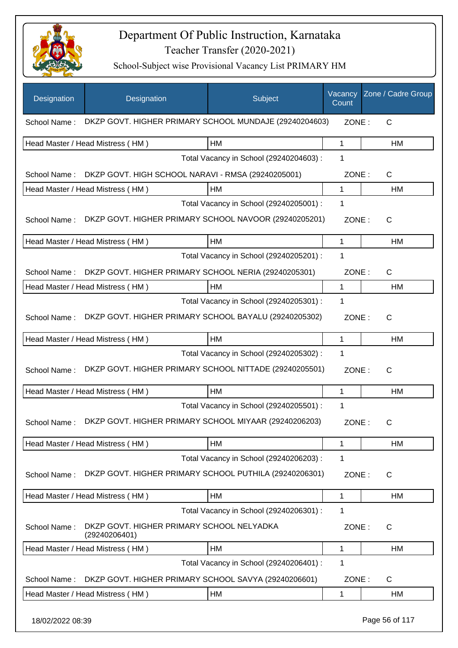

| Designation  | Designation                                                | Subject                                 | Vacancy<br>Count | Zone / Cadre Group |
|--------------|------------------------------------------------------------|-----------------------------------------|------------------|--------------------|
| School Name: | DKZP GOVT. HIGHER PRIMARY SCHOOL MUNDAJE (29240204603)     |                                         | ZONE:            | C                  |
|              | Head Master / Head Mistress (HM)                           | HM                                      | 1                | HM                 |
|              |                                                            | Total Vacancy in School (29240204603) : | 1                |                    |
| School Name: | DKZP GOVT. HIGH SCHOOL NARAVI - RMSA (29240205001)         |                                         | ZONE:            | C                  |
|              | Head Master / Head Mistress (HM)                           | HM                                      | 1                | HM                 |
|              |                                                            | Total Vacancy in School (29240205001) : | 1                |                    |
| School Name: | DKZP GOVT. HIGHER PRIMARY SCHOOL NAVOOR (29240205201)      |                                         | ZONE:            | C                  |
|              | Head Master / Head Mistress (HM)                           | HM                                      | 1                | HM                 |
|              |                                                            | Total Vacancy in School (29240205201) : | 1                |                    |
| School Name: | DKZP GOVT. HIGHER PRIMARY SCHOOL NERIA (29240205301)       |                                         | ZONE:            | $\mathsf{C}$       |
|              | Head Master / Head Mistress (HM)                           | HM                                      | 1                | HM                 |
|              |                                                            | Total Vacancy in School (29240205301) : | 1                |                    |
| School Name: | DKZP GOVT. HIGHER PRIMARY SCHOOL BAYALU (29240205302)      |                                         | ZONE:            | C                  |
|              | Head Master / Head Mistress (HM)                           | HM                                      | 1                | <b>HM</b>          |
|              |                                                            | Total Vacancy in School (29240205302) : | 1                |                    |
| School Name: | DKZP GOVT. HIGHER PRIMARY SCHOOL NITTADE (29240205501)     |                                         | ZONE:            | C                  |
|              | Head Master / Head Mistress (HM)                           | HM                                      | 1                | HM                 |
|              |                                                            | Total Vacancy in School (29240205501) : | 1                |                    |
| School Name: | DKZP GOVT. HIGHER PRIMARY SCHOOL MIYAAR (29240206203)      |                                         | ZONE:            | С                  |
|              | Head Master / Head Mistress (HM)                           | HM                                      | 1                | HM                 |
|              |                                                            | Total Vacancy in School (29240206203) : | 1                |                    |
| School Name: | DKZP GOVT. HIGHER PRIMARY SCHOOL PUTHILA (29240206301)     |                                         | ZONE:            | C                  |
|              | Head Master / Head Mistress (HM)                           | HM                                      | 1                | HM                 |
|              |                                                            | Total Vacancy in School (29240206301) : | 1                |                    |
| School Name: | DKZP GOVT. HIGHER PRIMARY SCHOOL NELYADKA<br>(29240206401) |                                         | ZONE:            | C                  |
|              | Head Master / Head Mistress (HM)                           | HM                                      | 1                | HM                 |
|              |                                                            | Total Vacancy in School (29240206401) : | 1                |                    |
| School Name: | DKZP GOVT. HIGHER PRIMARY SCHOOL SAVYA (29240206601)       |                                         | ZONE:            | $\mathsf C$        |
|              | Head Master / Head Mistress (HM)                           | HM                                      | 1                | HM                 |
|              |                                                            |                                         |                  |                    |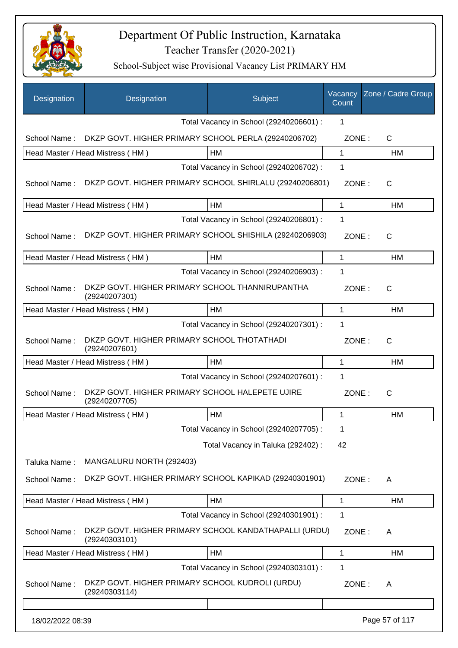

| Designation      | Designation                                                            | Subject                                 | Vacancy<br>Count | Zone / Cadre Group |
|------------------|------------------------------------------------------------------------|-----------------------------------------|------------------|--------------------|
|                  |                                                                        | Total Vacancy in School (29240206601) : | 1                |                    |
| School Name:     | DKZP GOVT. HIGHER PRIMARY SCHOOL PERLA (29240206702)                   |                                         | ZONE:            | C                  |
|                  | Head Master / Head Mistress (HM)                                       | НM                                      | 1                | HM                 |
|                  |                                                                        | Total Vacancy in School (29240206702) : | 1                |                    |
| School Name:     | DKZP GOVT. HIGHER PRIMARY SCHOOL SHIRLALU (29240206801)                |                                         | ZONE:            | C                  |
|                  | Head Master / Head Mistress (HM)                                       | HM                                      | 1                | HM                 |
|                  |                                                                        | Total Vacancy in School (29240206801) : | 1                |                    |
|                  | School Name: DKZP GOVT. HIGHER PRIMARY SCHOOL SHISHILA (29240206903)   |                                         | ZONE:            | C                  |
|                  | Head Master / Head Mistress (HM)                                       | HM                                      | 1                | HM                 |
|                  |                                                                        | Total Vacancy in School (29240206903) : | 1                |                    |
| School Name:     | DKZP GOVT. HIGHER PRIMARY SCHOOL THANNIRUPANTHA<br>(29240207301)       |                                         | ZONE:            | C                  |
|                  | Head Master / Head Mistress (HM)                                       | <b>HM</b>                               | 1                | <b>HM</b>          |
|                  |                                                                        | Total Vacancy in School (29240207301) : | 1                |                    |
| School Name:     | DKZP GOVT. HIGHER PRIMARY SCHOOL THOTATHADI<br>(29240207601)           |                                         | ZONE:            | C                  |
|                  | Head Master / Head Mistress (HM)                                       | HM                                      | 1                | <b>HM</b>          |
|                  |                                                                        | Total Vacancy in School (29240207601) : | 1                |                    |
| School Name:     | DKZP GOVT. HIGHER PRIMARY SCHOOL HALEPETE UJIRE<br>(29240207705)       |                                         | ZONE:            | $\mathsf{C}$       |
|                  | Head Master / Head Mistress (HM)                                       | <b>HM</b>                               | 1                | <b>HM</b>          |
|                  |                                                                        | Total Vacancy in School (29240207705) : | 1                |                    |
|                  |                                                                        | Total Vacancy in Taluka (292402) :      | 42               |                    |
| Taluka Name:     | MANGALURU NORTH (292403)                                               |                                         |                  |                    |
| School Name:     | DKZP GOVT. HIGHER PRIMARY SCHOOL KAPIKAD (29240301901)                 |                                         | ZONE:            | A                  |
|                  | Head Master / Head Mistress (HM)                                       | HM                                      | 1                | HM                 |
|                  |                                                                        | Total Vacancy in School (29240301901) : | 1                |                    |
| School Name:     | DKZP GOVT. HIGHER PRIMARY SCHOOL KANDATHAPALLI (URDU)<br>(29240303101) |                                         | ZONE:            | A                  |
|                  | Head Master / Head Mistress (HM)                                       | <b>HM</b>                               | 1                | HM                 |
|                  |                                                                        | Total Vacancy in School (29240303101) : | 1                |                    |
| School Name:     | DKZP GOVT. HIGHER PRIMARY SCHOOL KUDROLI (URDU)<br>(29240303114)       |                                         | ZONE:            | A                  |
|                  |                                                                        |                                         |                  |                    |
| 18/02/2022 08:39 |                                                                        |                                         |                  | Page 57 of 117     |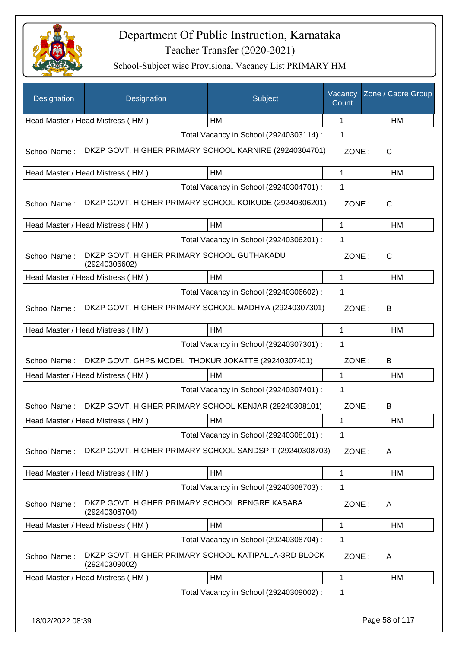

| Designation      | Designation                                                           | Subject                                 | Vacancy<br>Count | Zone / Cadre Group |
|------------------|-----------------------------------------------------------------------|-----------------------------------------|------------------|--------------------|
|                  | Head Master / Head Mistress (HM)                                      | HM                                      | 1                | <b>HM</b>          |
|                  |                                                                       | Total Vacancy in School (29240303114) : | 1                |                    |
| School Name:     | DKZP GOVT. HIGHER PRIMARY SCHOOL KARNIRE (29240304701)                |                                         | ZONE:            | С                  |
|                  | Head Master / Head Mistress (HM)                                      | HM                                      | 1                | НM                 |
|                  |                                                                       | Total Vacancy in School (29240304701) : | 1                |                    |
| School Name:     | DKZP GOVT. HIGHER PRIMARY SCHOOL KOIKUDE (29240306201)                |                                         | ZONE:            | С                  |
|                  | Head Master / Head Mistress (HM)                                      | HM                                      | 1                | НM                 |
|                  |                                                                       | Total Vacancy in School (29240306201) : | 1                |                    |
| School Name:     | DKZP GOVT. HIGHER PRIMARY SCHOOL GUTHAKADU<br>(29240306602)           |                                         | ZONE:            | С                  |
|                  | Head Master / Head Mistress (HM)                                      | HM                                      | 1                | <b>HM</b>          |
|                  |                                                                       | Total Vacancy in School (29240306602) : | 1                |                    |
| School Name:     | DKZP GOVT. HIGHER PRIMARY SCHOOL MADHYA (29240307301)                 |                                         | ZONE:            | В                  |
|                  | Head Master / Head Mistress (HM)                                      | HM                                      | 1                | HM                 |
|                  |                                                                       | Total Vacancy in School (29240307301) : | 1                |                    |
| School Name:     | DKZP GOVT. GHPS MODEL THOKUR JOKATTE (29240307401)                    |                                         | ZONE:            | B                  |
|                  | Head Master / Head Mistress (HM)                                      | HM                                      | $\mathbf{1}$     | НM                 |
|                  |                                                                       | Total Vacancy in School (29240307401) : | 1                |                    |
| School Name:     | DKZP GOVT. HIGHER PRIMARY SCHOOL KENJAR (29240308101)                 |                                         | ZONE:            | B                  |
|                  | Head Master / Head Mistress (HM)                                      | <b>HM</b>                               | 1                | HM                 |
|                  |                                                                       | Total Vacancy in School (29240308101) : | 1                |                    |
| School Name:     | DKZP GOVT. HIGHER PRIMARY SCHOOL SANDSPIT (29240308703)               |                                         | ZONE:            | A                  |
|                  | Head Master / Head Mistress (HM)                                      | HM                                      | 1                | HM                 |
|                  |                                                                       | Total Vacancy in School (29240308703) : | 1                |                    |
| School Name:     | DKZP GOVT. HIGHER PRIMARY SCHOOL BENGRE KASABA<br>(29240308704)       |                                         | ZONE:            | Α                  |
|                  | Head Master / Head Mistress (HM)                                      | HM                                      | 1                | HM                 |
|                  |                                                                       | Total Vacancy in School (29240308704) : | 1                |                    |
| School Name:     | DKZP GOVT. HIGHER PRIMARY SCHOOL KATIPALLA-3RD BLOCK<br>(29240309002) |                                         | ZONE:            | Α                  |
|                  | Head Master / Head Mistress (HM)                                      | HM                                      | 1                | HM                 |
|                  |                                                                       | Total Vacancy in School (29240309002) : | 1                |                    |
| 18/02/2022 08:39 |                                                                       |                                         |                  | Page 58 of 117     |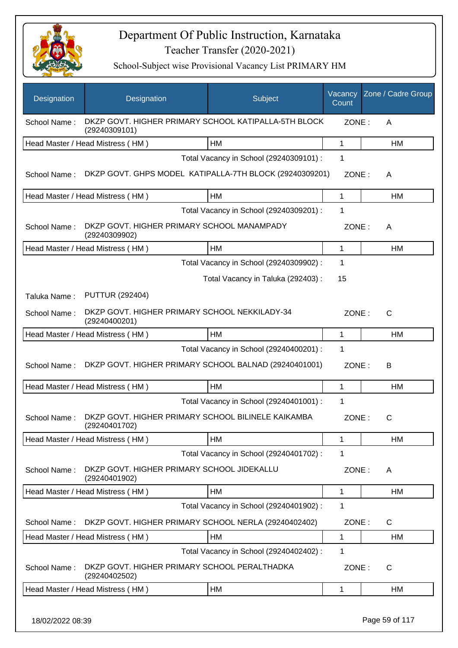

| Designation  | Designation                                                           | Subject                                 | Vacancy<br>Count | Zone / Cadre Group |
|--------------|-----------------------------------------------------------------------|-----------------------------------------|------------------|--------------------|
| School Name: | DKZP GOVT. HIGHER PRIMARY SCHOOL KATIPALLA-5TH BLOCK<br>(29240309101) |                                         | ZONE:            | A                  |
|              | Head Master / Head Mistress (HM)                                      | HM                                      | 1                | HM                 |
|              |                                                                       | Total Vacancy in School (29240309101) : | 1                |                    |
| School Name: | DKZP GOVT. GHPS MODEL KATIPALLA-7TH BLOCK (29240309201)               |                                         | ZONE:            | A                  |
|              | Head Master / Head Mistress (HM)                                      | HM                                      | $\mathbf{1}$     | HM                 |
|              |                                                                       | Total Vacancy in School (29240309201) : | 1                |                    |
| School Name: | DKZP GOVT. HIGHER PRIMARY SCHOOL MANAMPADY<br>(29240309902)           |                                         | ZONE:            | A                  |
|              | Head Master / Head Mistress (HM)                                      | HM                                      | $\mathbf 1$      | HM                 |
|              |                                                                       | Total Vacancy in School (29240309902) : | 1                |                    |
|              |                                                                       | Total Vacancy in Taluka (292403) :      | 15               |                    |
| Taluka Name: | <b>PUTTUR (292404)</b>                                                |                                         |                  |                    |
| School Name: | DKZP GOVT. HIGHER PRIMARY SCHOOL NEKKILADY-34<br>(29240400201)        |                                         | ZONE:            | $\mathsf{C}$       |
|              | Head Master / Head Mistress (HM)                                      | HM                                      | $\mathbf{1}$     | HM                 |
|              |                                                                       | Total Vacancy in School (29240400201) : | 1                |                    |
| School Name: | DKZP GOVT. HIGHER PRIMARY SCHOOL BALNAD (29240401001)                 |                                         | ZONE:            | B                  |
|              | Head Master / Head Mistress (HM)                                      | HM                                      | $\mathbf 1$      | HM                 |
|              |                                                                       | Total Vacancy in School (29240401001) : | 1                |                    |
| School Name: | DKZP GOVT. HIGHER PRIMARY SCHOOL BILINELE KAIKAMBA<br>(29240401702)   |                                         | ZONE:            | C                  |
|              | Head Master / Head Mistress (HM)                                      | HM                                      | 1                | HM                 |
|              |                                                                       | Total Vacancy in School (29240401702) : | 1                |                    |
| School Name: | DKZP GOVT. HIGHER PRIMARY SCHOOL JIDEKALLU<br>(29240401902)           |                                         | ZONE:            | A                  |
|              | Head Master / Head Mistress (HM)                                      | HM                                      | 1                | <b>HM</b>          |
|              |                                                                       | Total Vacancy in School (29240401902) : | 1                |                    |
| School Name: | DKZP GOVT. HIGHER PRIMARY SCHOOL NERLA (29240402402)                  |                                         | ZONE:            | C                  |
|              | Head Master / Head Mistress (HM)                                      | HM                                      | 1                | HM                 |
|              |                                                                       | Total Vacancy in School (29240402402) : | 1                |                    |
| School Name: | DKZP GOVT. HIGHER PRIMARY SCHOOL PERALTHADKA<br>(29240402502)         |                                         | ZONE:            | $\mathsf{C}$       |
|              | Head Master / Head Mistress (HM)                                      | HM                                      | 1                | HM                 |
|              |                                                                       |                                         |                  |                    |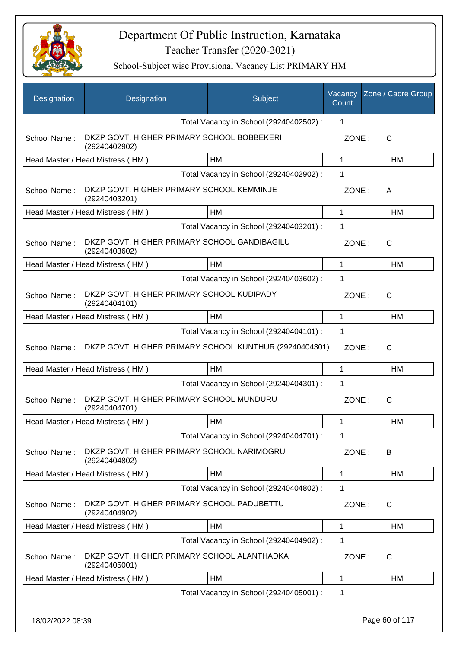

| Designation      | Designation                                                   | Subject                                 | Vacancy<br>Count | Zone / Cadre Group |
|------------------|---------------------------------------------------------------|-----------------------------------------|------------------|--------------------|
|                  |                                                               | Total Vacancy in School (29240402502) : | 1                |                    |
| School Name:     | DKZP GOVT. HIGHER PRIMARY SCHOOL BOBBEKERI<br>(29240402902)   |                                         | ZONE:            | C                  |
|                  | Head Master / Head Mistress (HM)                              | HM                                      | 1                | НM                 |
|                  |                                                               | Total Vacancy in School (29240402902) : | 1                |                    |
| School Name:     | DKZP GOVT. HIGHER PRIMARY SCHOOL KEMMINJE<br>(29240403201)    |                                         | ZONE:            | A                  |
|                  | Head Master / Head Mistress (HM)                              | HM                                      | 1                | HM                 |
|                  |                                                               | Total Vacancy in School (29240403201) : | 1                |                    |
| School Name:     | DKZP GOVT. HIGHER PRIMARY SCHOOL GANDIBAGILU<br>(29240403602) |                                         | ZONE:            | $\mathsf{C}$       |
|                  | Head Master / Head Mistress (HM)                              | <b>HM</b>                               | 1                | HM                 |
|                  |                                                               | Total Vacancy in School (29240403602) : | 1                |                    |
| School Name:     | DKZP GOVT. HIGHER PRIMARY SCHOOL KUDIPADY<br>(29240404101)    |                                         | ZONE:            | $\mathsf{C}$       |
|                  | Head Master / Head Mistress (HM)                              | HM                                      | 1                | НM                 |
|                  |                                                               | Total Vacancy in School (29240404101) : | 1                |                    |
| School Name:     | DKZP GOVT. HIGHER PRIMARY SCHOOL KUNTHUR (29240404301)        |                                         | ZONE:            | $\mathsf{C}$       |
|                  | Head Master / Head Mistress (HM)                              | HM                                      | 1                | HM                 |
|                  |                                                               | Total Vacancy in School (29240404301) : | 1                |                    |
| School Name:     | DKZP GOVT. HIGHER PRIMARY SCHOOL MUNDURU<br>(29240404701)     |                                         | ZONE:            | $\mathsf{C}$       |
|                  | Head Master / Head Mistress (HM)                              | <b>HM</b>                               | 1                | HM                 |
|                  |                                                               | Total Vacancy in School (29240404701) : | 1                |                    |
| School Name:     | DKZP GOVT. HIGHER PRIMARY SCHOOL NARIMOGRU<br>(29240404802)   |                                         | ZONE:            | B                  |
|                  | Head Master / Head Mistress (HM)                              | HM                                      | 1                | HM                 |
|                  |                                                               | Total Vacancy in School (29240404802) : | 1                |                    |
| School Name:     | DKZP GOVT. HIGHER PRIMARY SCHOOL PADUBETTU<br>(29240404902)   |                                         | ZONE:            | C                  |
|                  | Head Master / Head Mistress (HM)                              | HM                                      | 1                | HM                 |
|                  |                                                               | Total Vacancy in School (29240404902) : | 1                |                    |
| School Name:     | DKZP GOVT. HIGHER PRIMARY SCHOOL ALANTHADKA<br>(29240405001)  |                                         | ZONE:            | C                  |
|                  | Head Master / Head Mistress (HM)                              | HM                                      | 1                | НM                 |
|                  |                                                               | Total Vacancy in School (29240405001) : | 1                |                    |
| 18/02/2022 08:39 |                                                               |                                         |                  | Page 60 of 117     |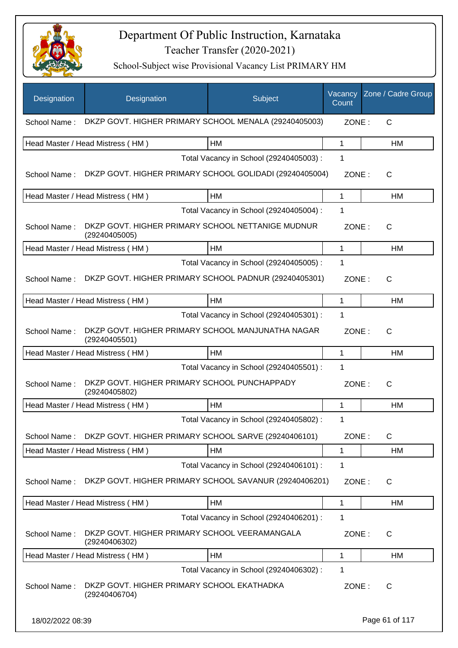

| Designation      | Designation                                                        | Subject                                 | Vacancy<br>Count | Zone / Cadre Group |
|------------------|--------------------------------------------------------------------|-----------------------------------------|------------------|--------------------|
| School Name:     | DKZP GOVT. HIGHER PRIMARY SCHOOL MENALA (29240405003)              |                                         | ZONE:            | C                  |
|                  | Head Master / Head Mistress (HM)                                   | HM                                      | 1                | HM                 |
|                  |                                                                    | Total Vacancy in School (29240405003) : | 1                |                    |
| School Name:     | DKZP GOVT. HIGHER PRIMARY SCHOOL GOLIDADI (29240405004)            |                                         | ZONE:            | $\mathsf{C}$       |
|                  | Head Master / Head Mistress (HM)                                   | HM                                      | 1                | НM                 |
|                  |                                                                    | Total Vacancy in School (29240405004) : | 1                |                    |
| School Name:     | DKZP GOVT. HIGHER PRIMARY SCHOOL NETTANIGE MUDNUR<br>(29240405005) |                                         | ZONE:            | C                  |
|                  | Head Master / Head Mistress (HM)                                   | <b>HM</b>                               | 1                | HM                 |
|                  |                                                                    | Total Vacancy in School (29240405005) : | 1                |                    |
| School Name:     | DKZP GOVT. HIGHER PRIMARY SCHOOL PADNUR (29240405301)              |                                         | ZONE:            | C                  |
|                  | Head Master / Head Mistress (HM)                                   | HM                                      | 1                | HM                 |
|                  |                                                                    | Total Vacancy in School (29240405301) : | 1                |                    |
| School Name:     | DKZP GOVT. HIGHER PRIMARY SCHOOL MANJUNATHA NAGAR<br>(29240405501) |                                         | ZONE:            | $\mathsf{C}$       |
|                  | Head Master / Head Mistress (HM)                                   | HM                                      | 1                | НM                 |
|                  |                                                                    | Total Vacancy in School (29240405501) : | 1                |                    |
| School Name:     | DKZP GOVT. HIGHER PRIMARY SCHOOL PUNCHAPPADY<br>(29240405802)      |                                         | ZONE:            | C                  |
|                  | Head Master / Head Mistress (HM)                                   | <b>HM</b>                               | 1                | <b>HM</b>          |
|                  |                                                                    | Total Vacancy in School (29240405802) : | 1                |                    |
| School Name:     | DKZP GOVT. HIGHER PRIMARY SCHOOL SARVE (29240406101)               |                                         | ZONE:            | C                  |
|                  | Head Master / Head Mistress (HM)                                   | HM                                      | 1                | HM                 |
|                  |                                                                    | Total Vacancy in School (29240406101) : | 1                |                    |
| School Name:     | DKZP GOVT. HIGHER PRIMARY SCHOOL SAVANUR (29240406201)             |                                         | ZONE:            | C                  |
|                  | Head Master / Head Mistress (HM)                                   | HM                                      | 1                | HM                 |
|                  |                                                                    | Total Vacancy in School (29240406201) : | 1                |                    |
| School Name:     | DKZP GOVT. HIGHER PRIMARY SCHOOL VEERAMANGALA<br>(29240406302)     |                                         | ZONE:            | C                  |
|                  | Head Master / Head Mistress (HM)                                   | HM                                      | 1                | HM                 |
|                  |                                                                    | Total Vacancy in School (29240406302) : | 1                |                    |
| School Name:     | DKZP GOVT. HIGHER PRIMARY SCHOOL EKATHADKA<br>(29240406704)        |                                         | ZONE:            | C                  |
| 18/02/2022 08:39 |                                                                    |                                         |                  | Page 61 of 117     |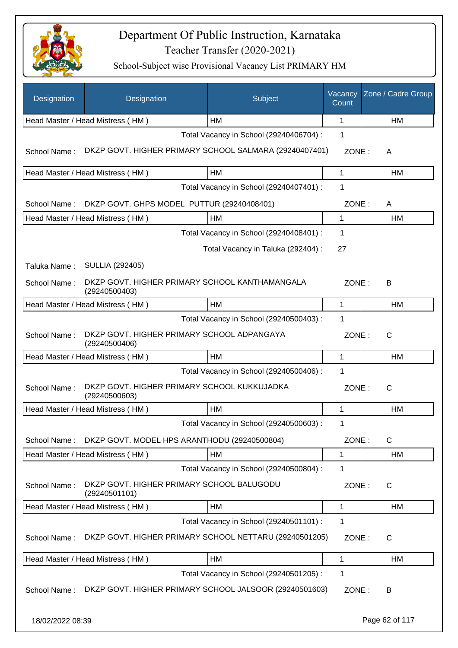

| Designation      | Designation                                                     | Subject                                 | Vacancy<br>Count | Zone / Cadre Group |
|------------------|-----------------------------------------------------------------|-----------------------------------------|------------------|--------------------|
|                  | Head Master / Head Mistress (HM)                                | HM                                      | $\mathbf 1$      | HM                 |
|                  |                                                                 | Total Vacancy in School (29240406704) : | 1                |                    |
| School Name:     | DKZP GOVT. HIGHER PRIMARY SCHOOL SALMARA (29240407401)          |                                         | ZONE:            | A                  |
|                  | Head Master / Head Mistress (HM)                                | HM                                      | 1                | HM                 |
|                  |                                                                 | Total Vacancy in School (29240407401) : | 1                |                    |
| School Name:     | DKZP GOVT. GHPS MODEL PUTTUR (29240408401)                      |                                         | ZONE:            | A                  |
|                  | Head Master / Head Mistress (HM)                                | HM                                      | 1                | <b>HM</b>          |
|                  |                                                                 | Total Vacancy in School (29240408401) : | 1                |                    |
|                  |                                                                 | Total Vacancy in Taluka (292404) :      | 27               |                    |
| Taluka Name:     | <b>SULLIA (292405)</b>                                          |                                         |                  |                    |
| School Name:     | DKZP GOVT. HIGHER PRIMARY SCHOOL KANTHAMANGALA<br>(29240500403) |                                         | ZONE:            | В                  |
|                  | Head Master / Head Mistress (HM)                                | HM                                      | 1                | HM                 |
|                  |                                                                 | Total Vacancy in School (29240500403) : | 1                |                    |
| School Name:     | DKZP GOVT. HIGHER PRIMARY SCHOOL ADPANGAYA<br>(29240500406)     |                                         | ZONE:            | $\mathsf{C}$       |
|                  | Head Master / Head Mistress (HM)                                | HM                                      | 1                | <b>HM</b>          |
|                  |                                                                 | Total Vacancy in School (29240500406) : | 1                |                    |
| School Name:     | DKZP GOVT. HIGHER PRIMARY SCHOOL KUKKUJADKA<br>(29240500603)    |                                         | ZONE:            | $\mathsf{C}$       |
|                  | Head Master / Head Mistress (HM)                                | HM                                      | 1                | НM                 |
|                  |                                                                 | Total Vacancy in School (29240500603) : | 1                |                    |
| School Name:     | DKZP GOVT. MODEL HPS ARANTHODU (29240500804)                    |                                         | ZONE:            | C                  |
|                  | Head Master / Head Mistress (HM)                                | HM                                      | 1                | НM                 |
|                  |                                                                 | Total Vacancy in School (29240500804) : | 1                |                    |
| School Name:     | DKZP GOVT. HIGHER PRIMARY SCHOOL BALUGODU<br>(29240501101)      |                                         | ZONE:            | $\mathsf{C}$       |
|                  | Head Master / Head Mistress (HM)                                | HM                                      | 1                | HM                 |
|                  |                                                                 | Total Vacancy in School (29240501101) : | 1                |                    |
| School Name:     | DKZP GOVT. HIGHER PRIMARY SCHOOL NETTARU (29240501205)          |                                         | ZONE:            | C                  |
|                  | Head Master / Head Mistress (HM)                                | HM                                      | 1                | HM                 |
|                  |                                                                 | Total Vacancy in School (29240501205) : | 1                |                    |
| School Name:     | DKZP GOVT. HIGHER PRIMARY SCHOOL JALSOOR (29240501603)          |                                         | ZONE:            | В                  |
| 18/02/2022 08:39 |                                                                 |                                         |                  | Page 62 of 117     |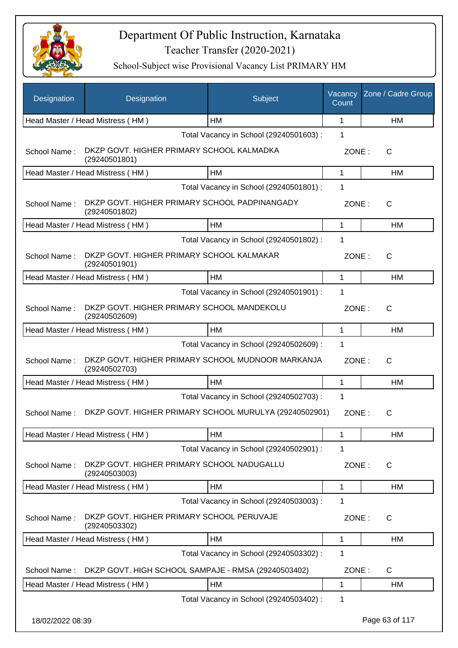

| Designation      | Designation                                                        | Subject                                 | Vacancy<br>Count | Zone / Cadre Group |
|------------------|--------------------------------------------------------------------|-----------------------------------------|------------------|--------------------|
|                  | Head Master / Head Mistress (HM)                                   | HM                                      | 1                | HM                 |
|                  |                                                                    | Total Vacancy in School (29240501603) : | 1                |                    |
| School Name:     | DKZP GOVT. HIGHER PRIMARY SCHOOL KALMADKA<br>(29240501801)         |                                         | ZONE:            | С                  |
|                  | Head Master / Head Mistress (HM)                                   | HM                                      | $\mathbf{1}$     | HM                 |
|                  |                                                                    | Total Vacancy in School (29240501801) : | 1                |                    |
| School Name:     | DKZP GOVT. HIGHER PRIMARY SCHOOL PADPINANGADY<br>(29240501802)     |                                         | ZONE:            | C                  |
|                  | Head Master / Head Mistress (HM)                                   | <b>HM</b>                               | 1                | HM                 |
|                  |                                                                    | Total Vacancy in School (29240501802) : | 1                |                    |
| School Name:     | DKZP GOVT. HIGHER PRIMARY SCHOOL KALMAKAR<br>(29240501901)         |                                         | ZONE:            | C                  |
|                  | Head Master / Head Mistress (HM)                                   | HM                                      | 1                | HM                 |
|                  |                                                                    | Total Vacancy in School (29240501901) : | 1                |                    |
| School Name:     | DKZP GOVT. HIGHER PRIMARY SCHOOL MANDEKOLU<br>(29240502609)        |                                         | ZONE:            | С                  |
|                  | Head Master / Head Mistress (HM)                                   | HM                                      | $\mathbf{1}$     | HM                 |
|                  |                                                                    | Total Vacancy in School (29240502609) : | 1                |                    |
| School Name:     | DKZP GOVT. HIGHER PRIMARY SCHOOL MUDNOOR MARKANJA<br>(29240502703) |                                         | ZONE:            | $\mathsf{C}$       |
|                  | Head Master / Head Mistress (HM)                                   | <b>HM</b>                               | 1                | HM                 |
|                  |                                                                    | Total Vacancy in School (29240502703) : | 1                |                    |
| School Name:     | DKZP GOVT. HIGHER PRIMARY SCHOOL MURULYA (29240502901)             |                                         | ZONE:            | С                  |
|                  | Head Master / Head Mistress (HM)                                   | HM                                      | 1                | HM                 |
|                  |                                                                    | Total Vacancy in School (29240502901) : | 1                |                    |
| School Name:     | DKZP GOVT. HIGHER PRIMARY SCHOOL NADUGALLU<br>(29240503003)        |                                         | ZONE:            | C                  |
|                  | Head Master / Head Mistress (HM)                                   | HM                                      | $\mathbf{1}$     | HM                 |
|                  |                                                                    | Total Vacancy in School (29240503003) : | 1                |                    |
| School Name:     | DKZP GOVT. HIGHER PRIMARY SCHOOL PERUVAJE<br>(29240503302)         |                                         | ZONE:            | C                  |
|                  | Head Master / Head Mistress (HM)                                   | HM                                      | 1                | HM                 |
|                  |                                                                    | Total Vacancy in School (29240503302) : | 1                |                    |
| School Name:     | DKZP GOVT. HIGH SCHOOL SAMPAJE - RMSA (29240503402)                |                                         | ZONE:            | $\mathsf C$        |
|                  | Head Master / Head Mistress (HM)                                   | HM                                      | 1                | HM                 |
|                  |                                                                    | Total Vacancy in School (29240503402) : | 1                |                    |
| 18/02/2022 08:39 |                                                                    |                                         |                  | Page 63 of 117     |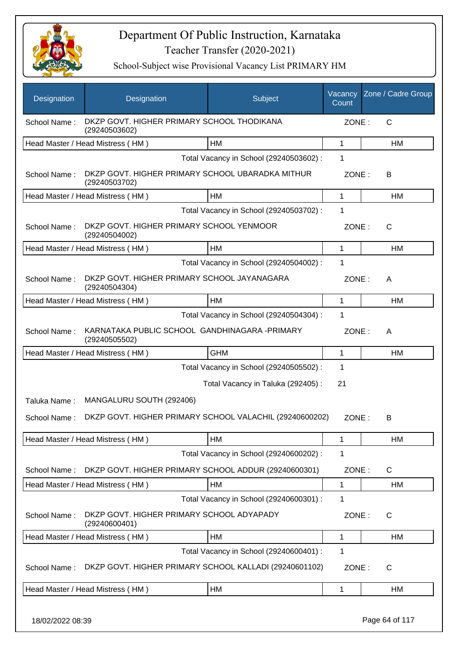

School-Subject wise Provisional Vacancy List PRIMARY HM

| Designation  | Designation                                                       | Subject                                 | Vacancy<br>Count | Zone / Cadre Group |
|--------------|-------------------------------------------------------------------|-----------------------------------------|------------------|--------------------|
| School Name: | DKZP GOVT. HIGHER PRIMARY SCHOOL THODIKANA<br>(29240503602)       |                                         | ZONE:            | $\mathsf{C}$       |
|              | Head Master / Head Mistress (HM)                                  | <b>HM</b>                               | 1                | HM                 |
|              |                                                                   | Total Vacancy in School (29240503602) : | 1                |                    |
| School Name: | DKZP GOVT. HIGHER PRIMARY SCHOOL UBARADKA MITHUR<br>(29240503702) |                                         | ZONE:            | В                  |
|              | Head Master / Head Mistress (HM)                                  | <b>HM</b>                               | 1                | HM                 |
|              |                                                                   | Total Vacancy in School (29240503702) : | 1                |                    |
| School Name: | DKZP GOVT. HIGHER PRIMARY SCHOOL YENMOOR<br>(29240504002)         |                                         | ZONE:            | C                  |
|              | Head Master / Head Mistress (HM)                                  | HM                                      | 1                | НM                 |
|              |                                                                   | Total Vacancy in School (29240504002) : | 1                |                    |
| School Name: | DKZP GOVT. HIGHER PRIMARY SCHOOL JAYANAGARA<br>(29240504304)      |                                         | ZONE:            | A                  |
|              | Head Master / Head Mistress (HM)                                  | <b>HM</b>                               | 1                | <b>HM</b>          |
|              |                                                                   | Total Vacancy in School (29240504304) : | 1                |                    |
| School Name: | KARNATAKA PUBLIC SCHOOL GANDHINAGARA - PRIMARY<br>(29240505502)   |                                         | ZONE:            | A                  |
|              | Head Master / Head Mistress (HM)                                  | <b>GHM</b>                              | 1                | HM                 |
|              |                                                                   | Total Vacancy in School (29240505502) : | 1                |                    |
|              |                                                                   | Total Vacancy in Taluka (292405) :      | 21               |                    |
| Taluka Name: | MANGALURU SOUTH (292406)                                          |                                         |                  |                    |
| School Name: | DKZP GOVT. HIGHER PRIMARY SCHOOL VALACHIL (29240600202)           |                                         | ZONE:            | B                  |
|              | Head Master / Head Mistress (HM)                                  | <b>HM</b>                               | 1                | НM                 |
|              |                                                                   | Total Vacancy in School (29240600202) : | 1                |                    |
| School Name: | DKZP GOVT. HIGHER PRIMARY SCHOOL ADDUR (29240600301)              |                                         | ZONE:            | C                  |
|              | Head Master / Head Mistress (HM)                                  | HM                                      | 1                | НM                 |
|              |                                                                   | Total Vacancy in School (29240600301) : | 1                |                    |
| School Name: | DKZP GOVT. HIGHER PRIMARY SCHOOL ADYAPADY<br>(29240600401)        |                                         | ZONE:            | C                  |
|              | Head Master / Head Mistress (HM)                                  | HM                                      | 1                | НM                 |
|              |                                                                   | Total Vacancy in School (29240600401) : | 1                |                    |
| School Name: | DKZP GOVT. HIGHER PRIMARY SCHOOL KALLADI (29240601102)            |                                         | ZONE:            | C                  |
|              | Head Master / Head Mistress (HM)                                  | <b>HM</b>                               | 1                | НM                 |
|              |                                                                   |                                         |                  |                    |

18/02/2022 08:39 Page 64 of 117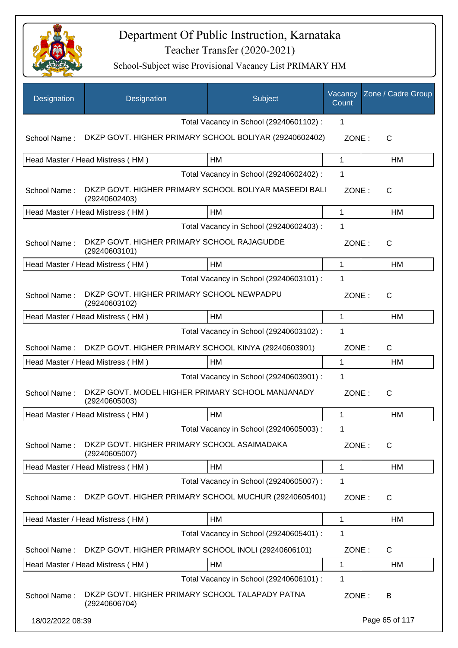

| Designation      | Designation                                                            | Subject                                 | Vacancy<br>Count | Zone / Cadre Group |
|------------------|------------------------------------------------------------------------|-----------------------------------------|------------------|--------------------|
|                  |                                                                        | Total Vacancy in School (29240601102) : | 1                |                    |
| School Name:     | DKZP GOVT. HIGHER PRIMARY SCHOOL BOLIYAR (29240602402)                 |                                         | ZONE:            | C                  |
|                  | Head Master / Head Mistress (HM)                                       | HM                                      | 1                | HM                 |
|                  |                                                                        | Total Vacancy in School (29240602402) : | 1                |                    |
| School Name:     | DKZP GOVT. HIGHER PRIMARY SCHOOL BOLIYAR MASEEDI BALI<br>(29240602403) |                                         | ZONE:            | C                  |
|                  | Head Master / Head Mistress (HM)                                       | HM                                      | 1                | HM                 |
|                  |                                                                        | Total Vacancy in School (29240602403) : | 1                |                    |
| School Name:     | DKZP GOVT. HIGHER PRIMARY SCHOOL RAJAGUDDE<br>(29240603101)            |                                         | ZONE:            | C                  |
|                  | Head Master / Head Mistress (HM)                                       | <b>HM</b>                               | 1                | HM                 |
|                  |                                                                        | Total Vacancy in School (29240603101) : | 1                |                    |
| School Name:     | DKZP GOVT. HIGHER PRIMARY SCHOOL NEWPADPU<br>(29240603102)             |                                         | ZONE:            | C                  |
|                  | Head Master / Head Mistress (HM)                                       | HM                                      | 1                | HM                 |
|                  |                                                                        | Total Vacancy in School (29240603102) : | 1                |                    |
| School Name:     | DKZP GOVT. HIGHER PRIMARY SCHOOL KINYA (29240603901)                   |                                         | ZONE:            | $\mathsf{C}$       |
|                  | Head Master / Head Mistress (HM)                                       | HM                                      | 1                | <b>HM</b>          |
|                  |                                                                        | Total Vacancy in School (29240603901) : | 1                |                    |
| School Name:     | DKZP GOVT. MODEL HIGHER PRIMARY SCHOOL MANJANADY<br>(29240605003)      |                                         | ZONE:            | $\mathsf{C}$       |
|                  | Head Master / Head Mistress (HM)                                       | HМ                                      | 1                | HM                 |
|                  |                                                                        | Total Vacancy in School (29240605003) : | 1                |                    |
| School Name:     | DKZP GOVT. HIGHER PRIMARY SCHOOL ASAIMADAKA<br>(29240605007)           |                                         | ZONE:            | C                  |
|                  | Head Master / Head Mistress (HM)                                       | HM                                      | 1                | HM                 |
|                  |                                                                        | Total Vacancy in School (29240605007) : | 1                |                    |
| School Name:     | DKZP GOVT. HIGHER PRIMARY SCHOOL MUCHUR (29240605401)                  |                                         | ZONE:            | C                  |
|                  | Head Master / Head Mistress (HM)                                       | HM                                      | 1                | HM                 |
|                  |                                                                        | Total Vacancy in School (29240605401) : | 1                |                    |
| School Name:     | DKZP GOVT. HIGHER PRIMARY SCHOOL INOLI (29240606101)                   |                                         | ZONE:            | C                  |
|                  | Head Master / Head Mistress (HM)                                       | HM                                      | 1                | HM                 |
|                  |                                                                        | Total Vacancy in School (29240606101) : | 1                |                    |
| School Name:     | DKZP GOVT. HIGHER PRIMARY SCHOOL TALAPADY PATNA<br>(29240606704)       |                                         | ZONE:            | B                  |
| 18/02/2022 08:39 |                                                                        |                                         |                  | Page 65 of 117     |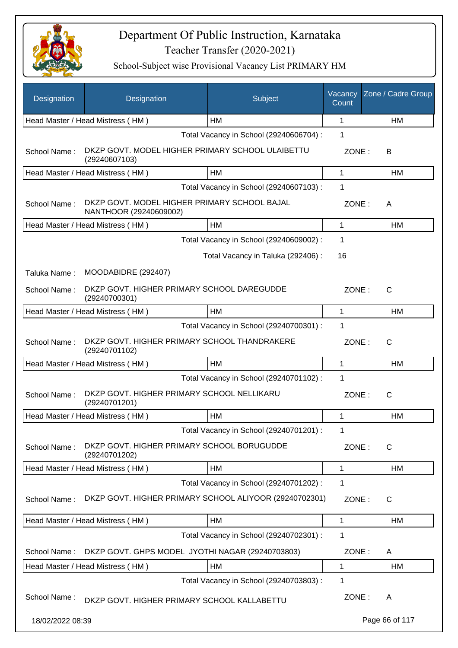

| Designation      | Designation                                                            | Subject                                 | Vacancy<br>Count | Zone / Cadre Group |
|------------------|------------------------------------------------------------------------|-----------------------------------------|------------------|--------------------|
|                  | Head Master / Head Mistress (HM)                                       | HM                                      | 1                | HM                 |
|                  |                                                                        | Total Vacancy in School (29240606704) : | 1                |                    |
| School Name:     | DKZP GOVT. MODEL HIGHER PRIMARY SCHOOL ULAIBETTU<br>(29240607103)      |                                         | ZONE:            | В                  |
|                  | Head Master / Head Mistress (HM)                                       | HM                                      | 1                | HM                 |
|                  |                                                                        | Total Vacancy in School (29240607103) : | 1                |                    |
| School Name:     | DKZP GOVT. MODEL HIGHER PRIMARY SCHOOL BAJAL<br>NANTHOOR (29240609002) |                                         | ZONE:            | A                  |
|                  | Head Master / Head Mistress (HM)                                       | HM                                      | 1                | HM                 |
|                  |                                                                        | Total Vacancy in School (29240609002) : | $\mathbf 1$      |                    |
|                  |                                                                        | Total Vacancy in Taluka (292406):       | 16               |                    |
| Taluka Name:     | MOODABIDRE (292407)                                                    |                                         |                  |                    |
| School Name:     | DKZP GOVT. HIGHER PRIMARY SCHOOL DAREGUDDE<br>(29240700301)            |                                         | ZONE:            | C                  |
|                  | Head Master / Head Mistress (HM)                                       | HM                                      | 1                | HM                 |
|                  |                                                                        | Total Vacancy in School (29240700301) : | 1                |                    |
| School Name:     | DKZP GOVT. HIGHER PRIMARY SCHOOL THANDRAKERE<br>(29240701102)          |                                         | ZONE:            | C                  |
|                  | Head Master / Head Mistress (HM)                                       | HM                                      | 1                | HM                 |
|                  |                                                                        | Total Vacancy in School (29240701102) : | 1                |                    |
| School Name:     | DKZP GOVT. HIGHER PRIMARY SCHOOL NELLIKARU<br>(29240701201)            |                                         | ZONE:            | $\mathsf{C}$       |
|                  | Head Master / Head Mistress (HM)                                       | HM                                      | 1                | HM                 |
|                  |                                                                        | Total Vacancy in School (29240701201) : | 1                |                    |
| School Name:     | DKZP GOVT. HIGHER PRIMARY SCHOOL BORUGUDDE<br>(29240701202)            |                                         | ZONE:            | C                  |
|                  | Head Master / Head Mistress (HM)                                       | HM                                      | 1                | HM                 |
|                  |                                                                        | Total Vacancy in School (29240701202) : | 1                |                    |
| School Name:     | DKZP GOVT. HIGHER PRIMARY SCHOOL ALIYOOR (29240702301)                 |                                         | ZONE:            | C                  |
|                  | Head Master / Head Mistress (HM)                                       | HM                                      | 1                | HM                 |
|                  |                                                                        | Total Vacancy in School (29240702301) : | $\mathbf 1$      |                    |
| School Name:     | DKZP GOVT. GHPS MODEL JYOTHI NAGAR (29240703803)                       |                                         | ZONE:            | A                  |
|                  | Head Master / Head Mistress (HM)                                       | HM                                      | 1                | HM                 |
|                  |                                                                        | Total Vacancy in School (29240703803) : | $\mathbf 1$      |                    |
| School Name:     | DKZP GOVT. HIGHER PRIMARY SCHOOL KALLABETTU                            |                                         | ZONE:            | A                  |
| 18/02/2022 08:39 |                                                                        |                                         |                  | Page 66 of 117     |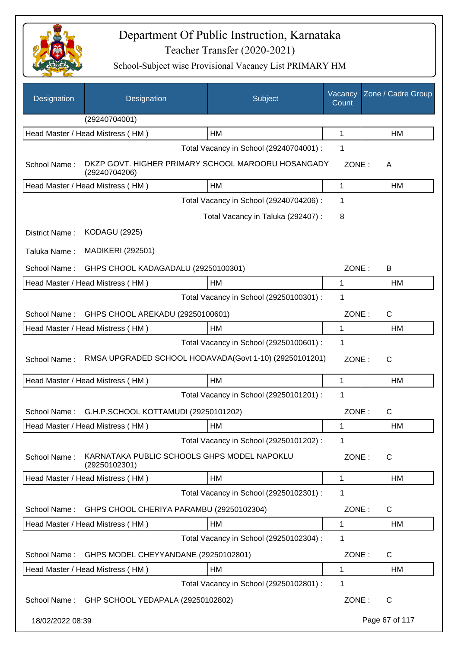

| Designation      | Designation                                                         | Subject                                 | Vacancy<br>Count | Zone / Cadre Group |
|------------------|---------------------------------------------------------------------|-----------------------------------------|------------------|--------------------|
|                  | (29240704001)                                                       |                                         |                  |                    |
|                  | Head Master / Head Mistress (HM)                                    | <b>HM</b>                               | 1                | HM                 |
|                  |                                                                     | Total Vacancy in School (29240704001) : | 1                |                    |
| School Name:     | DKZP GOVT. HIGHER PRIMARY SCHOOL MAROORU HOSANGADY<br>(29240704206) |                                         | ZONE:            | A                  |
|                  | Head Master / Head Mistress (HM)                                    | HM                                      | 1                | <b>HM</b>          |
|                  |                                                                     | Total Vacancy in School (29240704206) : | 1                |                    |
|                  |                                                                     | Total Vacancy in Taluka (292407) :      | 8                |                    |
| District Name:   | <b>KODAGU (2925)</b>                                                |                                         |                  |                    |
| Taluka Name:     | <b>MADIKERI (292501)</b>                                            |                                         |                  |                    |
| School Name:     | GHPS CHOOL KADAGADALU (29250100301)                                 |                                         | ZONE:            | B                  |
|                  | Head Master / Head Mistress (HM)                                    | HM                                      | 1                | <b>HM</b>          |
|                  |                                                                     | Total Vacancy in School (29250100301) : | 1                |                    |
| School Name:     | GHPS CHOOL AREKADU (29250100601)                                    |                                         | ZONE:            | $\mathsf{C}$       |
|                  | Head Master / Head Mistress (HM)                                    | <b>HM</b>                               | 1                | <b>HM</b>          |
|                  |                                                                     | Total Vacancy in School (29250100601) : | 1                |                    |
| School Name:     | RMSA UPGRADED SCHOOL HODAVADA(Govt 1-10) (29250101201)              |                                         | ZONE:            | $\mathsf{C}$       |
|                  | Head Master / Head Mistress (HM)                                    | HM                                      | 1                | HM                 |
|                  |                                                                     | Total Vacancy in School (29250101201) : | 1                |                    |
|                  | School Name: G.H.P.SCHOOL KOTTAMUDI (29250101202)                   |                                         | ZONE:            | $\mathsf{C}$       |
|                  | Head Master / Head Mistress (HM)                                    | HM                                      | 1                | HM                 |
|                  |                                                                     | Total Vacancy in School (29250101202) : | 1                |                    |
| School Name:     | KARNATAKA PUBLIC SCHOOLS GHPS MODEL NAPOKLU<br>(29250102301)        |                                         | ZONE:            | C                  |
|                  | Head Master / Head Mistress (HM)                                    | HM                                      | 1                | HM                 |
|                  |                                                                     | Total Vacancy in School (29250102301) : | 1                |                    |
| School Name:     | GHPS CHOOL CHERIYA PARAMBU (29250102304)                            |                                         | ZONE:            | $\mathsf{C}$       |
|                  | Head Master / Head Mistress (HM)                                    | HM                                      | 1                | HM                 |
|                  |                                                                     | Total Vacancy in School (29250102304) : | 1                |                    |
| School Name:     | GHPS MODEL CHEYYANDANE (29250102801)                                |                                         | ZONE:            | C                  |
|                  | Head Master / Head Mistress (HM)                                    | HM                                      | 1                | <b>HM</b>          |
|                  |                                                                     | Total Vacancy in School (29250102801) : | 1                |                    |
|                  | School Name: GHP SCHOOL YEDAPALA (29250102802)                      |                                         | ZONE:            | C                  |
| 18/02/2022 08:39 |                                                                     |                                         |                  | Page 67 of 117     |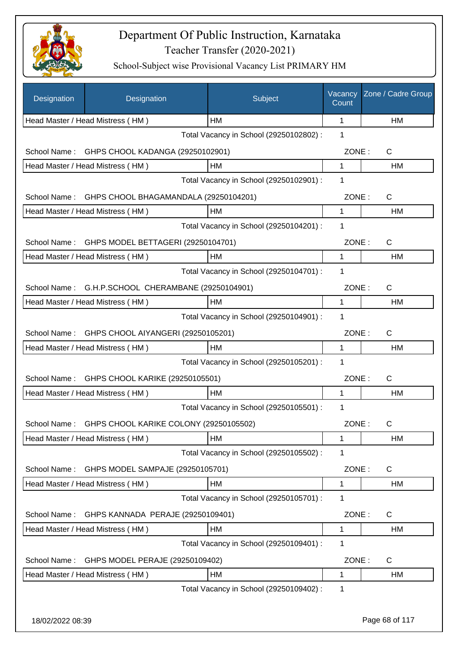

| Designation      | Designation                                     | Subject                                 | Vacancy<br>Count | Zone / Cadre Group |
|------------------|-------------------------------------------------|-----------------------------------------|------------------|--------------------|
|                  | Head Master / Head Mistress (HM)                | HM                                      | 1                | HM                 |
|                  |                                                 | Total Vacancy in School (29250102802) : | 1                |                    |
| School Name:     | GHPS CHOOL KADANGA (29250102901)                |                                         | ZONE:            | C                  |
|                  | Head Master / Head Mistress (HM)                | HM                                      | 1                | HM                 |
|                  |                                                 | Total Vacancy in School (29250102901) : | 1                |                    |
| School Name:     | GHPS CHOOL BHAGAMANDALA (29250104201)           |                                         | ZONE:            | $\mathsf{C}$       |
|                  | Head Master / Head Mistress (HM)                | HM                                      | $\mathbf{1}$     | HM                 |
|                  |                                                 | Total Vacancy in School (29250104201) : | 1                |                    |
|                  | School Name: GHPS MODEL BETTAGERI (29250104701) |                                         | ZONE:            | $\mathsf{C}$       |
|                  | Head Master / Head Mistress (HM)                | HM                                      | $\mathbf{1}$     | <b>HM</b>          |
|                  |                                                 | Total Vacancy in School (29250104701) : | 1                |                    |
| School Name:     | G.H.P.SCHOOL CHERAMBANE (29250104901)           |                                         | ZONE:            | C                  |
|                  | Head Master / Head Mistress (HM)                | HM                                      | 1                | HM                 |
|                  |                                                 | Total Vacancy in School (29250104901) : | 1                |                    |
| School Name:     | GHPS CHOOL AIYANGERI (29250105201)              |                                         | ZONE:            | $\mathsf{C}$       |
|                  | Head Master / Head Mistress (HM)                | HM                                      | 1                | HM                 |
|                  |                                                 | Total Vacancy in School (29250105201) : | 1                |                    |
| School Name:     | GHPS CHOOL KARIKE (29250105501)                 |                                         | ZONE:            | $\mathsf{C}$       |
|                  | Head Master / Head Mistress (HM)                | HM                                      | $\mathbf{1}$     | HM                 |
|                  |                                                 | Total Vacancy in School (29250105501) : | 1                |                    |
| School Name:     | GHPS CHOOL KARIKE COLONY (29250105502)          |                                         | ZONE:            | C                  |
|                  | Head Master / Head Mistress (HM)                | HM                                      | 1                | HM                 |
|                  |                                                 | Total Vacancy in School (29250105502) : | 1                |                    |
| School Name:     | GHPS MODEL SAMPAJE (29250105701)                |                                         | ZONE:            | C                  |
|                  | Head Master / Head Mistress (HM)                | HM                                      | 1                | HM                 |
|                  |                                                 | Total Vacancy in School (29250105701) : | 1                |                    |
| School Name:     | GHPS KANNADA PERAJE (29250109401)               |                                         | ZONE:            | $\mathsf{C}$       |
|                  | Head Master / Head Mistress (HM)                | HM                                      | 1                | <b>HM</b>          |
|                  |                                                 | Total Vacancy in School (29250109401) : | 1                |                    |
| School Name:     | GHPS MODEL PERAJE (29250109402)                 |                                         | ZONE:            | $\mathsf{C}$       |
|                  | Head Master / Head Mistress (HM)                | HM                                      | 1                | HM                 |
|                  |                                                 | Total Vacancy in School (29250109402) : | 1                |                    |
|                  |                                                 |                                         |                  |                    |
| 18/02/2022 08:39 |                                                 |                                         |                  | Page 68 of 117     |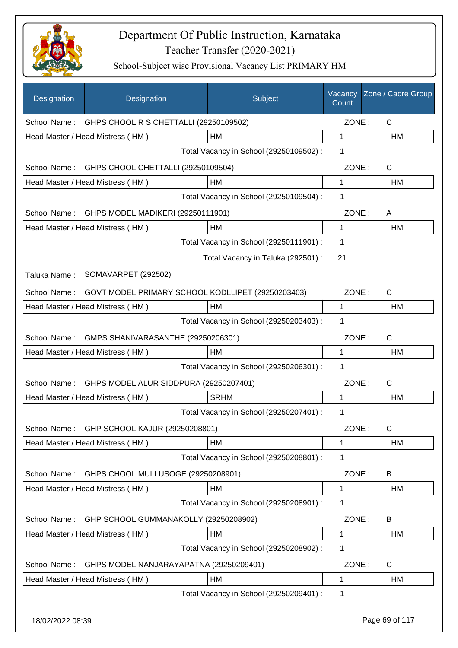

| Designation  | Designation                                       | Subject                                 | Vacancy<br>Count | Zone / Cadre Group |
|--------------|---------------------------------------------------|-----------------------------------------|------------------|--------------------|
| School Name: | GHPS CHOOL R S CHETTALLI (29250109502)            |                                         | ZONE:            | C                  |
|              | Head Master / Head Mistress (HM)                  | HM                                      | 1                | HM                 |
|              |                                                   | Total Vacancy in School (29250109502) : | 1                |                    |
| School Name: | GHPS CHOOL CHETTALLI (29250109504)                |                                         | ZONE:            | $\mathsf{C}$       |
|              | Head Master / Head Mistress (HM)                  | HM                                      | 1                | HM                 |
|              |                                                   | Total Vacancy in School (29250109504) : | 1                |                    |
| School Name: | GHPS MODEL MADIKERI (29250111901)                 |                                         | ZONE:            | A                  |
|              | Head Master / Head Mistress (HM)                  | HM                                      | 1                | HM                 |
|              |                                                   | Total Vacancy in School (29250111901) : | 1                |                    |
|              |                                                   | Total Vacancy in Taluka (292501) :      | 21               |                    |
| Taluka Name: | SOMAVARPET (292502)                               |                                         |                  |                    |
| School Name: | GOVT MODEL PRIMARY SCHOOL KODLLIPET (29250203403) |                                         | ZONE:            | $\mathsf{C}$       |
|              | Head Master / Head Mistress (HM)                  | HM                                      | 1                | HM                 |
|              |                                                   | Total Vacancy in School (29250203403) : | 1                |                    |
| School Name: | GMPS SHANIVARASANTHE (29250206301)                |                                         | ZONE:            | $\mathsf{C}$       |
|              | Head Master / Head Mistress (HM)                  | <b>HM</b>                               | 1                | <b>HM</b>          |
|              |                                                   | Total Vacancy in School (29250206301) : | 1                |                    |
| School Name: | GHPS MODEL ALUR SIDDPURA (29250207401)            |                                         | ZONE:            | $\mathsf{C}$       |
|              | Head Master / Head Mistress (HM)                  | <b>SRHM</b>                             | 1                | HM                 |
|              |                                                   | Total Vacancy in School (29250207401) : | 1                |                    |
| School Name: | GHP SCHOOL KAJUR (29250208801)                    |                                         | ZONE:            | C                  |
|              | Head Master / Head Mistress (HM)                  | HM                                      | 1                | HM                 |
|              |                                                   | Total Vacancy in School (29250208801) : | 1                |                    |
| School Name: | GHPS CHOOL MULLUSOGE (29250208901)                |                                         | ZONE:            | B                  |
|              | Head Master / Head Mistress (HM)                  | HM                                      | 1                | HM                 |
|              |                                                   | Total Vacancy in School (29250208901) : | 1                |                    |
| School Name: | GHP SCHOOL GUMMANAKOLLY (29250208902)             |                                         | ZONE:            | B                  |
|              | Head Master / Head Mistress (HM)                  | HM                                      | 1                | HM                 |
|              |                                                   | Total Vacancy in School (29250208902) : | 1                |                    |
| School Name: | GHPS MODEL NANJARAYAPATNA (29250209401)           |                                         | ZONE:            | C                  |
|              | Head Master / Head Mistress (HM)                  | HM                                      | 1                | HM                 |
|              |                                                   | Total Vacancy in School (29250209401) : | 1                |                    |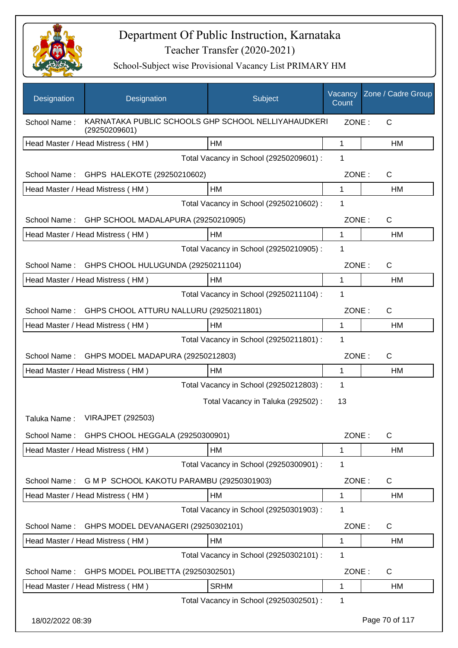

| Designation      | Designation                                                          | Subject                                 | Vacancy<br>Count | Zone / Cadre Group |
|------------------|----------------------------------------------------------------------|-----------------------------------------|------------------|--------------------|
| School Name:     | KARNATAKA PUBLIC SCHOOLS GHP SCHOOL NELLIYAHAUDKERI<br>(29250209601) |                                         | ZONE:            | C                  |
|                  | Head Master / Head Mistress (HM)                                     | <b>HM</b>                               | $\mathbf{1}$     | HM                 |
|                  |                                                                      | Total Vacancy in School (29250209601) : | 1                |                    |
| School Name:     | GHPS HALEKOTE (29250210602)                                          |                                         | ZONE:            | C                  |
|                  | Head Master / Head Mistress (HM)                                     | <b>HM</b>                               | 1                | HM                 |
|                  |                                                                      | Total Vacancy in School (29250210602) : | 1                |                    |
| School Name:     | GHP SCHOOL MADALAPURA (29250210905)                                  |                                         | ZONE:            | C                  |
|                  | Head Master / Head Mistress (HM)                                     | <b>HM</b>                               | 1                | HM                 |
|                  |                                                                      | Total Vacancy in School (29250210905) : | 1                |                    |
| School Name:     | GHPS CHOOL HULUGUNDA (29250211104)                                   |                                         | ZONE:            | C                  |
|                  | Head Master / Head Mistress (HM)                                     | HM                                      | 1                | HM                 |
|                  |                                                                      | Total Vacancy in School (29250211104) : | 1                |                    |
| School Name:     | GHPS CHOOL ATTURU NALLURU (29250211801)                              |                                         | ZONE:            | C                  |
|                  | Head Master / Head Mistress (HM)                                     | HM                                      | 1                | HM                 |
|                  |                                                                      | Total Vacancy in School (29250211801) : | 1                |                    |
| School Name:     | GHPS MODEL MADAPURA (29250212803)                                    |                                         | ZONE:            | C                  |
|                  | Head Master / Head Mistress (HM)                                     | <b>HM</b>                               | $\mathbf{1}$     | HM                 |
|                  |                                                                      | Total Vacancy in School (29250212803) : | 1                |                    |
|                  |                                                                      | Total Vacancy in Taluka (292502):       | 13               |                    |
| Taluka Name:     | <b>VIRAJPET (292503)</b>                                             |                                         |                  |                    |
| School Name:     | GHPS CHOOL HEGGALA (29250300901)                                     |                                         | ZONE:            | $\mathsf C$        |
|                  | Head Master / Head Mistress (HM)                                     | HM                                      | $\mathbf 1$      | HM                 |
|                  |                                                                      | Total Vacancy in School (29250300901) : | 1                |                    |
| School Name:     | G M P SCHOOL KAKOTU PARAMBU (29250301903)                            |                                         | ZONE:            | C                  |
|                  | Head Master / Head Mistress (HM)                                     | HM                                      | 1                | HM                 |
|                  |                                                                      | Total Vacancy in School (29250301903) : | 1                |                    |
| School Name:     | GHPS MODEL DEVANAGERI (29250302101)                                  |                                         | ZONE:            | $\mathsf C$        |
|                  | Head Master / Head Mistress (HM)                                     | HM                                      | 1                | HM                 |
|                  |                                                                      | Total Vacancy in School (29250302101) : | 1                |                    |
| School Name:     | GHPS MODEL POLIBETTA (29250302501)                                   |                                         | ZONE:            | C                  |
|                  | Head Master / Head Mistress (HM)                                     | <b>SRHM</b>                             | 1                | HM                 |
|                  |                                                                      | Total Vacancy in School (29250302501) : | 1                |                    |
| 18/02/2022 08:39 |                                                                      |                                         |                  | Page 70 of 117     |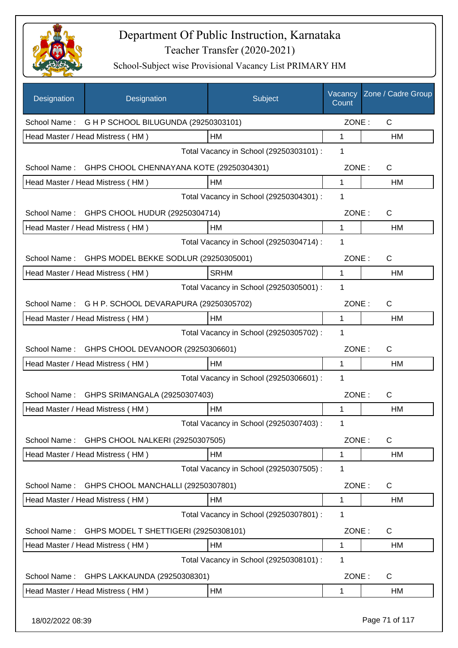

| Designation      | Designation                                 | Subject                                 | Vacancy<br>Count | Zone / Cadre Group |
|------------------|---------------------------------------------|-----------------------------------------|------------------|--------------------|
| School Name:     | G H P SCHOOL BILUGUNDA (29250303101)        |                                         | ZONE:            | $\mathsf{C}$       |
|                  | Head Master / Head Mistress (HM)            | HM                                      | 1                | HM                 |
|                  |                                             | Total Vacancy in School (29250303101) : | 1                |                    |
| School Name:     | GHPS CHOOL CHENNAYANA KOTE (29250304301)    |                                         | ZONE:            | $\mathsf{C}$       |
|                  | Head Master / Head Mistress (HM)            | HM                                      | 1                | HM                 |
|                  |                                             | Total Vacancy in School (29250304301) : | 1                |                    |
|                  | School Name: GHPS CHOOL HUDUR (29250304714) |                                         | ZONE:            | $\mathsf{C}$       |
|                  | Head Master / Head Mistress (HM)            | HM                                      | 1                | HM                 |
|                  |                                             | Total Vacancy in School (29250304714) : | 1                |                    |
| School Name:     | GHPS MODEL BEKKE SODLUR (29250305001)       |                                         | ZONE:            | $\mathsf{C}$       |
|                  | Head Master / Head Mistress (HM)            | <b>SRHM</b>                             | 1                | <b>HM</b>          |
|                  |                                             | Total Vacancy in School (29250305001) : | 1                |                    |
| School Name:     | G H P. SCHOOL DEVARAPURA (29250305702)      |                                         | ZONE:            | $\mathsf{C}$       |
|                  | Head Master / Head Mistress (HM)            | HM                                      | 1                | HM                 |
|                  |                                             | Total Vacancy in School (29250305702) : | 1                |                    |
| School Name:     | GHPS CHOOL DEVANOOR (29250306601)           |                                         | ZONE:            | $\mathsf{C}$       |
|                  | Head Master / Head Mistress (HM)            | HM                                      | 1                | HM                 |
|                  |                                             | Total Vacancy in School (29250306601) : | 1                |                    |
| School Name:     | GHPS SRIMANGALA (29250307403)               |                                         | ZONE:            | $\mathsf{C}$       |
|                  | Head Master / Head Mistress (HM)            | HM                                      | 1                | HM                 |
|                  |                                             | Total Vacancy in School (29250307403) : | 1                |                    |
| School Name:     | GHPS CHOOL NALKERI (29250307505)            |                                         | ZONE:            | C                  |
|                  | Head Master / Head Mistress (HM)            | HM                                      | 1                | HM                 |
|                  |                                             | Total Vacancy in School (29250307505) : | 1                |                    |
| School Name:     | GHPS CHOOL MANCHALLI (29250307801)          |                                         | ZONE:            | C                  |
|                  | Head Master / Head Mistress (HM)            | HM                                      | 1                | HM                 |
|                  |                                             | Total Vacancy in School (29250307801) : | 1                |                    |
| School Name:     | GHPS MODEL T SHETTIGERI (29250308101)       |                                         | ZONE:            | C                  |
|                  | Head Master / Head Mistress (HM)            | HM                                      | 1                | HM                 |
|                  |                                             | Total Vacancy in School (29250308101) : | 1                |                    |
| School Name:     | GHPS LAKKAUNDA (29250308301)                |                                         | ZONE:            | C                  |
|                  | Head Master / Head Mistress (HM)            | HM                                      | 1                | HM                 |
| 18/02/2022 08:39 |                                             |                                         |                  | Page 71 of 117     |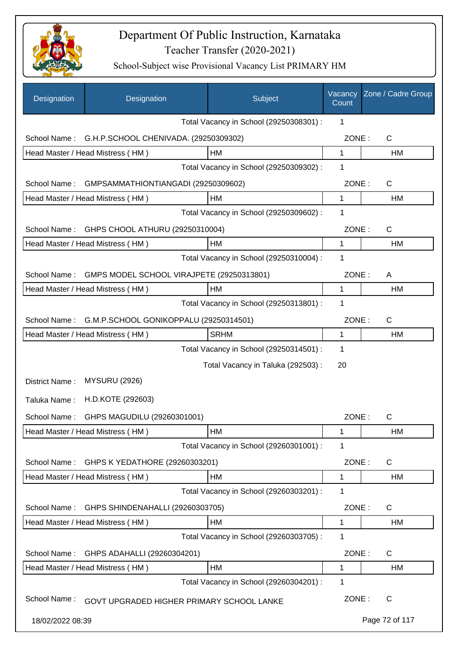

| Designation      | Designation                               | Subject                                 | Vacancy<br>Count | Zone / Cadre Group |
|------------------|-------------------------------------------|-----------------------------------------|------------------|--------------------|
|                  |                                           | Total Vacancy in School (29250308301) : | 1                |                    |
| School Name:     | G.H.P.SCHOOL CHENIVADA. (29250309302)     |                                         | ZONE:            | $\mathsf{C}$       |
|                  | Head Master / Head Mistress (HM)          | HM                                      | 1                | HM                 |
|                  |                                           | Total Vacancy in School (29250309302) : | 1                |                    |
| School Name:     | GMPSAMMATHIONTIANGADI (29250309602)       |                                         | ZONE:            | $\mathsf{C}$       |
|                  | Head Master / Head Mistress (HM)          | HM                                      | 1                | HM                 |
|                  |                                           | Total Vacancy in School (29250309602) : | 1                |                    |
| School Name:     | GHPS CHOOL ATHURU (29250310004)           |                                         | ZONE:            | $\mathsf{C}$       |
|                  | Head Master / Head Mistress (HM)          | <b>HM</b>                               | 1                | HM                 |
|                  |                                           | Total Vacancy in School (29250310004) : | 1                |                    |
| School Name:     | GMPS MODEL SCHOOL VIRAJPETE (29250313801) |                                         | ZONE:            | A                  |
|                  | Head Master / Head Mistress (HM)          | HM                                      | 1                | HM                 |
|                  |                                           | Total Vacancy in School (29250313801) : | 1                |                    |
| School Name:     | G.M.P.SCHOOL GONIKOPPALU (29250314501)    |                                         | ZONE:            | C                  |
|                  | Head Master / Head Mistress (HM)          | <b>SRHM</b>                             | 1                | HM                 |
|                  |                                           | Total Vacancy in School (29250314501) : | 1                |                    |
|                  |                                           | Total Vacancy in Taluka (292503) :      | 20               |                    |
| District Name:   | <b>MYSURU (2926)</b>                      |                                         |                  |                    |
| Taluka Name:     | H.D.KOTE (292603)                         |                                         |                  |                    |
| School Name:     | GHPS MAGUDILU (29260301001)               |                                         | ZONE:            | C                  |
|                  | Head Master / Head Mistress (HM)          | HM                                      | 1                | HM                 |
|                  |                                           | Total Vacancy in School (29260301001) : | 1                |                    |
| School Name:     | GHPS K YEDATHORE (29260303201)            |                                         | ZONE:            | $\mathsf{C}$       |
|                  | Head Master / Head Mistress (HM)          | НM                                      | 1                | HM                 |
|                  |                                           | Total Vacancy in School (29260303201) : | 1                |                    |
| School Name:     | GHPS SHINDENAHALLI (29260303705)          |                                         | ZONE:            | $\mathsf{C}$       |
|                  | Head Master / Head Mistress (HM)          | HM                                      | 1                | HM                 |
|                  |                                           | Total Vacancy in School (29260303705) : | 1                |                    |
| School Name:     | GHPS ADAHALLI (29260304201)               |                                         | ZONE:            | C                  |
|                  | Head Master / Head Mistress (HM)          | HM                                      | 1                | HM                 |
|                  |                                           | Total Vacancy in School (29260304201) : | 1                |                    |
| School Name:     | GOVT UPGRADED HIGHER PRIMARY SCHOOL LANKE |                                         | ZONE:            | C                  |
| 18/02/2022 08:39 |                                           |                                         |                  | Page 72 of 117     |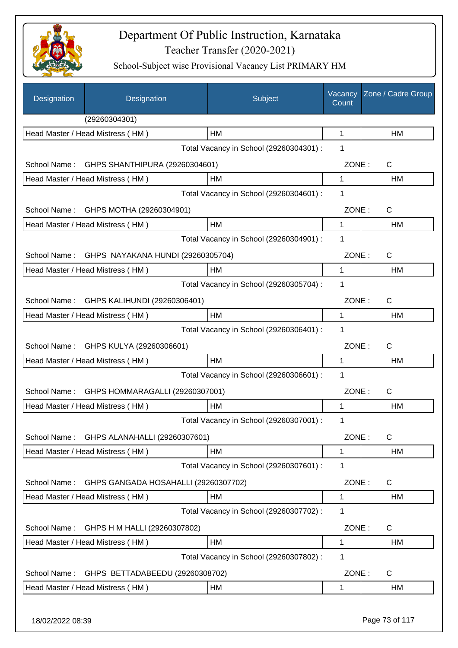

| Designation  | Designation                          | Subject                                 | Vacancy<br>Count | Zone / Cadre Group |
|--------------|--------------------------------------|-----------------------------------------|------------------|--------------------|
|              | (29260304301)                        |                                         |                  |                    |
|              | Head Master / Head Mistress (HM)     | HM                                      | 1                | HM                 |
|              |                                      | Total Vacancy in School (29260304301) : | 1                |                    |
| School Name: | GHPS SHANTHIPURA (29260304601)       |                                         | ZONE:            | $\mathsf{C}$       |
|              | Head Master / Head Mistress (HM)     | HM                                      | 1                | HM                 |
|              |                                      | Total Vacancy in School (29260304601) : | 1                |                    |
| School Name: | GHPS MOTHA (29260304901)             |                                         | ZONE:            | $\mathsf{C}$       |
|              | Head Master / Head Mistress (HM)     | HM                                      | 1                | HM                 |
|              |                                      | Total Vacancy in School (29260304901) : | 1                |                    |
| School Name: | GHPS NAYAKANA HUNDI (29260305704)    |                                         | ZONE:            | $\mathsf{C}$       |
|              | Head Master / Head Mistress (HM)     | HM                                      | 1                | HM                 |
|              |                                      | Total Vacancy in School (29260305704) : | 1                |                    |
| School Name: | GHPS KALIHUNDI (29260306401)         |                                         | ZONE:            | $\mathsf{C}$       |
|              | Head Master / Head Mistress (HM)     | <b>HM</b>                               | 1                | HM                 |
|              |                                      | Total Vacancy in School (29260306401) : | 1                |                    |
| School Name: | GHPS KULYA (29260306601)             |                                         | ZONE:            | $\mathsf{C}$       |
|              | Head Master / Head Mistress (HM)     | HM                                      | 1                | HM                 |
|              |                                      | Total Vacancy in School (29260306601) : | 1                |                    |
| School Name: | GHPS HOMMARAGALLI (29260307001)      |                                         | ZONE:            | C                  |
|              | Head Master / Head Mistress (HM)     | HM                                      | 1                | HM                 |
|              |                                      | Total Vacancy in School (29260307001) : | 1                |                    |
| School Name: | GHPS ALANAHALLI (29260307601)        |                                         | ZONE:            | C                  |
|              | Head Master / Head Mistress (HM)     | <b>HM</b>                               | 1                | HM                 |
|              |                                      | Total Vacancy in School (29260307601) : | 1                |                    |
| School Name: | GHPS GANGADA HOSAHALLI (29260307702) |                                         | ZONE:            | C                  |
|              | Head Master / Head Mistress (HM)     | HM                                      | 1                | HM                 |
|              |                                      | Total Vacancy in School (29260307702) : | 1                |                    |
| School Name: | GHPS H M HALLI (29260307802)         |                                         | ZONE:            | $\mathsf{C}$       |
|              | Head Master / Head Mistress (HM)     | <b>HM</b>                               | 1                | HM                 |
|              |                                      | Total Vacancy in School (29260307802) : | 1                |                    |
| School Name: | GHPS BETTADABEEDU (29260308702)      |                                         | ZONE:            | C                  |
|              | Head Master / Head Mistress (HM)     | HM                                      | 1                | HM                 |
|              |                                      |                                         |                  |                    |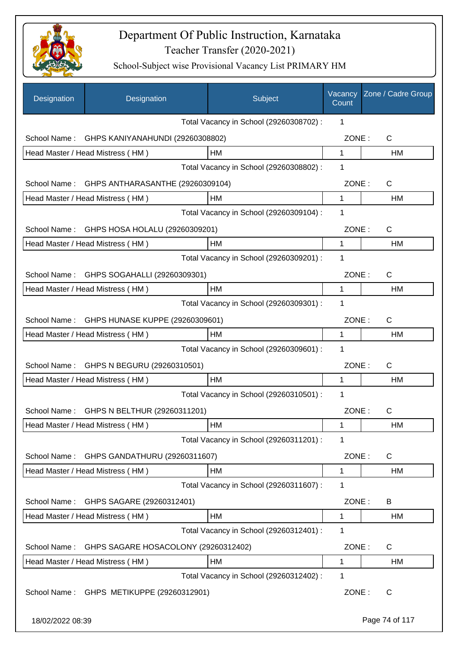

| Designation      | Designation                          | Subject                                 | Vacancy<br>Count | Zone / Cadre Group |
|------------------|--------------------------------------|-----------------------------------------|------------------|--------------------|
|                  |                                      | Total Vacancy in School (29260308702) : | 1                |                    |
| School Name:     | GHPS KANIYANAHUNDI (29260308802)     |                                         | ZONE:            | $\mathsf{C}$       |
|                  | Head Master / Head Mistress (HM)     | HM                                      | $\mathbf{1}$     | HM                 |
|                  |                                      | Total Vacancy in School (29260308802) : | 1                |                    |
| School Name:     | GHPS ANTHARASANTHE (29260309104)     |                                         | ZONE:            | C                  |
|                  | Head Master / Head Mistress (HM)     | HM                                      | $\mathbf 1$      | <b>HM</b>          |
|                  |                                      | Total Vacancy in School (29260309104) : | 1                |                    |
| School Name:     | GHPS HOSA HOLALU (29260309201)       |                                         | ZONE:            | C                  |
|                  | Head Master / Head Mistress (HM)     | HM                                      | 1                | HM                 |
|                  |                                      | Total Vacancy in School (29260309201) : | 1                |                    |
| School Name:     | GHPS SOGAHALLI (29260309301)         |                                         | ZONE:            | C                  |
|                  | Head Master / Head Mistress (HM)     | HM                                      | 1                | HM                 |
|                  |                                      | Total Vacancy in School (29260309301) : | 1                |                    |
| School Name:     | GHPS HUNASE KUPPE (29260309601)      |                                         | ZONE:            | C                  |
|                  | Head Master / Head Mistress (HM)     | HM                                      | 1                | НM                 |
|                  |                                      | Total Vacancy in School (29260309601) : | 1                |                    |
| School Name:     | GHPS N BEGURU (29260310501)          |                                         | ZONE:            | C                  |
|                  | Head Master / Head Mistress (HM)     | HM                                      | 1                | <b>HM</b>          |
|                  |                                      | Total Vacancy in School (29260310501) : | 1                |                    |
| School Name:     | GHPS N BELTHUR (29260311201)         |                                         | ZONE:            | C                  |
|                  | Head Master / Head Mistress (HM)     | HM                                      | 1                | HM                 |
|                  |                                      | Total Vacancy in School (29260311201) : | 1                |                    |
| School Name:     | GHPS GANDATHURU (29260311607)        |                                         | ZONE:            | C                  |
|                  | Head Master / Head Mistress (HM)     | HM                                      | 1                | HM                 |
|                  |                                      | Total Vacancy in School (29260311607) : | 1                |                    |
| School Name:     | GHPS SAGARE (29260312401)            |                                         | ZONE:            | B                  |
|                  | Head Master / Head Mistress (HM)     | HM                                      | 1                | HM                 |
|                  |                                      | Total Vacancy in School (29260312401) : | 1                |                    |
| School Name:     | GHPS SAGARE HOSACOLONY (29260312402) |                                         | ZONE:            | C                  |
|                  | Head Master / Head Mistress (HM)     | HM                                      | 1                | HM                 |
|                  |                                      | Total Vacancy in School (29260312402) : | 1                |                    |
| School Name:     | GHPS METIKUPPE (29260312901)         |                                         | ZONE:            | C                  |
| 18/02/2022 08:39 |                                      |                                         |                  | Page 74 of 117     |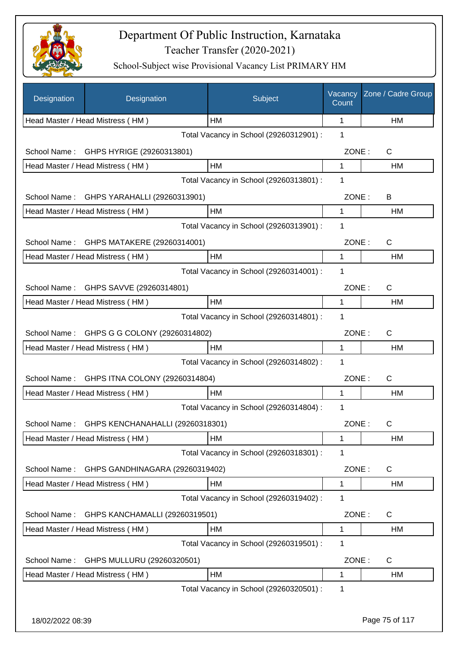

| Designation      | Designation                                   | Subject                                 | Vacancy<br>Count | Zone / Cadre Group |
|------------------|-----------------------------------------------|-----------------------------------------|------------------|--------------------|
|                  | Head Master / Head Mistress (HM)              | HM                                      | 1                | HM                 |
|                  |                                               | Total Vacancy in School (29260312901) : | 1                |                    |
| School Name:     | GHPS HYRIGE (29260313801)                     |                                         | ZONE:            | C                  |
|                  | Head Master / Head Mistress (HM)              | HM                                      | 1                | HM                 |
|                  |                                               | Total Vacancy in School (29260313801) : | 1                |                    |
| School Name:     | GHPS YARAHALLI (29260313901)                  |                                         | ZONE:            | B                  |
|                  | Head Master / Head Mistress (HM)              | <b>HM</b>                               | 1                | HM.                |
|                  |                                               | Total Vacancy in School (29260313901) : | 1                |                    |
| School Name:     | GHPS MATAKERE (29260314001)                   |                                         | ZONE:            | C                  |
|                  | Head Master / Head Mistress (HM)              | <b>HM</b>                               | 1                | HM                 |
|                  |                                               | Total Vacancy in School (29260314001) : | 1                |                    |
| School Name:     | GHPS SAVVE (29260314801)                      |                                         | ZONE:            | C                  |
|                  | Head Master / Head Mistress (HM)              | HM                                      | 1                | HM                 |
|                  |                                               | Total Vacancy in School (29260314801) : | 1                |                    |
| School Name:     | GHPS G G COLONY (29260314802)                 |                                         | ZONE:            | C                  |
|                  | Head Master / Head Mistress (HM)              | HM                                      | 1                | HM                 |
|                  |                                               | Total Vacancy in School (29260314802) : | 1                |                    |
| School Name:     | GHPS ITNA COLONY (29260314804)                |                                         | ZONE:            | C                  |
|                  | Head Master / Head Mistress (HM)              | <b>HM</b>                               | 1                | HM                 |
|                  |                                               | Total Vacancy in School (29260314804) : | 1                |                    |
|                  | School Name: GHPS KENCHANAHALLI (29260318301) |                                         | ZONE:            | C                  |
|                  | Head Master / Head Mistress (HM)              | HM                                      | 1                | HM                 |
|                  |                                               | Total Vacancy in School (29260318301) : | 1                |                    |
| School Name:     | GHPS GANDHINAGARA (29260319402)               |                                         | ZONE:            | C                  |
|                  | Head Master / Head Mistress (HM)              | <b>HM</b>                               | 1                | HM                 |
|                  |                                               | Total Vacancy in School (29260319402) : | 1                |                    |
| School Name:     | GHPS KANCHAMALLI (29260319501)                |                                         | ZONE:            | C                  |
|                  | Head Master / Head Mistress (HM)              | HM                                      | 1                | HM                 |
|                  |                                               | Total Vacancy in School (29260319501) : | 1                |                    |
| School Name:     | GHPS MULLURU (29260320501)                    |                                         | ZONE:            | C                  |
|                  | Head Master / Head Mistress (HM)              | HM                                      | 1                | HM                 |
|                  |                                               | Total Vacancy in School (29260320501) : | 1                |                    |
|                  |                                               |                                         |                  |                    |
| 18/02/2022 08:39 |                                               |                                         |                  | Page 75 of 117     |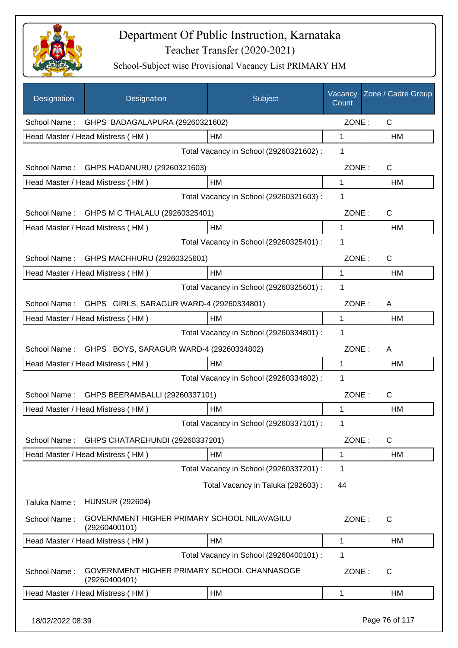

| Designation      | Designation                                                  | Subject                                 | Vacancy<br>Count | Zone / Cadre Group |
|------------------|--------------------------------------------------------------|-----------------------------------------|------------------|--------------------|
| School Name:     | GHPS BADAGALAPURA (29260321602)                              |                                         | ZONE:            | $\mathsf{C}$       |
|                  | Head Master / Head Mistress (HM)                             | HM                                      | 1                | HM                 |
|                  |                                                              | Total Vacancy in School (29260321602) : | 1                |                    |
| School Name:     | GHPS HADANURU (29260321603)                                  |                                         | ZONE:            | C                  |
|                  | Head Master / Head Mistress (HM)                             | <b>HM</b>                               | 1                | HM                 |
|                  |                                                              | Total Vacancy in School (29260321603) : | 1                |                    |
|                  | School Name: GHPS M C THALALU (29260325401)                  |                                         | ZONE:            | $\mathsf{C}$       |
|                  | Head Master / Head Mistress (HM)                             | HM                                      | 1                | HM                 |
|                  |                                                              | Total Vacancy in School (29260325401) : | 1                |                    |
| School Name:     | GHPS MACHHURU (29260325601)                                  |                                         | ZONE:            | $\mathsf{C}$       |
|                  | Head Master / Head Mistress (HM)                             | HM                                      | $\mathbf{1}$     | HM                 |
|                  |                                                              | Total Vacancy in School (29260325601) : | 1                |                    |
| School Name:     | GHPS GIRLS, SARAGUR WARD-4 (29260334801)                     |                                         | ZONE:            | A                  |
|                  | Head Master / Head Mistress (HM)                             | HM                                      | 1                | HM                 |
|                  |                                                              | Total Vacancy in School (29260334801) : | 1                |                    |
| School Name:     | GHPS BOYS, SARAGUR WARD-4 (29260334802)                      |                                         | ZONE:            | A                  |
|                  | Head Master / Head Mistress (HM)                             | HM                                      | 1                | HM                 |
|                  |                                                              | Total Vacancy in School (29260334802) : | 1                |                    |
| School Name:     | GHPS BEERAMBALLI (29260337101)                               |                                         | ZONE:            | $\mathsf{C}$       |
|                  | Head Master / Head Mistress (HM)                             | HM                                      | 1                | HM                 |
|                  |                                                              | Total Vacancy in School (29260337101) : | 1                |                    |
| School Name:     | GHPS CHATAREHUNDI (29260337201)                              |                                         | ZONE:            | C                  |
|                  | Head Master / Head Mistress (HM)                             | HM                                      | 1                | HM                 |
|                  |                                                              | Total Vacancy in School (29260337201) : | 1                |                    |
|                  |                                                              | Total Vacancy in Taluka (292603) :      | 44               |                    |
| Taluka Name:     | <b>HUNSUR (292604)</b>                                       |                                         |                  |                    |
| School Name:     | GOVERNMENT HIGHER PRIMARY SCHOOL NILAVAGILU<br>(29260400101) |                                         | ZONE:            | $\mathsf C$        |
|                  | Head Master / Head Mistress (HM)                             | HM                                      | 1                | HM                 |
|                  |                                                              | Total Vacancy in School (29260400101) : | 1                |                    |
| School Name:     | GOVERNMENT HIGHER PRIMARY SCHOOL CHANNASOGE<br>(29260400401) |                                         | ZONE:            | C                  |
|                  | Head Master / Head Mistress (HM)                             | HM                                      | 1                | HM                 |
| 18/02/2022 08:39 |                                                              |                                         |                  | Page 76 of 117     |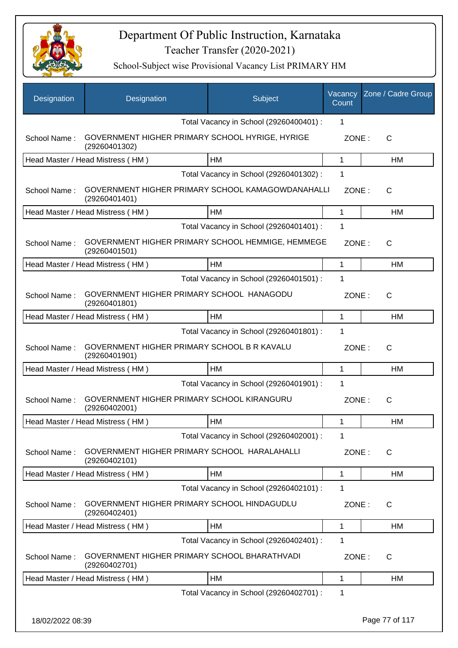

| Designation      | Designation                                                        | Subject                                 | Vacancy<br>Count | Zone / Cadre Group |
|------------------|--------------------------------------------------------------------|-----------------------------------------|------------------|--------------------|
|                  |                                                                    | Total Vacancy in School (29260400401) : | 1                |                    |
| School Name:     | GOVERNMENT HIGHER PRIMARY SCHOOL HYRIGE, HYRIGE<br>(29260401302)   |                                         | ZONE:            | $\mathsf{C}$       |
|                  | Head Master / Head Mistress (HM)                                   | HM                                      | 1                | НM                 |
|                  |                                                                    | Total Vacancy in School (29260401302) : | 1                |                    |
| School Name:     | GOVERNMENT HIGHER PRIMARY SCHOOL KAMAGOWDANAHALLI<br>(29260401401) |                                         | ZONE:            | C                  |
|                  | Head Master / Head Mistress (HM)                                   | HM                                      | $\mathbf{1}$     | HM                 |
|                  |                                                                    | Total Vacancy in School (29260401401) : | 1                |                    |
| School Name:     | GOVERNMENT HIGHER PRIMARY SCHOOL HEMMIGE, HEMMEGE<br>(29260401501) |                                         | ZONE:            | C                  |
|                  | Head Master / Head Mistress (HM)                                   | HM                                      | $\mathbf{1}$     | <b>HM</b>          |
|                  |                                                                    | Total Vacancy in School (29260401501) : | 1                |                    |
| School Name:     | GOVERNMENT HIGHER PRIMARY SCHOOL HANAGODU<br>(29260401801)         |                                         | ZONE:            | $\mathsf{C}$       |
|                  | Head Master / Head Mistress (HM)                                   | HM                                      | 1                | HM                 |
|                  |                                                                    | Total Vacancy in School (29260401801) : | 1                |                    |
| School Name:     | GOVERNMENT HIGHER PRIMARY SCHOOL B R KAVALU<br>(29260401901)       |                                         | ZONE:            | $\mathsf{C}$       |
|                  | Head Master / Head Mistress (HM)                                   | HM                                      | $\mathbf{1}$     | HM                 |
|                  |                                                                    | Total Vacancy in School (29260401901) : | 1                |                    |
| School Name:     | GOVERNMENT HIGHER PRIMARY SCHOOL KIRANGURU<br>(29260402001)        |                                         | ZONE:            | $\mathsf{C}$       |
|                  | Head Master / Head Mistress (HM)                                   | HM                                      | 1                | HM                 |
|                  |                                                                    | Total Vacancy in School (29260402001) : | 1                |                    |
| School Name:     | GOVERNMENT HIGHER PRIMARY SCHOOL HARALAHALLI<br>(29260402101)      |                                         | ZONE:            | C                  |
|                  | Head Master / Head Mistress (HM)                                   | HM                                      | 1                | НM                 |
|                  |                                                                    | Total Vacancy in School (29260402101) : | 1                |                    |
| School Name:     | GOVERNMENT HIGHER PRIMARY SCHOOL HINDAGUDLU<br>(29260402401)       |                                         | ZONE:            | C                  |
|                  | Head Master / Head Mistress (HM)                                   | HM                                      | 1                | HM                 |
|                  |                                                                    | Total Vacancy in School (29260402401) : | 1                |                    |
| School Name:     | GOVERNMENT HIGHER PRIMARY SCHOOL BHARATHVADI<br>(29260402701)      |                                         | ZONE:            | C                  |
|                  | Head Master / Head Mistress (HM)                                   | HM                                      | 1                | НM                 |
|                  |                                                                    | Total Vacancy in School (29260402701) : | 1                |                    |
| 18/02/2022 08:39 |                                                                    |                                         |                  | Page 77 of 117     |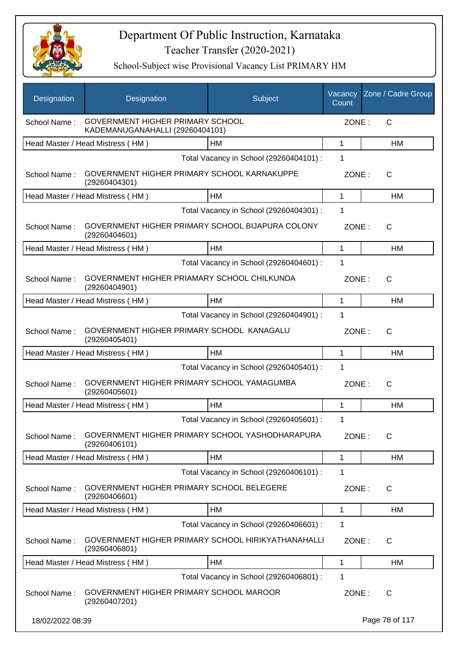

| Designation      | Designation                                                                | Subject                                 | Vacancy<br>Count | Zone / Cadre Group |
|------------------|----------------------------------------------------------------------------|-----------------------------------------|------------------|--------------------|
| School Name:     | <b>GOVERNMENT HIGHER PRIMARY SCHOOL</b><br>KADEMANUGANAHALLI (29260404101) |                                         | ZONE:            | $\mathsf{C}$       |
|                  | Head Master / Head Mistress (HM)                                           | HМ                                      | $\mathbf 1$      | HM                 |
|                  |                                                                            | Total Vacancy in School (29260404101) : | 1                |                    |
| School Name:     | GOVERNMENT HIGHER PRIMARY SCHOOL KARNAKUPPE<br>(29260404301)               |                                         | ZONE:            | $\mathsf{C}$       |
|                  | Head Master / Head Mistress (HM)                                           | <b>HM</b>                               | 1                | HM                 |
|                  |                                                                            | Total Vacancy in School (29260404301) : | 1                |                    |
| School Name:     | GOVERNMENT HIGHER PRIMARY SCHOOL BIJAPURA COLONY<br>(29260404601)          |                                         | ZONE:            | $\mathsf{C}$       |
|                  | Head Master / Head Mistress (HM)                                           | <b>HM</b>                               | 1                | <b>HM</b>          |
|                  |                                                                            | Total Vacancy in School (29260404601) : | 1                |                    |
| School Name:     | GOVERNMENT HIGHER PRIAMARY SCHOOL CHILKUNDA<br>(29260404901)               |                                         | ZONE:            | $\mathsf{C}$       |
|                  | Head Master / Head Mistress (HM)                                           | HM                                      | 1                | HM                 |
|                  |                                                                            | Total Vacancy in School (29260404901) : | 1                |                    |
| School Name:     | GOVERNMENT HIGHER PRIMARY SCHOOL KANAGALU<br>(29260405401)                 |                                         | ZONE:            | $\mathsf{C}$       |
|                  | Head Master / Head Mistress (HM)                                           | <b>HM</b>                               | 1                | <b>HM</b>          |
|                  |                                                                            | Total Vacancy in School (29260405401) : | 1                |                    |
| School Name:     | GOVERNMENT HIGHER PRIMARY SCHOOL YAMAGUMBA<br>(29260405601)                |                                         | ZONE:            | $\mathsf{C}$       |
|                  | Head Master / Head Mistress (HM)                                           | <b>HM</b>                               | 1                | HM                 |
|                  |                                                                            | Total Vacancy in School (29260405601) : | 1                |                    |
| School Name:     | GOVERNMENT HIGHER PRIMARY SCHOOL YASHODHARAPURA<br>(29260406101)           |                                         | ZONE:            | $\mathsf{C}$       |
|                  | Head Master / Head Mistress (HM)                                           | HM                                      | 1                | HM                 |
|                  |                                                                            | Total Vacancy in School (29260406101) : | 1                |                    |
| School Name:     | GOVERNMENT HIGHER PRIMARY SCHOOL BELEGERE<br>(29260406601)                 |                                         | ZONE:            | C                  |
|                  | Head Master / Head Mistress (HM)                                           | НM                                      | 1                | HM                 |
|                  |                                                                            | Total Vacancy in School (29260406601) : | 1                |                    |
| School Name:     | GOVERNMENT HIGHER PRIMARY SCHOOL HIRIKYATHANAHALLI<br>(29260406801)        |                                         | ZONE:            | $\mathsf{C}$       |
|                  | Head Master / Head Mistress (HM)                                           | HM                                      | 1                | НM                 |
|                  |                                                                            | Total Vacancy in School (29260406801) : | 1                |                    |
| School Name:     | GOVERNMENT HIGHER PRIMARY SCHOOL MAROOR<br>(29260407201)                   |                                         | ZONE:            | $\mathsf{C}$       |
| 18/02/2022 08:39 |                                                                            |                                         |                  | Page 78 of 117     |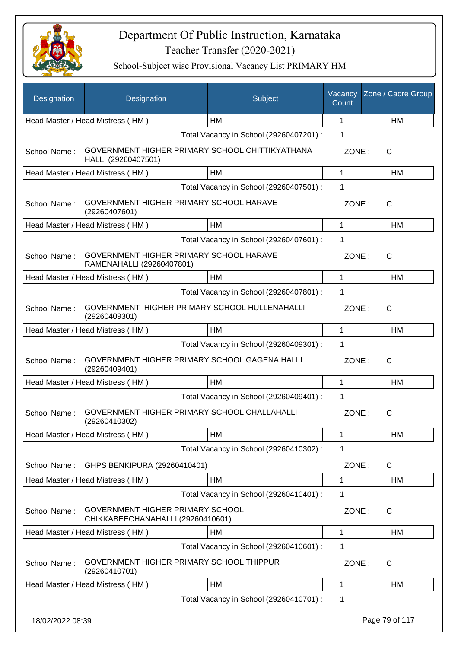

| Designation      | Designation                                                            | Subject                                 | Vacancy<br>Count | Zone / Cadre Group |
|------------------|------------------------------------------------------------------------|-----------------------------------------|------------------|--------------------|
|                  | Head Master / Head Mistress (HM)                                       | HM                                      | 1                | <b>HM</b>          |
|                  |                                                                        | Total Vacancy in School (29260407201) : | 1                |                    |
| School Name:     | GOVERNMENT HIGHER PRIMARY SCHOOL CHITTIKYATHANA<br>HALLI (29260407501) |                                         | ZONE:            | C                  |
|                  | Head Master / Head Mistress (HM)                                       | HM                                      | 1                | HM                 |
|                  |                                                                        | Total Vacancy in School (29260407501) : | 1                |                    |
| School Name:     | GOVERNMENT HIGHER PRIMARY SCHOOL HARAVE<br>(29260407601)               |                                         | ZONE:            | $\mathsf{C}$       |
|                  | Head Master / Head Mistress (HM)                                       | HM                                      | 1                | НM                 |
|                  |                                                                        | Total Vacancy in School (29260407601) : | 1                |                    |
| School Name:     | GOVERNMENT HIGHER PRIMARY SCHOOL HARAVE<br>RAMENAHALLI (29260407801)   |                                         | ZONE:            | $\mathsf{C}$       |
|                  | Head Master / Head Mistress (HM)                                       | HM                                      | 1                | <b>HM</b>          |
|                  |                                                                        | Total Vacancy in School (29260407801) : | 1                |                    |
| School Name:     | GOVERNMENT HIGHER PRIMARY SCHOOL HULLENAHALLI<br>(29260409301)         |                                         | ZONE:            | $\mathsf{C}$       |
|                  | Head Master / Head Mistress (HM)                                       | HM                                      | 1                | HM                 |
|                  |                                                                        | Total Vacancy in School (29260409301) : | 1                |                    |
| School Name:     | GOVERNMENT HIGHER PRIMARY SCHOOL GAGENA HALLI<br>(29260409401)         |                                         | ZONE:            | $\mathsf{C}$       |
|                  | Head Master / Head Mistress (HM)                                       | HM                                      | 1                | HM                 |
|                  |                                                                        | Total Vacancy in School (29260409401) : | $\mathbf 1$      |                    |
| School Name:     | GOVERNMENT HIGHER PRIMARY SCHOOL CHALLAHALLI<br>(29260410302)          |                                         | ZONE:            | C                  |
|                  | Head Master / Head Mistress (HM)                                       | HM                                      | 1                | HM                 |
|                  |                                                                        | Total Vacancy in School (29260410302) : | 1                |                    |
| School Name:     | GHPS BENKIPURA (29260410401)                                           |                                         | ZONE:            | $\mathsf{C}$       |
|                  | Head Master / Head Mistress (HM)                                       | HM                                      | 1                | HM                 |
|                  |                                                                        | Total Vacancy in School (29260410401) : | 1                |                    |
| School Name:     | GOVERNMENT HIGHER PRIMARY SCHOOL<br>CHIKKABEECHANAHALLI (29260410601)  |                                         | ZONE:            | C                  |
|                  | Head Master / Head Mistress (HM)                                       | HM                                      | 1                | HM                 |
|                  |                                                                        | Total Vacancy in School (29260410601) : | 1                |                    |
| School Name:     | GOVERNMENT HIGHER PRIMARY SCHOOL THIPPUR<br>(29260410701)              |                                         | ZONE:            | C                  |
|                  | Head Master / Head Mistress (HM)                                       | HM                                      | 1                | HM                 |
|                  |                                                                        | Total Vacancy in School (29260410701) : | 1                |                    |
| 18/02/2022 08:39 |                                                                        |                                         |                  | Page 79 of 117     |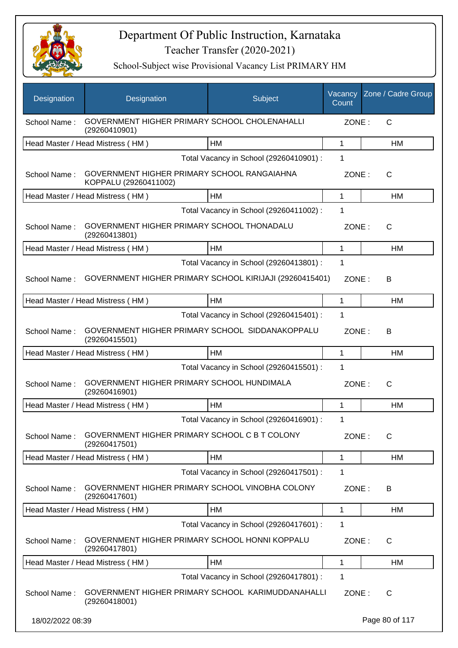

| Designation      | Designation                                                          | Subject                                 | Vacancy<br>Count | Zone / Cadre Group |
|------------------|----------------------------------------------------------------------|-----------------------------------------|------------------|--------------------|
| School Name:     | GOVERNMENT HIGHER PRIMARY SCHOOL CHOLENAHALLI<br>(29260410901)       |                                         | ZONE:            | $\mathsf{C}$       |
|                  | Head Master / Head Mistress (HM)                                     | HM                                      | 1                | HM                 |
|                  |                                                                      | Total Vacancy in School (29260410901) : | 1                |                    |
| School Name:     | GOVERNMENT HIGHER PRIMARY SCHOOL RANGAIAHNA<br>KOPPALU (29260411002) |                                         | ZONE:            | C                  |
|                  | Head Master / Head Mistress (HM)                                     | HM                                      | 1                | HM                 |
|                  |                                                                      | Total Vacancy in School (29260411002) : | 1                |                    |
| School Name:     | GOVERNMENT HIGHER PRIMARY SCHOOL THONADALU<br>(29260413801)          |                                         | ZONE:            | $\mathsf{C}$       |
|                  | Head Master / Head Mistress (HM)                                     | <b>HM</b>                               | 1                | HM                 |
|                  |                                                                      | Total Vacancy in School (29260413801) : | 1                |                    |
| School Name:     | GOVERNMENT HIGHER PRIMARY SCHOOL KIRIJAJI (29260415401)              |                                         | ZONE:            | B                  |
|                  | Head Master / Head Mistress (HM)                                     | HM                                      | 1                | HM                 |
|                  |                                                                      | Total Vacancy in School (29260415401) : | 1                |                    |
| School Name:     | GOVERNMENT HIGHER PRIMARY SCHOOL SIDDANAKOPPALU<br>(29260415501)     |                                         | ZONE:            | В                  |
|                  | Head Master / Head Mistress (HM)                                     | HM                                      | 1                | <b>HM</b>          |
|                  |                                                                      | Total Vacancy in School (29260415501) : | 1                |                    |
| School Name:     | GOVERNMENT HIGHER PRIMARY SCHOOL HUNDIMALA<br>(29260416901)          |                                         | ZONE:            | $\mathsf{C}$       |
|                  | Head Master / Head Mistress (HM)                                     | <b>HM</b>                               | 1                | HM                 |
|                  |                                                                      | Total Vacancy in School (29260416901) : | 1                |                    |
| School Name:     | GOVERNMENT HIGHER PRIMARY SCHOOL C B T COLONY<br>(29260417501)       |                                         | ZONE:            | С                  |
|                  | Head Master / Head Mistress (HM)                                     | HM                                      | 1                | <b>HM</b>          |
|                  |                                                                      | Total Vacancy in School (29260417501) : | 1                |                    |
| School Name:     | GOVERNMENT HIGHER PRIMARY SCHOOL VINOBHA COLONY<br>(29260417601)     |                                         | ZONE:            | B                  |
|                  | Head Master / Head Mistress (HM)                                     | HM                                      | 1                | <b>HM</b>          |
|                  |                                                                      | Total Vacancy in School (29260417601) : | 1                |                    |
| School Name:     | GOVERNMENT HIGHER PRIMARY SCHOOL HONNI KOPPALU<br>(29260417801)      |                                         | ZONE:            | $\mathsf{C}$       |
|                  | Head Master / Head Mistress (HM)                                     | HM                                      | 1                | HM                 |
|                  |                                                                      | Total Vacancy in School (29260417801) : | 1                |                    |
| School Name:     | GOVERNMENT HIGHER PRIMARY SCHOOL KARIMUDDANAHALLI<br>(29260418001)   |                                         | ZONE:            | C                  |
| 18/02/2022 08:39 |                                                                      |                                         |                  | Page 80 of 117     |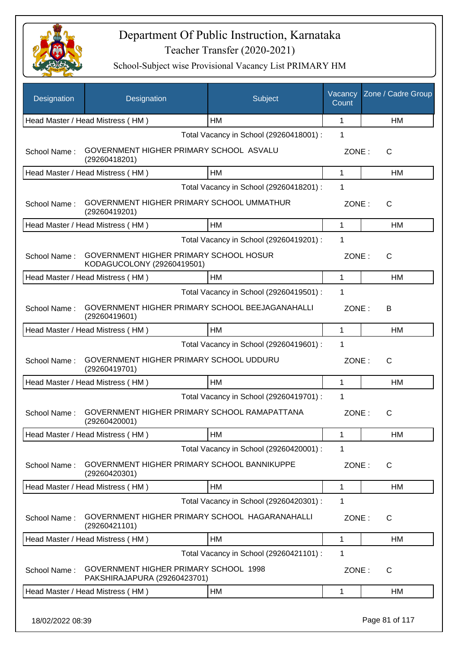

| Designation  | Designation                                                           | Subject                                 | Vacancy<br>Count | Zone / Cadre Group |
|--------------|-----------------------------------------------------------------------|-----------------------------------------|------------------|--------------------|
|              | Head Master / Head Mistress (HM)                                      | <b>HM</b>                               | 1                | <b>HM</b>          |
|              |                                                                       | Total Vacancy in School (29260418001) : | 1                |                    |
| School Name: | GOVERNMENT HIGHER PRIMARY SCHOOL ASVALU<br>(29260418201)              |                                         | ZONE:            | С                  |
|              | Head Master / Head Mistress (HM)                                      | HM                                      | 1                | HM                 |
|              |                                                                       | Total Vacancy in School (29260418201) : | 1                |                    |
| School Name: | GOVERNMENT HIGHER PRIMARY SCHOOL UMMATHUR<br>(29260419201)            |                                         | ZONE:            | С                  |
|              | Head Master / Head Mistress (HM)                                      | <b>HM</b>                               | $\mathbf{1}$     | HM                 |
|              |                                                                       | Total Vacancy in School (29260419201) : | 1                |                    |
| School Name: | GOVERNMENT HIGHER PRIMARY SCHOOL HOSUR<br>KODAGUCOLONY (29260419501)  |                                         | ZONE:            | C                  |
|              | Head Master / Head Mistress (HM)                                      | <b>HM</b>                               | $\mathbf{1}$     | <b>HM</b>          |
|              |                                                                       | Total Vacancy in School (29260419501) : | 1                |                    |
| School Name: | GOVERNMENT HIGHER PRIMARY SCHOOL BEEJAGANAHALLI<br>(29260419601)      |                                         | ZONE:            | В                  |
|              | Head Master / Head Mistress (HM)                                      | HM                                      | 1                | HM                 |
|              |                                                                       | Total Vacancy in School (29260419601) : | 1                |                    |
| School Name: | GOVERNMENT HIGHER PRIMARY SCHOOL UDDURU<br>(29260419701)              |                                         | ZONE:            | С                  |
|              | Head Master / Head Mistress (HM)                                      | HM                                      | 1                | HM                 |
|              |                                                                       | Total Vacancy in School (29260419701) : | 1                |                    |
| School Name: | GOVERNMENT HIGHER PRIMARY SCHOOL RAMAPATTANA<br>(29260420001)         |                                         | ZONE:            | С                  |
|              | Head Master / Head Mistress (HM)                                      | ${\sf HM}$                              | 1                | HM                 |
|              |                                                                       | Total Vacancy in School (29260420001) : | 1                |                    |
| School Name: | GOVERNMENT HIGHER PRIMARY SCHOOL BANNIKUPPE<br>(29260420301)          |                                         | ZONE:            | С                  |
|              | Head Master / Head Mistress (HM)                                      | HM                                      | 1                | HM                 |
|              |                                                                       | Total Vacancy in School (29260420301) : | 1                |                    |
| School Name: | GOVERNMENT HIGHER PRIMARY SCHOOL HAGARANAHALLI<br>(29260421101)       |                                         | ZONE:            | C                  |
|              | Head Master / Head Mistress (HM)                                      | <b>HM</b>                               | $\mathbf{1}$     | HM                 |
|              |                                                                       | Total Vacancy in School (29260421101) : | 1                |                    |
| School Name: | GOVERNMENT HIGHER PRIMARY SCHOOL 1998<br>PAKSHIRAJAPURA (29260423701) |                                         | ZONE:            | C                  |
|              | Head Master / Head Mistress (HM)                                      | HM                                      | 1                | HM                 |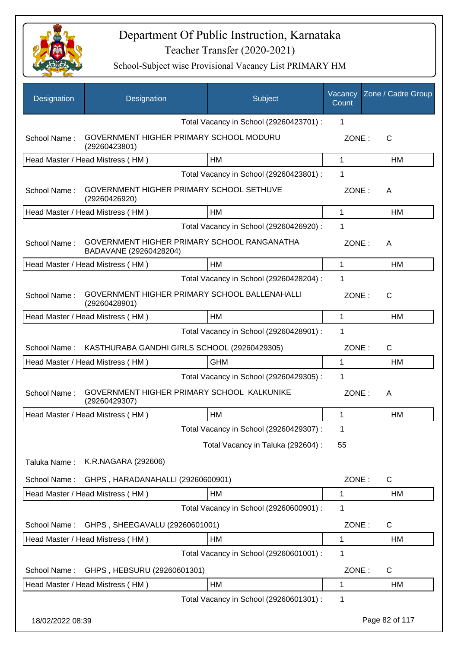

| Designation      | Designation                                                           | Subject                                 | Vacancy<br>Count | Zone / Cadre Group |
|------------------|-----------------------------------------------------------------------|-----------------------------------------|------------------|--------------------|
|                  |                                                                       | Total Vacancy in School (29260423701) : | 1                |                    |
| School Name:     | GOVERNMENT HIGHER PRIMARY SCHOOL MODURU<br>(29260423801)              |                                         | ZONE:            | C                  |
|                  | Head Master / Head Mistress (HM)                                      | <b>HM</b>                               | 1                | HM                 |
|                  |                                                                       | Total Vacancy in School (29260423801) : | 1                |                    |
| School Name:     | GOVERNMENT HIGHER PRIMARY SCHOOL SETHUVE<br>(29260426920)             |                                         | ZONE:            | A                  |
|                  | Head Master / Head Mistress (HM)                                      | HM                                      | 1                | HM                 |
|                  |                                                                       | Total Vacancy in School (29260426920) : | 1                |                    |
| School Name:     | GOVERNMENT HIGHER PRIMARY SCHOOL RANGANATHA<br>BADAVANE (29260428204) |                                         | ZONE:            | A                  |
|                  | Head Master / Head Mistress (HM)                                      | <b>HM</b>                               | $\mathbf{1}$     | HM                 |
|                  |                                                                       | Total Vacancy in School (29260428204) : | 1                |                    |
| School Name:     | GOVERNMENT HIGHER PRIMARY SCHOOL BALLENAHALLI<br>(29260428901)        |                                         | ZONE:            | C                  |
|                  | Head Master / Head Mistress (HM)                                      | <b>HM</b>                               | 1                | HM                 |
|                  |                                                                       | Total Vacancy in School (29260428901) : | 1                |                    |
| School Name:     | KASTHURABA GANDHI GIRLS SCHOOL (29260429305)                          |                                         | ZONE:            | C                  |
|                  | Head Master / Head Mistress (HM)                                      | <b>GHM</b>                              | 1                | HM                 |
|                  |                                                                       | Total Vacancy in School (29260429305) : | $\mathbf{1}$     |                    |
| School Name:     | GOVERNMENT HIGHER PRIMARY SCHOOL KALKUNIKE<br>(29260429307)           |                                         | ZONE:            | A                  |
|                  | Head Master / Head Mistress (HM)                                      | <b>HM</b>                               | 1                | HM                 |
|                  |                                                                       | Total Vacancy in School (29260429307) : | 1                |                    |
|                  |                                                                       | Total Vacancy in Taluka (292604) :      | 55               |                    |
| Taluka Name:     | K.R.NAGARA (292606)                                                   |                                         |                  |                    |
| School Name:     | GHPS, HARADANAHALLI (29260600901)                                     |                                         | ZONE:            | $\mathsf{C}$       |
|                  | Head Master / Head Mistress (HM)                                      | HM                                      | 1                | HM                 |
|                  |                                                                       | Total Vacancy in School (29260600901) : | 1                |                    |
| School Name:     | GHPS, SHEEGAVALU (29260601001)                                        |                                         | ZONE:            | C                  |
|                  | Head Master / Head Mistress (HM)                                      | <b>HM</b>                               | 1                | HM                 |
|                  |                                                                       | Total Vacancy in School (29260601001) : | 1                |                    |
| School Name:     | GHPS, HEBSURU (29260601301)                                           |                                         | ZONE:            | C                  |
|                  | Head Master / Head Mistress (HM)                                      | HM                                      | 1                | HM                 |
|                  |                                                                       | Total Vacancy in School (29260601301) : | $\mathbf 1$      |                    |
| 18/02/2022 08:39 |                                                                       |                                         |                  | Page 82 of 117     |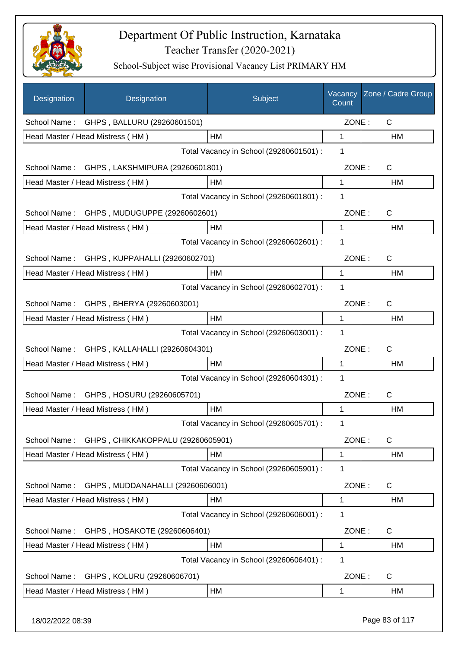

| Designation      | Designation                                 | Subject                                 | Vacancy<br>Count | Zone / Cadre Group |
|------------------|---------------------------------------------|-----------------------------------------|------------------|--------------------|
| School Name:     | GHPS, BALLURU (29260601501)                 |                                         | ZONE:            | $\mathsf{C}$       |
|                  | Head Master / Head Mistress (HM)            | HM                                      | 1                | HM                 |
|                  |                                             | Total Vacancy in School (29260601501) : | 1                |                    |
| School Name:     | GHPS, LAKSHMIPURA (29260601801)             |                                         | ZONE:            | C                  |
|                  | Head Master / Head Mistress (HM)            | HM                                      | 1                | HM                 |
|                  |                                             | Total Vacancy in School (29260601801) : | 1                |                    |
|                  | School Name: GHPS, MUDUGUPPE (29260602601)  |                                         | ZONE:            | $\mathsf{C}$       |
|                  | Head Master / Head Mistress (HM)            | HM                                      | 1                | HM                 |
|                  |                                             | Total Vacancy in School (29260602601) : | 1                |                    |
|                  | School Name: GHPS, KUPPAHALLI (29260602701) |                                         | ZONE:            | C                  |
|                  | Head Master / Head Mistress (HM)            | HM                                      | 1                | HM                 |
|                  |                                             | Total Vacancy in School (29260602701) : | 1                |                    |
| School Name:     | GHPS, BHERYA (29260603001)                  |                                         | ZONE:            | $\mathsf{C}$       |
|                  | Head Master / Head Mistress (HM)            | <b>HM</b>                               | 1                | HM                 |
|                  |                                             | Total Vacancy in School (29260603001) : | 1                |                    |
| School Name:     | GHPS, KALLAHALLI (29260604301)              |                                         | ZONE:            | $\mathsf{C}$       |
|                  | Head Master / Head Mistress (HM)            | HM                                      | 1                | HM                 |
|                  |                                             | Total Vacancy in School (29260604301) : | 1                |                    |
| School Name:     | GHPS, HOSURU (29260605701)                  |                                         | ZONE:            | $\mathsf{C}$       |
|                  | Head Master / Head Mistress (HM)            | HM                                      | 1                | HM                 |
|                  |                                             | Total Vacancy in School (29260605701) : | 1                |                    |
| School Name:     | GHPS, CHIKKAKOPPALU (29260605901)           |                                         | ZONE:            | C                  |
|                  | Head Master / Head Mistress (HM)            | HM                                      | 1                | HM                 |
|                  |                                             | Total Vacancy in School (29260605901) : | 1                |                    |
| School Name:     | GHPS, MUDDANAHALLI (29260606001)            |                                         | ZONE:            | C                  |
|                  | Head Master / Head Mistress (HM)            | HM                                      | 1                | HM                 |
|                  |                                             | Total Vacancy in School (29260606001) : | 1                |                    |
| School Name:     | GHPS, HOSAKOTE (29260606401)                |                                         | ZONE:            | C                  |
|                  | Head Master / Head Mistress (HM)            | HM                                      | 1                | HM                 |
|                  |                                             | Total Vacancy in School (29260606401) : | 1                |                    |
| School Name:     | GHPS, KOLURU (29260606701)                  |                                         | ZONE:            | C                  |
|                  | Head Master / Head Mistress (HM)            | HM                                      | 1                | HM                 |
| 18/02/2022 08:39 |                                             |                                         |                  | Page 83 of 117     |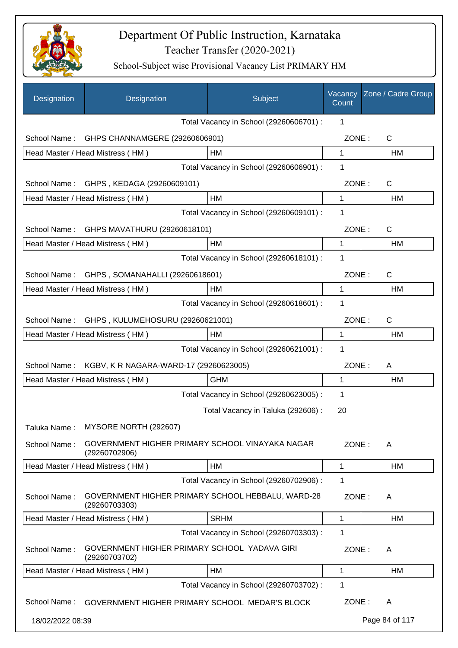

| Designation      | Designation                                                        | Subject                                 | Vacancy<br>Count | Zone / Cadre Group |
|------------------|--------------------------------------------------------------------|-----------------------------------------|------------------|--------------------|
|                  |                                                                    | Total Vacancy in School (29260606701) : | 1                |                    |
| School Name:     | GHPS CHANNAMGERE (29260606901)                                     |                                         | ZONE:            | $\mathsf C$        |
|                  | Head Master / Head Mistress (HM)                                   | HM                                      | $\mathbf{1}$     | <b>HM</b>          |
|                  |                                                                    | Total Vacancy in School (29260606901) : | $\mathbf 1$      |                    |
|                  | School Name: GHPS, KEDAGA (29260609101)                            |                                         | ZONE:            | C                  |
|                  | Head Master / Head Mistress (HM)                                   | HM                                      | 1                | HM                 |
|                  |                                                                    | Total Vacancy in School (29260609101) : | 1                |                    |
| School Name:     | GHPS MAVATHURU (29260618101)                                       |                                         | ZONE:            | C                  |
|                  | Head Master / Head Mistress (HM)                                   | НM                                      | 1                | HM                 |
|                  |                                                                    | Total Vacancy in School (29260618101) : | 1                |                    |
| School Name:     | GHPS, SOMANAHALLI (29260618601)                                    |                                         | ZONE:            | C                  |
|                  | Head Master / Head Mistress (HM)                                   | HM                                      | 1                | НM                 |
|                  |                                                                    | Total Vacancy in School (29260618601) : | 1                |                    |
|                  | School Name: GHPS, KULUMEHOSURU (29260621001)                      |                                         | ZONE:            | C                  |
|                  | Head Master / Head Mistress (HM)                                   | HM                                      | 1                | HM                 |
|                  |                                                                    | Total Vacancy in School (29260621001) : | 1                |                    |
| School Name:     | KGBV, K R NAGARA-WARD-17 (29260623005)                             |                                         | ZONE:            | A                  |
|                  | Head Master / Head Mistress (HM)                                   | <b>GHM</b>                              | 1                | HM                 |
|                  |                                                                    | Total Vacancy in School (29260623005) : | 1                |                    |
|                  |                                                                    | Total Vacancy in Taluka (292606) :      | 20               |                    |
| Taluka Name:     | MYSORE NORTH (292607)                                              |                                         |                  |                    |
| School Name:     | GOVERNMENT HIGHER PRIMARY SCHOOL VINAYAKA NAGAR<br>(29260702906)   |                                         | ZONE:            | A                  |
|                  | Head Master / Head Mistress (HM)                                   | <b>HM</b>                               | 1                | <b>HM</b>          |
|                  |                                                                    | Total Vacancy in School (29260702906) : | 1                |                    |
| School Name:     | GOVERNMENT HIGHER PRIMARY SCHOOL HEBBALU, WARD-28<br>(29260703303) |                                         | ZONE:            | A                  |
|                  | Head Master / Head Mistress (HM)                                   | <b>SRHM</b>                             | 1                | <b>HM</b>          |
|                  |                                                                    | Total Vacancy in School (29260703303) : | 1                |                    |
| School Name:     | GOVERNMENT HIGHER PRIMARY SCHOOL YADAVA GIRI<br>(29260703702)      |                                         | ZONE:            | A                  |
|                  | Head Master / Head Mistress (HM)                                   | HM                                      | 1                | НM                 |
|                  |                                                                    | Total Vacancy in School (29260703702) : | 1                |                    |
| School Name:     | GOVERNMENT HIGHER PRIMARY SCHOOL MEDAR'S BLOCK                     |                                         | ZONE:            | A                  |
| 18/02/2022 08:39 |                                                                    |                                         |                  | Page 84 of 117     |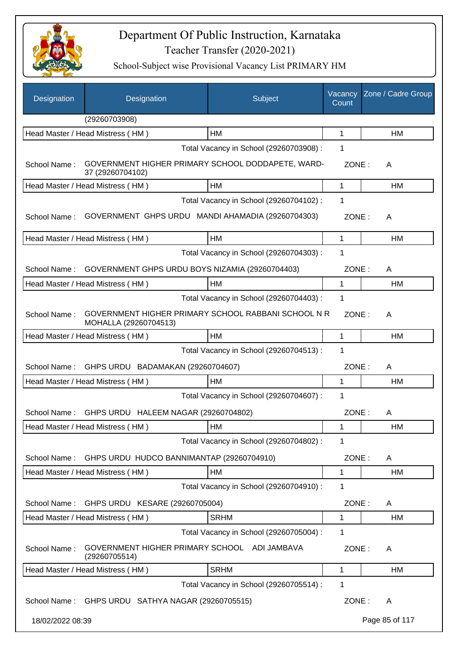

| Designation      | Designation                                                                  | Subject                                 | Vacancy<br>Count | Zone / Cadre Group |
|------------------|------------------------------------------------------------------------------|-----------------------------------------|------------------|--------------------|
|                  | (29260703908)                                                                |                                         |                  |                    |
|                  | Head Master / Head Mistress (HM)                                             | HM                                      | 1                | HM                 |
|                  |                                                                              | Total Vacancy in School (29260703908) : | 1                |                    |
| School Name:     | GOVERNMENT HIGHER PRIMARY SCHOOL DODDAPETE, WARD-<br>37 (29260704102)        |                                         | ZONE:            | A                  |
|                  | Head Master / Head Mistress (HM)                                             | HM                                      | 1                | HM                 |
|                  |                                                                              | Total Vacancy in School (29260704102) : | 1                |                    |
| School Name:     | GOVERNMENT GHPS URDU MANDI AHAMADIA (29260704303)                            |                                         | ZONE:            | A                  |
|                  | Head Master / Head Mistress (HM)                                             | HM                                      | 1                | HM                 |
|                  |                                                                              | Total Vacancy in School (29260704303) : | 1                |                    |
| School Name:     | GOVERNMENT GHPS URDU BOYS NIZAMIA (29260704403)                              |                                         | ZONE:            | A                  |
|                  | Head Master / Head Mistress (HM)                                             | HM                                      | 1                | HM                 |
|                  |                                                                              | Total Vacancy in School (29260704403) : | 1                |                    |
| School Name:     | GOVERNMENT HIGHER PRIMARY SCHOOL RABBANI SCHOOL N R<br>MOHALLA (29260704513) |                                         | ZONE:            | A                  |
|                  | Head Master / Head Mistress (HM)                                             | <b>HM</b>                               | 1                | HM                 |
|                  |                                                                              | Total Vacancy in School (29260704513) : | 1                |                    |
| School Name:     | GHPS URDU BADAMAKAN (29260704607)                                            |                                         | ZONE:            | A                  |
|                  | Head Master / Head Mistress (HM)                                             | HM                                      | 1                | HM                 |
|                  |                                                                              | Total Vacancy in School (29260704607) : | 1                |                    |
|                  | School Name: GHPS URDU HALEEM NAGAR (29260704802)                            |                                         | ZONE:            | A                  |
|                  | Head Master / Head Mistress (HM)                                             | <b>HM</b>                               | 1                | HM                 |
|                  |                                                                              | Total Vacancy in School (29260704802) : | 1                |                    |
| School Name:     | GHPS URDU HUDCO BANNIMANTAP (29260704910)                                    |                                         | ZONE:            | A                  |
|                  | Head Master / Head Mistress (HM)                                             | HM                                      | 1                | HM                 |
|                  |                                                                              | Total Vacancy in School (29260704910) : | 1                |                    |
| School Name:     | GHPS URDU KESARE (29260705004)                                               |                                         | ZONE:            | A                  |
|                  | Head Master / Head Mistress (HM)                                             | <b>SRHM</b>                             | 1                | HM                 |
|                  |                                                                              | Total Vacancy in School (29260705004) : | 1                |                    |
| School Name:     | GOVERNMENT HIGHER PRIMARY SCHOOL ADI JAMBAVA<br>(29260705514)                |                                         | ZONE:            | A                  |
|                  | Head Master / Head Mistress (HM)                                             | <b>SRHM</b>                             | 1                | HM                 |
|                  |                                                                              | Total Vacancy in School (29260705514) : | 1                |                    |
|                  | School Name: GHPS URDU SATHYA NAGAR (29260705515)                            |                                         | ZONE:            | A                  |
| 18/02/2022 08:39 |                                                                              |                                         |                  | Page 85 of 117     |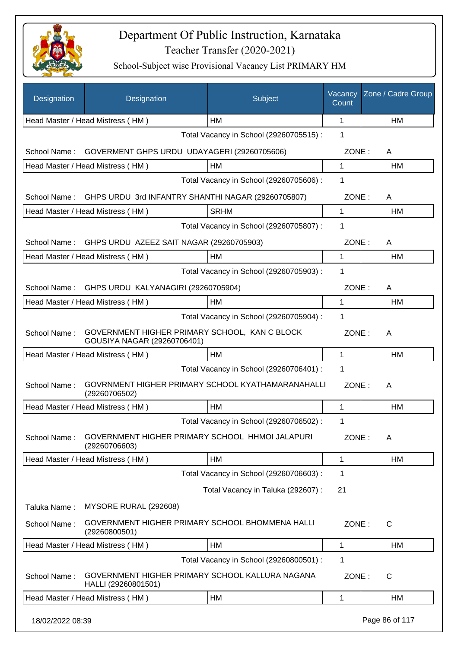

| Designation      | Designation                                                                  | Subject                                 | Vacancy<br>Count | Zone / Cadre Group |
|------------------|------------------------------------------------------------------------------|-----------------------------------------|------------------|--------------------|
|                  | Head Master / Head Mistress (HM)                                             | <b>HM</b>                               | 1                | <b>HM</b>          |
|                  |                                                                              | Total Vacancy in School (29260705515) : | 1                |                    |
| School Name:     | GOVERMENT GHPS URDU UDAYAGERI (29260705606)                                  |                                         | ZONE:            | A                  |
|                  | Head Master / Head Mistress (HM)                                             | HM                                      | 1                | HM                 |
|                  |                                                                              | Total Vacancy in School (29260705606) : | 1                |                    |
| School Name:     | GHPS URDU 3rd INFANTRY SHANTHI NAGAR (29260705807)                           |                                         | ZONE:            | A                  |
|                  | Head Master / Head Mistress (HM)                                             | <b>SRHM</b>                             | 1                | HM                 |
|                  |                                                                              | Total Vacancy in School (29260705807) : | 1                |                    |
| School Name:     | GHPS URDU AZEEZ SAIT NAGAR (29260705903)                                     |                                         | ZONE:            | A                  |
|                  | Head Master / Head Mistress (HM)                                             | HM                                      | 1                | <b>HM</b>          |
|                  |                                                                              | Total Vacancy in School (29260705903) : | 1                |                    |
| School Name:     | GHPS URDU KALYANAGIRI (29260705904)                                          |                                         | ZONE:            | A                  |
|                  | Head Master / Head Mistress (HM)                                             | HM                                      | 1                | <b>HM</b>          |
|                  |                                                                              | Total Vacancy in School (29260705904) : | 1                |                    |
| School Name:     | GOVERNMENT HIGHER PRIMARY SCHOOL, KAN C BLOCK<br>GOUSIYA NAGAR (29260706401) |                                         | ZONE:            | A                  |
|                  | Head Master / Head Mistress (HM)                                             | HM                                      | 1                | HM                 |
|                  |                                                                              | Total Vacancy in School (29260706401) : | 1                |                    |
| School Name:     | GOVRNMENT HIGHER PRIMARY SCHOOL KYATHAMARANAHALLI<br>(29260706502)           |                                         | ZONE:            | A                  |
|                  | Head Master / Head Mistress (HM)                                             | <b>HM</b>                               | 1                | HM                 |
|                  |                                                                              | Total Vacancy in School (29260706502) : | 1                |                    |
| School Name:     | <b>GOVERNMENT HIGHER PRIMARY SCHOOL HHMOI JALAPURI</b><br>(29260706603)      |                                         | ZONE:            | A                  |
|                  | Head Master / Head Mistress (HM)                                             | HM                                      | 1                | HM                 |
|                  |                                                                              | Total Vacancy in School (29260706603) : | 1                |                    |
|                  |                                                                              | Total Vacancy in Taluka (292607) :      | 21               |                    |
| Taluka Name:     | MYSORE RURAL (292608)                                                        |                                         |                  |                    |
| School Name:     | GOVERNMENT HIGHER PRIMARY SCHOOL BHOMMENA HALLI<br>(29260800501)             |                                         | ZONE:            | C                  |
|                  | Head Master / Head Mistress (HM)                                             | HM                                      | 1                | HM                 |
|                  |                                                                              | Total Vacancy in School (29260800501) : | 1                |                    |
| School Name:     | GOVERNMENT HIGHER PRIMARY SCHOOL KALLURA NAGANA<br>HALLI (29260801501)       |                                         | ZONE:            | C                  |
|                  | Head Master / Head Mistress (HM)                                             | HM                                      | 1                | HM                 |
| 18/02/2022 08:39 |                                                                              |                                         |                  | Page 86 of 117     |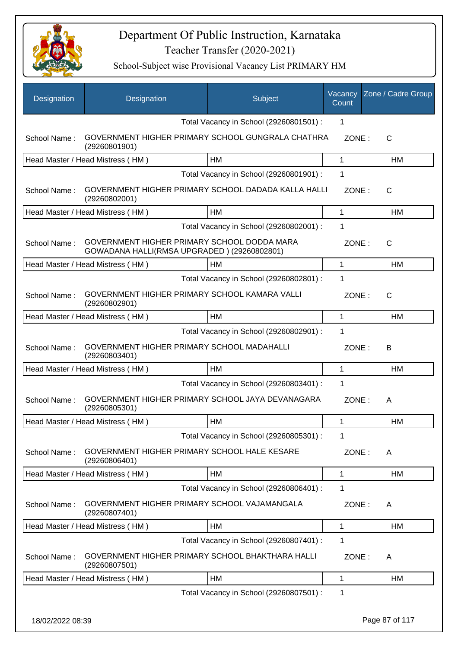

| Designation      | Designation                                                                                | Subject                                 | Vacancy<br>Count | Zone / Cadre Group |
|------------------|--------------------------------------------------------------------------------------------|-----------------------------------------|------------------|--------------------|
|                  |                                                                                            | Total Vacancy in School (29260801501) : | 1                |                    |
| School Name:     | GOVERNMENT HIGHER PRIMARY SCHOOL GUNGRALA CHATHRA<br>(29260801901)                         |                                         | ZONE:            | $\mathsf{C}$       |
|                  | Head Master / Head Mistress (HM)                                                           | HM                                      | 1                | HM                 |
|                  |                                                                                            | Total Vacancy in School (29260801901) : | 1                |                    |
| School Name:     | GOVERNMENT HIGHER PRIMARY SCHOOL DADADA KALLA HALLI<br>(29260802001)                       |                                         | ZONE:            | C                  |
|                  | Head Master / Head Mistress (HM)                                                           | HM                                      | $\mathbf 1$      | <b>HM</b>          |
|                  |                                                                                            | Total Vacancy in School (29260802001) : | 1                |                    |
| School Name:     | GOVERNMENT HIGHER PRIMARY SCHOOL DODDA MARA<br>GOWADANA HALLI(RMSA UPGRADED) (29260802801) |                                         | ZONE:            | C                  |
|                  | Head Master / Head Mistress (HM)                                                           | HM                                      | 1                | HM                 |
|                  |                                                                                            | Total Vacancy in School (29260802801) : | 1                |                    |
| School Name:     | GOVERNMENT HIGHER PRIMARY SCHOOL KAMARA VALLI<br>(29260802901)                             |                                         | ZONE:            | $\mathsf{C}$       |
|                  | Head Master / Head Mistress (HM)                                                           | <b>HM</b>                               | $\mathbf{1}$     | HM                 |
|                  |                                                                                            | Total Vacancy in School (29260802901) : | 1                |                    |
| School Name:     | GOVERNMENT HIGHER PRIMARY SCHOOL MADAHALLI<br>(29260803401)                                |                                         | ZONE:            | В                  |
|                  | Head Master / Head Mistress (HM)                                                           | HM                                      | $\mathbf 1$      | HM                 |
|                  |                                                                                            | Total Vacancy in School (29260803401) : | 1                |                    |
| School Name:     | GOVERNMENT HIGHER PRIMARY SCHOOL JAYA DEVANAGARA<br>(29260805301)                          |                                         | ZONE:            | A                  |
|                  | Head Master / Head Mistress (HM)                                                           | HM                                      | 1                | HM                 |
|                  |                                                                                            | Total Vacancy in School (29260805301) : | 1                |                    |
| School Name:     | GOVERNMENT HIGHER PRIMARY SCHOOL HALE KESARE<br>(29260806401)                              |                                         | ZONE:            | A                  |
|                  | Head Master / Head Mistress (HM)                                                           | HM                                      | $\mathbf 1$      | HM                 |
|                  |                                                                                            | Total Vacancy in School (29260806401) : | 1                |                    |
| School Name:     | GOVERNMENT HIGHER PRIMARY SCHOOL VAJAMANGALA<br>(29260807401)                              |                                         | ZONE:            | A                  |
|                  | Head Master / Head Mistress (HM)                                                           | HM                                      | $\mathbf{1}$     | HM                 |
|                  |                                                                                            | Total Vacancy in School (29260807401) : | 1                |                    |
| School Name:     | GOVERNMENT HIGHER PRIMARY SCHOOL BHAKTHARA HALLI<br>(29260807501)                          |                                         | ZONE:            | A                  |
|                  | Head Master / Head Mistress (HM)                                                           | HM                                      | 1                | HM                 |
|                  |                                                                                            | Total Vacancy in School (29260807501) : | 1                |                    |
| 18/02/2022 08:39 |                                                                                            |                                         |                  | Page 87 of 117     |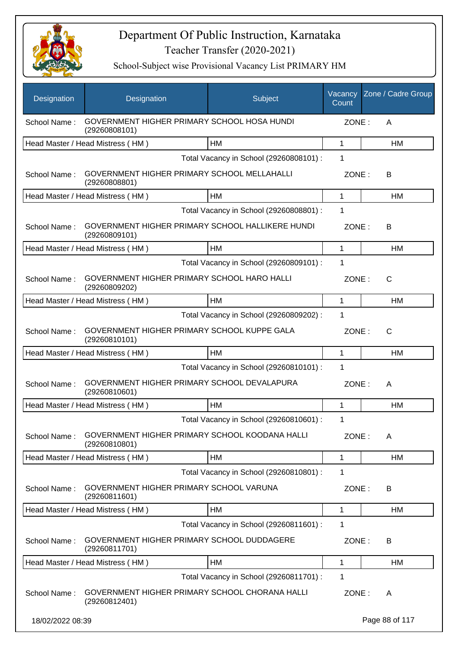

| Designation      | Designation                                                       | Subject                                 | Vacancy<br>Count | Zone / Cadre Group |
|------------------|-------------------------------------------------------------------|-----------------------------------------|------------------|--------------------|
| School Name:     | GOVERNMENT HIGHER PRIMARY SCHOOL HOSA HUNDI<br>(29260808101)      |                                         | ZONE:            | A                  |
|                  | Head Master / Head Mistress (HM)                                  | HM                                      | 1                | <b>HM</b>          |
|                  |                                                                   | Total Vacancy in School (29260808101) : | 1                |                    |
| School Name:     | GOVERNMENT HIGHER PRIMARY SCHOOL MELLAHALLI<br>(29260808801)      |                                         | ZONE:            | В                  |
|                  | Head Master / Head Mistress (HM)                                  | HM                                      | 1                | HM                 |
|                  |                                                                   | Total Vacancy in School (29260808801) : | 1                |                    |
| School Name:     | GOVERNMENT HIGHER PRIMARY SCHOOL HALLIKERE HUNDI<br>(29260809101) |                                         | ZONE:            | В                  |
|                  | Head Master / Head Mistress (HM)                                  | <b>HM</b>                               | 1                | HM                 |
|                  |                                                                   | Total Vacancy in School (29260809101) : | 1                |                    |
| School Name:     | GOVERNMENT HIGHER PRIMARY SCHOOL HARO HALLI<br>(29260809202)      |                                         | ZONE:            | C                  |
|                  | Head Master / Head Mistress (HM)                                  | HM                                      | $\mathbf 1$      | HM                 |
|                  |                                                                   | Total Vacancy in School (29260809202) : | 1                |                    |
| School Name:     | GOVERNMENT HIGHER PRIMARY SCHOOL KUPPE GALA<br>(29260810101)      |                                         | ZONE:            | C                  |
|                  | Head Master / Head Mistress (HM)                                  | HM                                      | 1                | HM                 |
|                  |                                                                   | Total Vacancy in School (29260810101) : | 1                |                    |
| School Name:     | GOVERNMENT HIGHER PRIMARY SCHOOL DEVALAPURA<br>(29260810601)      |                                         | ZONE:            | A                  |
|                  | Head Master / Head Mistress (HM)                                  | <b>HM</b>                               | 1                | HM                 |
|                  |                                                                   | Total Vacancy in School (29260810601) : | 1                |                    |
| School Name:     | GOVERNMENT HIGHER PRIMARY SCHOOL KOODANA HALLI<br>(29260810801)   |                                         | ZONE:            | A                  |
|                  | Head Master / Head Mistress (HM)                                  | HM                                      | 1                | HM                 |
|                  |                                                                   | Total Vacancy in School (29260810801) : | 1                |                    |
| School Name:     | GOVERNMENT HIGHER PRIMARY SCHOOL VARUNA<br>(29260811601)          |                                         | ZONE:            | B                  |
|                  | Head Master / Head Mistress (HM)                                  | HM                                      | 1                | <b>HM</b>          |
|                  |                                                                   | Total Vacancy in School (29260811601) : | 1                |                    |
| School Name:     | GOVERNMENT HIGHER PRIMARY SCHOOL DUDDAGERE<br>(29260811701)       |                                         | ZONE:            | B                  |
|                  | Head Master / Head Mistress (HM)                                  | HM                                      | 1                | HM                 |
|                  |                                                                   | Total Vacancy in School (29260811701) : | 1                |                    |
| School Name:     | GOVERNMENT HIGHER PRIMARY SCHOOL CHORANA HALLI<br>(29260812401)   |                                         | ZONE:            | A                  |
| 18/02/2022 08:39 |                                                                   |                                         |                  | Page 88 of 117     |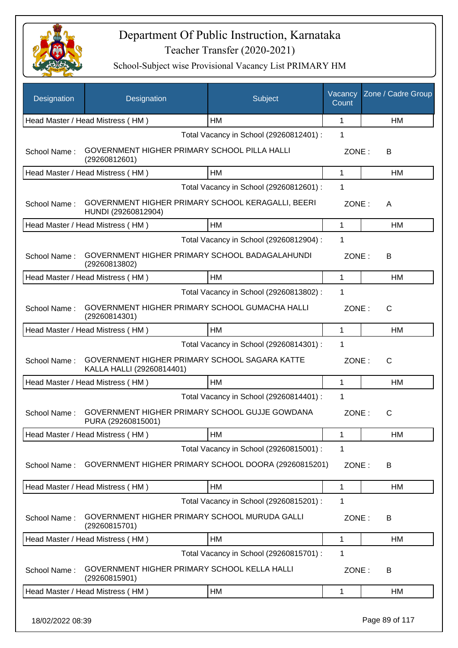

| HM<br>1<br><b>HM</b><br>Head Master / Head Mistress (HM)<br>Total Vacancy in School (29260812401) :<br>1<br>GOVERNMENT HIGHER PRIMARY SCHOOL PILLA HALLI<br>School Name:<br>ZONE:<br>В<br>(29260812601)<br>$\mathbf{1}$<br>Head Master / Head Mistress (HM)<br>HM<br>HM<br>Total Vacancy in School (29260812601) :<br>1<br>GOVERNMENT HIGHER PRIMARY SCHOOL KERAGALLI, BEERI<br>School Name:<br>ZONE:<br>Α<br>HUNDI (29260812904)<br>HM<br>Head Master / Head Mistress (HM)<br>1<br>HM<br>Total Vacancy in School (29260812904) :<br>1<br>GOVERNMENT HIGHER PRIMARY SCHOOL BADAGALAHUNDI<br>School Name:<br>ZONE:<br>В<br>(29260813802)<br>HM<br>Head Master / Head Mistress (HM)<br>$\mathbf{1}$<br><b>HM</b><br>1<br>Total Vacancy in School (29260813802) :<br>GOVERNMENT HIGHER PRIMARY SCHOOL GUMACHA HALLI<br>School Name:<br>ZONE:<br>C<br>(29260814301)<br>$\mathbf{1}$<br>Head Master / Head Mistress (HM)<br>HM<br>HM<br>Total Vacancy in School (29260814301) :<br>1<br>GOVERNMENT HIGHER PRIMARY SCHOOL SAGARA KATTE<br>School Name:<br>ZONE:<br>$\mathsf{C}$<br>KALLA HALLI (29260814401)<br><b>HM</b><br>1<br>Head Master / Head Mistress (HM)<br>HM<br>Total Vacancy in School (29260814401) :<br>1<br>GOVERNMENT HIGHER PRIMARY SCHOOL GUJJE GOWDANA<br>School Name:<br>ZONE:<br>$\mathsf{C}$<br>PURA (29260815001) |  |
|-------------------------------------------------------------------------------------------------------------------------------------------------------------------------------------------------------------------------------------------------------------------------------------------------------------------------------------------------------------------------------------------------------------------------------------------------------------------------------------------------------------------------------------------------------------------------------------------------------------------------------------------------------------------------------------------------------------------------------------------------------------------------------------------------------------------------------------------------------------------------------------------------------------------------------------------------------------------------------------------------------------------------------------------------------------------------------------------------------------------------------------------------------------------------------------------------------------------------------------------------------------------------------------------------------------------------------------|--|
|                                                                                                                                                                                                                                                                                                                                                                                                                                                                                                                                                                                                                                                                                                                                                                                                                                                                                                                                                                                                                                                                                                                                                                                                                                                                                                                                     |  |
|                                                                                                                                                                                                                                                                                                                                                                                                                                                                                                                                                                                                                                                                                                                                                                                                                                                                                                                                                                                                                                                                                                                                                                                                                                                                                                                                     |  |
|                                                                                                                                                                                                                                                                                                                                                                                                                                                                                                                                                                                                                                                                                                                                                                                                                                                                                                                                                                                                                                                                                                                                                                                                                                                                                                                                     |  |
|                                                                                                                                                                                                                                                                                                                                                                                                                                                                                                                                                                                                                                                                                                                                                                                                                                                                                                                                                                                                                                                                                                                                                                                                                                                                                                                                     |  |
|                                                                                                                                                                                                                                                                                                                                                                                                                                                                                                                                                                                                                                                                                                                                                                                                                                                                                                                                                                                                                                                                                                                                                                                                                                                                                                                                     |  |
|                                                                                                                                                                                                                                                                                                                                                                                                                                                                                                                                                                                                                                                                                                                                                                                                                                                                                                                                                                                                                                                                                                                                                                                                                                                                                                                                     |  |
|                                                                                                                                                                                                                                                                                                                                                                                                                                                                                                                                                                                                                                                                                                                                                                                                                                                                                                                                                                                                                                                                                                                                                                                                                                                                                                                                     |  |
|                                                                                                                                                                                                                                                                                                                                                                                                                                                                                                                                                                                                                                                                                                                                                                                                                                                                                                                                                                                                                                                                                                                                                                                                                                                                                                                                     |  |
|                                                                                                                                                                                                                                                                                                                                                                                                                                                                                                                                                                                                                                                                                                                                                                                                                                                                                                                                                                                                                                                                                                                                                                                                                                                                                                                                     |  |
|                                                                                                                                                                                                                                                                                                                                                                                                                                                                                                                                                                                                                                                                                                                                                                                                                                                                                                                                                                                                                                                                                                                                                                                                                                                                                                                                     |  |
|                                                                                                                                                                                                                                                                                                                                                                                                                                                                                                                                                                                                                                                                                                                                                                                                                                                                                                                                                                                                                                                                                                                                                                                                                                                                                                                                     |  |
|                                                                                                                                                                                                                                                                                                                                                                                                                                                                                                                                                                                                                                                                                                                                                                                                                                                                                                                                                                                                                                                                                                                                                                                                                                                                                                                                     |  |
|                                                                                                                                                                                                                                                                                                                                                                                                                                                                                                                                                                                                                                                                                                                                                                                                                                                                                                                                                                                                                                                                                                                                                                                                                                                                                                                                     |  |
|                                                                                                                                                                                                                                                                                                                                                                                                                                                                                                                                                                                                                                                                                                                                                                                                                                                                                                                                                                                                                                                                                                                                                                                                                                                                                                                                     |  |
|                                                                                                                                                                                                                                                                                                                                                                                                                                                                                                                                                                                                                                                                                                                                                                                                                                                                                                                                                                                                                                                                                                                                                                                                                                                                                                                                     |  |
|                                                                                                                                                                                                                                                                                                                                                                                                                                                                                                                                                                                                                                                                                                                                                                                                                                                                                                                                                                                                                                                                                                                                                                                                                                                                                                                                     |  |
|                                                                                                                                                                                                                                                                                                                                                                                                                                                                                                                                                                                                                                                                                                                                                                                                                                                                                                                                                                                                                                                                                                                                                                                                                                                                                                                                     |  |
|                                                                                                                                                                                                                                                                                                                                                                                                                                                                                                                                                                                                                                                                                                                                                                                                                                                                                                                                                                                                                                                                                                                                                                                                                                                                                                                                     |  |
| HM<br>Head Master / Head Mistress (HM)<br>1<br>HM                                                                                                                                                                                                                                                                                                                                                                                                                                                                                                                                                                                                                                                                                                                                                                                                                                                                                                                                                                                                                                                                                                                                                                                                                                                                                   |  |
| Total Vacancy in School (29260815001) :<br>1                                                                                                                                                                                                                                                                                                                                                                                                                                                                                                                                                                                                                                                                                                                                                                                                                                                                                                                                                                                                                                                                                                                                                                                                                                                                                        |  |
| GOVERNMENT HIGHER PRIMARY SCHOOL DOORA (29260815201)<br>School Name:<br>ZONE:<br>В                                                                                                                                                                                                                                                                                                                                                                                                                                                                                                                                                                                                                                                                                                                                                                                                                                                                                                                                                                                                                                                                                                                                                                                                                                                  |  |
| Head Master / Head Mistress (HM)<br>HM<br>1<br>HM                                                                                                                                                                                                                                                                                                                                                                                                                                                                                                                                                                                                                                                                                                                                                                                                                                                                                                                                                                                                                                                                                                                                                                                                                                                                                   |  |
| Total Vacancy in School (29260815201) :<br>1                                                                                                                                                                                                                                                                                                                                                                                                                                                                                                                                                                                                                                                                                                                                                                                                                                                                                                                                                                                                                                                                                                                                                                                                                                                                                        |  |
| GOVERNMENT HIGHER PRIMARY SCHOOL MURUDA GALLI<br>School Name:<br>ZONE:<br>В<br>(29260815701)                                                                                                                                                                                                                                                                                                                                                                                                                                                                                                                                                                                                                                                                                                                                                                                                                                                                                                                                                                                                                                                                                                                                                                                                                                        |  |
| Head Master / Head Mistress (HM)<br>HM<br>HM<br>1                                                                                                                                                                                                                                                                                                                                                                                                                                                                                                                                                                                                                                                                                                                                                                                                                                                                                                                                                                                                                                                                                                                                                                                                                                                                                   |  |
| Total Vacancy in School (29260815701) :<br>1                                                                                                                                                                                                                                                                                                                                                                                                                                                                                                                                                                                                                                                                                                                                                                                                                                                                                                                                                                                                                                                                                                                                                                                                                                                                                        |  |
| GOVERNMENT HIGHER PRIMARY SCHOOL KELLA HALLI<br>School Name:<br>ZONE:<br>B<br>(29260815901)                                                                                                                                                                                                                                                                                                                                                                                                                                                                                                                                                                                                                                                                                                                                                                                                                                                                                                                                                                                                                                                                                                                                                                                                                                         |  |
| Head Master / Head Mistress (HM)<br>HM<br>1<br>HM                                                                                                                                                                                                                                                                                                                                                                                                                                                                                                                                                                                                                                                                                                                                                                                                                                                                                                                                                                                                                                                                                                                                                                                                                                                                                   |  |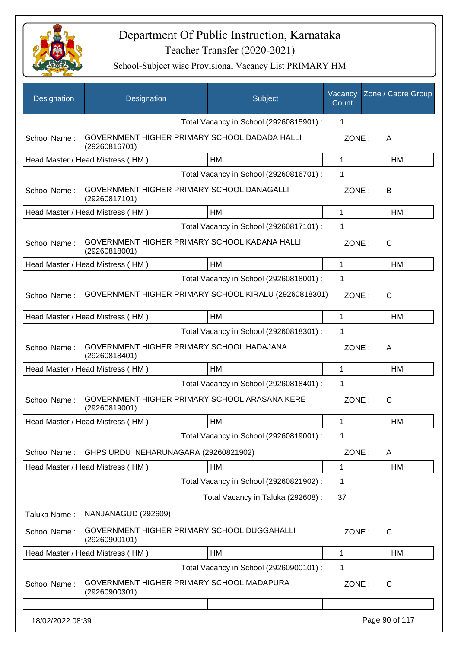

| <b>Designation</b> | Designation                                                    | Subject                                 | Vacancy<br>Count | Zone / Cadre Group |
|--------------------|----------------------------------------------------------------|-----------------------------------------|------------------|--------------------|
|                    |                                                                | Total Vacancy in School (29260815901) : | 1                |                    |
| School Name:       | GOVERNMENT HIGHER PRIMARY SCHOOL DADADA HALLI<br>(29260816701) |                                         | ZONE:            | A                  |
|                    | Head Master / Head Mistress (HM)                               | <b>HM</b>                               | 1                | <b>HM</b>          |
|                    |                                                                | Total Vacancy in School (29260816701) : | 1                |                    |
| School Name:       | GOVERNMENT HIGHER PRIMARY SCHOOL DANAGALLI<br>(29260817101)    |                                         | ZONE:            | B                  |
|                    | Head Master / Head Mistress (HM)                               | HM                                      | 1                | HM                 |
|                    |                                                                | Total Vacancy in School (29260817101) : | 1                |                    |
| School Name:       | GOVERNMENT HIGHER PRIMARY SCHOOL KADANA HALLI<br>(29260818001) |                                         | ZONE:            | C                  |
|                    | Head Master / Head Mistress (HM)                               | HM                                      | $\mathbf{1}$     | <b>HM</b>          |
|                    |                                                                | Total Vacancy in School (29260818001) : | 1                |                    |
| School Name:       | GOVERNMENT HIGHER PRIMARY SCHOOL KIRALU (29260818301)          |                                         | ZONE:            | $\mathsf{C}$       |
|                    | Head Master / Head Mistress (HM)                               | HM                                      | 1                | <b>HM</b>          |
|                    |                                                                | Total Vacancy in School (29260818301) : | 1                |                    |
| School Name:       | GOVERNMENT HIGHER PRIMARY SCHOOL HADAJANA<br>(29260818401)     |                                         | ZONE:            | A                  |
|                    | Head Master / Head Mistress (HM)                               | HM                                      | 1                | HM                 |
|                    |                                                                | Total Vacancy in School (29260818401) : | 1                |                    |
| School Name:       | GOVERNMENT HIGHER PRIMARY SCHOOL ARASANA KERE<br>(29260819001) |                                         | ZONE:            | C                  |
|                    | Head Master / Head Mistress (HM)                               | <b>HM</b>                               | 1                | HM                 |
|                    |                                                                | Total Vacancy in School (29260819001) : | 1                |                    |
| School Name:       | GHPS URDU NEHARUNAGARA (29260821902)                           |                                         | ZONE:            | A                  |
|                    | Head Master / Head Mistress (HM)                               | HM                                      | 1                | HM                 |
|                    |                                                                | Total Vacancy in School (29260821902) : | 1                |                    |
|                    |                                                                | Total Vacancy in Taluka (292608) :      | 37               |                    |
| Taluka Name:       | NANJANAGUD (292609)                                            |                                         |                  |                    |
| School Name:       | GOVERNMENT HIGHER PRIMARY SCHOOL DUGGAHALLI<br>(29260900101)   |                                         | ZONE:            | $\mathsf{C}$       |
|                    | Head Master / Head Mistress (HM)                               | HM                                      | 1                | НM                 |
|                    |                                                                | Total Vacancy in School (29260900101) : | 1                |                    |
| School Name:       | GOVERNMENT HIGHER PRIMARY SCHOOL MADAPURA<br>(29260900301)     |                                         | ZONE:            | C                  |
|                    |                                                                |                                         |                  |                    |
| 18/02/2022 08:39   |                                                                |                                         |                  | Page 90 of 117     |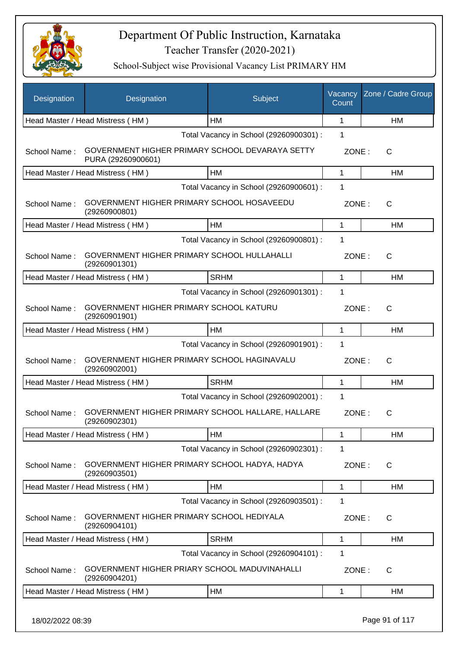

| Designation  | Designation                                                           | Subject                                 | Vacancy<br>Count | Zone / Cadre Group |
|--------------|-----------------------------------------------------------------------|-----------------------------------------|------------------|--------------------|
|              | Head Master / Head Mistress (HM)                                      | HM                                      | 1                | <b>HM</b>          |
|              |                                                                       | Total Vacancy in School (29260900301) : | 1                |                    |
| School Name: | GOVERNMENT HIGHER PRIMARY SCHOOL DEVARAYA SETTY<br>PURA (29260900601) |                                         | ZONE:            | C                  |
|              | Head Master / Head Mistress (HM)                                      | HM                                      | $\mathbf{1}$     | HM                 |
|              |                                                                       | Total Vacancy in School (29260900601) : | 1                |                    |
| School Name: | GOVERNMENT HIGHER PRIMARY SCHOOL HOSAVEEDU<br>(29260900801)           |                                         | ZONE:            | $\mathsf{C}$       |
|              | Head Master / Head Mistress (HM)                                      | HM                                      | 1                | HM                 |
|              |                                                                       | Total Vacancy in School (29260900801) : | 1                |                    |
| School Name: | GOVERNMENT HIGHER PRIMARY SCHOOL HULLAHALLI<br>(29260901301)          |                                         | ZONE:            | $\mathsf{C}$       |
|              | Head Master / Head Mistress (HM)                                      | <b>SRHM</b>                             | $\mathbf{1}$     | <b>HM</b>          |
|              |                                                                       | Total Vacancy in School (29260901301) : | 1                |                    |
| School Name: | GOVERNMENT HIGHER PRIMARY SCHOOL KATURU<br>(29260901901)              |                                         | ZONE:            | C                  |
|              | Head Master / Head Mistress (HM)                                      | HM                                      | $\mathbf{1}$     | HM                 |
|              |                                                                       | Total Vacancy in School (29260901901) : | 1                |                    |
| School Name: | GOVERNMENT HIGHER PRIMARY SCHOOL HAGINAVALU<br>(29260902001)          |                                         | ZONE:            | $\mathsf{C}$       |
|              | Head Master / Head Mistress (HM)                                      | <b>SRHM</b>                             | 1                | HM                 |
|              |                                                                       | Total Vacancy in School (29260902001) : | 1                |                    |
| School Name: | GOVERNMENT HIGHER PRIMARY SCHOOL HALLARE, HALLARE<br>(29260902301)    |                                         | ZONE:            | $\mathsf{C}$       |
|              | Head Master / Head Mistress (HM)                                      | HM                                      | 1                | HM                 |
|              |                                                                       | Total Vacancy in School (29260902301) : | 1                |                    |
| School Name: | GOVERNMENT HIGHER PRIMARY SCHOOL HADYA, HADYA<br>(29260903501)        |                                         | ZONE:            | C                  |
|              | Head Master / Head Mistress (HM)                                      | HM                                      | $\mathbf{1}$     | HM                 |
|              |                                                                       | Total Vacancy in School (29260903501) : | 1                |                    |
| School Name: | GOVERNMENT HIGHER PRIMARY SCHOOL HEDIYALA<br>(29260904101)            |                                         | ZONE:            | C                  |
|              | Head Master / Head Mistress (HM)                                      | <b>SRHM</b>                             | 1                | HM                 |
|              |                                                                       | Total Vacancy in School (29260904101) : | 1                |                    |
| School Name: | GOVERNMENT HIGHER PRIARY SCHOOL MADUVINAHALLI<br>(29260904201)        |                                         | ZONE:            | C                  |
|              | Head Master / Head Mistress (HM)                                      | HM                                      | $\mathbf 1$      | HM                 |
|              |                                                                       |                                         |                  |                    |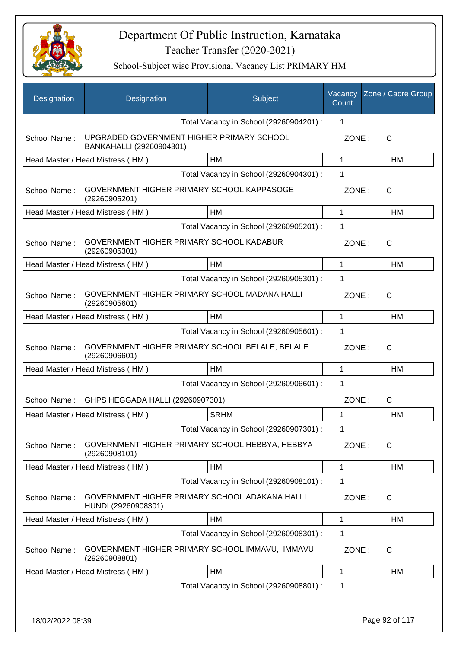

| <b>Designation</b> | Designation                                                           | Subject                                 | Vacancy<br>Count | Zone / Cadre Group |
|--------------------|-----------------------------------------------------------------------|-----------------------------------------|------------------|--------------------|
|                    |                                                                       | Total Vacancy in School (29260904201) : | 1                |                    |
| School Name:       | UPGRADED GOVERNMENT HIGHER PRIMARY SCHOOL<br>BANKAHALLI (29260904301) |                                         | ZONE:            | C                  |
|                    | Head Master / Head Mistress (HM)                                      | <b>HM</b>                               | 1                | HM                 |
|                    |                                                                       | Total Vacancy in School (29260904301) : | 1                |                    |
| School Name:       | GOVERNMENT HIGHER PRIMARY SCHOOL KAPPASOGE<br>(29260905201)           |                                         | ZONE:            | C                  |
|                    | Head Master / Head Mistress (HM)                                      | HM                                      | $\mathbf{1}$     | HM                 |
|                    |                                                                       | Total Vacancy in School (29260905201) : | 1                |                    |
| School Name:       | GOVERNMENT HIGHER PRIMARY SCHOOL KADABUR<br>(29260905301)             |                                         | ZONE:            | C                  |
|                    | Head Master / Head Mistress (HM)                                      | <b>HM</b>                               | $\mathbf{1}$     | HM                 |
|                    |                                                                       | Total Vacancy in School (29260905301) : | 1                |                    |
| School Name:       | GOVERNMENT HIGHER PRIMARY SCHOOL MADANA HALLI<br>(29260905601)        |                                         | ZONE:            | C                  |
|                    | Head Master / Head Mistress (HM)                                      | <b>HM</b>                               | $\mathbf{1}$     | HM                 |
|                    |                                                                       | Total Vacancy in School (29260905601) : | 1                |                    |
| School Name:       | GOVERNMENT HIGHER PRIMARY SCHOOL BELALE, BELALE<br>(29260906601)      |                                         | ZONE:            | C                  |
|                    | Head Master / Head Mistress (HM)                                      | HM                                      | $\mathbf{1}$     | HM                 |
|                    |                                                                       | Total Vacancy in School (29260906601) : | 1                |                    |
| School Name:       | GHPS HEGGADA HALLI (29260907301)                                      |                                         | ZONE:            | $\mathsf{C}$       |
|                    | Head Master / Head Mistress (HM)                                      | <b>SRHM</b>                             | 1                | HM                 |
|                    |                                                                       | Total Vacancy in School (29260907301) : | 1                |                    |
| School Name:       | GOVERNMENT HIGHER PRIMARY SCHOOL HEBBYA, HEBBYA<br>(29260908101)      |                                         | ZONE:            | $\mathsf{C}$       |
|                    | Head Master / Head Mistress (HM)                                      | HM                                      | $\mathbf{1}$     | <b>HM</b>          |
|                    |                                                                       | Total Vacancy in School (29260908101) : | 1                |                    |
| School Name:       | GOVERNMENT HIGHER PRIMARY SCHOOL ADAKANA HALLI<br>HUNDI (29260908301) |                                         | ZONE:            | C                  |
|                    | Head Master / Head Mistress (HM)                                      | HM                                      | 1                | HM                 |
|                    |                                                                       | Total Vacancy in School (29260908301) : | 1                |                    |
| School Name:       | GOVERNMENT HIGHER PRIMARY SCHOOL IMMAVU, IMMAVU<br>(29260908801)      |                                         | ZONE:            | $\mathsf{C}$       |
|                    | Head Master / Head Mistress (HM)                                      | HM                                      | 1                | HM                 |
|                    |                                                                       | Total Vacancy in School (29260908801) : | 1                |                    |
|                    |                                                                       |                                         |                  |                    |
| 18/02/2022 08:39   |                                                                       |                                         |                  | Page 92 of 117     |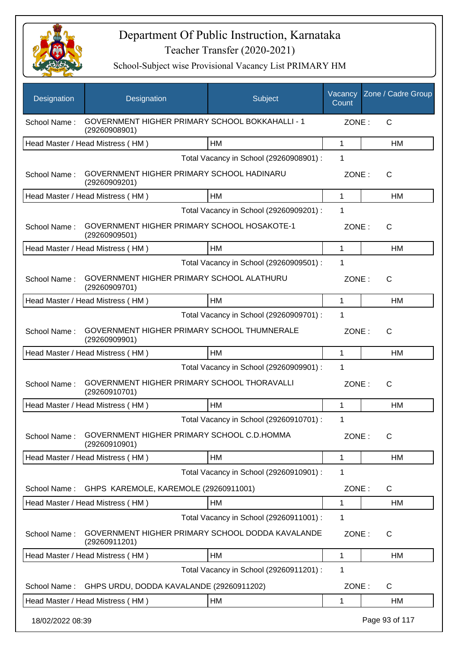

| Designation      | Designation                                                             | Subject                                 | Vacancy<br>Count | Zone / Cadre Group |
|------------------|-------------------------------------------------------------------------|-----------------------------------------|------------------|--------------------|
| School Name:     | <b>GOVERNMENT HIGHER PRIMARY SCHOOL BOKKAHALLI - 1</b><br>(29260908901) |                                         | ZONE:            | C                  |
|                  | Head Master / Head Mistress (HM)                                        | <b>HM</b>                               | 1                | HM                 |
|                  |                                                                         | Total Vacancy in School (29260908901) : | $\mathbf{1}$     |                    |
| School Name:     | GOVERNMENT HIGHER PRIMARY SCHOOL HADINARU<br>(29260909201)              |                                         | ZONE:            | $\mathsf{C}$       |
|                  | Head Master / Head Mistress (HM)                                        | HM                                      | 1                | HM                 |
|                  |                                                                         | Total Vacancy in School (29260909201) : | 1                |                    |
| School Name:     | GOVERNMENT HIGHER PRIMARY SCHOOL HOSAKOTE-1<br>(29260909501)            |                                         | ZONE:            | $\mathsf{C}$       |
|                  | Head Master / Head Mistress (HM)                                        | HM                                      | 1                | HM                 |
|                  |                                                                         | Total Vacancy in School (29260909501) : | 1                |                    |
| School Name:     | GOVERNMENT HIGHER PRIMARY SCHOOL ALATHURU<br>(29260909701)              |                                         | ZONE:            | C                  |
|                  | Head Master / Head Mistress (HM)                                        | HM                                      | 1                | HM                 |
|                  |                                                                         | Total Vacancy in School (29260909701) : | 1                |                    |
| School Name:     | GOVERNMENT HIGHER PRIMARY SCHOOL THUMNERALE<br>(29260909901)            |                                         | ZONE:            | $\mathsf{C}$       |
|                  | Head Master / Head Mistress (HM)                                        | HM                                      | 1                | <b>HM</b>          |
|                  |                                                                         | Total Vacancy in School (29260909901) : | 1                |                    |
| School Name:     | GOVERNMENT HIGHER PRIMARY SCHOOL THORAVALLI<br>(29260910701)            |                                         | ZONE:            | $\mathsf{C}$       |
|                  | Head Master / Head Mistress (HM)                                        | <b>HM</b>                               | 1                | НM                 |
|                  |                                                                         | Total Vacancy in School (29260910701) : | 1                |                    |
| School Name:     | GOVERNMENT HIGHER PRIMARY SCHOOL C.D.HOMMA<br>(29260910901)             |                                         | ZONE:            | C                  |
|                  | Head Master / Head Mistress (HM)                                        | HM                                      | 1                | HM                 |
|                  |                                                                         | Total Vacancy in School (29260910901) : | 1                |                    |
| School Name:     | GHPS KAREMOLE, KAREMOLE (29260911001)                                   |                                         | ZONE:            | C                  |
|                  | Head Master / Head Mistress (HM)                                        | HM                                      | 1                | HM                 |
|                  |                                                                         | Total Vacancy in School (29260911001) : | $\mathbf 1$      |                    |
| School Name:     | GOVERNMENT HIGHER PRIMARY SCHOOL DODDA KAVALANDE<br>(29260911201)       |                                         | ZONE:            | C                  |
|                  | Head Master / Head Mistress (HM)                                        | HM                                      | 1                | HM                 |
|                  |                                                                         | Total Vacancy in School (29260911201) : | 1                |                    |
| School Name:     | GHPS URDU, DODDA KAVALANDE (29260911202)                                |                                         | ZONE:            | $\mathsf{C}$       |
|                  | Head Master / Head Mistress (HM)                                        | HM                                      | 1                | HM                 |
| 18/02/2022 08:39 |                                                                         |                                         |                  | Page 93 of 117     |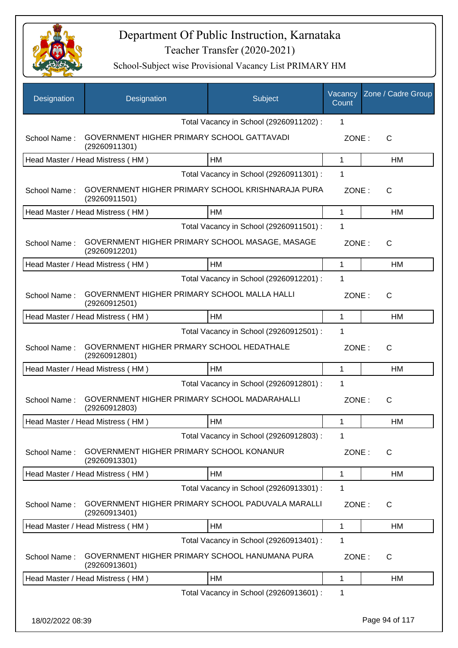

| Designation      | Designation                                                        | Subject                                 | Vacancy<br>Count | Zone / Cadre Group |
|------------------|--------------------------------------------------------------------|-----------------------------------------|------------------|--------------------|
|                  |                                                                    | Total Vacancy in School (29260911202) : | $\mathbf 1$      |                    |
| School Name:     | GOVERNMENT HIGHER PRIMARY SCHOOL GATTAVADI<br>(29260911301)        |                                         | ZONE:            | $\mathsf{C}$       |
|                  | Head Master / Head Mistress (HM)                                   | HM                                      | $\mathbf 1$      | HM                 |
|                  |                                                                    | Total Vacancy in School (29260911301) : | 1                |                    |
| School Name:     | GOVERNMENT HIGHER PRIMARY SCHOOL KRISHNARAJA PURA<br>(29260911501) |                                         | ZONE:            | C                  |
|                  | Head Master / Head Mistress (HM)                                   | HM                                      | $\mathbf{1}$     | <b>HM</b>          |
|                  |                                                                    | Total Vacancy in School (29260911501) : | $\mathbf 1$      |                    |
| School Name:     | GOVERNMENT HIGHER PRIMARY SCHOOL MASAGE, MASAGE<br>(29260912201)   |                                         | ZONE:            | $\mathsf{C}$       |
|                  | Head Master / Head Mistress (HM)                                   | HM                                      | 1                | HM                 |
|                  |                                                                    | Total Vacancy in School (29260912201) : | 1                |                    |
| School Name:     | GOVERNMENT HIGHER PRIMARY SCHOOL MALLA HALLI<br>(29260912501)      |                                         | ZONE:            | $\mathsf{C}$       |
|                  | Head Master / Head Mistress (HM)                                   | <b>HM</b>                               | 1                | HM                 |
|                  |                                                                    | Total Vacancy in School (29260912501) : | $\mathbf 1$      |                    |
| School Name:     | GOVERNMENT HIGHER PRMARY SCHOOL HEDATHALE<br>(29260912801)         |                                         | ZONE:            | $\mathsf{C}$       |
|                  | Head Master / Head Mistress (HM)                                   | HM                                      | $\mathbf 1$      | <b>HM</b>          |
|                  |                                                                    | Total Vacancy in School (29260912801) : | 1                |                    |
| School Name:     | GOVERNMENT HIGHER PRIMARY SCHOOL MADARAHALLI<br>(29260912803)      |                                         | ZONE:            | $\mathsf{C}$       |
|                  | Head Master / Head Mistress (HM)                                   | <b>HM</b>                               | 1                | HM                 |
|                  |                                                                    | Total Vacancy in School (29260912803) : | $\mathbf 1$      |                    |
| School Name:     | GOVERNMENT HIGHER PRIMARY SCHOOL KONANUR<br>(29260913301)          |                                         | ZONE:            | $\mathsf{C}$       |
|                  | Head Master / Head Mistress (HM)                                   | HM                                      | 1                | HM                 |
|                  |                                                                    | Total Vacancy in School (29260913301) : | 1                |                    |
| School Name:     | GOVERNMENT HIGHER PRIMARY SCHOOL PADUVALA MARALLI<br>(29260913401) |                                         | ZONE:            | C                  |
|                  | Head Master / Head Mistress (HM)                                   | HM                                      | 1                | <b>HM</b>          |
|                  |                                                                    | Total Vacancy in School (29260913401) : | 1                |                    |
| School Name:     | GOVERNMENT HIGHER PRIMARY SCHOOL HANUMANA PURA<br>(29260913601)    |                                         | ZONE:            | $\mathsf{C}$       |
|                  | Head Master / Head Mistress (HM)                                   | HM                                      | 1                | <b>HM</b>          |
|                  |                                                                    | Total Vacancy in School (29260913601) : | 1                |                    |
| 18/02/2022 08:39 |                                                                    |                                         |                  | Page 94 of 117     |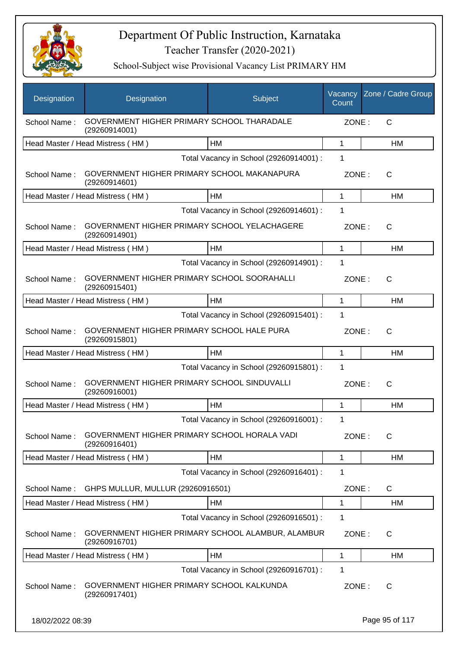

| Designation      | Designation                                                        | Subject                                 | Vacancy<br>Count | Zone / Cadre Group |
|------------------|--------------------------------------------------------------------|-----------------------------------------|------------------|--------------------|
| School Name:     | GOVERNMENT HIGHER PRIMARY SCHOOL THARADALE<br>(29260914001)        |                                         | ZONE:            | C                  |
|                  | Head Master / Head Mistress (HM)                                   | <b>HM</b>                               | 1                | HM                 |
|                  |                                                                    | Total Vacancy in School (29260914001) : | 1                |                    |
| School Name:     | GOVERNMENT HIGHER PRIMARY SCHOOL MAKANAPURA<br>(29260914601)       |                                         | ZONE:            | $\mathsf{C}$       |
|                  | Head Master / Head Mistress (HM)                                   | HM                                      | 1                | <b>HM</b>          |
|                  |                                                                    | Total Vacancy in School (29260914601) : | 1                |                    |
| School Name:     | GOVERNMENT HIGHER PRIMARY SCHOOL YELACHAGERE<br>(29260914901)      |                                         | ZONE:            | $\mathsf{C}$       |
|                  | Head Master / Head Mistress (HM)                                   | <b>HM</b>                               | 1                | HM                 |
|                  |                                                                    | Total Vacancy in School (29260914901) : | 1                |                    |
| School Name:     | GOVERNMENT HIGHER PRIMARY SCHOOL SOORAHALLI<br>(29260915401)       |                                         | ZONE:            | C                  |
|                  | Head Master / Head Mistress (HM)                                   | <b>HM</b>                               | 1                | HM                 |
|                  |                                                                    | Total Vacancy in School (29260915401) : | 1                |                    |
| School Name:     | GOVERNMENT HIGHER PRIMARY SCHOOL HALE PURA<br>(29260915801)        |                                         | ZONE:            | $\mathsf{C}$       |
|                  | Head Master / Head Mistress (HM)                                   | HM                                      | 1                | <b>HM</b>          |
|                  |                                                                    | Total Vacancy in School (29260915801) : | 1                |                    |
| School Name:     | GOVERNMENT HIGHER PRIMARY SCHOOL SINDUVALLI<br>(29260916001)       |                                         | ZONE:            | $\mathsf{C}$       |
|                  | Head Master / Head Mistress (HM)                                   | <b>HM</b>                               | 1                | НM                 |
|                  |                                                                    | Total Vacancy in School (29260916001) : | 1                |                    |
| School Name:     | GOVERNMENT HIGHER PRIMARY SCHOOL HORALA VADI<br>(29260916401)      |                                         | ZONE:            | $\mathsf{C}$       |
|                  | Head Master / Head Mistress (HM)                                   | HM                                      | 1                | HM                 |
|                  |                                                                    | Total Vacancy in School (29260916401) : | 1                |                    |
| School Name:     | GHPS MULLUR, MULLUR (29260916501)                                  |                                         | ZONE:            | $\mathsf{C}$       |
|                  | Head Master / Head Mistress (HM)                                   | HM                                      | 1                | HM                 |
|                  |                                                                    | Total Vacancy in School (29260916501) : | $\mathbf 1$      |                    |
| School Name:     | GOVERNMENT HIGHER PRIMARY SCHOOL ALAMBUR, ALAMBUR<br>(29260916701) |                                         | ZONE:            | C                  |
|                  | Head Master / Head Mistress (HM)                                   | HM                                      | 1                | HM                 |
|                  |                                                                    | Total Vacancy in School (29260916701) : | 1                |                    |
| School Name:     | GOVERNMENT HIGHER PRIMARY SCHOOL KALKUNDA<br>(29260917401)         |                                         | ZONE:            | C                  |
| 18/02/2022 08:39 |                                                                    |                                         |                  | Page 95 of 117     |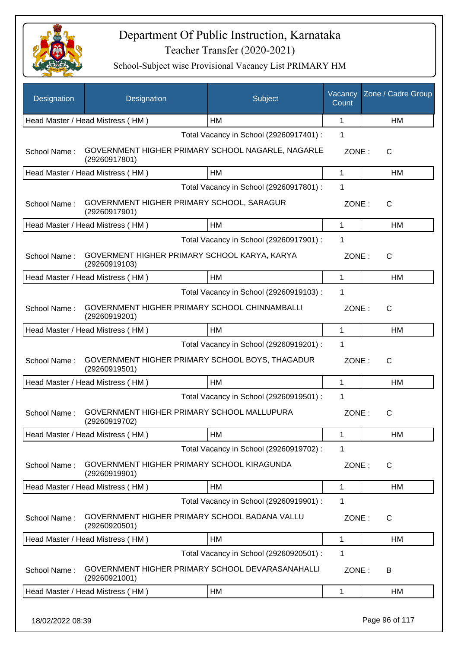

| Designation  | Designation                                                        | Subject                                 | Vacancy<br>Count | Zone / Cadre Group |
|--------------|--------------------------------------------------------------------|-----------------------------------------|------------------|--------------------|
|              | Head Master / Head Mistress (HM)                                   | HM                                      | 1                | HM                 |
|              |                                                                    | Total Vacancy in School (29260917401) : | 1                |                    |
| School Name: | GOVERNMENT HIGHER PRIMARY SCHOOL NAGARLE, NAGARLE<br>(29260917801) |                                         | ZONE:            | C                  |
|              | Head Master / Head Mistress (HM)                                   | HM                                      | $\mathbf{1}$     | <b>HM</b>          |
|              |                                                                    | Total Vacancy in School (29260917801) : | 1                |                    |
| School Name: | GOVERNMENT HIGHER PRIMARY SCHOOL, SARAGUR<br>(29260917901)         |                                         | ZONE:            | $\mathsf{C}$       |
|              | Head Master / Head Mistress (HM)                                   | HM                                      | 1                | HM                 |
|              |                                                                    | Total Vacancy in School (29260917901) : | 1                |                    |
| School Name: | GOVERMENT HIGHER PRIMARY SCHOOL KARYA, KARYA<br>(29260919103)      |                                         | ZONE:            | $\mathsf{C}$       |
|              | Head Master / Head Mistress (HM)                                   | HM                                      | 1                | HM                 |
|              |                                                                    | Total Vacancy in School (29260919103) : | 1                |                    |
| School Name: | GOVERNMENT HIGHER PRIMARY SCHOOL CHINNAMBALLI<br>(29260919201)     |                                         | ZONE:            | $\mathsf{C}$       |
|              | Head Master / Head Mistress (HM)                                   | HM                                      | $\mathbf{1}$     | <b>HM</b>          |
|              |                                                                    | Total Vacancy in School (29260919201) : | 1                |                    |
| School Name: | GOVERNMENT HIGHER PRIMARY SCHOOL BOYS, THAGADUR<br>(29260919501)   |                                         | ZONE:            | $\mathsf{C}$       |
|              | Head Master / Head Mistress (HM)                                   | <b>HM</b>                               | $\mathbf{1}$     | HM                 |
|              |                                                                    | Total Vacancy in School (29260919501) : | 1                |                    |
| School Name: | GOVERNMENT HIGHER PRIMARY SCHOOL MALLUPURA<br>(29260919702)        |                                         | ZONE:            | C                  |
|              | Head Master / Head Mistress (HM)                                   | HM                                      | $\mathbf 1$      | HM                 |
|              |                                                                    | Total Vacancy in School (29260919702) : | 1                |                    |
| School Name: | GOVERNMENT HIGHER PRIMARY SCHOOL KIRAGUNDA<br>(29260919901)        |                                         | ZONE:            | C                  |
|              | Head Master / Head Mistress (HM)                                   | HM                                      | $\mathbf{1}$     | HM                 |
|              |                                                                    | Total Vacancy in School (29260919901) : | 1                |                    |
| School Name: | GOVERNMENT HIGHER PRIMARY SCHOOL BADANA VALLU<br>(29260920501)     |                                         | ZONE:            | C                  |
|              | Head Master / Head Mistress (HM)                                   | HM                                      | 1                | HM                 |
|              |                                                                    | Total Vacancy in School (29260920501) : | 1                |                    |
| School Name: | GOVERNMENT HIGHER PRIMARY SCHOOL DEVARASANAHALLI<br>(29260921001)  |                                         | ZONE:            | B                  |
|              | Head Master / Head Mistress (HM)                                   | HM                                      | 1                | HM                 |
|              |                                                                    |                                         |                  |                    |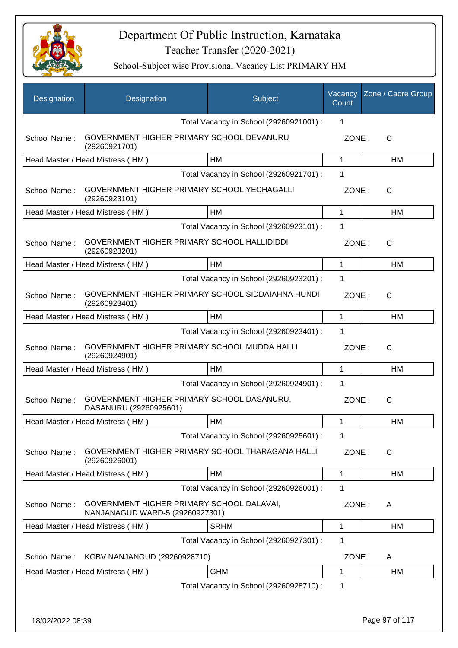

| Designation      | Designation                                                                  | Subject                                 | Vacancy<br>Count | Zone / Cadre Group |
|------------------|------------------------------------------------------------------------------|-----------------------------------------|------------------|--------------------|
|                  |                                                                              | Total Vacancy in School (29260921001) : | 1                |                    |
| School Name:     | GOVERNMENT HIGHER PRIMARY SCHOOL DEVANURU<br>(29260921701)                   |                                         | ZONE:            | $\mathsf{C}$       |
|                  | Head Master / Head Mistress (HM)                                             | HM                                      | 1                | HM                 |
|                  |                                                                              | Total Vacancy in School (29260921701) : | 1                |                    |
| School Name:     | GOVERNMENT HIGHER PRIMARY SCHOOL YECHAGALLI<br>(29260923101)                 |                                         | ZONE:            | C                  |
|                  | Head Master / Head Mistress (HM)                                             | HM                                      | $\mathbf 1$      | <b>HM</b>          |
|                  |                                                                              | Total Vacancy in School (29260923101) : | 1                |                    |
| School Name:     | GOVERNMENT HIGHER PRIMARY SCHOOL HALLIDIDDI<br>(29260923201)                 |                                         | ZONE:            | C                  |
|                  | Head Master / Head Mistress (HM)                                             | HM                                      | 1                | HM                 |
|                  |                                                                              | Total Vacancy in School (29260923201) : | 1                |                    |
| School Name:     | GOVERNMENT HIGHER PRIMARY SCHOOL SIDDAIAHNA HUNDI<br>(29260923401)           |                                         | ZONE:            | $\mathsf{C}$       |
|                  | Head Master / Head Mistress (HM)                                             | <b>HM</b>                               | $\mathbf{1}$     | <b>HM</b>          |
|                  |                                                                              | Total Vacancy in School (29260923401) : | 1                |                    |
| School Name:     | GOVERNMENT HIGHER PRIMARY SCHOOL MUDDA HALLI<br>(29260924901)                |                                         | ZONE:            | $\mathsf{C}$       |
|                  | Head Master / Head Mistress (HM)                                             | HM                                      | $\mathbf 1$      | <b>HM</b>          |
|                  |                                                                              | Total Vacancy in School (29260924901) : | 1                |                    |
| School Name:     | GOVERNMENT HIGHER PRIMARY SCHOOL DASANURU,<br>DASANURU (29260925601)         |                                         | ZONE:            | C                  |
|                  | Head Master / Head Mistress (HM)                                             | HM                                      | 1                | HM                 |
|                  |                                                                              | Total Vacancy in School (29260925601) : | 1                |                    |
| School Name:     | GOVERNMENT HIGHER PRIMARY SCHOOL THARAGANA HALLI<br>(29260926001)            |                                         | ZONE:            | C                  |
|                  | Head Master / Head Mistress (HM)                                             | HM                                      | $\mathbf 1$      | HM                 |
|                  |                                                                              | Total Vacancy in School (29260926001) : | 1                |                    |
| School Name:     | GOVERNMENT HIGHER PRIMARY SCHOOL DALAVAI,<br>NANJANAGUD WARD-5 (29260927301) |                                         | ZONE:            | A                  |
|                  | Head Master / Head Mistress (HM)                                             | <b>SRHM</b>                             | $\mathbf 1$      | <b>HM</b>          |
|                  |                                                                              | Total Vacancy in School (29260927301) : | 1                |                    |
| School Name:     | KGBV NANJANGUD (29260928710)                                                 |                                         | ZONE:            | A                  |
|                  | Head Master / Head Mistress (HM)                                             | <b>GHM</b>                              | 1                | HM                 |
|                  |                                                                              | Total Vacancy in School (29260928710) : | 1                |                    |
|                  |                                                                              |                                         |                  |                    |
| 18/02/2022 08:39 |                                                                              |                                         |                  | Page 97 of 117     |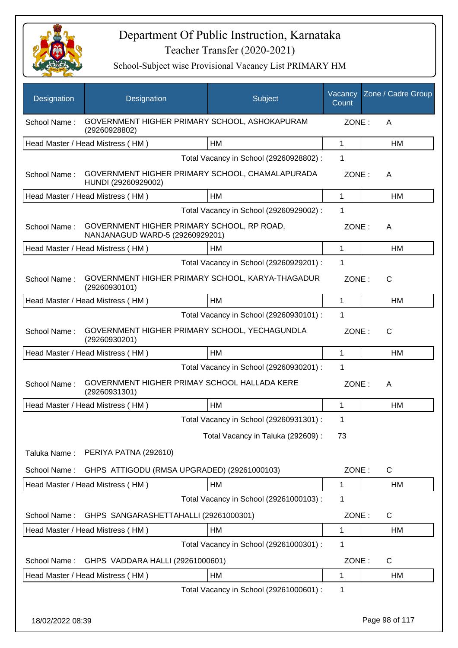

| Designation  | Designation                                                                   | Subject                                 | Vacancy<br>Count | Zone / Cadre Group |
|--------------|-------------------------------------------------------------------------------|-----------------------------------------|------------------|--------------------|
| School Name: | GOVERNMENT HIGHER PRIMARY SCHOOL, ASHOKAPURAM<br>(29260928802)                |                                         | ZONE:            | A                  |
|              | Head Master / Head Mistress (HM)                                              | HM                                      | 1                | HM                 |
|              |                                                                               | Total Vacancy in School (29260928802) : | 1                |                    |
| School Name: | GOVERNMENT HIGHER PRIMARY SCHOOL, CHAMALAPURADA<br>HUNDI (29260929002)        |                                         | ZONE:            | A                  |
|              | Head Master / Head Mistress (HM)                                              | HM                                      | 1                | НM                 |
|              |                                                                               | Total Vacancy in School (29260929002) : | 1                |                    |
| School Name: | GOVERNMENT HIGHER PRIMARY SCHOOL, RP ROAD,<br>NANJANAGUD WARD-5 (29260929201) |                                         | ZONE:            | A                  |
|              | Head Master / Head Mistress (HM)                                              | HM                                      | 1                | HM                 |
|              |                                                                               | Total Vacancy in School (29260929201) : | 1                |                    |
| School Name: | GOVERNMENT HIGHER PRIMARY SCHOOL, KARYA-THAGADUR<br>(29260930101)             |                                         | ZONE:            | C                  |
|              | Head Master / Head Mistress (HM)                                              | HM                                      | 1                | HM                 |
|              |                                                                               | Total Vacancy in School (29260930101) : | 1                |                    |
| School Name: | GOVERNMENT HIGHER PRIMARY SCHOOL, YECHAGUNDLA<br>(29260930201)                |                                         | ZONE:            | C                  |
|              | Head Master / Head Mistress (HM)                                              | HM                                      | 1                | HM                 |
|              |                                                                               | Total Vacancy in School (29260930201) : | 1                |                    |
| School Name: | GOVERNMENT HIGHER PRIMAY SCHOOL HALLADA KERE<br>(29260931301)                 |                                         | ZONE:            | A                  |
|              | Head Master / Head Mistress (HM)                                              | <b>HM</b>                               | 1                | HM                 |
|              |                                                                               | Total Vacancy in School (29260931301) : | 1                |                    |
|              |                                                                               | Total Vacancy in Taluka (292609) :      | 73               |                    |
| Taluka Name: | PERIYA PATNA (292610)                                                         |                                         |                  |                    |
| School Name: | GHPS ATTIGODU (RMSA UPGRADED) (29261000103)                                   |                                         | ZONE:            | C                  |
|              | Head Master / Head Mistress (HM)                                              | HM                                      | 1                | НM                 |
|              |                                                                               | Total Vacancy in School (29261000103) : | 1                |                    |
| School Name: | GHPS SANGARASHETTAHALLI (29261000301)                                         |                                         | ZONE:            | C                  |
|              | Head Master / Head Mistress (HM)                                              | <b>HM</b>                               | 1                | НM                 |
|              |                                                                               | Total Vacancy in School (29261000301) : | 1                |                    |
| School Name: | GHPS VADDARA HALLI (29261000601)                                              |                                         | ZONE:            | $\mathsf{C}$       |
|              | Head Master / Head Mistress (HM)                                              | HM                                      | 1                | HM                 |
|              |                                                                               | Total Vacancy in School (29261000601) : | 1                |                    |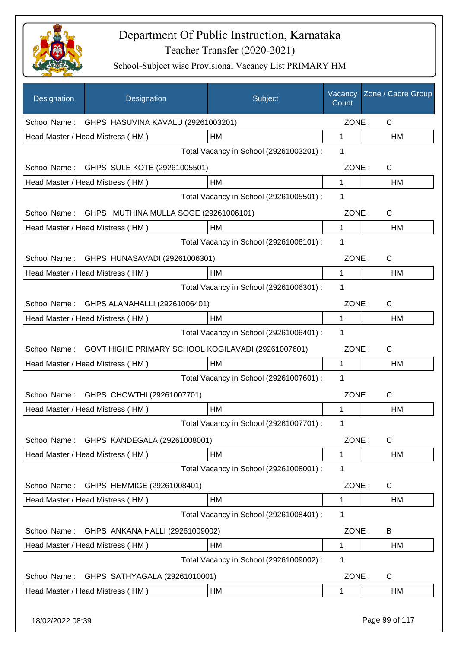

| Designation      | Designation                                        | Subject                                 | Vacancy<br>Count | Zone / Cadre Group |
|------------------|----------------------------------------------------|-----------------------------------------|------------------|--------------------|
| School Name:     | GHPS HASUVINA KAVALU (29261003201)                 |                                         | ZONE:            | $\mathsf{C}$       |
|                  | Head Master / Head Mistress (HM)                   | HM                                      | 1                | НM                 |
|                  |                                                    | Total Vacancy in School (29261003201) : | 1                |                    |
|                  | School Name: GHPS SULE KOTE (29261005501)          |                                         | ZONE:            | C                  |
|                  | Head Master / Head Mistress (HM)                   | HM                                      | 1                | НM                 |
|                  |                                                    | Total Vacancy in School (29261005501) : | 1                |                    |
| School Name:     | GHPS MUTHINA MULLA SOGE (29261006101)              |                                         | ZONE:            | $\mathsf{C}$       |
|                  | Head Master / Head Mistress (HM)                   | HM                                      | 1                | HM                 |
|                  |                                                    | Total Vacancy in School (29261006101) : | 1                |                    |
| School Name:     | GHPS HUNASAVADI (29261006301)                      |                                         | ZONE:            | $\mathsf{C}$       |
|                  | Head Master / Head Mistress (HM)                   | HM                                      | 1                | HM                 |
|                  |                                                    | Total Vacancy in School (29261006301) : | 1                |                    |
| School Name:     | GHPS ALANAHALLI (29261006401)                      |                                         | ZONE:            | $\mathsf{C}$       |
|                  | Head Master / Head Mistress (HM)                   | HM                                      | 1                | HM                 |
|                  |                                                    | Total Vacancy in School (29261006401) : | 1                |                    |
| School Name:     | GOVT HIGHE PRIMARY SCHOOL KOGILAVADI (29261007601) |                                         | ZONE:            | $\mathsf{C}$       |
|                  | Head Master / Head Mistress (HM)                   | HM                                      | 1                | НM                 |
|                  |                                                    | Total Vacancy in School (29261007601) : | 1                |                    |
| School Name:     | GHPS CHOWTHI (29261007701)                         |                                         | ZONE:            | $\mathsf{C}$       |
|                  | Head Master / Head Mistress (HM)                   | HM                                      | 1                | НM                 |
|                  |                                                    | Total Vacancy in School (29261007701) : | 1                |                    |
|                  | School Name: GHPS KANDEGALA (29261008001)          |                                         | ZONE:            | $\mathsf{C}$       |
|                  | Head Master / Head Mistress (HM)                   | HM                                      | 1                | HM                 |
|                  |                                                    | Total Vacancy in School (29261008001) : | 1                |                    |
| School Name:     | GHPS HEMMIGE (29261008401)                         |                                         | ZONE:            | C                  |
|                  | Head Master / Head Mistress (HM)                   | HM                                      | 1                | HM                 |
|                  |                                                    | Total Vacancy in School (29261008401) : | 1                |                    |
| School Name:     | GHPS ANKANA HALLI (29261009002)                    |                                         | ZONE:            | B                  |
|                  | Head Master / Head Mistress (HM)                   | HM                                      | 1                | HM                 |
|                  |                                                    | Total Vacancy in School (29261009002) : | 1                |                    |
| School Name:     | GHPS SATHYAGALA (29261010001)                      |                                         | ZONE:            | C                  |
|                  | Head Master / Head Mistress (HM)                   | HM                                      | 1                | HM                 |
| 18/02/2022 08:39 |                                                    |                                         |                  | Page 99 of 117     |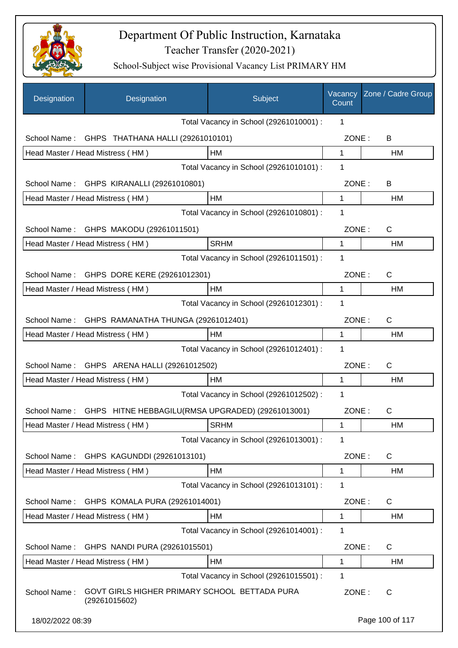

| Designation      | Designation                                                    | Subject                                 | Vacancy<br>Count | Zone / Cadre Group |
|------------------|----------------------------------------------------------------|-----------------------------------------|------------------|--------------------|
|                  |                                                                | Total Vacancy in School (29261010001) : | 1                |                    |
| School Name:     | GHPS THATHANA HALLI (29261010101)                              |                                         | ZONE:            | B                  |
|                  | Head Master / Head Mistress (HM)                               | HM                                      | 1                | HM                 |
|                  |                                                                | Total Vacancy in School (29261010101) : | 1                |                    |
|                  | School Name: GHPS KIRANALLI (29261010801)                      |                                         | ZONE:            | B                  |
|                  | Head Master / Head Mistress (HM)                               | HM                                      | 1                | <b>HM</b>          |
|                  |                                                                | Total Vacancy in School (29261010801) : | 1                |                    |
|                  | School Name: GHPS MAKODU (29261011501)                         |                                         | ZONE:            | C                  |
|                  | Head Master / Head Mistress (HM)                               | <b>SRHM</b>                             | 1                | <b>HM</b>          |
|                  |                                                                | Total Vacancy in School (29261011501) : | 1                |                    |
|                  | School Name: GHPS DORE KERE (29261012301)                      |                                         | ZONE:            | $\mathsf{C}$       |
|                  | Head Master / Head Mistress (HM)                               | HM                                      | 1                | HM                 |
|                  |                                                                | Total Vacancy in School (29261012301) : | 1                |                    |
| School Name:     | GHPS RAMANATHA THUNGA (29261012401)                            |                                         | ZONE:            | C                  |
|                  | Head Master / Head Mistress (HM)                               | HM                                      | 1                | HM                 |
|                  |                                                                | Total Vacancy in School (29261012401) : | 1                |                    |
| School Name:     | GHPS ARENA HALLI (29261012502)                                 |                                         | ZONE:            | C                  |
|                  | Head Master / Head Mistress (HM)                               | HM                                      | 1                | <b>HM</b>          |
|                  |                                                                | Total Vacancy in School (29261012502) : | 1                |                    |
| School Name:     | GHPS HITNE HEBBAGILU(RMSA UPGRADED) (29261013001)              |                                         | ZONE:            | $\mathsf{C}$       |
|                  | Head Master / Head Mistress (HM)                               | <b>SRHM</b>                             | 1                | HM                 |
|                  |                                                                | Total Vacancy in School (29261013001) : | 1                |                    |
| School Name:     | GHPS KAGUNDDI (29261013101)                                    |                                         | ZONE:            | C                  |
|                  | Head Master / Head Mistress (HM)                               | HM                                      | 1                | <b>HM</b>          |
|                  |                                                                | Total Vacancy in School (29261013101) : | 1                |                    |
| School Name:     | GHPS KOMALA PURA (29261014001)                                 |                                         | ZONE:            | C                  |
|                  | Head Master / Head Mistress (HM)                               | HM                                      | $\mathbf 1$      | HM                 |
|                  |                                                                | Total Vacancy in School (29261014001) : | 1                |                    |
| School Name:     | GHPS NANDI PURA (29261015501)                                  |                                         | ZONE:            | $\mathsf{C}$       |
|                  | Head Master / Head Mistress (HM)                               | HM                                      | 1                | HM                 |
|                  |                                                                | Total Vacancy in School (29261015501) : | 1                |                    |
| School Name:     | GOVT GIRLS HIGHER PRIMARY SCHOOL BETTADA PURA<br>(29261015602) |                                         | ZONE:            | C                  |
| 18/02/2022 08:39 |                                                                |                                         |                  | Page 100 of 117    |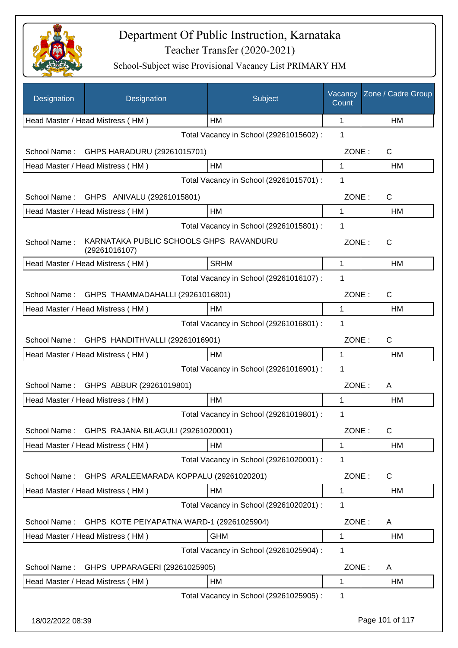

| Designation      | Designation                                              | Subject                                 | Vacancy<br>Count | Zone / Cadre Group |
|------------------|----------------------------------------------------------|-----------------------------------------|------------------|--------------------|
|                  | Head Master / Head Mistress (HM)                         | <b>HM</b>                               | 1                | HM                 |
|                  |                                                          | Total Vacancy in School (29261015602) : | 1                |                    |
| School Name:     | GHPS HARADURU (29261015701)                              |                                         | ZONE:            | C                  |
|                  | Head Master / Head Mistress (HM)                         | HM                                      | 1                | HM                 |
|                  |                                                          | Total Vacancy in School (29261015701) : | 1                |                    |
|                  | School Name: GHPS ANIVALU (29261015801)                  |                                         | ZONE:            | $\mathsf{C}$       |
|                  | Head Master / Head Mistress (HM)                         | HM                                      | $\mathbf{1}$     | HM                 |
|                  |                                                          | Total Vacancy in School (29261015801) : | 1                |                    |
| School Name:     | KARNATAKA PUBLIC SCHOOLS GHPS RAVANDURU<br>(29261016107) |                                         | ZONE:            | C                  |
|                  | Head Master / Head Mistress (HM)                         | <b>SRHM</b>                             | $\mathbf 1$      | <b>HM</b>          |
|                  |                                                          | Total Vacancy in School (29261016107) : | 1                |                    |
| School Name:     | GHPS THAMMADAHALLI (29261016801)                         |                                         | ZONE:            | C                  |
|                  | Head Master / Head Mistress (HM)                         | HM                                      | 1                | HM                 |
|                  |                                                          | Total Vacancy in School (29261016801) : | 1                |                    |
| School Name:     | GHPS HANDITHVALLI (29261016901)                          |                                         | ZONE:            | $\mathsf{C}$       |
|                  | Head Master / Head Mistress (HM)                         | <b>HM</b>                               | $\mathbf{1}$     | HM                 |
|                  |                                                          | Total Vacancy in School (29261016901) : | 1                |                    |
| School Name:     | GHPS ABBUR (29261019801)                                 |                                         | ZONE:            | A                  |
|                  | Head Master / Head Mistress (HM)                         | HM                                      | 1                | HM                 |
|                  |                                                          | Total Vacancy in School (29261019801) : | 1                |                    |
|                  | School Name: GHPS RAJANA BILAGULI (29261020001)          |                                         | ZONE:            | C                  |
|                  | Head Master / Head Mistress (HM)                         | HM                                      | 1                | HM                 |
|                  |                                                          | Total Vacancy in School (29261020001) : | 1                |                    |
| School Name:     | GHPS ARALEEMARADA KOPPALU (29261020201)                  |                                         | ZONE:            | $\mathsf{C}$       |
|                  | Head Master / Head Mistress (HM)                         | HM                                      | $\mathbf{1}$     | <b>HM</b>          |
|                  |                                                          | Total Vacancy in School (29261020201) : | 1                |                    |
| School Name:     | GHPS KOTE PEIYAPATNA WARD-1 (29261025904)                |                                         | ZONE:            | A                  |
|                  | Head Master / Head Mistress (HM)                         | <b>GHM</b>                              | $\mathbf 1$      | <b>HM</b>          |
|                  |                                                          | Total Vacancy in School (29261025904) : | 1                |                    |
| School Name:     | GHPS UPPARAGERI (29261025905)                            |                                         | ZONE:            | A                  |
|                  | Head Master / Head Mistress (HM)                         | HM                                      | 1                | HM                 |
|                  |                                                          | Total Vacancy in School (29261025905) : | 1                |                    |
| 18/02/2022 08:39 |                                                          |                                         |                  | Page 101 of 117    |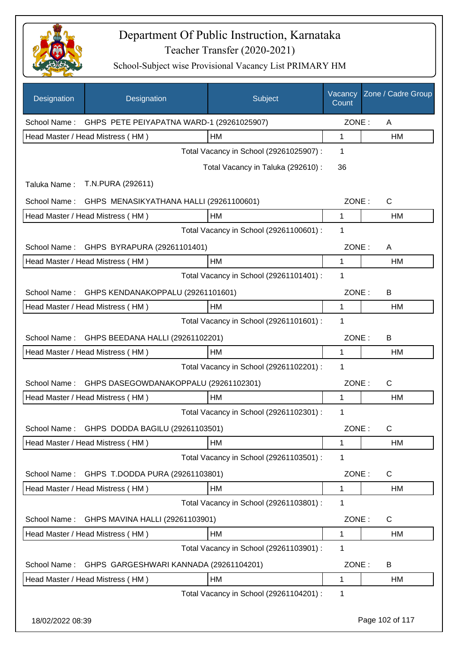

| Designation  | Designation                               | Subject                                 | Vacancy<br>Count | Zone / Cadre Group |
|--------------|-------------------------------------------|-----------------------------------------|------------------|--------------------|
| School Name: | GHPS PETE PEIYAPATNA WARD-1 (29261025907) |                                         | ZONE:            | A                  |
|              | Head Master / Head Mistress (HM)          | HM                                      | 1                | HM                 |
|              |                                           | Total Vacancy in School (29261025907) : | 1                |                    |
|              |                                           | Total Vacancy in Taluka (292610):       | 36               |                    |
| Taluka Name: | T.N.PURA (292611)                         |                                         |                  |                    |
| School Name: | GHPS MENASIKYATHANA HALLI (29261100601)   |                                         | ZONE:            | C                  |
|              | Head Master / Head Mistress (HM)          | HM                                      | 1                | HM                 |
|              |                                           | Total Vacancy in School (29261100601) : | 1                |                    |
| School Name: | GHPS BYRAPURA (29261101401)               |                                         | ZONE:            | A                  |
|              | Head Master / Head Mistress (HM)          | <b>HM</b>                               | $\mathbf{1}$     | <b>HM</b>          |
|              |                                           | Total Vacancy in School (29261101401) : | 1                |                    |
| School Name: | GHPS KENDANAKOPPALU (29261101601)         |                                         | ZONE:            | В                  |
|              | Head Master / Head Mistress (HM)          | <b>HM</b>                               | $\mathbf{1}$     | HM                 |
|              |                                           | Total Vacancy in School (29261101601) : | 1                |                    |
| School Name: | GHPS BEEDANA HALLI (29261102201)          |                                         | ZONE:            | B                  |
|              | Head Master / Head Mistress (HM)          | HM                                      | 1                | HM                 |
|              |                                           | Total Vacancy in School (29261102201) : | 1                |                    |
| School Name: | GHPS DASEGOWDANAKOPPALU (29261102301)     |                                         | ZONE:            | $\mathsf{C}$       |
|              | Head Master / Head Mistress (HM)          | <b>HM</b>                               | 1                | HM                 |
|              |                                           | Total Vacancy in School (29261102301) : | 1                |                    |
| School Name: | GHPS DODDA BAGILU (29261103501)           |                                         | ZONE:            | C                  |
|              | Head Master / Head Mistress (HM)          | HM                                      | 1                | HM                 |
|              |                                           | Total Vacancy in School (29261103501) : | 1                |                    |
| School Name: | GHPS T.DODDA PURA (29261103801)           |                                         | ZONE:            | C                  |
|              | Head Master / Head Mistress (HM)          | HM                                      | 1                | HM                 |
|              |                                           | Total Vacancy in School (29261103801) : | 1                |                    |
| School Name: | GHPS MAVINA HALLI (29261103901)           |                                         | ZONE:            | C                  |
|              | Head Master / Head Mistress (HM)          | HM                                      | $\mathbf{1}$     | HM                 |
|              |                                           | Total Vacancy in School (29261103901) : | 1                |                    |
| School Name: | GHPS GARGESHWARI KANNADA (29261104201)    |                                         | ZONE:            | B                  |
|              | Head Master / Head Mistress (HM)          | HM                                      | 1                | HM                 |
|              |                                           | Total Vacancy in School (29261104201) : | 1                |                    |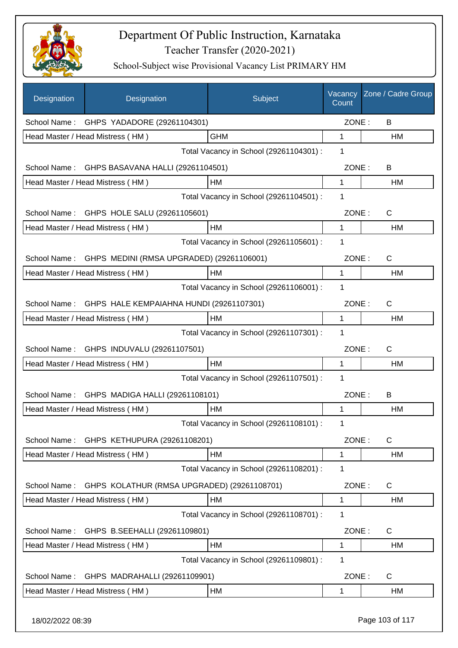

| Designation      | Designation                                 | Subject                                 | Vacancy<br>Count | Zone / Cadre Group |
|------------------|---------------------------------------------|-----------------------------------------|------------------|--------------------|
| School Name:     | GHPS YADADORE (29261104301)                 |                                         | ZONE:            | B                  |
|                  | Head Master / Head Mistress (HM)            | <b>GHM</b>                              | 1                | HM                 |
|                  |                                             | Total Vacancy in School (29261104301) : | 1                |                    |
| School Name:     | GHPS BASAVANA HALLI (29261104501)           |                                         | ZONE:            | B                  |
|                  | Head Master / Head Mistress (HM)            | HM                                      | 1                | HM                 |
|                  |                                             | Total Vacancy in School (29261104501) : | 1                |                    |
|                  | School Name: GHPS HOLE SALU (29261105601)   |                                         | ZONE:            | $\mathsf{C}$       |
|                  | Head Master / Head Mistress (HM)            | HM                                      | 1                | HM                 |
|                  |                                             | Total Vacancy in School (29261105601) : | 1                |                    |
| School Name:     | GHPS MEDINI (RMSA UPGRADED) (29261106001)   |                                         | ZONE:            | $\mathsf{C}$       |
|                  | Head Master / Head Mistress (HM)            | HM                                      | 1                | <b>HM</b>          |
|                  |                                             | Total Vacancy in School (29261106001) : | 1                |                    |
| School Name:     | GHPS HALE KEMPAIAHNA HUNDI (29261107301)    |                                         | ZONE:            | $\mathsf{C}$       |
|                  | Head Master / Head Mistress (HM)            | HM                                      | $\mathbf{1}$     | HM                 |
|                  |                                             | Total Vacancy in School (29261107301) : | 1                |                    |
| School Name:     | GHPS INDUVALU (29261107501)                 |                                         | ZONE:            | $\mathsf{C}$       |
|                  | Head Master / Head Mistress (HM)            | HM                                      | 1                | HM                 |
|                  |                                             | Total Vacancy in School (29261107501) : | 1                |                    |
| School Name:     | GHPS MADIGA HALLI (29261108101)             |                                         | ZONE:            | B                  |
|                  | Head Master / Head Mistress (HM)            | HM                                      | 1                | HM                 |
|                  |                                             | Total Vacancy in School (29261108101) : | 1                |                    |
| School Name:     | GHPS KETHUPURA (29261108201)                |                                         | ZONE:            | C                  |
|                  | Head Master / Head Mistress (HM)            | HM                                      | 1                | HM                 |
|                  |                                             | Total Vacancy in School (29261108201) : | 1                |                    |
| School Name:     | GHPS KOLATHUR (RMSA UPGRADED) (29261108701) |                                         | ZONE:            | C                  |
|                  | Head Master / Head Mistress (HM)            | HM                                      | 1                | HM                 |
|                  |                                             | Total Vacancy in School (29261108701) : | 1                |                    |
| School Name:     | GHPS B.SEEHALLI (29261109801)               |                                         | ZONE:            | C                  |
|                  | Head Master / Head Mistress (HM)            | HM                                      | 1                | HM                 |
|                  |                                             | Total Vacancy in School (29261109801) : | 1                |                    |
| School Name:     | GHPS MADRAHALLI (29261109901)               |                                         | ZONE:            | C                  |
|                  | Head Master / Head Mistress (HM)            | HM                                      | 1                | HM                 |
| 18/02/2022 08:39 |                                             |                                         |                  | Page 103 of 117    |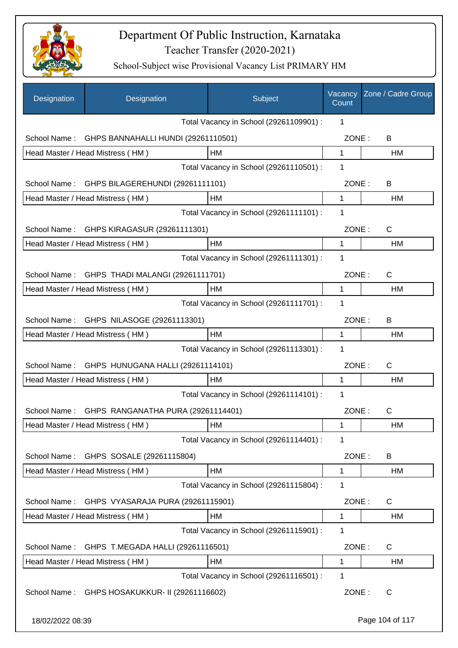

| Designation      | Designation                                     | Subject                                 | Vacancy<br>Count | Zone / Cadre Group |
|------------------|-------------------------------------------------|-----------------------------------------|------------------|--------------------|
|                  |                                                 | Total Vacancy in School (29261109901) : | 1                |                    |
| School Name:     | GHPS BANNAHALLI HUNDI (29261110501)             |                                         | ZONE:            | B                  |
|                  | Head Master / Head Mistress (HM)                | HM                                      | $\mathbf 1$      | HM                 |
|                  |                                                 | Total Vacancy in School (29261110501) : | 1                |                    |
| School Name:     | GHPS BILAGEREHUNDI (29261111101)                |                                         | ZONE:            | B                  |
|                  | Head Master / Head Mistress (HM)                | HM                                      | 1                | HM                 |
|                  |                                                 | Total Vacancy in School (29261111101) : | 1                |                    |
| School Name:     | GHPS KIRAGASUR (29261111301)                    |                                         | ZONE:            | C                  |
|                  | Head Master / Head Mistress (HM)                | <b>HM</b>                               | 1                | HM                 |
|                  |                                                 | Total Vacancy in School (29261111301) : | 1                |                    |
| School Name:     | GHPS THADI MALANGI (29261111701)                |                                         | ZONE:            | C                  |
|                  | Head Master / Head Mistress (HM)                | HM                                      | 1                | HM                 |
|                  |                                                 | Total Vacancy in School (29261111701) : | 1                |                    |
|                  | School Name: GHPS NILASOGE (29261113301)        |                                         | ZONE:            | B                  |
|                  | Head Master / Head Mistress (HM)                | HM                                      | 1                | HM                 |
|                  |                                                 | Total Vacancy in School (29261113301) : | 1                |                    |
| School Name:     | GHPS HUNUGANA HALLI (29261114101)               |                                         | ZONE:            | $\mathsf C$        |
|                  | Head Master / Head Mistress (HM)                | HM                                      | 1                | HM                 |
|                  |                                                 | Total Vacancy in School (29261114101) : | 1                |                    |
|                  | School Name: GHPS RANGANATHA PURA (29261114401) |                                         | ZONE:            | $\mathsf C$        |
|                  | Head Master / Head Mistress (HM)                | HM                                      | 1                | HM                 |
|                  |                                                 | Total Vacancy in School (29261114401) : | 1                |                    |
| School Name:     | GHPS SOSALE (29261115804)                       |                                         | ZONE:            | B                  |
|                  | Head Master / Head Mistress (HM)                | HM                                      | 1                | HM                 |
|                  |                                                 | Total Vacancy in School (29261115804) : | 1                |                    |
| School Name:     | GHPS VYASARAJA PURA (29261115901)               |                                         | ZONE:            | C                  |
|                  | Head Master / Head Mistress (HM)                | HM                                      | 1                | HM                 |
|                  |                                                 | Total Vacancy in School (29261115901) : | 1                |                    |
| School Name:     | GHPS T.MEGADA HALLI (29261116501)               |                                         | ZONE:            | C                  |
|                  | Head Master / Head Mistress (HM)                | HM                                      | 1                | HM                 |
|                  |                                                 | Total Vacancy in School (29261116501) : | 1                |                    |
| School Name:     | GHPS HOSAKUKKUR- II (29261116602)               |                                         | ZONE:            | C                  |
| 18/02/2022 08:39 |                                                 |                                         |                  | Page 104 of 117    |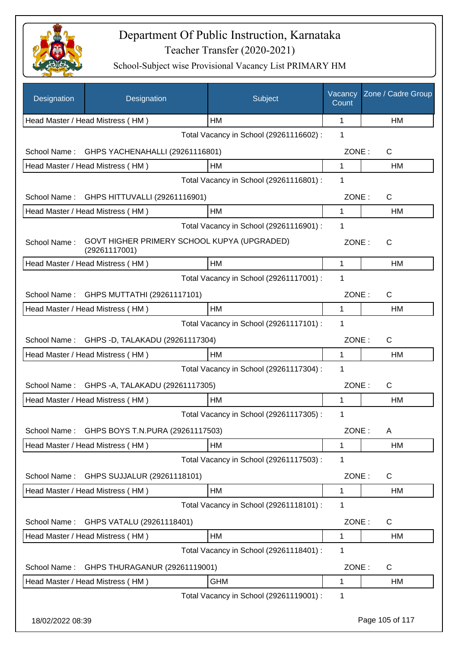

| Designation      | Designation                                                  | Subject                                 | Vacancy<br>Count | Zone / Cadre Group |
|------------------|--------------------------------------------------------------|-----------------------------------------|------------------|--------------------|
|                  | Head Master / Head Mistress (HM)                             | <b>HM</b>                               | 1                | HM                 |
|                  |                                                              | Total Vacancy in School (29261116602):  | 1                |                    |
|                  | School Name: GHPS YACHENAHALLI (29261116801)                 |                                         | ZONE:            | C                  |
|                  | Head Master / Head Mistress (HM)                             | HM                                      | 1                | HM                 |
|                  |                                                              | Total Vacancy in School (29261116801) : | 1                |                    |
| School Name:     | GHPS HITTUVALLI (29261116901)                                |                                         | ZONE:            | C                  |
|                  | Head Master / Head Mistress (HM)                             | HM                                      | 1                | HM                 |
|                  |                                                              | Total Vacancy in School (29261116901) : | 1                |                    |
| School Name:     | GOVT HIGHER PRIMERY SCHOOL KUPYA (UPGRADED)<br>(29261117001) |                                         | ZONE:            | C                  |
|                  | Head Master / Head Mistress (HM)                             | HM                                      | 1                | HM                 |
|                  |                                                              | Total Vacancy in School (29261117001) : | 1                |                    |
|                  | School Name: GHPS MUTTATHI (29261117101)                     |                                         | ZONE:            | C                  |
|                  | Head Master / Head Mistress (HM)                             | HM                                      | 1                | HM                 |
|                  |                                                              | Total Vacancy in School (29261117101) : | 1                |                    |
|                  | School Name: GHPS -D, TALAKADU (29261117304)                 |                                         | ZONE:            | C                  |
|                  | Head Master / Head Mistress (HM)                             | HM                                      | 1                | HM                 |
|                  |                                                              | Total Vacancy in School (29261117304) : | 1                |                    |
| School Name:     | GHPS - A, TALAKADU (29261117305)                             |                                         | ZONE:            | C                  |
|                  | Head Master / Head Mistress (HM)                             | HM                                      | 1                | HM                 |
|                  |                                                              | Total Vacancy in School (29261117305) : | 1                |                    |
|                  | School Name: GHPS BOYS T.N.PURA (29261117503)                |                                         | ZONE:            | A                  |
|                  | Head Master / Head Mistress (HM)                             | HM                                      | 1                | HM                 |
|                  |                                                              | Total Vacancy in School (29261117503) : | 1                |                    |
| School Name:     | GHPS SUJJALUR (29261118101)                                  |                                         | ZONE:            | $\mathsf{C}$       |
|                  | Head Master / Head Mistress (HM)                             | HM                                      | 1                | HM                 |
|                  |                                                              | Total Vacancy in School (29261118101) : | 1                |                    |
| School Name:     | GHPS VATALU (29261118401)                                    |                                         | ZONE:            | C                  |
|                  | Head Master / Head Mistress (HM)                             | HM                                      | 1                | <b>HM</b>          |
|                  |                                                              | Total Vacancy in School (29261118401) : | 1                |                    |
| School Name:     | GHPS THURAGANUR (29261119001)                                |                                         | ZONE:            | C                  |
|                  | Head Master / Head Mistress (HM)                             | <b>GHM</b>                              | 1                | HM                 |
|                  |                                                              | Total Vacancy in School (29261119001) : | 1                |                    |
| 18/02/2022 08:39 |                                                              |                                         |                  | Page 105 of 117    |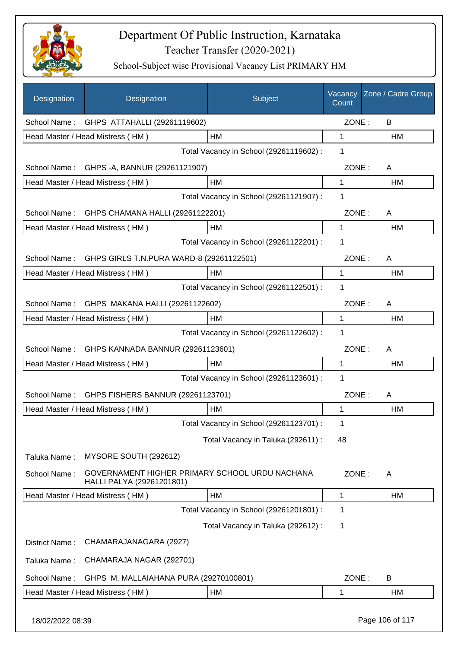

| Designation      | Designation                                                                 | Subject                                 | Vacancy<br>Count | Zone / Cadre Group |
|------------------|-----------------------------------------------------------------------------|-----------------------------------------|------------------|--------------------|
| School Name:     | GHPS ATTAHALLI (29261119602)                                                |                                         | ZONE:            | B                  |
|                  | Head Master / Head Mistress (HM)                                            | HM                                      | 1                | HM                 |
|                  |                                                                             | Total Vacancy in School (29261119602) : | 1                |                    |
| School Name:     | GHPS - A, BANNUR (29261121907)                                              |                                         | ZONE:            | A                  |
|                  | Head Master / Head Mistress (HM)                                            | HM                                      | 1                | HM                 |
|                  |                                                                             | Total Vacancy in School (29261121907) : | 1                |                    |
|                  | School Name: GHPS CHAMANA HALLI (29261122201)                               |                                         | ZONE:            | A                  |
|                  | Head Master / Head Mistress (HM)                                            | HM                                      | 1                | HM                 |
|                  |                                                                             | Total Vacancy in School (29261122201) : | 1                |                    |
| School Name:     | GHPS GIRLS T.N.PURA WARD-8 (29261122501)                                    |                                         | ZONE:            | A                  |
|                  | Head Master / Head Mistress (HM)                                            | HM                                      | 1                | <b>HM</b>          |
|                  |                                                                             | Total Vacancy in School (29261122501) : | 1                |                    |
| School Name:     | GHPS MAKANA HALLI (29261122602)                                             |                                         | ZONE:            | A                  |
|                  | Head Master / Head Mistress (HM)                                            | HM                                      | 1                | HM                 |
|                  |                                                                             | Total Vacancy in School (29261122602) : | 1                |                    |
| School Name:     | GHPS KANNADA BANNUR (29261123601)                                           |                                         | ZONE:            | A                  |
|                  | Head Master / Head Mistress (HM)                                            | HM                                      | 1                | HM                 |
|                  |                                                                             | Total Vacancy in School (29261123601) : | 1                |                    |
| School Name:     | GHPS FISHERS BANNUR (29261123701)                                           |                                         | ZONE:            | A                  |
|                  | Head Master / Head Mistress (HM)                                            | <b>HM</b>                               | 1                | HM                 |
|                  |                                                                             | Total Vacancy in School (29261123701) : | 1                |                    |
|                  |                                                                             | Total Vacancy in Taluka (292611) :      | 48               |                    |
| Taluka Name:     | MYSORE SOUTH (292612)                                                       |                                         |                  |                    |
| School Name:     | GOVERNAMENT HIGHER PRIMARY SCHOOL URDU NACHANA<br>HALLI PALYA (29261201801) |                                         | ZONE:            | A                  |
|                  | Head Master / Head Mistress (HM)                                            | HM                                      | 1                | HM                 |
|                  |                                                                             | Total Vacancy in School (29261201801) : | 1                |                    |
|                  |                                                                             | Total Vacancy in Taluka (292612) :      | 1                |                    |
| District Name:   | CHAMARAJANAGARA (2927)                                                      |                                         |                  |                    |
| Taluka Name:     | CHAMARAJA NAGAR (292701)                                                    |                                         |                  |                    |
| School Name:     | GHPS M. MALLAIAHANA PURA (29270100801)                                      |                                         | ZONE:            | B                  |
|                  | Head Master / Head Mistress (HM)                                            | HM                                      | 1                | HM                 |
| 18/02/2022 08:39 |                                                                             |                                         |                  | Page 106 of 117    |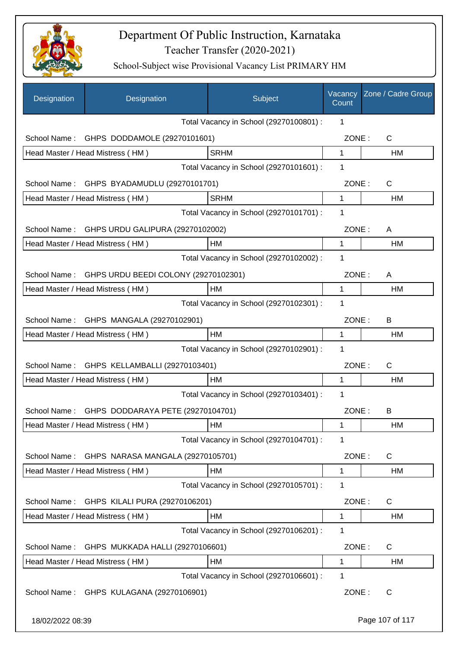

| Designation      | Designation                                       | Subject                                 | Vacancy<br>Count | Zone / Cadre Group |
|------------------|---------------------------------------------------|-----------------------------------------|------------------|--------------------|
|                  |                                                   | Total Vacancy in School (29270100801) : | 1                |                    |
| School Name:     | GHPS DODDAMOLE (29270101601)                      |                                         | ZONE:            | C                  |
|                  | Head Master / Head Mistress (HM)                  | <b>SRHM</b>                             | $\mathbf 1$      | HM                 |
|                  |                                                   | Total Vacancy in School (29270101601) : | 1                |                    |
|                  | School Name: GHPS BYADAMUDLU (29270101701)        |                                         | ZONE:            | C                  |
|                  | Head Master / Head Mistress (HM)                  | <b>SRHM</b>                             | $\mathbf{1}$     | <b>HM</b>          |
|                  |                                                   | Total Vacancy in School (29270101701) : | 1                |                    |
|                  | School Name: GHPS URDU GALIPURA (29270102002)     |                                         | ZONE:            | A                  |
|                  | Head Master / Head Mistress (HM)                  | <b>HM</b>                               | 1                | HM                 |
|                  |                                                   | Total Vacancy in School (29270102002) : | 1                |                    |
|                  | School Name: GHPS URDU BEEDI COLONY (29270102301) |                                         | ZONE:            | A                  |
|                  | Head Master / Head Mistress (HM)                  | <b>HM</b>                               | 1                | HM                 |
|                  |                                                   | Total Vacancy in School (29270102301) : | 1                |                    |
|                  | School Name: GHPS MANGALA (29270102901)           |                                         | ZONE:            | B                  |
|                  | Head Master / Head Mistress (HM)                  | HM                                      | $\mathbf 1$      | HM                 |
|                  |                                                   | Total Vacancy in School (29270102901) : | 1                |                    |
|                  | School Name: GHPS KELLAMBALLI (29270103401)       |                                         | ZONE:            | $\mathsf{C}$       |
|                  | Head Master / Head Mistress (HM)                  | <b>HM</b>                               | $\mathbf 1$      | <b>HM</b>          |
|                  |                                                   | Total Vacancy in School (29270103401) : | 1                |                    |
| School Name:     | GHPS DODDARAYA PETE (29270104701)                 |                                         | ZONE:            | B                  |
|                  | Head Master / Head Mistress (HM)                  | HM                                      | 1                | HM                 |
|                  |                                                   | Total Vacancy in School (29270104701) : | 1                |                    |
| School Name:     | GHPS NARASA MANGALA (29270105701)                 |                                         | ZONE:            | C                  |
|                  | Head Master / Head Mistress (HM)                  | HM                                      | 1                | HM                 |
|                  |                                                   | Total Vacancy in School (29270105701) : | 1                |                    |
| School Name:     | GHPS KILALI PURA (29270106201)                    |                                         | ZONE:            | C                  |
|                  | Head Master / Head Mistress (HM)                  | HM                                      | 1                | HM                 |
|                  |                                                   | Total Vacancy in School (29270106201) : | 1                |                    |
| School Name:     | GHPS MUKKADA HALLI (29270106601)                  |                                         | ZONE:            | C                  |
|                  | Head Master / Head Mistress (HM)                  | HM                                      | 1                | HM                 |
|                  |                                                   | Total Vacancy in School (29270106601) : | 1                |                    |
| School Name:     | GHPS KULAGANA (29270106901)                       |                                         | ZONE:            | C                  |
| 18/02/2022 08:39 |                                                   |                                         |                  | Page 107 of 117    |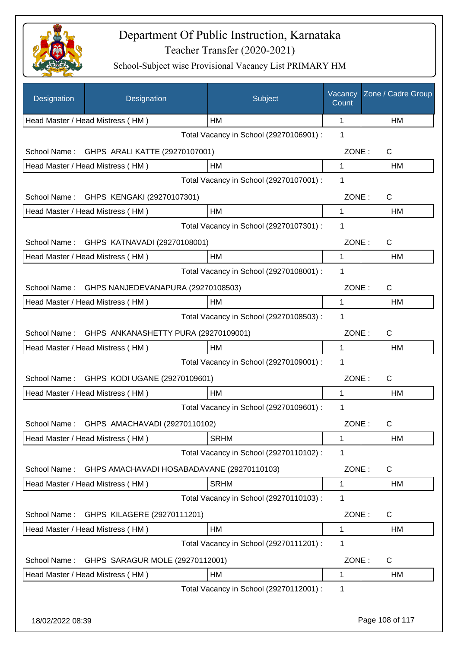

| Designation      | Designation                                | Subject                                 | Vacancy<br>Count | Zone / Cadre Group |
|------------------|--------------------------------------------|-----------------------------------------|------------------|--------------------|
|                  | Head Master / Head Mistress (HM)           | HM                                      | 1                | HM                 |
|                  |                                            | Total Vacancy in School (29270106901) : | 1                |                    |
| School Name:     | GHPS ARALI KATTE (29270107001)             |                                         | ZONE:            | C                  |
|                  | Head Master / Head Mistress (HM)           | HM                                      | 1                | HM                 |
|                  |                                            | Total Vacancy in School (29270107001) : | 1                |                    |
| School Name:     | GHPS KENGAKI (29270107301)                 |                                         | ZONE:            | $\mathsf{C}$       |
|                  | Head Master / Head Mistress (HM)           | HM                                      | 1                | HM                 |
|                  |                                            | Total Vacancy in School (29270107301) : | 1                |                    |
| School Name:     | GHPS KATNAVADI (29270108001)               |                                         | ZONE:            | C                  |
|                  | Head Master / Head Mistress (HM)           | HM                                      | 1                | HM                 |
|                  |                                            | Total Vacancy in School (29270108001) : | 1                |                    |
| School Name:     | GHPS NANJEDEVANAPURA (29270108503)         |                                         | ZONE:            | C                  |
|                  | Head Master / Head Mistress (HM)           | HM                                      | 1                | HM                 |
|                  |                                            | Total Vacancy in School (29270108503) : | 1                |                    |
| School Name:     | GHPS ANKANASHETTY PURA (29270109001)       |                                         | ZONE:            | $\mathsf{C}$       |
|                  | Head Master / Head Mistress (HM)           | HM                                      | 1                | HM                 |
|                  |                                            | Total Vacancy in School (29270109001) : | 1                |                    |
| School Name:     | GHPS KODI UGANE (29270109601)              |                                         | ZONE:            | C                  |
|                  | Head Master / Head Mistress (HM)           | HM                                      | 1                | HM                 |
|                  |                                            | Total Vacancy in School (29270109601) : | 1                |                    |
|                  | School Name: GHPS AMACHAVADI (29270110102) |                                         | ZONE:            | C                  |
|                  | Head Master / Head Mistress (HM)           | <b>SRHM</b>                             | 1                | HM                 |
|                  |                                            | Total Vacancy in School (29270110102) : | 1                |                    |
| School Name:     | GHPS AMACHAVADI HOSABADAVANE (29270110103) |                                         | ZONE:            | C                  |
|                  | Head Master / Head Mistress (HM)           | <b>SRHM</b>                             | 1                | HM                 |
|                  |                                            | Total Vacancy in School (29270110103) : | 1                |                    |
| School Name:     | GHPS KILAGERE (29270111201)                |                                         | ZONE:            | C                  |
|                  | Head Master / Head Mistress (HM)           | HM                                      | 1                | HM                 |
|                  |                                            | Total Vacancy in School (29270111201) : | 1                |                    |
| School Name:     | GHPS SARAGUR MOLE (29270112001)            |                                         | ZONE:            | C                  |
|                  | Head Master / Head Mistress (HM)           | HM                                      | 1                | HM                 |
|                  |                                            | Total Vacancy in School (29270112001) : | 1                |                    |
|                  |                                            |                                         |                  |                    |
| 18/02/2022 08:39 |                                            |                                         |                  | Page 108 of 117    |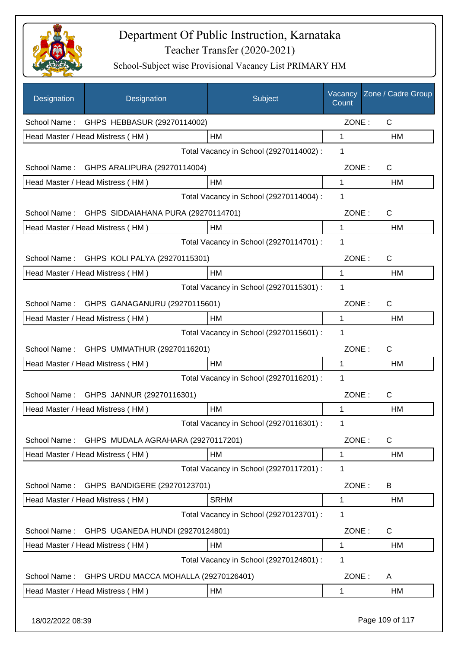

| Designation      | Designation                                      | Subject                                 | Vacancy<br>Count | Zone / Cadre Group |
|------------------|--------------------------------------------------|-----------------------------------------|------------------|--------------------|
| School Name:     | GHPS HEBBASUR (29270114002)                      |                                         | ZONE:            | C                  |
|                  | Head Master / Head Mistress (HM)                 | НM                                      | 1                | HM                 |
|                  |                                                  | Total Vacancy in School (29270114002) : | 1                |                    |
| School Name:     | GHPS ARALIPURA (29270114004)                     |                                         | ZONE:            | C                  |
|                  | Head Master / Head Mistress (HM)                 | HM                                      | 1                | НM                 |
|                  |                                                  | Total Vacancy in School (29270114004) : | 1                |                    |
|                  | School Name: GHPS SIDDAIAHANA PURA (29270114701) |                                         | ZONE:            | $\mathsf{C}$       |
|                  | Head Master / Head Mistress (HM)                 | HM                                      | 1                | <b>HM</b>          |
|                  |                                                  | Total Vacancy in School (29270114701) : | 1                |                    |
| School Name:     | GHPS KOLI PALYA (29270115301)                    |                                         | ZONE:            | $\mathsf{C}$       |
|                  | Head Master / Head Mistress (HM)                 | HM                                      | $\mathbf{1}$     | HM                 |
|                  |                                                  | Total Vacancy in School (29270115301) : | 1                |                    |
| School Name:     | GHPS GANAGANURU (29270115601)                    |                                         | ZONE:            | C                  |
|                  | Head Master / Head Mistress (HM)                 | HM                                      | 1                | HM                 |
|                  |                                                  | Total Vacancy in School (29270115601) : | $\mathbf 1$      |                    |
| School Name:     | GHPS UMMATHUR (29270116201)                      |                                         | ZONE:            | C                  |
|                  | Head Master / Head Mistress (HM)                 | HM                                      | 1                | HM                 |
|                  |                                                  | Total Vacancy in School (29270116201) : | 1                |                    |
| School Name:     | GHPS JANNUR (29270116301)                        |                                         | ZONE:            | C                  |
|                  | Head Master / Head Mistress (HM)                 | HM                                      | 1                | HM                 |
|                  |                                                  | Total Vacancy in School (29270116301) : | 1                |                    |
| School Name:     | GHPS MUDALA AGRAHARA (29270117201)               |                                         | ZONE:            | $\mathsf C$        |
|                  | Head Master / Head Mistress (HM)                 | HM                                      | 1                | HM                 |
|                  |                                                  | Total Vacancy in School (29270117201) : | 1                |                    |
| School Name:     | GHPS BANDIGERE (29270123701)                     |                                         | ZONE:            | B                  |
|                  | Head Master / Head Mistress (HM)                 | <b>SRHM</b>                             | 1                | HM                 |
|                  |                                                  | Total Vacancy in School (29270123701) : | 1                |                    |
| School Name:     | GHPS UGANEDA HUNDI (29270124801)                 |                                         | ZONE:            | $\mathsf{C}$       |
|                  | Head Master / Head Mistress (HM)                 | HM                                      | 1                | HM                 |
|                  |                                                  | Total Vacancy in School (29270124801) : | 1                |                    |
| School Name:     | GHPS URDU MACCA MOHALLA (29270126401)            |                                         | ZONE:            | A                  |
|                  | Head Master / Head Mistress (HM)                 | HM                                      | 1                | HM                 |
| 18/02/2022 08:39 |                                                  |                                         |                  | Page 109 of 117    |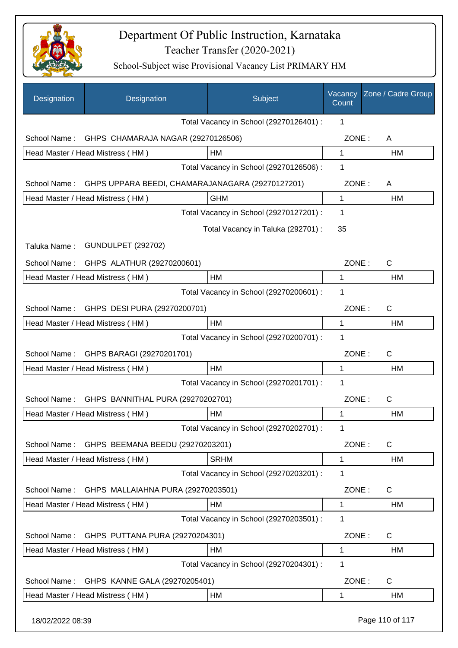

| Designation      | Designation                                      | Subject                                 | Vacancy<br>Count | Zone / Cadre Group |
|------------------|--------------------------------------------------|-----------------------------------------|------------------|--------------------|
|                  |                                                  | Total Vacancy in School (29270126401) : | 1                |                    |
| School Name:     | GHPS CHAMARAJA NAGAR (29270126506)               |                                         | ZONE:            | A                  |
|                  | Head Master / Head Mistress (HM)                 | HM                                      | 1                | HM                 |
|                  |                                                  | Total Vacancy in School (29270126506) : | 1                |                    |
| School Name:     | GHPS UPPARA BEEDI, CHAMARAJANAGARA (29270127201) |                                         | ZONE:            | A                  |
|                  | Head Master / Head Mistress (HM)                 | <b>GHM</b>                              | $\mathbf{1}$     | HM                 |
|                  |                                                  | Total Vacancy in School (29270127201) : | 1                |                    |
|                  |                                                  | Total Vacancy in Taluka (292701) :      | 35               |                    |
| Taluka Name:     | <b>GUNDULPET (292702)</b>                        |                                         |                  |                    |
| School Name:     | GHPS ALATHUR (29270200601)                       |                                         | ZONE:            | C                  |
|                  | Head Master / Head Mistress (HM)                 | HM                                      | 1                | HM                 |
|                  |                                                  | Total Vacancy in School (29270200601) : | 1                |                    |
| School Name:     | GHPS DESI PURA (29270200701)                     |                                         | ZONE:            | C                  |
|                  | Head Master / Head Mistress (HM)                 | HM                                      | 1                | <b>HM</b>          |
|                  |                                                  | Total Vacancy in School (29270200701) : | 1                |                    |
| School Name:     | GHPS BARAGI (29270201701)                        |                                         | ZONE:            | C                  |
|                  | Head Master / Head Mistress (HM)                 | <b>HM</b>                               | 1                | HM                 |
|                  |                                                  | Total Vacancy in School (29270201701) : | 1                |                    |
| School Name:     | GHPS BANNITHAL PURA (29270202701)                |                                         | ZONE:            | C                  |
|                  | Head Master / Head Mistress (HM)                 | HM                                      | 1                | HM                 |
|                  |                                                  | Total Vacancy in School (29270202701) : | 1                |                    |
| School Name:     | GHPS BEEMANA BEEDU (29270203201)                 |                                         | ZONE:            | $\mathsf C$        |
|                  | Head Master / Head Mistress (HM)                 | <b>SRHM</b>                             | 1                | HM                 |
|                  |                                                  | Total Vacancy in School (29270203201) : | 1                |                    |
| School Name:     | GHPS MALLAIAHNA PURA (29270203501)               |                                         | ZONE:            | $\mathsf C$        |
|                  | Head Master / Head Mistress (HM)                 | HM                                      | 1                | HM                 |
|                  |                                                  | Total Vacancy in School (29270203501) : | 1                |                    |
| School Name:     | GHPS PUTTANA PURA (29270204301)                  |                                         | ZONE:            | $\mathsf C$        |
|                  | Head Master / Head Mistress (HM)                 | HM                                      | 1                | HM                 |
|                  |                                                  | Total Vacancy in School (29270204301) : | 1                |                    |
| School Name:     | GHPS KANNE GALA (29270205401)                    |                                         | ZONE:            | $\mathsf C$        |
|                  | Head Master / Head Mistress (HM)                 | <b>HM</b>                               | 1                | HM                 |
| 18/02/2022 08:39 |                                                  |                                         |                  | Page 110 of 117    |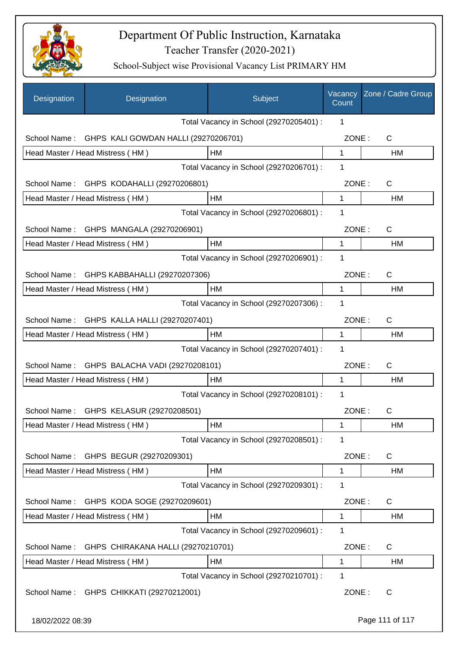

| Designation      | Designation                                  | Subject                                 | Vacancy<br>Count | Zone / Cadre Group |
|------------------|----------------------------------------------|-----------------------------------------|------------------|--------------------|
|                  |                                              | Total Vacancy in School (29270205401) : | 1                |                    |
| School Name:     | GHPS KALI GOWDAN HALLI (29270206701)         |                                         | ZONE:            | C                  |
|                  | Head Master / Head Mistress (HM)             | HM                                      | $\mathbf 1$      | HM                 |
|                  |                                              | Total Vacancy in School (29270206701) : | 1                |                    |
|                  | School Name: GHPS KODAHALLI (29270206801)    |                                         | ZONE:            | C                  |
|                  | Head Master / Head Mistress (HM)             | HM                                      | 1                | HM                 |
|                  |                                              | Total Vacancy in School (29270206801) : | 1                |                    |
|                  | School Name: GHPS MANGALA (29270206901)      |                                         | ZONE:            | C                  |
|                  | Head Master / Head Mistress (HM)             | HM                                      | 1                | HM                 |
|                  |                                              | Total Vacancy in School (29270206901) : | 1                |                    |
| School Name:     | GHPS KABBAHALLI (29270207306)                |                                         | ZONE:            | C                  |
|                  | Head Master / Head Mistress (HM)             | HM                                      | 1                | НM                 |
|                  |                                              | Total Vacancy in School (29270207306) : | 1                |                    |
|                  | School Name: GHPS KALLA HALLI (29270207401)  |                                         | ZONE:            | $\mathsf{C}$       |
|                  | Head Master / Head Mistress (HM)             | HM                                      | 1                | HM                 |
|                  |                                              | Total Vacancy in School (29270207401) : | 1                |                    |
|                  | School Name: GHPS BALACHA VADI (29270208101) |                                         | ZONE:            | $\mathsf{C}$       |
|                  | Head Master / Head Mistress (HM)             | HМ                                      | 1                | HM                 |
|                  |                                              | Total Vacancy in School (29270208101) : | 1                |                    |
|                  | School Name: GHPS KELASUR (29270208501)      |                                         | ZONE:            | C                  |
|                  | Head Master / Head Mistress (HM)             | HM                                      | 1                | HM                 |
|                  |                                              | Total Vacancy in School (29270208501) : | 1                |                    |
| School Name:     | GHPS BEGUR (29270209301)                     |                                         | ZONE:            | C                  |
|                  | Head Master / Head Mistress (HM)             | HM                                      | 1                | HM                 |
|                  |                                              | Total Vacancy in School (29270209301) : | 1                |                    |
| School Name:     | GHPS KODA SOGE (29270209601)                 |                                         | ZONE:            | C                  |
|                  | Head Master / Head Mistress (HM)             | HM                                      | 1                | HM                 |
|                  |                                              | Total Vacancy in School (29270209601) : | 1                |                    |
| School Name:     | GHPS CHIRAKANA HALLI (29270210701)           |                                         | ZONE:            | C                  |
|                  | Head Master / Head Mistress (HM)             | HM                                      | 1                | HM                 |
|                  |                                              | Total Vacancy in School (29270210701) : | 1                |                    |
|                  | School Name: GHPS CHIKKATI (29270212001)     |                                         | ZONE:            | C                  |
| 18/02/2022 08:39 |                                              |                                         |                  | Page 111 of 117    |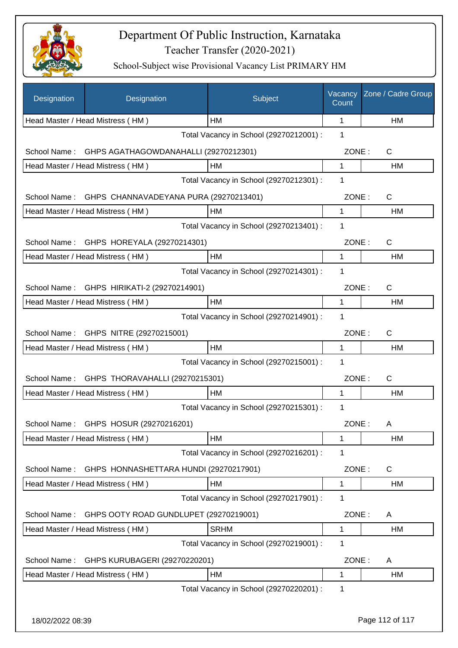

| Designation      | Designation                                | Subject                                 | Vacancy<br>Count | Zone / Cadre Group |
|------------------|--------------------------------------------|-----------------------------------------|------------------|--------------------|
|                  | Head Master / Head Mistress (HM)           | HM                                      | 1                | <b>HM</b>          |
|                  |                                            | Total Vacancy in School (29270212001) : | 1                |                    |
| School Name:     | GHPS AGATHAGOWDANAHALLI (29270212301)      |                                         | ZONE:            | $\mathsf{C}$       |
|                  | Head Master / Head Mistress (HM)           | HM                                      | 1                | HM                 |
|                  |                                            | Total Vacancy in School (29270212301) : | 1                |                    |
| School Name:     | GHPS CHANNAVADEYANA PURA (29270213401)     |                                         | ZONE:            | $\mathsf{C}$       |
|                  | Head Master / Head Mistress (HM)           | HM                                      | 1                | HM                 |
|                  |                                            | Total Vacancy in School (29270213401) : | 1                |                    |
|                  | School Name: GHPS HOREYALA (29270214301)   |                                         | ZONE:            | C                  |
|                  | Head Master / Head Mistress (HM)           | HM                                      | 1                | HM                 |
|                  |                                            | Total Vacancy in School (29270214301) : | 1                |                    |
|                  | School Name: GHPS HIRIKATI-2 (29270214901) |                                         | ZONE:            | $\mathsf{C}$       |
|                  | Head Master / Head Mistress (HM)           | HM                                      | 1                | HM                 |
|                  |                                            | Total Vacancy in School (29270214901) : | 1                |                    |
|                  | School Name: GHPS NITRE (29270215001)      |                                         | ZONE:            | $\mathsf{C}$       |
|                  | Head Master / Head Mistress (HM)           | HM                                      | $\mathbf{1}$     | HM                 |
|                  |                                            | Total Vacancy in School (29270215001) : | 1                |                    |
| School Name:     | GHPS THORAVAHALLI (29270215301)            |                                         | ZONE:            | $\mathsf{C}$       |
|                  | Head Master / Head Mistress (HM)           | HM                                      | 1                | HM                 |
|                  |                                            | Total Vacancy in School (29270215301) : | 1                |                    |
|                  | School Name: GHPS HOSUR (29270216201)      |                                         | ZONE:            | A                  |
|                  | Head Master / Head Mistress (HM)           | HM                                      | 1                | HM                 |
|                  |                                            | Total Vacancy in School (29270216201) : | 1                |                    |
| School Name:     | GHPS HONNASHETTARA HUNDI (29270217901)     |                                         | ZONE:            | C                  |
|                  | Head Master / Head Mistress (HM)           | HM                                      | 1                | HM                 |
|                  |                                            | Total Vacancy in School (29270217901) : | 1                |                    |
| School Name:     | GHPS OOTY ROAD GUNDLUPET (29270219001)     |                                         | ZONE:            | A                  |
|                  | Head Master / Head Mistress (HM)           | <b>SRHM</b>                             | $\mathbf 1$      | HM                 |
|                  |                                            | Total Vacancy in School (29270219001) : | 1                |                    |
|                  |                                            |                                         |                  |                    |
| School Name:     | GHPS KURUBAGERI (29270220201)              |                                         | ZONE:            | A                  |
|                  | Head Master / Head Mistress (HM)           | HM                                      | 1<br>1           | HM                 |
|                  |                                            | Total Vacancy in School (29270220201) : |                  |                    |
| 18/02/2022 08:39 |                                            |                                         |                  | Page 112 of 117    |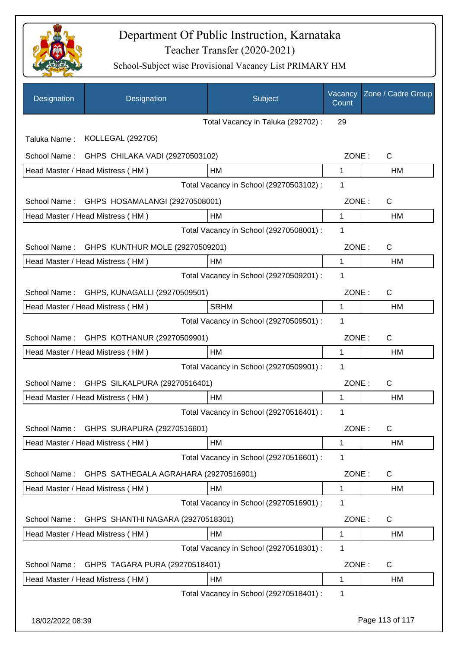

| Designation  | Designation                                  | Subject                                 | Vacancy<br>Count | Zone / Cadre Group |
|--------------|----------------------------------------------|-----------------------------------------|------------------|--------------------|
|              |                                              | Total Vacancy in Taluka (292702) :      | 29               |                    |
| Taluka Name: | KOLLEGAL (292705)                            |                                         |                  |                    |
|              | School Name: GHPS CHILAKA VADI (29270503102) |                                         | ZONE:            | $\mathsf{C}$       |
|              | Head Master / Head Mistress (HM)             | HM                                      | $\mathbf 1$      | <b>HM</b>          |
|              |                                              | Total Vacancy in School (29270503102) : | 1                |                    |
| School Name: | GHPS HOSAMALANGI (29270508001)               |                                         | ZONE:            | C                  |
|              | Head Master / Head Mistress (HM)             | <b>HM</b>                               | $\mathbf 1$      | HM                 |
|              |                                              | Total Vacancy in School (29270508001) : | 1                |                    |
| School Name: | GHPS KUNTHUR MOLE (29270509201)              |                                         | ZONE:            | $\mathsf{C}$       |
|              | Head Master / Head Mistress (HM)             | HM                                      | 1                | HM                 |
|              |                                              | Total Vacancy in School (29270509201) : | 1                |                    |
| School Name: | GHPS, KUNAGALLI (29270509501)                |                                         | ZONE:            | $\mathsf{C}$       |
|              | Head Master / Head Mistress (HM)             | <b>SRHM</b>                             | 1                | HM                 |
|              |                                              | Total Vacancy in School (29270509501) : | 1                |                    |
| School Name: | GHPS KOTHANUR (29270509901)                  |                                         | ZONE:            | $\mathsf{C}$       |
|              | Head Master / Head Mistress (HM)             | <b>HM</b>                               | $\mathbf{1}$     | HM                 |
|              |                                              | Total Vacancy in School (29270509901) : | 1                |                    |
| School Name: | GHPS SILKALPURA (29270516401)                |                                         | ZONE:            | $\mathsf{C}$       |
|              | Head Master / Head Mistress (HM)             | HM                                      | 1                | HM                 |
|              |                                              | Total Vacancy in School (29270516401) : | 1                |                    |
|              | School Name: GHPS SURAPURA (29270516601)     |                                         | ZONE:            | C                  |
|              | Head Master / Head Mistress (HM)             | HM                                      | 1                | HM                 |
|              |                                              | Total Vacancy in School (29270516601) : | 1                |                    |
| School Name: | GHPS SATHEGALA AGRAHARA (29270516901)        |                                         | ZONE:            | C                  |
|              | Head Master / Head Mistress (HM)             | HM                                      | $\mathbf 1$      | HM                 |
|              |                                              | Total Vacancy in School (29270516901) : | 1                |                    |
| School Name: | GHPS SHANTHI NAGARA (29270518301)            |                                         | ZONE:            | C                  |
|              | Head Master / Head Mistress (HM)             | HM                                      | 1                | HM                 |
|              |                                              | Total Vacancy in School (29270518301) : | 1                |                    |
| School Name: | GHPS TAGARA PURA (29270518401)               |                                         | ZONE:            | C                  |
|              | Head Master / Head Mistress (HM)             | HM                                      | 1                | HM                 |
|              |                                              | Total Vacancy in School (29270518401) : | 1                |                    |
|              |                                              |                                         |                  |                    |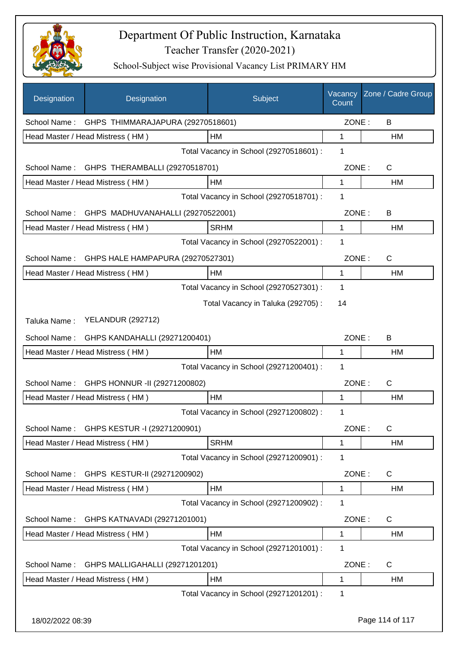

| Designation      | Designation                                    | Subject                                 | Vacancy<br>Count | Zone / Cadre Group |
|------------------|------------------------------------------------|-----------------------------------------|------------------|--------------------|
| School Name:     | GHPS THIMMARAJAPURA (29270518601)              |                                         | ZONE:            | B                  |
|                  | Head Master / Head Mistress (HM)               | <b>HM</b>                               | 1                | HM                 |
|                  |                                                | Total Vacancy in School (29270518601) : | 1                |                    |
| School Name:     | GHPS THERAMBALLI (29270518701)                 |                                         | ZONE:            | $\mathsf{C}$       |
|                  | Head Master / Head Mistress (HM)               | HM                                      | 1                | HM                 |
|                  |                                                | Total Vacancy in School (29270518701) : | 1                |                    |
|                  | School Name: GHPS MADHUVANAHALLI (29270522001) |                                         | ZONE:            | B                  |
|                  | Head Master / Head Mistress (HM)               | <b>SRHM</b>                             | 1                | HM                 |
|                  |                                                | Total Vacancy in School (29270522001) : | 1                |                    |
| School Name:     | GHPS HALE HAMPAPURA (29270527301)              |                                         | ZONE:            | $\mathsf{C}$       |
|                  | Head Master / Head Mistress (HM)               | HM                                      | 1                | <b>HM</b>          |
|                  |                                                | Total Vacancy in School (29270527301) : | 1                |                    |
|                  |                                                | Total Vacancy in Taluka (292705):       | 14               |                    |
| Taluka Name:     | <b>YELANDUR (292712)</b>                       |                                         |                  |                    |
| School Name:     | GHPS KANDAHALLI (29271200401)                  |                                         | ZONE:            | B                  |
|                  | Head Master / Head Mistress (HM)               | HM                                      | 1                | HM                 |
|                  |                                                | Total Vacancy in School (29271200401) : | 1                |                    |
| School Name:     | GHPS HONNUR -II (29271200802)                  |                                         | ZONE:            | $\mathsf{C}$       |
|                  | Head Master / Head Mistress (HM)               | <b>HM</b>                               | 1                | HM                 |
|                  |                                                | Total Vacancy in School (29271200802) : | 1                |                    |
|                  | School Name: GHPS KESTUR -1 (29271200901)      |                                         | ZONE:            | C                  |
|                  | Head Master / Head Mistress (HM)               | <b>SRHM</b>                             | 1                | HM                 |
|                  |                                                | Total Vacancy in School (29271200901) : | 1                |                    |
| School Name:     | GHPS KESTUR-II (29271200902)                   |                                         | ZONE:            | C                  |
|                  | Head Master / Head Mistress (HM)               | <b>HM</b>                               | 1                | HM                 |
|                  |                                                | Total Vacancy in School (29271200902) : | 1                |                    |
| School Name:     | GHPS KATNAVADI (29271201001)                   |                                         | ZONE:            | C                  |
|                  | Head Master / Head Mistress (HM)               | HM                                      | 1                | HM                 |
|                  |                                                | Total Vacancy in School (29271201001) : | 1                |                    |
| School Name:     | GHPS MALLIGAHALLI (29271201201)                |                                         | ZONE:            | C                  |
|                  | Head Master / Head Mistress (HM)               | HM                                      | 1                | HM                 |
|                  |                                                | Total Vacancy in School (29271201201) : | 1                |                    |
| 18/02/2022 08:39 |                                                |                                         |                  | Page 114 of 117    |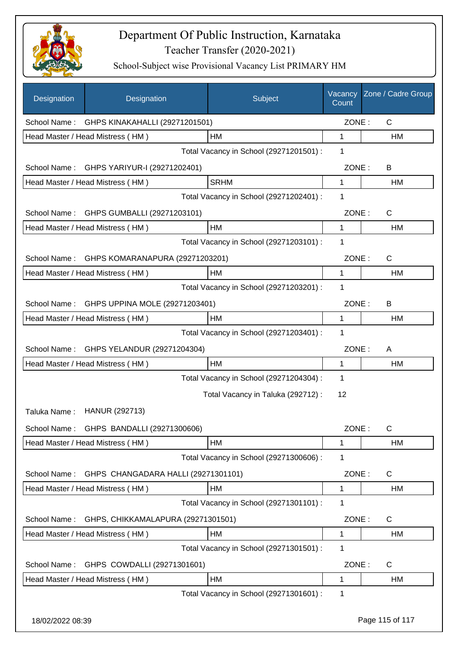

| Designation  | Designation                              | Subject                                 | Vacancy<br>Count | Zone / Cadre Group |
|--------------|------------------------------------------|-----------------------------------------|------------------|--------------------|
| School Name: | GHPS KINAKAHALLI (29271201501)           |                                         | ZONE:            | C                  |
|              | Head Master / Head Mistress (HM)         | HM                                      | 1                | HM                 |
|              |                                          | Total Vacancy in School (29271201501) : | 1                |                    |
| School Name: | GHPS YARIYUR-I (29271202401)             |                                         | ZONE:            | В                  |
|              | Head Master / Head Mistress (HM)         | <b>SRHM</b>                             | 1                | HM                 |
|              |                                          | Total Vacancy in School (29271202401) : | 1                |                    |
| School Name: | GHPS GUMBALLI (29271203101)              |                                         | ZONE:            | $\mathsf{C}$       |
|              | Head Master / Head Mistress (HM)         | HM                                      | $\mathbf{1}$     | HM                 |
|              |                                          | Total Vacancy in School (29271203101) : | 1                |                    |
| School Name: | GHPS KOMARANAPURA (29271203201)          |                                         | ZONE:            | $\mathsf{C}$       |
|              | Head Master / Head Mistress (HM)         | HM                                      | 1                | HM                 |
|              |                                          | Total Vacancy in School (29271203201) : | 1                |                    |
| School Name: | GHPS UPPINA MOLE (29271203401)           |                                         | ZONE:            | B                  |
|              | Head Master / Head Mistress (HM)         | HM                                      | $\mathbf{1}$     | <b>HM</b>          |
|              |                                          | Total Vacancy in School (29271203401) : | 1                |                    |
| School Name: | GHPS YELANDUR (29271204304)              |                                         | ZONE:            | A                  |
|              | Head Master / Head Mistress (HM)         | <b>HM</b>                               | $\mathbf 1$      | HM                 |
|              |                                          | Total Vacancy in School (29271204304) : | 1                |                    |
|              |                                          | Total Vacancy in Taluka (292712) :      | 12               |                    |
| Taluka Name: | <b>HANUR (292713)</b>                    |                                         |                  |                    |
|              | School Name: GHPS BANDALLI (29271300606) |                                         | ZONE:            | C                  |
|              | Head Master / Head Mistress (HM)         | HM                                      | 1                | HM                 |
|              |                                          | Total Vacancy in School (29271300606) : | 1                |                    |
| School Name: | GHPS CHANGADARA HALLI (29271301101)      |                                         | ZONE:            | C                  |
|              | Head Master / Head Mistress (HM)         | HM                                      | $\mathbf 1$      | HM                 |
|              |                                          | Total Vacancy in School (29271301101) : | 1                |                    |
| School Name: | GHPS, CHIKKAMALAPURA (29271301501)       |                                         | ZONE:            | C                  |
|              | Head Master / Head Mistress (HM)         | HM                                      | 1                | HM                 |
|              |                                          | Total Vacancy in School (29271301501) : | 1                |                    |
| School Name: | GHPS COWDALLI (29271301601)              |                                         | ZONE:            | C                  |
|              | Head Master / Head Mistress (HM)         | HM                                      | 1                | HM                 |
|              |                                          | Total Vacancy in School (29271301601) : | 1                |                    |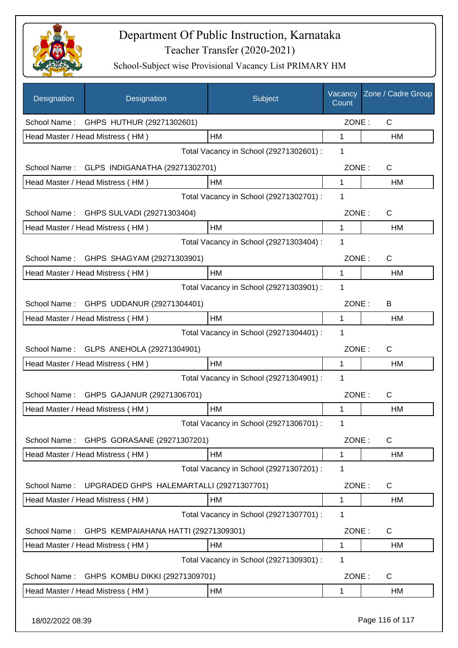

| Designation      | Designation                              | Subject                                 | Vacancy<br>Count | Zone / Cadre Group |
|------------------|------------------------------------------|-----------------------------------------|------------------|--------------------|
| School Name:     | GHPS HUTHUR (29271302601)                |                                         | ZONE:            | $\mathsf{C}$       |
|                  | Head Master / Head Mistress (HM)         | <b>HM</b>                               | 1                | HM                 |
|                  |                                          | Total Vacancy in School (29271302601) : | 1                |                    |
| School Name:     | GLPS INDIGANATHA (29271302701)           |                                         | ZONE:            | C                  |
|                  | Head Master / Head Mistress (HM)         | HM                                      | 1                | HM                 |
|                  |                                          | Total Vacancy in School (29271302701) : | 1                |                    |
| School Name:     | GHPS SULVADI (29271303404)               |                                         | ZONE:            | $\mathsf{C}$       |
|                  | Head Master / Head Mistress (HM)         | <b>HM</b>                               | 1                | <b>HM</b>          |
|                  |                                          | Total Vacancy in School (29271303404) : | 1                |                    |
| School Name:     | GHPS SHAGYAM (29271303901)               |                                         | ZONE:            | $\mathsf{C}$       |
|                  | Head Master / Head Mistress (HM)         | HM                                      | 1                | <b>HM</b>          |
|                  |                                          | Total Vacancy in School (29271303901) : | 1                |                    |
| School Name:     | GHPS UDDANUR (29271304401)               |                                         | ZONE:            | B                  |
|                  | Head Master / Head Mistress (HM)         | <b>HM</b>                               | 1                | HM                 |
|                  |                                          | Total Vacancy in School (29271304401) : | 1                |                    |
|                  | School Name: GLPS ANEHOLA (29271304901)  |                                         | ZONE:            | $\mathsf{C}$       |
|                  | Head Master / Head Mistress (HM)         | HM                                      | 1                | HM                 |
|                  |                                          | Total Vacancy in School (29271304901) : | 1                |                    |
| School Name:     | GHPS GAJANUR (29271306701)               |                                         | ZONE:            | $\mathsf{C}$       |
|                  | Head Master / Head Mistress (HM)         | HM                                      | 1                | HM                 |
|                  |                                          | Total Vacancy in School (29271306701) : | 1                |                    |
| School Name:     | GHPS GORASANE (29271307201)              |                                         | ZONE:            | C                  |
|                  | Head Master / Head Mistress (HM)         | HM                                      | 1                | HM                 |
|                  |                                          | Total Vacancy in School (29271307201) : | 1                |                    |
| School Name:     | UPGRADED GHPS HALEMARTALLI (29271307701) |                                         | ZONE:            | C                  |
|                  | Head Master / Head Mistress (HM)         | HM                                      | 1                | HM                 |
|                  |                                          | Total Vacancy in School (29271307701) : | 1                |                    |
| School Name:     | GHPS KEMPAIAHANA HATTI (29271309301)     |                                         | ZONE:            | C                  |
|                  | Head Master / Head Mistress (HM)         | HM                                      | 1                | HM                 |
|                  |                                          | Total Vacancy in School (29271309301) : | 1                |                    |
| School Name:     | GHPS KOMBU DIKKI (29271309701)           |                                         | ZONE:            | C                  |
|                  | Head Master / Head Mistress (HM)         | HM                                      | 1                | HM                 |
| 18/02/2022 08:39 |                                          |                                         |                  | Page 116 of 117    |